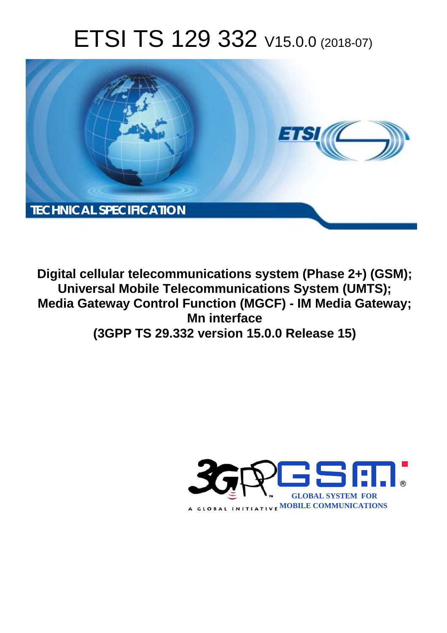# ETSI TS 129 332 V15.0.0 (2018-07)



**Digital cellular telecommunications system (Phase 2+) (GSM); Universal Mobile Telecommunications System (UMTS); Media Gateway Control Function (MGCF) - IM Media Gateway; Mn interface (3GPP TS 29.332 version 15.0.0 Release 15)** 

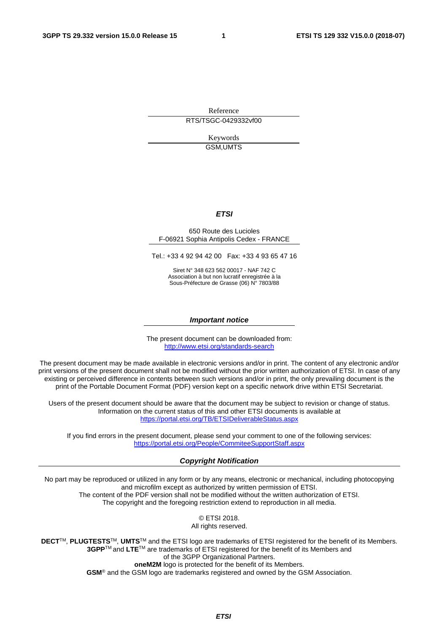Reference RTS/TSGC-0429332vf00

> Keywords GSM,UMTS

#### *ETSI*

#### 650 Route des Lucioles F-06921 Sophia Antipolis Cedex - FRANCE

Tel.: +33 4 92 94 42 00 Fax: +33 4 93 65 47 16

Siret N° 348 623 562 00017 - NAF 742 C Association à but non lucratif enregistrée à la Sous-Préfecture de Grasse (06) N° 7803/88

#### *Important notice*

The present document can be downloaded from: <http://www.etsi.org/standards-search>

The present document may be made available in electronic versions and/or in print. The content of any electronic and/or print versions of the present document shall not be modified without the prior written authorization of ETSI. In case of any existing or perceived difference in contents between such versions and/or in print, the only prevailing document is the print of the Portable Document Format (PDF) version kept on a specific network drive within ETSI Secretariat.

Users of the present document should be aware that the document may be subject to revision or change of status. Information on the current status of this and other ETSI documents is available at <https://portal.etsi.org/TB/ETSIDeliverableStatus.aspx>

If you find errors in the present document, please send your comment to one of the following services: <https://portal.etsi.org/People/CommiteeSupportStaff.aspx>

#### *Copyright Notification*

No part may be reproduced or utilized in any form or by any means, electronic or mechanical, including photocopying and microfilm except as authorized by written permission of ETSI. The content of the PDF version shall not be modified without the written authorization of ETSI. The copyright and the foregoing restriction extend to reproduction in all media.

> © ETSI 2018. All rights reserved.

**DECT**TM, **PLUGTESTS**TM, **UMTS**TM and the ETSI logo are trademarks of ETSI registered for the benefit of its Members. **3GPP**TM and **LTE**TM are trademarks of ETSI registered for the benefit of its Members and of the 3GPP Organizational Partners. **oneM2M** logo is protected for the benefit of its Members.

**GSM**® and the GSM logo are trademarks registered and owned by the GSM Association.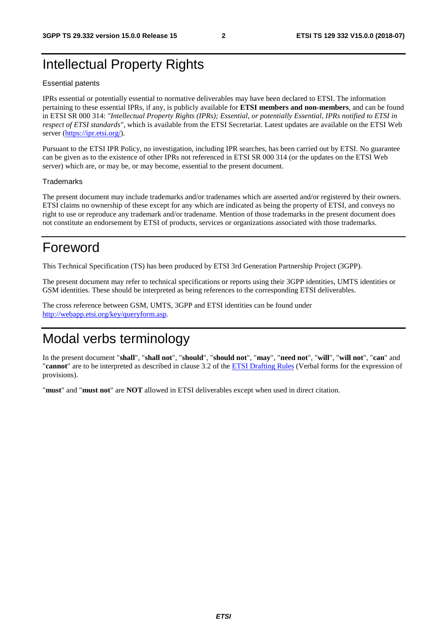## Intellectual Property Rights

#### Essential patents

IPRs essential or potentially essential to normative deliverables may have been declared to ETSI. The information pertaining to these essential IPRs, if any, is publicly available for **ETSI members and non-members**, and can be found in ETSI SR 000 314: *"Intellectual Property Rights (IPRs); Essential, or potentially Essential, IPRs notified to ETSI in respect of ETSI standards"*, which is available from the ETSI Secretariat. Latest updates are available on the ETSI Web server ([https://ipr.etsi.org/\)](https://ipr.etsi.org/).

Pursuant to the ETSI IPR Policy, no investigation, including IPR searches, has been carried out by ETSI. No guarantee can be given as to the existence of other IPRs not referenced in ETSI SR 000 314 (or the updates on the ETSI Web server) which are, or may be, or may become, essential to the present document.

#### **Trademarks**

The present document may include trademarks and/or tradenames which are asserted and/or registered by their owners. ETSI claims no ownership of these except for any which are indicated as being the property of ETSI, and conveys no right to use or reproduce any trademark and/or tradename. Mention of those trademarks in the present document does not constitute an endorsement by ETSI of products, services or organizations associated with those trademarks.

## Foreword

This Technical Specification (TS) has been produced by ETSI 3rd Generation Partnership Project (3GPP).

The present document may refer to technical specifications or reports using their 3GPP identities, UMTS identities or GSM identities. These should be interpreted as being references to the corresponding ETSI deliverables.

The cross reference between GSM, UMTS, 3GPP and ETSI identities can be found under [http://webapp.etsi.org/key/queryform.asp.](http://webapp.etsi.org/key/queryform.asp)

## Modal verbs terminology

In the present document "**shall**", "**shall not**", "**should**", "**should not**", "**may**", "**need not**", "**will**", "**will not**", "**can**" and "**cannot**" are to be interpreted as described in clause 3.2 of the [ETSI Drafting Rules](https://portal.etsi.org/Services/editHelp!/Howtostart/ETSIDraftingRules.aspx) (Verbal forms for the expression of provisions).

"**must**" and "**must not**" are **NOT** allowed in ETSI deliverables except when used in direct citation.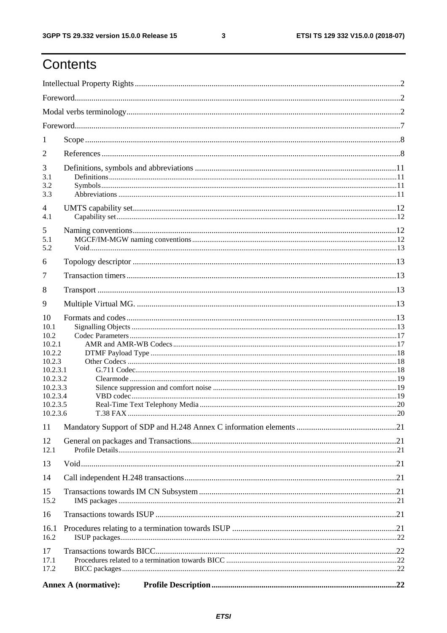## Contents

| 1                                |                             |  |
|----------------------------------|-----------------------------|--|
| 2                                |                             |  |
| 3<br>3.1<br>3.2<br>3.3           |                             |  |
| 4<br>4.1                         |                             |  |
| 5<br>5.1<br>5.2                  |                             |  |
| 6                                |                             |  |
| 7                                |                             |  |
| 8                                |                             |  |
| 9                                |                             |  |
| 10<br>10.1<br>10.2<br>10.2.1     |                             |  |
| 10.2.2<br>10.2.3                 |                             |  |
| 10.2.3.1                         |                             |  |
| 10.2.3.2<br>10.2.3.3<br>10.2.3.4 |                             |  |
| 10.2.3.5<br>10.2.3.6             |                             |  |
| 11                               |                             |  |
| 12<br>12.1                       |                             |  |
| 13                               |                             |  |
| 14                               |                             |  |
| 15<br>15.2                       |                             |  |
| 16                               |                             |  |
| 16.1<br>16.2                     |                             |  |
| 17                               |                             |  |
| 17.1<br>17.2                     |                             |  |
|                                  | <b>Annex A (normative):</b> |  |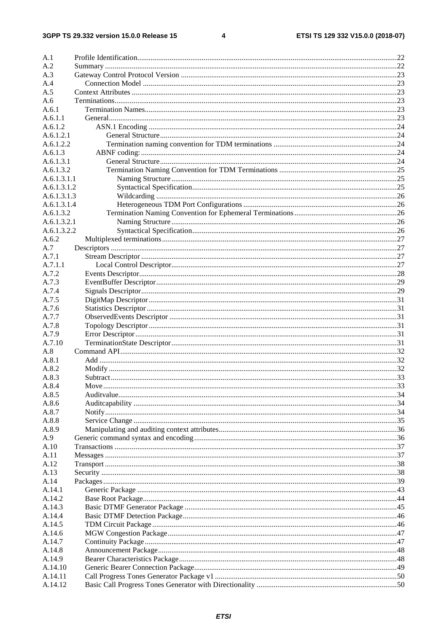$\overline{\mathbf{4}}$ 

| A.1         |       |    |
|-------------|-------|----|
| A.2         |       |    |
| A.3         |       |    |
| A.4         |       |    |
| A.5         |       |    |
| A.6         |       |    |
| A.6.1       |       |    |
| A.6.1.1     |       |    |
| A.6.1.2     |       |    |
| A.6.1.2.1   |       |    |
| A.6.1.2.2   |       |    |
| A.6.1.3     |       |    |
| A.6.1.3.1   |       |    |
| A.6.1.3.2   |       |    |
| A.6.1.3.1.1 |       |    |
| A.6.1.3.1.2 |       |    |
| A.6.1.3.1.3 |       |    |
| A.6.1.3.1.4 |       |    |
| A.6.1.3.2   |       |    |
| A.6.1.3.2.1 |       |    |
| A.6.1.3.2.2 |       |    |
| A.6.2       |       |    |
| A.7         |       |    |
| A.7.1       |       |    |
| A.7.1.1     |       |    |
| A.7.2       |       |    |
| A.7.3       |       |    |
| A.7.4       |       |    |
| A.7.5       |       |    |
| A.7.6       |       |    |
| A.7.7       |       |    |
| A.7.8       |       |    |
| A.7.9       |       |    |
| A.7.10      |       |    |
| A.8         |       |    |
|             |       |    |
| A.8.1       |       |    |
| A.8.2       |       |    |
| A.8.3       |       |    |
| A.8.4       | Move. | 33 |
| A.8.5       |       |    |
| A.8.6       |       |    |
| A.8.7       |       |    |
| A.8.8       |       |    |
| A.8.9       |       |    |
| A.9         |       |    |
| A.10        |       |    |
| A.11        |       |    |
| A.12        |       |    |
| A.13        |       |    |
| A.14        |       |    |
| A.14.1      |       |    |
| A.14.2      |       |    |
| A.14.3      |       |    |
| A.14.4      |       |    |
| A.14.5      |       |    |
| A.14.6      |       |    |
| A.14.7      |       |    |
| A.14.8      |       |    |
| A.14.9      |       |    |
| A.14.10     |       |    |
| A.14.11     |       |    |
| A.14.12     |       |    |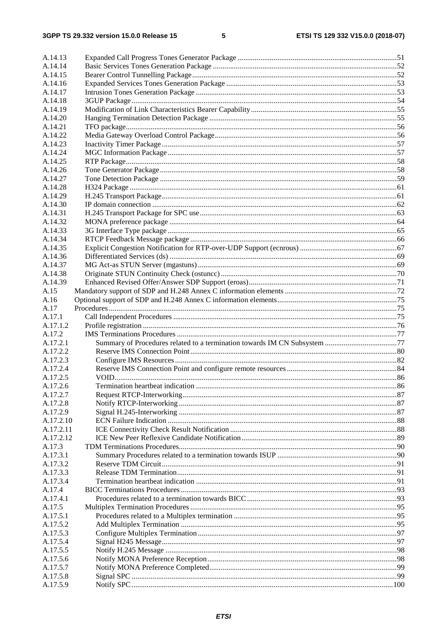| A.14.13   |                                   |  |
|-----------|-----------------------------------|--|
| A.14.14   |                                   |  |
| A.14.15   |                                   |  |
| A.14.16   |                                   |  |
| A.14.17   |                                   |  |
| A.14.18   |                                   |  |
| A.14.19   |                                   |  |
| A.14.20   |                                   |  |
| A.14.21   |                                   |  |
| A.14.22   |                                   |  |
| A.14.23   |                                   |  |
| A.14.24   |                                   |  |
| A.14.25   |                                   |  |
| A.14.26   |                                   |  |
| A.14.27   |                                   |  |
| A.14.28   |                                   |  |
| A.14.29   |                                   |  |
| A.14.30   |                                   |  |
| A.14.31   |                                   |  |
| A.14.32   |                                   |  |
| A.14.33   |                                   |  |
| A.14.34   |                                   |  |
| A.14.35   |                                   |  |
| A.14.36   |                                   |  |
| A.14.37   |                                   |  |
|           |                                   |  |
| A.14.38   |                                   |  |
| A.14.39   |                                   |  |
| A.15      |                                   |  |
| A.16      |                                   |  |
| A.17      |                                   |  |
| A.17.1    |                                   |  |
| A.17.1.2  |                                   |  |
| A.17.2    |                                   |  |
| A.17.2.1  |                                   |  |
| A.17.2.2  |                                   |  |
| A.17.2.3  |                                   |  |
| A.17.2.4  |                                   |  |
| A.17.2.5  |                                   |  |
| A.17.2.6  | Termination heartbeat indication. |  |
| A.17.2.7  |                                   |  |
| A.17.2.8  |                                   |  |
| A.17.2.9  |                                   |  |
| A.17.2.10 |                                   |  |
| A.17.2.11 |                                   |  |
| A.17.2.12 |                                   |  |
| A.17.3    |                                   |  |
| A.17.3.1  |                                   |  |
| A.17.3.2  |                                   |  |
| A.17.3.3  |                                   |  |
| A.17.3.4  |                                   |  |
| A.17.4    |                                   |  |
| A.17.4.1  |                                   |  |
| A.17.5    |                                   |  |
| A.17.5.1  |                                   |  |
| A.17.5.2  |                                   |  |
| A.17.5.3  |                                   |  |
| A.17.5.4  |                                   |  |
| A.17.5.5  |                                   |  |
| A.17.5.6  |                                   |  |
| A.17.5.7  |                                   |  |
| A.17.5.8  |                                   |  |
| A.17.5.9  |                                   |  |
|           |                                   |  |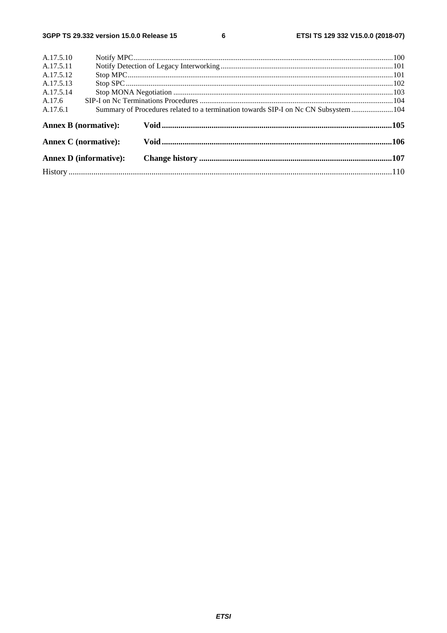$\bf 6$ 

| A.17.5.10 |                               |                                                                                      |  |
|-----------|-------------------------------|--------------------------------------------------------------------------------------|--|
| A.17.5.11 |                               |                                                                                      |  |
| A.17.5.12 |                               |                                                                                      |  |
| A.17.5.13 |                               |                                                                                      |  |
| A.17.5.14 |                               |                                                                                      |  |
| A.17.6    |                               |                                                                                      |  |
| A.17.6.1  |                               | Summary of Procedures related to a termination towards SIP-I on Nc CN Subsystem  104 |  |
|           |                               |                                                                                      |  |
|           | <b>Annex B</b> (normative):   |                                                                                      |  |
|           | <b>Annex C</b> (normative):   |                                                                                      |  |
|           | <b>Annex D</b> (informative): |                                                                                      |  |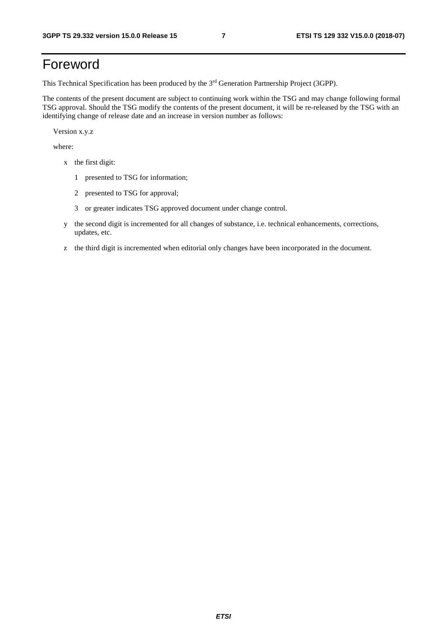## Foreword

This Technical Specification has been produced by the 3rd Generation Partnership Project (3GPP).

The contents of the present document are subject to continuing work within the TSG and may change following formal TSG approval. Should the TSG modify the contents of the present document, it will be re-released by the TSG with an identifying change of release date and an increase in version number as follows:

Version x.y.z

where:

- x the first digit:
	- 1 presented to TSG for information;
	- 2 presented to TSG for approval;
	- 3 or greater indicates TSG approved document under change control.
- y the second digit is incremented for all changes of substance, i.e. technical enhancements, corrections, updates, etc.
- z the third digit is incremented when editorial only changes have been incorporated in the document.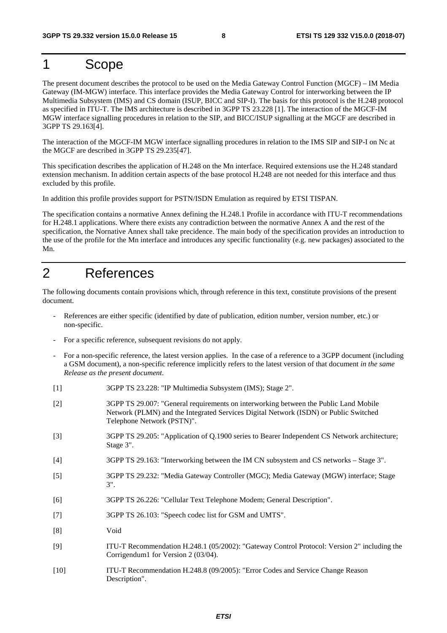## 1 Scope

The present document describes the protocol to be used on the Media Gateway Control Function (MGCF) – IM Media Gateway (IM-MGW) interface. This interface provides the Media Gateway Control for interworking between the IP Multimedia Subsystem (IMS) and CS domain (ISUP, BICC and SIP-I). The basis for this protocol is the H.248 protocol as specified in ITU-T. The IMS architecture is described in 3GPP TS 23.228 [1]. The interaction of the MGCF-IM MGW interface signalling procedures in relation to the SIP, and BICC/ISUP signalling at the MGCF are described in 3GPP TS 29.163[4].

The interaction of the MGCF-IM MGW interface signalling procedures in relation to the IMS SIP and SIP-I on Nc at the MGCF are described in 3GPP TS 29.235[47].

This specification describes the application of H.248 on the Mn interface. Required extensions use the H.248 standard extension mechanism. In addition certain aspects of the base protocol H.248 are not needed for this interface and thus excluded by this profile.

In addition this profile provides support for PSTN/ISDN Emulation as required by ETSI TISPAN.

The specification contains a normative Annex defining the H.248.1 Profile in accordance with ITU-T recommendations for H.248.1 applications. Where there exists any contradiction between the normative Annex A and the rest of the specification, the Nornative Annex shall take precidence. The main body of the specification provides an introduction to the use of the profile for the Mn interface and introduces any specific functionality (e.g. new packages) associated to the Mn.

## 2 References

The following documents contain provisions which, through reference in this text, constitute provisions of the present document.

- References are either specific (identified by date of publication, edition number, version number, etc.) or non-specific.
- For a specific reference, subsequent revisions do not apply.
- For a non-specific reference, the latest version applies. In the case of a reference to a 3GPP document (including a GSM document), a non-specific reference implicitly refers to the latest version of that document *in the same Release as the present document*.
- [1] 3GPP TS 23.228: "IP Multimedia Subsystem (IMS); Stage 2".
- [2] 3GPP TS 29.007: "General requirements on interworking between the Public Land Mobile Network (PLMN) and the Integrated Services Digital Network (ISDN) or Public Switched Telephone Network (PSTN)".
- [3] 3GPP TS 29.205: "Application of Q.1900 series to Bearer Independent CS Network architecture; Stage 3".
- [4] 3GPP TS 29.163: "Interworking between the IM CN subsystem and CS networks Stage 3".
- [5] 3GPP TS 29.232: "Media Gateway Controller (MGC); Media Gateway (MGW) interface; Stage 3".
- [6] 3GPP TS 26.226: "Cellular Text Telephone Modem; General Description".
- [7] 3GPP TS 26.103: "Speech codec list for GSM and UMTS".
- [8] Void
- [9] ITU-T Recommendation H.248.1 (05/2002): "Gateway Control Protocol: Version 2" including the Corrigendum1 for Version 2 (03/04).
- [10] ITU-T Recommendation H.248.8 (09/2005): "Error Codes and Service Change Reason Description".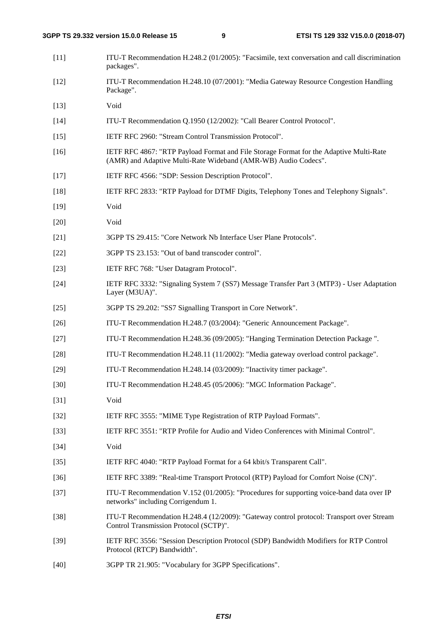| $[11]$ | ITU-T Recommendation H.248.2 (01/2005): "Facsimile, text conversation and call discrimination<br>packages".                                              |
|--------|----------------------------------------------------------------------------------------------------------------------------------------------------------|
| $[12]$ | ITU-T Recommendation H.248.10 (07/2001): "Media Gateway Resource Congestion Handling<br>Package".                                                        |
| $[13]$ | Void                                                                                                                                                     |
| $[14]$ | ITU-T Recommendation Q.1950 (12/2002): "Call Bearer Control Protocol".                                                                                   |
| $[15]$ | IETF RFC 2960: "Stream Control Transmission Protocol".                                                                                                   |
| $[16]$ | IETF RFC 4867: "RTP Payload Format and File Storage Format for the Adaptive Multi-Rate<br>(AMR) and Adaptive Multi-Rate Wideband (AMR-WB) Audio Codecs". |
| $[17]$ | IETF RFC 4566: "SDP: Session Description Protocol".                                                                                                      |
| $[18]$ | IETF RFC 2833: "RTP Payload for DTMF Digits, Telephony Tones and Telephony Signals".                                                                     |
| $[19]$ | Void                                                                                                                                                     |
| $[20]$ | Void                                                                                                                                                     |
| $[21]$ | 3GPP TS 29.415: "Core Network Nb Interface User Plane Protocols".                                                                                        |
| $[22]$ | 3GPP TS 23.153: "Out of band transcoder control".                                                                                                        |
| $[23]$ | IETF RFC 768: "User Datagram Protocol".                                                                                                                  |
| $[24]$ | IETF RFC 3332: "Signaling System 7 (SS7) Message Transfer Part 3 (MTP3) - User Adaptation<br>Layer (M3UA)".                                              |
| $[25]$ | 3GPP TS 29.202: "SS7 Signalling Transport in Core Network".                                                                                              |
| $[26]$ | ITU-T Recommendation H.248.7 (03/2004): "Generic Announcement Package".                                                                                  |
| $[27]$ | ITU-T Recommendation H.248.36 (09/2005): "Hanging Termination Detection Package ".                                                                       |
| $[28]$ | ITU-T Recommendation H.248.11 (11/2002): "Media gateway overload control package".                                                                       |
| $[29]$ | ITU-T Recommendation H.248.14 (03/2009): "Inactivity timer package".                                                                                     |
| $[30]$ | ITU-T Recommendation H.248.45 (05/2006): "MGC Information Package".                                                                                      |
| $[31]$ | Void                                                                                                                                                     |
| $[32]$ | IETF RFC 3555: "MIME Type Registration of RTP Payload Formats".                                                                                          |
| $[33]$ | IETF RFC 3551: "RTP Profile for Audio and Video Conferences with Minimal Control".                                                                       |
| $[34]$ | Void                                                                                                                                                     |
| $[35]$ | IETF RFC 4040: "RTP Payload Format for a 64 kbit/s Transparent Call".                                                                                    |
| $[36]$ | IETF RFC 3389: "Real-time Transport Protocol (RTP) Payload for Comfort Noise (CN)".                                                                      |
| $[37]$ | ITU-T Recommendation V.152 (01/2005): "Procedures for supporting voice-band data over IP<br>networks" including Corrigendum 1.                           |
| $[38]$ | ITU-T Recommendation H.248.4 (12/2009): "Gateway control protocol: Transport over Stream<br>Control Transmission Protocol (SCTP)".                       |
| $[39]$ | IETF RFC 3556: "Session Description Protocol (SDP) Bandwidth Modifiers for RTP Control<br>Protocol (RTCP) Bandwidth".                                    |

[40] 3GPP TR 21.905: "Vocabulary for 3GPP Specifications".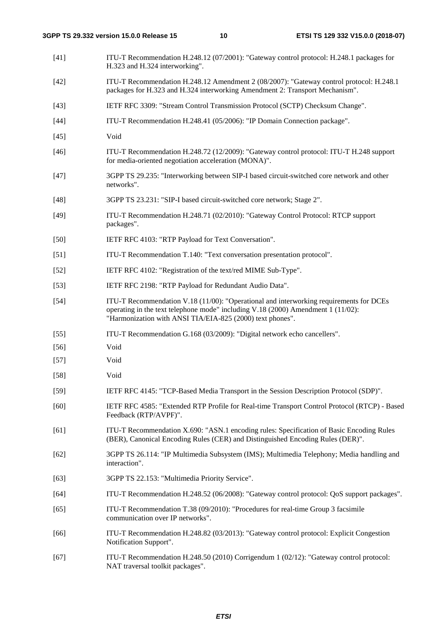[41] ITU-T Recommendation H.248.12 (07/2001): "Gateway control protocol: H.248.1 packages for H.323 and H.324 interworking". [42] ITU-T Recommendation H.248.12 Amendment 2 (08/2007): "Gateway control protocol: H.248.1 packages for H.323 and H.324 interworking Amendment 2: Transport Mechanism". [43] IETF RFC 3309: "Stream Control Transmission Protocol (SCTP) Checksum Change". [44] ITU-T Recommendation H.248.41 (05/2006): "IP Domain Connection package". [45] Void [46] ITU-T Recommendation H.248.72 (12/2009): "Gateway control protocol: ITU-T H.248 support for media-oriented negotiation acceleration (MONA)".[47] 3GPP TS 29.235: "Interworking between SIP-I based circuit-switched core network and other networks". [48] 3GPP TS 23.231: "SIP-I based circuit-switched core network; Stage 2". [49] ITU-T Recommendation H.248.71 (02/2010): "Gateway Control Protocol: RTCP support packages". [50] IETF RFC 4103: "RTP Payload for Text Conversation". [51] ITU-T Recommendation T.140: "Text conversation presentation protocol". [52] IETF RFC 4102: "Registration of the text/red MIME Sub-Type". [53] IETF RFC 2198: "RTP Payload for Redundant Audio Data". [54] ITU-T Recommendation V.18 (11/00): "Operational and interworking requirements for DCEs operating in the text telephone mode" including V.18 (2000) Amendment 1 (11/02): "Harmonization with ANSI TIA/EIA-825 (2000) text phones". [55] ITU-T Recommendation G.168 (03/2009): "Digital network echo cancellers". [56] Void [57] Void [58] Void [59] IETF RFC 4145: "TCP-Based Media Transport in the Session Description Protocol (SDP)". [60] IETF RFC 4585: "Extended RTP Profile for Real-time Transport Control Protocol (RTCP) - Based Feedback (RTP/AVPF)". [61] ITU-T Recommendation X.690: "ASN.1 encoding rules: Specification of Basic Encoding Rules (BER), Canonical Encoding Rules (CER) and Distinguished Encoding Rules (DER)". [62] 3GPP TS 26.114: "IP Multimedia Subsystem (IMS); Multimedia Telephony; Media handling and interaction". [63] 3GPP TS 22.153: "Multimedia Priority Service". [64] ITU-T Recommendation H.248.52 (06/2008): "Gateway control protocol: QoS support packages". [65] ITU-T Recommendation T.38 (09/2010): "Procedures for real-time Group 3 facsimile communication over IP networks". [66] ITU-T Recommendation H.248.82 (03/2013): "Gateway control protocol: Explicit Congestion Notification Support". [67] ITU-T Recommendation H.248.50 (2010) Corrigendum 1 (02/12): "Gateway control protocol: NAT traversal toolkit packages".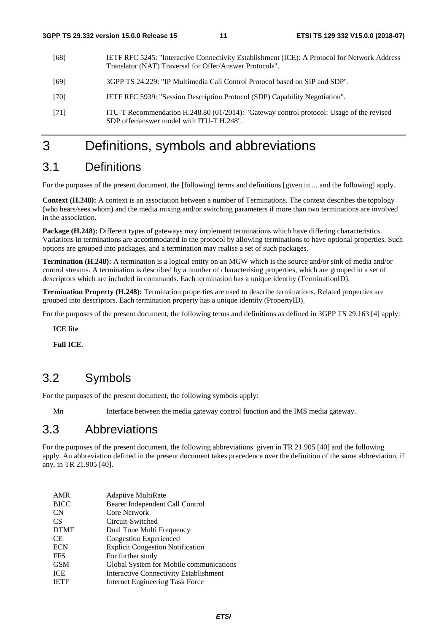- [68] IETF RFC 5245: "Interactive Connectivity Establishment (ICE): A Protocol for Network Address Translator (NAT) Traversal for Offer/Answer Protocols".
- [69] 3GPP TS 24.229: "IP Multimedia Call Control Protocol based on SIP and SDP".
- [70] IETF RFC 5939: "Session Description Protocol (SDP) Capability Negotiation".
- [71] ITU-T Recommendation H.248.80 (01/2014): "Gateway control protocol: Usage of the revised SDP offer/answer model with ITU-T H.248".

## 3 Definitions, symbols and abbreviations

### 3.1 Definitions

For the purposes of the present document, the [following] terms and definitions [given in ... and the following] apply.

**Context (H.248):** A context is an association between a number of Terminations. The context describes the topology (who hears/sees whom) and the media mixing and/or switching parameters if more than two terminations are involved in the association.

**Package (H.248):** Different types of gateways may implement terminations which have differing characteristics. Variations in terminations are accommodated in the protocol by allowing terminations to have optional properties. Such options are grouped into packages, and a termination may realise a set of such packages.

**Termination (H.248):** A termination is a logical entity on an MGW which is the source and/or sink of media and/or control streams. A termination is described by a number of characterising properties, which are grouped in a set of descriptors which are included in commands. Each termination has a unique identity (TerminationID).

**Termination Property (H.248):** Termination properties are used to describe terminations. Related properties are grouped into descriptors. Each termination property has a unique identity (PropertyID).

For the purposes of the present document, the following terms and definitions as defined in 3GPP TS 29.163 [4] apply:

 **ICE lite** 

 **Full ICE**.

### 3.2 Symbols

For the purposes of the present document, the following symbols apply:

Mn Interface between the media gateway control function and the IMS media gateway.

### 3.3 Abbreviations

For the purposes of the present document, the following abbreviations given in TR 21.905 [40] and the following apply. An abbreviation defined in the present document takes precedence over the definition of the same abbreviation, if any, in TR 21.905 [40].

| <b>AMR</b>  | Adaptive MultiRate                            |
|-------------|-----------------------------------------------|
| <b>BICC</b> | Bearer Independent Call Control               |
| <b>CN</b>   | <b>Core Network</b>                           |
| CS.         | Circuit-Switched                              |
| <b>DTMF</b> | Dual Tone Multi Frequency                     |
| <b>CE</b>   | <b>Congestion Experienced</b>                 |
| <b>ECN</b>  | <b>Explicit Congestion Notification</b>       |
| <b>FFS</b>  | For further study                             |
| <b>GSM</b>  | Global System for Mobile communications       |
| ICE         | <b>Interactive Connectivity Establishment</b> |
| <b>IETF</b> | <b>Internet Engineering Task Force</b>        |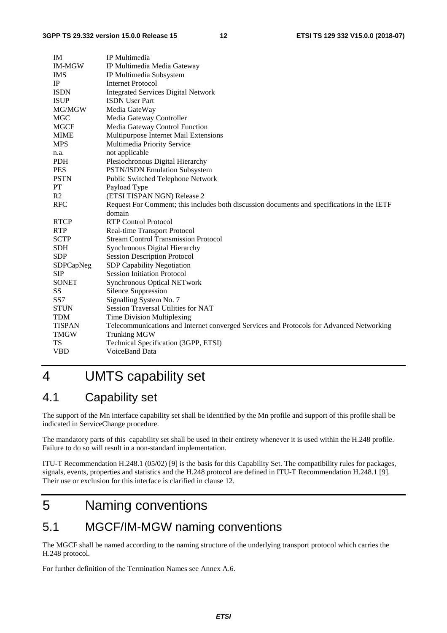| IM             | IP Multimedia                                                                               |
|----------------|---------------------------------------------------------------------------------------------|
| <b>IM-MGW</b>  | IP Multimedia Media Gateway                                                                 |
| <b>IMS</b>     | IP Multimedia Subsystem                                                                     |
| IP             | <b>Internet Protocol</b>                                                                    |
| <b>ISDN</b>    | Integrated Services Digital Network                                                         |
| <b>ISUP</b>    | <b>ISDN</b> User Part                                                                       |
| MG/MGW         | Media GateWay                                                                               |
| <b>MGC</b>     | Media Gateway Controller                                                                    |
| <b>MGCF</b>    | Media Gateway Control Function                                                              |
| <b>MIME</b>    | Multipurpose Internet Mail Extensions                                                       |
| <b>MPS</b>     | Multimedia Priority Service                                                                 |
| n.a.           | not applicable                                                                              |
| <b>PDH</b>     | Plesiochronous Digital Hierarchy                                                            |
| <b>PES</b>     | <b>PSTN/ISDN Emulation Subsystem</b>                                                        |
| <b>PSTN</b>    | Public Switched Telephone Network                                                           |
| PT             | Payload Type                                                                                |
| R <sub>2</sub> | (ETSI TISPAN NGN) Release 2                                                                 |
| <b>RFC</b>     | Request For Comment; this includes both discussion documents and specifications in the IETF |
|                | domain                                                                                      |
| <b>RTCP</b>    | <b>RTP Control Protocol</b>                                                                 |
| <b>RTP</b>     | Real-time Transport Protocol                                                                |
| <b>SCTP</b>    | <b>Stream Control Transmission Protocol</b>                                                 |
| <b>SDH</b>     | Synchronous Digital Hierarchy                                                               |
| <b>SDP</b>     | <b>Session Description Protocol</b>                                                         |
| SDPCapNeg      | <b>SDP Capability Negotiation</b>                                                           |
| <b>SIP</b>     | <b>Session Initiation Protocol</b>                                                          |
| <b>SONET</b>   | Synchronous Optical NETwork                                                                 |
| SS             | Silence Suppression                                                                         |
| SS7            | Signalling System No. 7                                                                     |
| <b>STUN</b>    | Session Traversal Utilities for NAT                                                         |
| <b>TDM</b>     | Time Division Multiplexing                                                                  |
| <b>TISPAN</b>  | Telecommunications and Internet converged Services and Protocols for Advanced Networking    |
| <b>TMGW</b>    | <b>Trunking MGW</b>                                                                         |
| <b>TS</b>      | Technical Specification (3GPP, ETSI)                                                        |
| <b>VBD</b>     | VoiceBand Data                                                                              |
|                |                                                                                             |

## 4 UMTS capability set

### 4.1 Capability set

The support of the Mn interface capability set shall be identified by the Mn profile and support of this profile shall be indicated in ServiceChange procedure.

The mandatory parts of this capability set shall be used in their entirety whenever it is used within the H.248 profile. Failure to do so will result in a non-standard implementation.

ITU-T Recommendation H.248.1 (05/02) [9] is the basis for this Capability Set. The compatibility rules for packages, signals, events, properties and statistics and the H.248 protocol are defined in ITU-T Recommendation H.248.1 [9]. Their use or exclusion for this interface is clarified in clause 12.

## 5 Naming conventions

## 5.1 MGCF/IM-MGW naming conventions

The MGCF shall be named according to the naming structure of the underlying transport protocol which carries the H.248 protocol.

For further definition of the Termination Names see Annex A.6.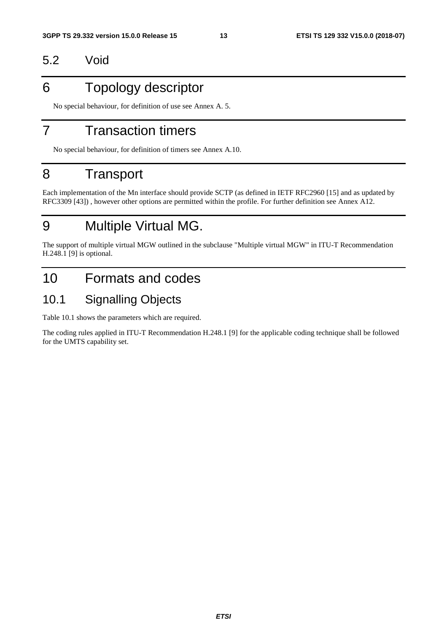## 5.2 Void

## 6 Topology descriptor

No special behaviour, for definition of use see Annex A. 5.

## 7 Transaction timers

No special behaviour, for definition of timers see Annex A.10.

## 8 Transport

Each implementation of the Mn interface should provide SCTP (as defined in IETF RFC2960 [15] and as updated by RFC3309 [43]) , however other options are permitted within the profile. For further definition see Annex A12.

## 9 Multiple Virtual MG.

The support of multiple virtual MGW outlined in the subclause "Multiple virtual MGW" in ITU-T Recommendation H.248.1 [9] is optional.

## 10 Formats and codes

### 10.1 Signalling Objects

Table 10.1 shows the parameters which are required.

The coding rules applied in ITU-T Recommendation H.248.1 [9] for the applicable coding technique shall be followed for the UMTS capability set.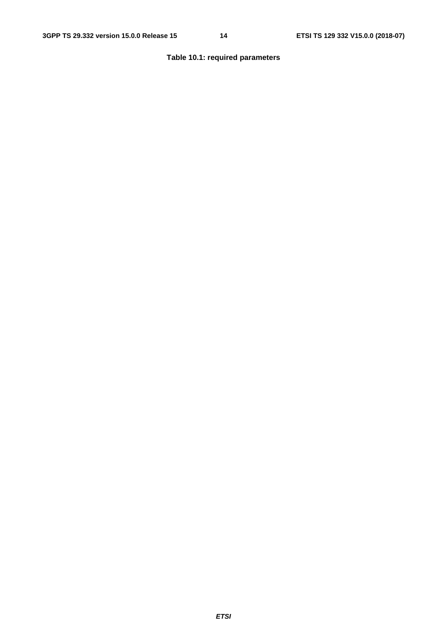#### **Table 10.1: required parameters**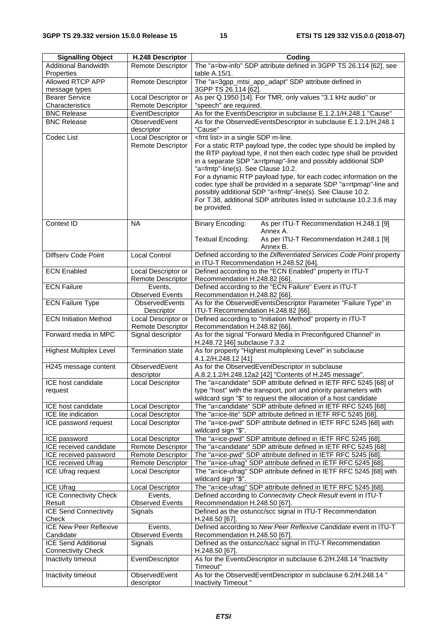| <b>Additional Bandwidth</b><br>The "a=bw-info" SDP attribute defined in 3GPP TS 26.114 [62], see<br><b>Remote Descriptor</b><br>Properties<br>table A.15/1.<br>Allowed RTCP APP<br>The "a=3gpp_mtsi_app_adapt" SDP attribute defined in<br><b>Remote Descriptor</b><br>3GPP TS 26.114 [62].<br>message types<br>As per Q.1950 [14]. For TMR, only values "3.1 kHz audio" or<br>Local Descriptor or<br><b>Bearer Service</b><br>Characteristics<br><b>Remote Descriptor</b><br>"speech" are required.<br>As for the EventsDescriptor in subclause E.1.2.1/H.248.1 "Cause"<br><b>BNC Release</b><br>EventDescriptor<br><b>BNC Release</b><br>ObservedEvent<br>As for the ObservedEventsDescriptor in subclause E.1.2.1/H.248.1<br>descriptor<br>"Cause"<br><fmt list=""> in a single SDP m-line.<br/>Local Descriptor or<br/>Codec List<br/><b>Remote Descriptor</b><br/>For a static RTP payload type, the codec type should be implied by<br/>the RTP payload type, if not then each codec type shall be provided<br/>in a separate SDP "a=rtpmap"-line and possibly additional SDP<br/>"a=fmtp"-line(s). See Clause 10.2.<br/>For a dynamic RTP payload type, for each codec information on the<br/>codec type shall be provided in a separate SDP "a=rtpmap"-line and<br/>possibly additional SDP "a=fmtp"-line(s). See Clause 10.2.<br/>For T.38, additional SDP attributes listed in subclause 10.2.3.6 may<br/>be provided.<br/>Context ID<br/><b>NA</b><br/><b>Binary Encoding:</b><br/>As per ITU-T Recommendation H.248.1 [9]<br/>Annex A.<br/><b>Textual Encoding:</b><br/>As per ITU-T Recommendation H.248.1 [9]<br/>Annex B.<br/>Defined according to the Differentiated Services Code Point property<br/>Diffserv Code Point<br/><b>Local Control</b><br/>in ITU-T Recommendation H.248.52 [64].<br/>Defined according to the "ECN Enabled" property in ITU-T<br/><b>ECN Enabled</b><br/>Local Descriptor or<br/>Recommendation H.248.82 [66].<br/><b>Remote Descriptor</b><br/>Defined according to the "ECN Failure" Event in ITU-T<br/><b>ECN Failure</b><br/>Events,<br/><b>Observed Events</b><br/>Recommendation H.248.82 [66].<br/>As for the ObservedEventsDescriptor Parameter "Failure Type" in<br/><b>ECN Failure Type</b><br/>ObservedEvents<br/>Descriptor<br/>ITU-T Recommendation H.248.82 [66].<br/>Defined according to "Initiation Method" property in ITU-T<br/><b>ECN Initiation Method</b><br/>Local Descriptor or<br/>Remote Descriptor<br/>Recommendation H.248.82 [66].<br/>Forward media in MPC<br/>As for the signal "Forward Media in Preconfigured Channel" in<br/>Signal descriptor<br/>H.248.72 [46] subclause 7.3.2<br/>As for property "Highest multiplexing Level" in subclause<br/><b>Highest Multiplex Level</b><br/><b>Termination state</b><br/>4.1.2/H.248.12 [41]<br/>ObservedEvent<br/>As for the ObservedEventDescriptor in subclause<br/>H245 message content<br/>descriptor<br/>A.8.2.1.2/H.248.12a2 [42] "Contents of H.245 message".<br/>The "a=candidate" SDP attribute defined in IETF RFC 5245 [68] of<br/>Local Descriptor<br/>ICE host candidate<br/>type "host" with the transport, port and priority parameters with<br/>request<br/>wildcard sign "\$" to request the allocation of a host candidate<br/>The "a=candidate" SDP attribute defined in IETF RFC 5245 [68]<br/>ICE host candidate<br/>Local Descriptor<br/><b>ICE</b> lite indication<br/>The "a=ice-lite" SDP attribute defined in IETF RFC 5245 [68].<br/><b>Local Descriptor</b><br/>The "a=ice-pwd" SDP attribute defined in IETF RFC 5245 [68] with<br/>ICE password request<br/><b>Local Descriptor</b><br/>wildcard sign "\$".<br/>The "a=ice-pwd" SDP attribute defined in IETF RFC 5245 [68].<br/>Local Descriptor<br/>ICE password<br/>ICE received candidate<br/><b>Remote Descriptor</b><br/>The "a=candidate" SDP attribute defined in IETF RFC 5245 [68]<br/>The "a=ice-pwd" SDP attribute defined in IETF RFC 5245 [68].<br/>ICE received password<br/><b>Remote Descriptor</b><br/>ICE received Ufrag<br/>The "a=ice-ufrag" SDP attribute defined in IETF RFC 5245 [68].<br/><b>Remote Descriptor</b><br/>The "a=ice-ufrag" SDP attribute defined in IETF RFC 5245 [68] with<br/><b>ICE Ufrag request</b><br/><b>Local Descriptor</b><br/>wildcard sign "\$".<br/>The "a=ice-ufrag" SDP attribute defined in IETF RFC 5245 [68].<br/>ICE Ufrag<br/>Local Descriptor<br/><b>ICE Connectivity Check</b><br/>Defined according to Connectivity Check Result event in ITU-T<br/>Events,<br/><b>Observed Events</b><br/>Result<br/>Recommendation H.248.50 [67].<br/><b>ICE Send Connectivity</b><br/>Defined as the ostuncc/scc signal in ITU-T Recommendation<br/>Signals<br/>Check<br/>H.248.50 [67].<br/><b>ICE New Peer Reflexive</b><br/>Defined according to New Peer Reflexive Candidate event in ITU-T<br/>Events,<br/><b>Observed Events</b><br/>Candidate<br/>Recommendation H.248.50 [67].<br/>Defined as the ostuncc/sacc signal in ITU-T Recommendation<br/><b>ICE Send Additional</b><br/>Signals<br/><b>Connectivity Check</b><br/>H.248.50 [67].<br/>As for the EventsDescriptor in subclause 6.2/H.248.14 "Inactivity<br/>EventDescriptor<br/>Inactivity timeout<br/>Timeout"<br/>ObservedEvent<br/>As for the ObservedEventDescriptor in subclause 6.2/H.248.14 "<br/>Inactivity timeout</fmt> | <b>Signalling Object</b> | <b>H.248 Descriptor</b> | Coding               |  |  |
|------------------------------------------------------------------------------------------------------------------------------------------------------------------------------------------------------------------------------------------------------------------------------------------------------------------------------------------------------------------------------------------------------------------------------------------------------------------------------------------------------------------------------------------------------------------------------------------------------------------------------------------------------------------------------------------------------------------------------------------------------------------------------------------------------------------------------------------------------------------------------------------------------------------------------------------------------------------------------------------------------------------------------------------------------------------------------------------------------------------------------------------------------------------------------------------------------------------------------------------------------------------------------------------------------------------------------------------------------------------------------------------------------------------------------------------------------------------------------------------------------------------------------------------------------------------------------------------------------------------------------------------------------------------------------------------------------------------------------------------------------------------------------------------------------------------------------------------------------------------------------------------------------------------------------------------------------------------------------------------------------------------------------------------------------------------------------------------------------------------------------------------------------------------------------------------------------------------------------------------------------------------------------------------------------------------------------------------------------------------------------------------------------------------------------------------------------------------------------------------------------------------------------------------------------------------------------------------------------------------------------------------------------------------------------------------------------------------------------------------------------------------------------------------------------------------------------------------------------------------------------------------------------------------------------------------------------------------------------------------------------------------------------------------------------------------------------------------------------------------------------------------------------------------------------------------------------------------------------------------------------------------------------------------------------------------------------------------------------------------------------------------------------------------------------------------------------------------------------------------------------------------------------------------------------------------------------------------------------------------------------------------------------------------------------------------------------------------------------------------------------------------------------------------------------------------------------------------------------------------------------------------------------------------------------------------------------------------------------------------------------------------------------------------------------------------------------------------------------------------------------------------------------------------------------------------------------------------------------------------------------------------------------------------------------------------------------------------------------------------------------------------------------------------------------------------------------------------------------------------------------------------------------------------------------------------------------------------------------------------------------------------------------------------------------------------------------------------------------------------------------------------------------------------------------------------------------------------------------------------------------------------------------------------------------------------------------------------------------------------------------------------------------------------------------------------------------------------------------------------------------------------------------------------------------------------------------------------------------------------------------------------------------------------------------------------------------------------------------------|--------------------------|-------------------------|----------------------|--|--|
|                                                                                                                                                                                                                                                                                                                                                                                                                                                                                                                                                                                                                                                                                                                                                                                                                                                                                                                                                                                                                                                                                                                                                                                                                                                                                                                                                                                                                                                                                                                                                                                                                                                                                                                                                                                                                                                                                                                                                                                                                                                                                                                                                                                                                                                                                                                                                                                                                                                                                                                                                                                                                                                                                                                                                                                                                                                                                                                                                                                                                                                                                                                                                                                                                                                                                                                                                                                                                                                                                                                                                                                                                                                                                                                                                                                                                                                                                                                                                                                                                                                                                                                                                                                                                                                                                                                                                                                                                                                                                                                                                                                                                                                                                                                                                                                                                                                                                                                                                                                                                                                                                                                                                                                                                                                                                                                                                            |                          |                         |                      |  |  |
|                                                                                                                                                                                                                                                                                                                                                                                                                                                                                                                                                                                                                                                                                                                                                                                                                                                                                                                                                                                                                                                                                                                                                                                                                                                                                                                                                                                                                                                                                                                                                                                                                                                                                                                                                                                                                                                                                                                                                                                                                                                                                                                                                                                                                                                                                                                                                                                                                                                                                                                                                                                                                                                                                                                                                                                                                                                                                                                                                                                                                                                                                                                                                                                                                                                                                                                                                                                                                                                                                                                                                                                                                                                                                                                                                                                                                                                                                                                                                                                                                                                                                                                                                                                                                                                                                                                                                                                                                                                                                                                                                                                                                                                                                                                                                                                                                                                                                                                                                                                                                                                                                                                                                                                                                                                                                                                                                            |                          |                         |                      |  |  |
|                                                                                                                                                                                                                                                                                                                                                                                                                                                                                                                                                                                                                                                                                                                                                                                                                                                                                                                                                                                                                                                                                                                                                                                                                                                                                                                                                                                                                                                                                                                                                                                                                                                                                                                                                                                                                                                                                                                                                                                                                                                                                                                                                                                                                                                                                                                                                                                                                                                                                                                                                                                                                                                                                                                                                                                                                                                                                                                                                                                                                                                                                                                                                                                                                                                                                                                                                                                                                                                                                                                                                                                                                                                                                                                                                                                                                                                                                                                                                                                                                                                                                                                                                                                                                                                                                                                                                                                                                                                                                                                                                                                                                                                                                                                                                                                                                                                                                                                                                                                                                                                                                                                                                                                                                                                                                                                                                            |                          |                         |                      |  |  |
|                                                                                                                                                                                                                                                                                                                                                                                                                                                                                                                                                                                                                                                                                                                                                                                                                                                                                                                                                                                                                                                                                                                                                                                                                                                                                                                                                                                                                                                                                                                                                                                                                                                                                                                                                                                                                                                                                                                                                                                                                                                                                                                                                                                                                                                                                                                                                                                                                                                                                                                                                                                                                                                                                                                                                                                                                                                                                                                                                                                                                                                                                                                                                                                                                                                                                                                                                                                                                                                                                                                                                                                                                                                                                                                                                                                                                                                                                                                                                                                                                                                                                                                                                                                                                                                                                                                                                                                                                                                                                                                                                                                                                                                                                                                                                                                                                                                                                                                                                                                                                                                                                                                                                                                                                                                                                                                                                            |                          |                         |                      |  |  |
|                                                                                                                                                                                                                                                                                                                                                                                                                                                                                                                                                                                                                                                                                                                                                                                                                                                                                                                                                                                                                                                                                                                                                                                                                                                                                                                                                                                                                                                                                                                                                                                                                                                                                                                                                                                                                                                                                                                                                                                                                                                                                                                                                                                                                                                                                                                                                                                                                                                                                                                                                                                                                                                                                                                                                                                                                                                                                                                                                                                                                                                                                                                                                                                                                                                                                                                                                                                                                                                                                                                                                                                                                                                                                                                                                                                                                                                                                                                                                                                                                                                                                                                                                                                                                                                                                                                                                                                                                                                                                                                                                                                                                                                                                                                                                                                                                                                                                                                                                                                                                                                                                                                                                                                                                                                                                                                                                            |                          |                         |                      |  |  |
|                                                                                                                                                                                                                                                                                                                                                                                                                                                                                                                                                                                                                                                                                                                                                                                                                                                                                                                                                                                                                                                                                                                                                                                                                                                                                                                                                                                                                                                                                                                                                                                                                                                                                                                                                                                                                                                                                                                                                                                                                                                                                                                                                                                                                                                                                                                                                                                                                                                                                                                                                                                                                                                                                                                                                                                                                                                                                                                                                                                                                                                                                                                                                                                                                                                                                                                                                                                                                                                                                                                                                                                                                                                                                                                                                                                                                                                                                                                                                                                                                                                                                                                                                                                                                                                                                                                                                                                                                                                                                                                                                                                                                                                                                                                                                                                                                                                                                                                                                                                                                                                                                                                                                                                                                                                                                                                                                            |                          |                         |                      |  |  |
|                                                                                                                                                                                                                                                                                                                                                                                                                                                                                                                                                                                                                                                                                                                                                                                                                                                                                                                                                                                                                                                                                                                                                                                                                                                                                                                                                                                                                                                                                                                                                                                                                                                                                                                                                                                                                                                                                                                                                                                                                                                                                                                                                                                                                                                                                                                                                                                                                                                                                                                                                                                                                                                                                                                                                                                                                                                                                                                                                                                                                                                                                                                                                                                                                                                                                                                                                                                                                                                                                                                                                                                                                                                                                                                                                                                                                                                                                                                                                                                                                                                                                                                                                                                                                                                                                                                                                                                                                                                                                                                                                                                                                                                                                                                                                                                                                                                                                                                                                                                                                                                                                                                                                                                                                                                                                                                                                            |                          |                         |                      |  |  |
|                                                                                                                                                                                                                                                                                                                                                                                                                                                                                                                                                                                                                                                                                                                                                                                                                                                                                                                                                                                                                                                                                                                                                                                                                                                                                                                                                                                                                                                                                                                                                                                                                                                                                                                                                                                                                                                                                                                                                                                                                                                                                                                                                                                                                                                                                                                                                                                                                                                                                                                                                                                                                                                                                                                                                                                                                                                                                                                                                                                                                                                                                                                                                                                                                                                                                                                                                                                                                                                                                                                                                                                                                                                                                                                                                                                                                                                                                                                                                                                                                                                                                                                                                                                                                                                                                                                                                                                                                                                                                                                                                                                                                                                                                                                                                                                                                                                                                                                                                                                                                                                                                                                                                                                                                                                                                                                                                            |                          |                         |                      |  |  |
|                                                                                                                                                                                                                                                                                                                                                                                                                                                                                                                                                                                                                                                                                                                                                                                                                                                                                                                                                                                                                                                                                                                                                                                                                                                                                                                                                                                                                                                                                                                                                                                                                                                                                                                                                                                                                                                                                                                                                                                                                                                                                                                                                                                                                                                                                                                                                                                                                                                                                                                                                                                                                                                                                                                                                                                                                                                                                                                                                                                                                                                                                                                                                                                                                                                                                                                                                                                                                                                                                                                                                                                                                                                                                                                                                                                                                                                                                                                                                                                                                                                                                                                                                                                                                                                                                                                                                                                                                                                                                                                                                                                                                                                                                                                                                                                                                                                                                                                                                                                                                                                                                                                                                                                                                                                                                                                                                            |                          |                         |                      |  |  |
|                                                                                                                                                                                                                                                                                                                                                                                                                                                                                                                                                                                                                                                                                                                                                                                                                                                                                                                                                                                                                                                                                                                                                                                                                                                                                                                                                                                                                                                                                                                                                                                                                                                                                                                                                                                                                                                                                                                                                                                                                                                                                                                                                                                                                                                                                                                                                                                                                                                                                                                                                                                                                                                                                                                                                                                                                                                                                                                                                                                                                                                                                                                                                                                                                                                                                                                                                                                                                                                                                                                                                                                                                                                                                                                                                                                                                                                                                                                                                                                                                                                                                                                                                                                                                                                                                                                                                                                                                                                                                                                                                                                                                                                                                                                                                                                                                                                                                                                                                                                                                                                                                                                                                                                                                                                                                                                                                            |                          |                         |                      |  |  |
|                                                                                                                                                                                                                                                                                                                                                                                                                                                                                                                                                                                                                                                                                                                                                                                                                                                                                                                                                                                                                                                                                                                                                                                                                                                                                                                                                                                                                                                                                                                                                                                                                                                                                                                                                                                                                                                                                                                                                                                                                                                                                                                                                                                                                                                                                                                                                                                                                                                                                                                                                                                                                                                                                                                                                                                                                                                                                                                                                                                                                                                                                                                                                                                                                                                                                                                                                                                                                                                                                                                                                                                                                                                                                                                                                                                                                                                                                                                                                                                                                                                                                                                                                                                                                                                                                                                                                                                                                                                                                                                                                                                                                                                                                                                                                                                                                                                                                                                                                                                                                                                                                                                                                                                                                                                                                                                                                            |                          |                         |                      |  |  |
|                                                                                                                                                                                                                                                                                                                                                                                                                                                                                                                                                                                                                                                                                                                                                                                                                                                                                                                                                                                                                                                                                                                                                                                                                                                                                                                                                                                                                                                                                                                                                                                                                                                                                                                                                                                                                                                                                                                                                                                                                                                                                                                                                                                                                                                                                                                                                                                                                                                                                                                                                                                                                                                                                                                                                                                                                                                                                                                                                                                                                                                                                                                                                                                                                                                                                                                                                                                                                                                                                                                                                                                                                                                                                                                                                                                                                                                                                                                                                                                                                                                                                                                                                                                                                                                                                                                                                                                                                                                                                                                                                                                                                                                                                                                                                                                                                                                                                                                                                                                                                                                                                                                                                                                                                                                                                                                                                            |                          |                         |                      |  |  |
|                                                                                                                                                                                                                                                                                                                                                                                                                                                                                                                                                                                                                                                                                                                                                                                                                                                                                                                                                                                                                                                                                                                                                                                                                                                                                                                                                                                                                                                                                                                                                                                                                                                                                                                                                                                                                                                                                                                                                                                                                                                                                                                                                                                                                                                                                                                                                                                                                                                                                                                                                                                                                                                                                                                                                                                                                                                                                                                                                                                                                                                                                                                                                                                                                                                                                                                                                                                                                                                                                                                                                                                                                                                                                                                                                                                                                                                                                                                                                                                                                                                                                                                                                                                                                                                                                                                                                                                                                                                                                                                                                                                                                                                                                                                                                                                                                                                                                                                                                                                                                                                                                                                                                                                                                                                                                                                                                            |                          |                         |                      |  |  |
|                                                                                                                                                                                                                                                                                                                                                                                                                                                                                                                                                                                                                                                                                                                                                                                                                                                                                                                                                                                                                                                                                                                                                                                                                                                                                                                                                                                                                                                                                                                                                                                                                                                                                                                                                                                                                                                                                                                                                                                                                                                                                                                                                                                                                                                                                                                                                                                                                                                                                                                                                                                                                                                                                                                                                                                                                                                                                                                                                                                                                                                                                                                                                                                                                                                                                                                                                                                                                                                                                                                                                                                                                                                                                                                                                                                                                                                                                                                                                                                                                                                                                                                                                                                                                                                                                                                                                                                                                                                                                                                                                                                                                                                                                                                                                                                                                                                                                                                                                                                                                                                                                                                                                                                                                                                                                                                                                            |                          |                         |                      |  |  |
|                                                                                                                                                                                                                                                                                                                                                                                                                                                                                                                                                                                                                                                                                                                                                                                                                                                                                                                                                                                                                                                                                                                                                                                                                                                                                                                                                                                                                                                                                                                                                                                                                                                                                                                                                                                                                                                                                                                                                                                                                                                                                                                                                                                                                                                                                                                                                                                                                                                                                                                                                                                                                                                                                                                                                                                                                                                                                                                                                                                                                                                                                                                                                                                                                                                                                                                                                                                                                                                                                                                                                                                                                                                                                                                                                                                                                                                                                                                                                                                                                                                                                                                                                                                                                                                                                                                                                                                                                                                                                                                                                                                                                                                                                                                                                                                                                                                                                                                                                                                                                                                                                                                                                                                                                                                                                                                                                            |                          |                         |                      |  |  |
|                                                                                                                                                                                                                                                                                                                                                                                                                                                                                                                                                                                                                                                                                                                                                                                                                                                                                                                                                                                                                                                                                                                                                                                                                                                                                                                                                                                                                                                                                                                                                                                                                                                                                                                                                                                                                                                                                                                                                                                                                                                                                                                                                                                                                                                                                                                                                                                                                                                                                                                                                                                                                                                                                                                                                                                                                                                                                                                                                                                                                                                                                                                                                                                                                                                                                                                                                                                                                                                                                                                                                                                                                                                                                                                                                                                                                                                                                                                                                                                                                                                                                                                                                                                                                                                                                                                                                                                                                                                                                                                                                                                                                                                                                                                                                                                                                                                                                                                                                                                                                                                                                                                                                                                                                                                                                                                                                            |                          |                         |                      |  |  |
|                                                                                                                                                                                                                                                                                                                                                                                                                                                                                                                                                                                                                                                                                                                                                                                                                                                                                                                                                                                                                                                                                                                                                                                                                                                                                                                                                                                                                                                                                                                                                                                                                                                                                                                                                                                                                                                                                                                                                                                                                                                                                                                                                                                                                                                                                                                                                                                                                                                                                                                                                                                                                                                                                                                                                                                                                                                                                                                                                                                                                                                                                                                                                                                                                                                                                                                                                                                                                                                                                                                                                                                                                                                                                                                                                                                                                                                                                                                                                                                                                                                                                                                                                                                                                                                                                                                                                                                                                                                                                                                                                                                                                                                                                                                                                                                                                                                                                                                                                                                                                                                                                                                                                                                                                                                                                                                                                            |                          |                         |                      |  |  |
|                                                                                                                                                                                                                                                                                                                                                                                                                                                                                                                                                                                                                                                                                                                                                                                                                                                                                                                                                                                                                                                                                                                                                                                                                                                                                                                                                                                                                                                                                                                                                                                                                                                                                                                                                                                                                                                                                                                                                                                                                                                                                                                                                                                                                                                                                                                                                                                                                                                                                                                                                                                                                                                                                                                                                                                                                                                                                                                                                                                                                                                                                                                                                                                                                                                                                                                                                                                                                                                                                                                                                                                                                                                                                                                                                                                                                                                                                                                                                                                                                                                                                                                                                                                                                                                                                                                                                                                                                                                                                                                                                                                                                                                                                                                                                                                                                                                                                                                                                                                                                                                                                                                                                                                                                                                                                                                                                            |                          |                         |                      |  |  |
|                                                                                                                                                                                                                                                                                                                                                                                                                                                                                                                                                                                                                                                                                                                                                                                                                                                                                                                                                                                                                                                                                                                                                                                                                                                                                                                                                                                                                                                                                                                                                                                                                                                                                                                                                                                                                                                                                                                                                                                                                                                                                                                                                                                                                                                                                                                                                                                                                                                                                                                                                                                                                                                                                                                                                                                                                                                                                                                                                                                                                                                                                                                                                                                                                                                                                                                                                                                                                                                                                                                                                                                                                                                                                                                                                                                                                                                                                                                                                                                                                                                                                                                                                                                                                                                                                                                                                                                                                                                                                                                                                                                                                                                                                                                                                                                                                                                                                                                                                                                                                                                                                                                                                                                                                                                                                                                                                            |                          |                         |                      |  |  |
|                                                                                                                                                                                                                                                                                                                                                                                                                                                                                                                                                                                                                                                                                                                                                                                                                                                                                                                                                                                                                                                                                                                                                                                                                                                                                                                                                                                                                                                                                                                                                                                                                                                                                                                                                                                                                                                                                                                                                                                                                                                                                                                                                                                                                                                                                                                                                                                                                                                                                                                                                                                                                                                                                                                                                                                                                                                                                                                                                                                                                                                                                                                                                                                                                                                                                                                                                                                                                                                                                                                                                                                                                                                                                                                                                                                                                                                                                                                                                                                                                                                                                                                                                                                                                                                                                                                                                                                                                                                                                                                                                                                                                                                                                                                                                                                                                                                                                                                                                                                                                                                                                                                                                                                                                                                                                                                                                            |                          |                         |                      |  |  |
|                                                                                                                                                                                                                                                                                                                                                                                                                                                                                                                                                                                                                                                                                                                                                                                                                                                                                                                                                                                                                                                                                                                                                                                                                                                                                                                                                                                                                                                                                                                                                                                                                                                                                                                                                                                                                                                                                                                                                                                                                                                                                                                                                                                                                                                                                                                                                                                                                                                                                                                                                                                                                                                                                                                                                                                                                                                                                                                                                                                                                                                                                                                                                                                                                                                                                                                                                                                                                                                                                                                                                                                                                                                                                                                                                                                                                                                                                                                                                                                                                                                                                                                                                                                                                                                                                                                                                                                                                                                                                                                                                                                                                                                                                                                                                                                                                                                                                                                                                                                                                                                                                                                                                                                                                                                                                                                                                            |                          |                         |                      |  |  |
|                                                                                                                                                                                                                                                                                                                                                                                                                                                                                                                                                                                                                                                                                                                                                                                                                                                                                                                                                                                                                                                                                                                                                                                                                                                                                                                                                                                                                                                                                                                                                                                                                                                                                                                                                                                                                                                                                                                                                                                                                                                                                                                                                                                                                                                                                                                                                                                                                                                                                                                                                                                                                                                                                                                                                                                                                                                                                                                                                                                                                                                                                                                                                                                                                                                                                                                                                                                                                                                                                                                                                                                                                                                                                                                                                                                                                                                                                                                                                                                                                                                                                                                                                                                                                                                                                                                                                                                                                                                                                                                                                                                                                                                                                                                                                                                                                                                                                                                                                                                                                                                                                                                                                                                                                                                                                                                                                            |                          |                         |                      |  |  |
|                                                                                                                                                                                                                                                                                                                                                                                                                                                                                                                                                                                                                                                                                                                                                                                                                                                                                                                                                                                                                                                                                                                                                                                                                                                                                                                                                                                                                                                                                                                                                                                                                                                                                                                                                                                                                                                                                                                                                                                                                                                                                                                                                                                                                                                                                                                                                                                                                                                                                                                                                                                                                                                                                                                                                                                                                                                                                                                                                                                                                                                                                                                                                                                                                                                                                                                                                                                                                                                                                                                                                                                                                                                                                                                                                                                                                                                                                                                                                                                                                                                                                                                                                                                                                                                                                                                                                                                                                                                                                                                                                                                                                                                                                                                                                                                                                                                                                                                                                                                                                                                                                                                                                                                                                                                                                                                                                            |                          |                         |                      |  |  |
|                                                                                                                                                                                                                                                                                                                                                                                                                                                                                                                                                                                                                                                                                                                                                                                                                                                                                                                                                                                                                                                                                                                                                                                                                                                                                                                                                                                                                                                                                                                                                                                                                                                                                                                                                                                                                                                                                                                                                                                                                                                                                                                                                                                                                                                                                                                                                                                                                                                                                                                                                                                                                                                                                                                                                                                                                                                                                                                                                                                                                                                                                                                                                                                                                                                                                                                                                                                                                                                                                                                                                                                                                                                                                                                                                                                                                                                                                                                                                                                                                                                                                                                                                                                                                                                                                                                                                                                                                                                                                                                                                                                                                                                                                                                                                                                                                                                                                                                                                                                                                                                                                                                                                                                                                                                                                                                                                            |                          |                         |                      |  |  |
|                                                                                                                                                                                                                                                                                                                                                                                                                                                                                                                                                                                                                                                                                                                                                                                                                                                                                                                                                                                                                                                                                                                                                                                                                                                                                                                                                                                                                                                                                                                                                                                                                                                                                                                                                                                                                                                                                                                                                                                                                                                                                                                                                                                                                                                                                                                                                                                                                                                                                                                                                                                                                                                                                                                                                                                                                                                                                                                                                                                                                                                                                                                                                                                                                                                                                                                                                                                                                                                                                                                                                                                                                                                                                                                                                                                                                                                                                                                                                                                                                                                                                                                                                                                                                                                                                                                                                                                                                                                                                                                                                                                                                                                                                                                                                                                                                                                                                                                                                                                                                                                                                                                                                                                                                                                                                                                                                            |                          |                         |                      |  |  |
|                                                                                                                                                                                                                                                                                                                                                                                                                                                                                                                                                                                                                                                                                                                                                                                                                                                                                                                                                                                                                                                                                                                                                                                                                                                                                                                                                                                                                                                                                                                                                                                                                                                                                                                                                                                                                                                                                                                                                                                                                                                                                                                                                                                                                                                                                                                                                                                                                                                                                                                                                                                                                                                                                                                                                                                                                                                                                                                                                                                                                                                                                                                                                                                                                                                                                                                                                                                                                                                                                                                                                                                                                                                                                                                                                                                                                                                                                                                                                                                                                                                                                                                                                                                                                                                                                                                                                                                                                                                                                                                                                                                                                                                                                                                                                                                                                                                                                                                                                                                                                                                                                                                                                                                                                                                                                                                                                            |                          |                         |                      |  |  |
|                                                                                                                                                                                                                                                                                                                                                                                                                                                                                                                                                                                                                                                                                                                                                                                                                                                                                                                                                                                                                                                                                                                                                                                                                                                                                                                                                                                                                                                                                                                                                                                                                                                                                                                                                                                                                                                                                                                                                                                                                                                                                                                                                                                                                                                                                                                                                                                                                                                                                                                                                                                                                                                                                                                                                                                                                                                                                                                                                                                                                                                                                                                                                                                                                                                                                                                                                                                                                                                                                                                                                                                                                                                                                                                                                                                                                                                                                                                                                                                                                                                                                                                                                                                                                                                                                                                                                                                                                                                                                                                                                                                                                                                                                                                                                                                                                                                                                                                                                                                                                                                                                                                                                                                                                                                                                                                                                            |                          |                         |                      |  |  |
|                                                                                                                                                                                                                                                                                                                                                                                                                                                                                                                                                                                                                                                                                                                                                                                                                                                                                                                                                                                                                                                                                                                                                                                                                                                                                                                                                                                                                                                                                                                                                                                                                                                                                                                                                                                                                                                                                                                                                                                                                                                                                                                                                                                                                                                                                                                                                                                                                                                                                                                                                                                                                                                                                                                                                                                                                                                                                                                                                                                                                                                                                                                                                                                                                                                                                                                                                                                                                                                                                                                                                                                                                                                                                                                                                                                                                                                                                                                                                                                                                                                                                                                                                                                                                                                                                                                                                                                                                                                                                                                                                                                                                                                                                                                                                                                                                                                                                                                                                                                                                                                                                                                                                                                                                                                                                                                                                            |                          |                         |                      |  |  |
|                                                                                                                                                                                                                                                                                                                                                                                                                                                                                                                                                                                                                                                                                                                                                                                                                                                                                                                                                                                                                                                                                                                                                                                                                                                                                                                                                                                                                                                                                                                                                                                                                                                                                                                                                                                                                                                                                                                                                                                                                                                                                                                                                                                                                                                                                                                                                                                                                                                                                                                                                                                                                                                                                                                                                                                                                                                                                                                                                                                                                                                                                                                                                                                                                                                                                                                                                                                                                                                                                                                                                                                                                                                                                                                                                                                                                                                                                                                                                                                                                                                                                                                                                                                                                                                                                                                                                                                                                                                                                                                                                                                                                                                                                                                                                                                                                                                                                                                                                                                                                                                                                                                                                                                                                                                                                                                                                            |                          |                         |                      |  |  |
|                                                                                                                                                                                                                                                                                                                                                                                                                                                                                                                                                                                                                                                                                                                                                                                                                                                                                                                                                                                                                                                                                                                                                                                                                                                                                                                                                                                                                                                                                                                                                                                                                                                                                                                                                                                                                                                                                                                                                                                                                                                                                                                                                                                                                                                                                                                                                                                                                                                                                                                                                                                                                                                                                                                                                                                                                                                                                                                                                                                                                                                                                                                                                                                                                                                                                                                                                                                                                                                                                                                                                                                                                                                                                                                                                                                                                                                                                                                                                                                                                                                                                                                                                                                                                                                                                                                                                                                                                                                                                                                                                                                                                                                                                                                                                                                                                                                                                                                                                                                                                                                                                                                                                                                                                                                                                                                                                            |                          |                         |                      |  |  |
|                                                                                                                                                                                                                                                                                                                                                                                                                                                                                                                                                                                                                                                                                                                                                                                                                                                                                                                                                                                                                                                                                                                                                                                                                                                                                                                                                                                                                                                                                                                                                                                                                                                                                                                                                                                                                                                                                                                                                                                                                                                                                                                                                                                                                                                                                                                                                                                                                                                                                                                                                                                                                                                                                                                                                                                                                                                                                                                                                                                                                                                                                                                                                                                                                                                                                                                                                                                                                                                                                                                                                                                                                                                                                                                                                                                                                                                                                                                                                                                                                                                                                                                                                                                                                                                                                                                                                                                                                                                                                                                                                                                                                                                                                                                                                                                                                                                                                                                                                                                                                                                                                                                                                                                                                                                                                                                                                            |                          |                         |                      |  |  |
|                                                                                                                                                                                                                                                                                                                                                                                                                                                                                                                                                                                                                                                                                                                                                                                                                                                                                                                                                                                                                                                                                                                                                                                                                                                                                                                                                                                                                                                                                                                                                                                                                                                                                                                                                                                                                                                                                                                                                                                                                                                                                                                                                                                                                                                                                                                                                                                                                                                                                                                                                                                                                                                                                                                                                                                                                                                                                                                                                                                                                                                                                                                                                                                                                                                                                                                                                                                                                                                                                                                                                                                                                                                                                                                                                                                                                                                                                                                                                                                                                                                                                                                                                                                                                                                                                                                                                                                                                                                                                                                                                                                                                                                                                                                                                                                                                                                                                                                                                                                                                                                                                                                                                                                                                                                                                                                                                            |                          |                         |                      |  |  |
|                                                                                                                                                                                                                                                                                                                                                                                                                                                                                                                                                                                                                                                                                                                                                                                                                                                                                                                                                                                                                                                                                                                                                                                                                                                                                                                                                                                                                                                                                                                                                                                                                                                                                                                                                                                                                                                                                                                                                                                                                                                                                                                                                                                                                                                                                                                                                                                                                                                                                                                                                                                                                                                                                                                                                                                                                                                                                                                                                                                                                                                                                                                                                                                                                                                                                                                                                                                                                                                                                                                                                                                                                                                                                                                                                                                                                                                                                                                                                                                                                                                                                                                                                                                                                                                                                                                                                                                                                                                                                                                                                                                                                                                                                                                                                                                                                                                                                                                                                                                                                                                                                                                                                                                                                                                                                                                                                            |                          |                         |                      |  |  |
|                                                                                                                                                                                                                                                                                                                                                                                                                                                                                                                                                                                                                                                                                                                                                                                                                                                                                                                                                                                                                                                                                                                                                                                                                                                                                                                                                                                                                                                                                                                                                                                                                                                                                                                                                                                                                                                                                                                                                                                                                                                                                                                                                                                                                                                                                                                                                                                                                                                                                                                                                                                                                                                                                                                                                                                                                                                                                                                                                                                                                                                                                                                                                                                                                                                                                                                                                                                                                                                                                                                                                                                                                                                                                                                                                                                                                                                                                                                                                                                                                                                                                                                                                                                                                                                                                                                                                                                                                                                                                                                                                                                                                                                                                                                                                                                                                                                                                                                                                                                                                                                                                                                                                                                                                                                                                                                                                            |                          |                         |                      |  |  |
|                                                                                                                                                                                                                                                                                                                                                                                                                                                                                                                                                                                                                                                                                                                                                                                                                                                                                                                                                                                                                                                                                                                                                                                                                                                                                                                                                                                                                                                                                                                                                                                                                                                                                                                                                                                                                                                                                                                                                                                                                                                                                                                                                                                                                                                                                                                                                                                                                                                                                                                                                                                                                                                                                                                                                                                                                                                                                                                                                                                                                                                                                                                                                                                                                                                                                                                                                                                                                                                                                                                                                                                                                                                                                                                                                                                                                                                                                                                                                                                                                                                                                                                                                                                                                                                                                                                                                                                                                                                                                                                                                                                                                                                                                                                                                                                                                                                                                                                                                                                                                                                                                                                                                                                                                                                                                                                                                            |                          |                         |                      |  |  |
|                                                                                                                                                                                                                                                                                                                                                                                                                                                                                                                                                                                                                                                                                                                                                                                                                                                                                                                                                                                                                                                                                                                                                                                                                                                                                                                                                                                                                                                                                                                                                                                                                                                                                                                                                                                                                                                                                                                                                                                                                                                                                                                                                                                                                                                                                                                                                                                                                                                                                                                                                                                                                                                                                                                                                                                                                                                                                                                                                                                                                                                                                                                                                                                                                                                                                                                                                                                                                                                                                                                                                                                                                                                                                                                                                                                                                                                                                                                                                                                                                                                                                                                                                                                                                                                                                                                                                                                                                                                                                                                                                                                                                                                                                                                                                                                                                                                                                                                                                                                                                                                                                                                                                                                                                                                                                                                                                            |                          |                         |                      |  |  |
|                                                                                                                                                                                                                                                                                                                                                                                                                                                                                                                                                                                                                                                                                                                                                                                                                                                                                                                                                                                                                                                                                                                                                                                                                                                                                                                                                                                                                                                                                                                                                                                                                                                                                                                                                                                                                                                                                                                                                                                                                                                                                                                                                                                                                                                                                                                                                                                                                                                                                                                                                                                                                                                                                                                                                                                                                                                                                                                                                                                                                                                                                                                                                                                                                                                                                                                                                                                                                                                                                                                                                                                                                                                                                                                                                                                                                                                                                                                                                                                                                                                                                                                                                                                                                                                                                                                                                                                                                                                                                                                                                                                                                                                                                                                                                                                                                                                                                                                                                                                                                                                                                                                                                                                                                                                                                                                                                            |                          | descriptor              | Inactivity Timeout " |  |  |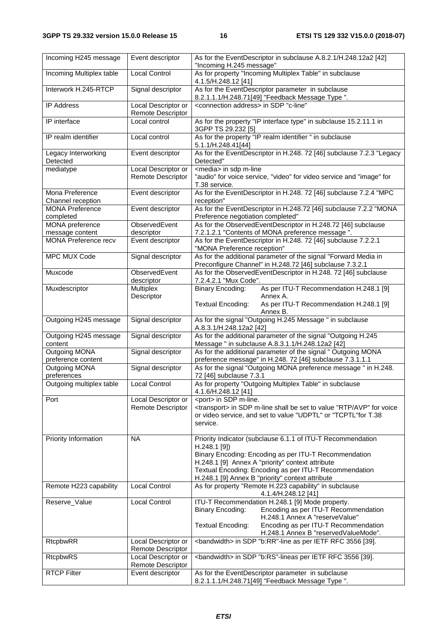| Incoming H245 message                          | Event descriptor                                | As for the EventDescriptor in subclause A.8.2.1/H.248.12a2 [42]                                                              |  |  |
|------------------------------------------------|-------------------------------------------------|------------------------------------------------------------------------------------------------------------------------------|--|--|
|                                                |                                                 | "Incoming H.245 message"                                                                                                     |  |  |
| Incoming Multiplex table                       | <b>Local Control</b>                            | As for property "Incoming Multiplex Table" in subclause<br>4.1.5/H.248.12 [41]                                               |  |  |
| Interwork H.245-RTCP                           | Signal descriptor                               | As for the EventDescriptor parameter in subclause                                                                            |  |  |
|                                                |                                                 | 8.2.1.1.1/H.248.71[49] "Feedback Message Type ".                                                                             |  |  |
| <b>IP Address</b>                              | Local Descriptor or<br><b>Remote Descriptor</b> | <connection address=""> in SDP "c-line"</connection>                                                                         |  |  |
| IP interface                                   | Local control                                   | As for the property "IP interface type" in subclause 15.2.11.1 in<br>3GPP TS 29.232 [5]                                      |  |  |
| IP realm identifier                            | Local control                                   | As for the property "IP realm identifier " in subclause<br>5.1.1/H.248.41[44]                                                |  |  |
| Legacy Interworking<br>Detected                | Event descriptor                                | As for the EventDescriptor in H.248. 72 [46] subclause 7.2.3 "Legacy<br>Detected"                                            |  |  |
| mediatype                                      | Local Descriptor or<br><b>Remote Descriptor</b> | <media> in sdp m-line<br/>"audio" for voice service, "video" for video service and "image" for<br/>T.38 service.</media>     |  |  |
| Mona Preference<br>Channel reception           | Event descriptor                                | As for the EventDescriptor in H.248. 72 [46] subclause 7.2.4 "MPC<br>reception"                                              |  |  |
| <b>MONA Preference</b><br>completed            | Event descriptor                                | As for the EventDescriptor in H.248.72 [46] subclause 7.2.2 "MONA<br>Preference negotiation completed"                       |  |  |
| MONA preference                                | ObservedEvent                                   | As for the ObservedEventDescriptor in H.248.72 [46] subclause                                                                |  |  |
| message content<br><b>MONA Preference recv</b> | descriptor<br>Event descriptor                  | 7.2.1.2.1 "Contents of MONA preference message ".<br>As for the EventDescriptor in H.248. 72 [46] subclause 7.2.2.1          |  |  |
|                                                |                                                 | "MONA Preference reception"                                                                                                  |  |  |
| <b>MPC MUX Code</b>                            | Signal descriptor                               | As for the additional parameter of the signal "Forward Media in<br>Preconfigure Channel" in H.248.72 [46] subclause 7.3.2.1  |  |  |
| Muxcode                                        | ObservedEvent<br>descriptor                     | As for the ObservedEventDescriptor in H.248. 72 [46] subclause<br>7.2.4.2.1 "Mux Code".                                      |  |  |
| Muxdescriptor                                  | <b>Multiplex</b><br>Descriptor                  | <b>Binary Encoding:</b><br>As per ITU-T Recommendation H.248.1 [9]<br>Annex A.                                               |  |  |
|                                                |                                                 | As per ITU-T Recommendation H.248.1 [9]<br><b>Textual Encoding:</b><br>Annex B.                                              |  |  |
| Outgoing H245 message                          | Signal descriptor                               | As for the signal "Outgoing H.245 Message " in subclause<br>A.8.3.1/H.248.12a2 [42]                                          |  |  |
| Outgoing H245 message<br>content               | Signal descriptor                               | As for the additional parameter of the signal "Outgoing H.245<br>Message " in subclause A.8.3.1.1/H.248.12a2 [42]            |  |  |
| <b>Outgoing MONA</b>                           | Signal descriptor                               | As for the additional parameter of the signal " Outgoing MONA                                                                |  |  |
| preference content<br><b>Outgoing MONA</b>     | Signal descriptor                               | preference message" in H.248. 72 [46] subclause 7.3.1.1.1<br>As for the signal "Outgoing MONA preference message " in H.248. |  |  |
| preferences                                    |                                                 | 72 [46] subclause 7.3.1                                                                                                      |  |  |
| Outgoing multiplex table                       | <b>Local Control</b>                            | As for property "Outgoing Multiplex Table" in subclause<br>4.1.6/H.248.12 [41]                                               |  |  |
| Port                                           | Local Descriptor or                             | <port> in SDP m-line.</port>                                                                                                 |  |  |
|                                                | Remote Descriptor                               | <transport> in SDP m-line shall be set to value "RTP/AVP" for voice</transport>                                              |  |  |
|                                                |                                                 | or video service, and set to value "UDPTL" or "TCPTL" for T.38<br>service.                                                   |  |  |
|                                                |                                                 |                                                                                                                              |  |  |
| <b>Priority Information</b>                    | <b>NA</b>                                       | Priority Indicator (subclause 6.1.1 of ITU-T Recommendation                                                                  |  |  |
|                                                |                                                 | $H.248.1$ [9])<br>Binary Encoding: Encoding as per ITU-T Recommendation                                                      |  |  |
|                                                |                                                 | H.248.1 [9] Annex A "priority" context attribute                                                                             |  |  |
|                                                |                                                 | Textual Encoding: Encoding as per ITU-T Recommendation                                                                       |  |  |
| Remote H223 capability                         | <b>Local Control</b>                            | H.248.1 [9] Annex B "priority" context attribute<br>As for property "Remote H.223 capability" in subclause                   |  |  |
|                                                |                                                 | 4.1.4/H.248.12 [41]                                                                                                          |  |  |
| Reserve_Value                                  | <b>Local Control</b>                            | ITU-T Recommendation H.248.1 [9] Mode property.                                                                              |  |  |
|                                                |                                                 | Encoding as per ITU-T Recommendation<br><b>Binary Encoding:</b><br>H.248.1 Annex A "reserve Value"                           |  |  |
|                                                |                                                 | <b>Textual Encoding:</b><br>Encoding as per ITU-T Recommendation                                                             |  |  |
|                                                |                                                 | H.248.1 Annex B "reservedValueMode".                                                                                         |  |  |
| RtcpbwRR                                       | Local Descriptor or<br><b>Remote Descriptor</b> | <bandwidth> in SDP "b:RR"-line as per IETF RFC 3556 [39].</bandwidth>                                                        |  |  |
| <b>RtcpbwRS</b>                                | Local Descriptor or<br>Remote Descriptor        | <bandwidth> in SDP "b:RS"-lineas per IETF RFC 3556 [39].</bandwidth>                                                         |  |  |
| <b>RTCP Filter</b>                             | Event descriptor                                | As for the EventDescriptor parameter in subclause                                                                            |  |  |
|                                                |                                                 | 8.2.1.1.1/H.248.71[49] "Feedback Message Type ".                                                                             |  |  |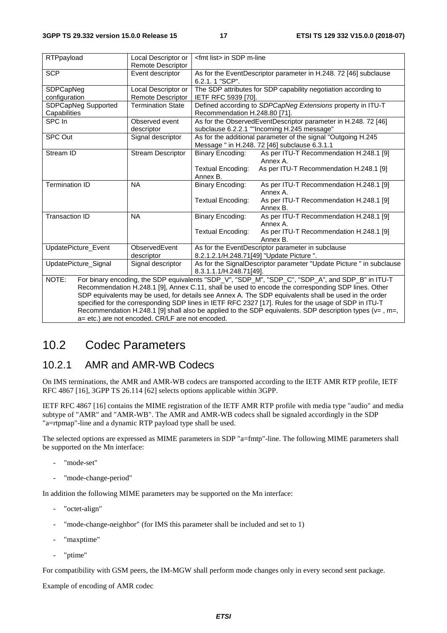| RTPpayload                                                                                                | Local Descriptor or                              | <fmt list=""> in SDP m-line</fmt>                                                  |                                                                                                             |  |
|-----------------------------------------------------------------------------------------------------------|--------------------------------------------------|------------------------------------------------------------------------------------|-------------------------------------------------------------------------------------------------------------|--|
|                                                                                                           | <b>Remote Descriptor</b>                         |                                                                                    |                                                                                                             |  |
| <b>SCP</b>                                                                                                | Event descriptor                                 | As for the EventDescriptor parameter in H.248. 72 [46] subclause<br>6.2.1.1 "SCP". |                                                                                                             |  |
| SDPCapNeg                                                                                                 | Local Descriptor or                              |                                                                                    | The SDP attributes for SDP capability negotiation according to                                              |  |
| configuration                                                                                             | Remote Descriptor                                | IETF RFC 5939 [70].                                                                |                                                                                                             |  |
| SDPCapNeg Supported                                                                                       | <b>Termination State</b>                         |                                                                                    | Defined according to SDPCapNeg Extensions property in ITU-T                                                 |  |
| Capabilities                                                                                              |                                                  | Recommendation H.248.80 [71].                                                      |                                                                                                             |  |
| SPC In                                                                                                    | Observed event                                   | As for the ObservedEventDescriptor parameter in H.248. 72 [46]                     |                                                                                                             |  |
|                                                                                                           | descriptor                                       |                                                                                    | subclause 6.2.2.1 ""Incoming H.245 message"                                                                 |  |
| SPC Out                                                                                                   | Signal descriptor                                |                                                                                    | As for the additional parameter of the signal "Outgoing H.245                                               |  |
|                                                                                                           |                                                  |                                                                                    | Message " in H.248. 72 [46] subclause 6.3.1.1                                                               |  |
| Stream ID                                                                                                 | <b>Stream Descriptor</b>                         | <b>Binary Encoding:</b>                                                            | As per ITU-T Recommendation H.248.1 [9]                                                                     |  |
|                                                                                                           |                                                  |                                                                                    | Annex A.                                                                                                    |  |
|                                                                                                           |                                                  | <b>Textual Encoding:</b>                                                           | As per ITU-T Recommendation H.248.1 [9]                                                                     |  |
|                                                                                                           |                                                  | Annex B.                                                                           |                                                                                                             |  |
| <b>Termination ID</b>                                                                                     | <b>NA</b>                                        | <b>Binary Encoding:</b>                                                            | As per ITU-T Recommendation H.248.1 [9]                                                                     |  |
|                                                                                                           |                                                  |                                                                                    | Annex A.                                                                                                    |  |
|                                                                                                           |                                                  | <b>Textual Encoding:</b>                                                           | As per ITU-T Recommendation H.248.1 [9]                                                                     |  |
|                                                                                                           |                                                  |                                                                                    | Annex B.                                                                                                    |  |
| <b>Transaction ID</b>                                                                                     | <b>NA</b>                                        | <b>Binary Encoding:</b>                                                            | As per ITU-T Recommendation H.248.1 [9]<br>Annex A.                                                         |  |
|                                                                                                           |                                                  | <b>Textual Encoding:</b>                                                           | As per ITU-T Recommendation H.248.1 [9]                                                                     |  |
|                                                                                                           |                                                  |                                                                                    | Annex B.                                                                                                    |  |
| UpdatePicture_Event                                                                                       | ObservedEvent                                    |                                                                                    | As for the EventDescriptor parameter in subclause                                                           |  |
|                                                                                                           | descriptor                                       | 8.2.1.2.1/H.248.71[49] "Update Picture ".                                          |                                                                                                             |  |
| UpdatePicture_Signal                                                                                      | Signal descriptor                                | As for the SignalDescriptor parameter "Update Picture " in subclause               |                                                                                                             |  |
|                                                                                                           |                                                  | 8.3.1.1.1/H.248.71[49].                                                            |                                                                                                             |  |
| For binary encoding, the SDP equivalents "SDP_V", "SDP_M", "SDP_C", "SDP_A", and SDP_B" in ITU-T<br>NOTE: |                                                  |                                                                                    |                                                                                                             |  |
|                                                                                                           |                                                  |                                                                                    | Recommendation H.248.1 [9], Annex C.11, shall be used to encode the corresponding SDP lines. Other          |  |
|                                                                                                           |                                                  |                                                                                    | SDP equivalents may be used, for details see Annex A. The SDP equivalents shall be used in the order        |  |
|                                                                                                           |                                                  |                                                                                    | specified for the corresponding SDP lines in IETF RFC 2327 [17]. Rules for the usage of SDP in ITU-T        |  |
|                                                                                                           |                                                  |                                                                                    | Recommendation H.248.1 [9] shall also be applied to the SDP equivalents. SDP description types ( $v=$ , m=, |  |
|                                                                                                           | a= etc.) are not encoded. CR/LF are not encoded. |                                                                                    |                                                                                                             |  |

### 10.2 Codec Parameters

### 10.2.1 AMR and AMR-WB Codecs

On IMS terminations, the AMR and AMR-WB codecs are transported according to the IETF AMR RTP profile, IETF RFC 4867 [16], 3GPP TS 26.114 [62] selects options applicable within 3GPP.

IETF RFC 4867 [16] contains the MIME registration of the IETF AMR RTP profile with media type "audio" and media subtype of "AMR" and "AMR-WB". The AMR and AMR-WB codecs shall be signaled accordingly in the SDP "a=rtpmap"-line and a dynamic RTP payload type shall be used.

The selected options are expressed as MIME parameters in SDP "a=fmtp"-line. The following MIME parameters shall be supported on the Mn interface:

- "mode-set"
- "mode-change-period"

In addition the following MIME parameters may be supported on the Mn interface:

- "octet-align"
- "mode-change-neighbor" (for IMS this parameter shall be included and set to 1)
- "maxptime"
- "ptime"

For compatibility with GSM peers, the IM-MGW shall perform mode changes only in every second sent package.

Example of encoding of AMR codec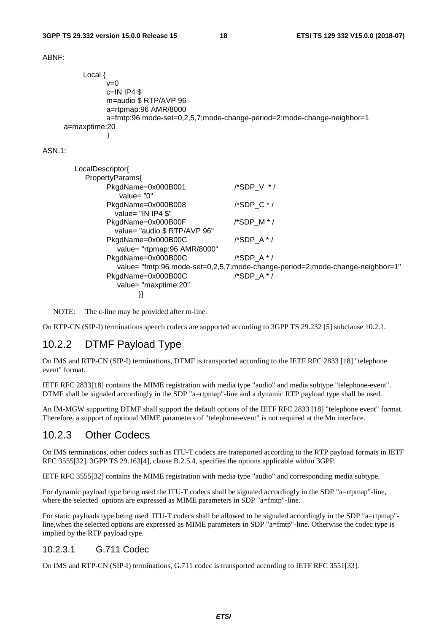ABNF:

```
Local { 
                v=0 
               c=IN IP4 $
                m=audio $ RTP/AVP 96 
                a=rtpmap:96 AMR/8000 
                a=fmtp:96 mode-set=0,2,5,7;mode-change-period=2;mode-change-neighbor=1 
     a=maxptime:20 
}
```
ASN.1:

```
LocalDescriptor{ 
 PropertyParams{ 
      PkgdName=0x000B001 /*SDP_V * / 
          value= "0" 
      PkgdName=0x000B008 /*SDP_C * / 
        value= "IN IP4 $"
      PkgdName=0x000B00F /*SDP_M * /
         value= "audio $ RTP/AVP 96" 
      PkgdName=0x000B00C /*SDP_A * / 
         value= "rtpmap:96 AMR/8000" 
      PkgdName=0x000B00C /*SDP_A * / 
         value= "fmtp:96 mode-set=0,2,5,7;mode-change-period=2;mode-change-neighbor=1" 
      PkgdName=0x000B00C /*SDP_A * / 
        value= "maxptime:20" 
             }}
```
NOTE: The c-line may be provided after m-line.

On RTP-CN (SIP-I) terminations speech codecs are supported according to 3GPP TS 29.232 [5] subclause 10.2.1.

### 10.2.2 DTMF Payload Type

On IMS and RTP-CN (SIP-I) terminations, DTMF is transported according to the IETF RFC 2833 [18] "telephone event" format.

IETF RFC 2833[18] contains the MIME registration with media type "audio" and media subtype "telephone-event". DTMF shall be signaled accordingly in the SDP "a=rtpmap"-line and a dynamic RTP payload type shall be used.

An IM-MGW supporting DTMF shall support the default options of the IETF RFC 2833 [18] "telephone event" format. Therefore, a support of optional MIME parameters of "telephone-event" is not required at the Mn interface.

#### 10.2.3 Other Codecs

On IMS terminations, other codecs such as ITU-T codecs are transported according to the RTP payload formats in IETF RFC 3555[32]. 3GPP TS 29.163[4], clause B.2.5.4, specifies the options applicable within 3GPP.

IETF RFC 3555[32] contains the MIME registration with media type "audio" and corresponding media subtype.

For dynamic payload type being used the ITU-T codecs shall be signaled accordingly in the SDP "a=rtpmap"-line, where the selected options are expressed as MIME parameters in SDP "a=fmtp"-line.

For static payloads type being used ITU-T codecs shall be allowed to be signaled accordingly in the SDP "a=rtpmap" line,when the selected options are expressed as MIME parameters in SDP "a=fmtp"-line. Otherwise the codec type is implied by the RTP payload type.

#### 10.2.3.1 G.711 Codec

On IMS and RTP-CN (SIP-I) terminations, G.711 codec is transported according to IETF RFC 3551[33].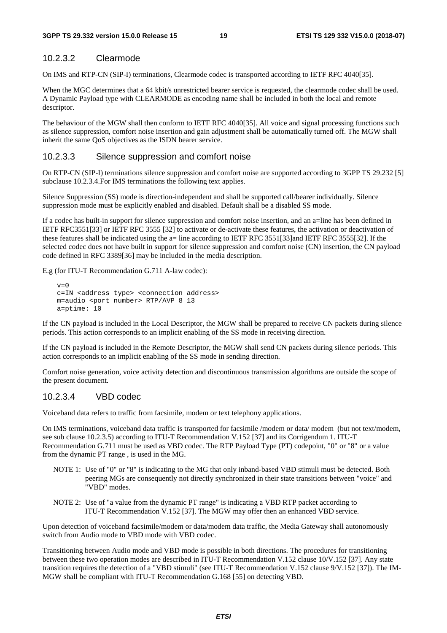#### 10.2.3.2 Clearmode

On IMS and RTP-CN (SIP-I) terminations, Clearmode codec is transported according to IETF RFC 4040[35].

When the MGC determines that a 64 kbit/s unrestricted bearer service is requested, the clearmode codec shall be used. A Dynamic Payload type with CLEARMODE as encoding name shall be included in both the local and remote descriptor.

The behaviour of the MGW shall then conform to IETF RFC 4040[35]. All voice and signal processing functions such as silence suppression, comfort noise insertion and gain adjustment shall be automatically turned off. The MGW shall inherit the same QoS objectives as the ISDN bearer service.

#### 10.2.3.3 Silence suppression and comfort noise

On RTP-CN (SIP-I) terminations silence suppression and comfort noise are supported according to 3GPP TS 29.232 [5] subclause 10.2.3.4.For IMS terminations the following text applies.

Silence Suppression (SS) mode is direction-independent and shall be supported call/bearer individually. Silence suppression mode must be explicitly enabled and disabled. Default shall be a disabled SS mode.

If a codec has built-in support for silence suppression and comfort noise insertion, and an a=line has been defined in IETF RFC3551[33] or IETF RFC 3555 [32] to activate or de-activate these features, the activation or deactivation of these features shall be indicated using the a= line according to IETF RFC 3551[33]and IETF RFC 3555[32]. If the selected codec does not have built in support for silence suppression and comfort noise (CN) insertion, the CN payload code defined in RFC 3389[36] may be included in the media description.

E.g (for ITU-T Recommendation G.711 A-law codec):

```
v=0 c=IN <address type> <connection address> 
   m=audio <port number> RTP/AVP 8 13 
   a=ptime: 10
```
If the CN payload is included in the Local Descriptor, the MGW shall be prepared to receive CN packets during silence periods. This action corresponds to an implicit enabling of the SS mode in receiving direction.

If the CN payload is included in the Remote Descriptor, the MGW shall send CN packets during silence periods. This action corresponds to an implicit enabling of the SS mode in sending direction.

Comfort noise generation, voice activity detection and discontinuous transmission algorithms are outside the scope of the present document.

#### 10.2.3.4 VBD codec

Voiceband data refers to traffic from facsimile, modem or text telephony applications.

On IMS terminations, voiceband data traffic is transported for facsimile /modem or data/ modem (but not text/modem, see sub clause 10.2.3.5) according to ITU-T Recommendation V.152 [37] and its Corrigendum 1. ITU-T Recommendation G.711 must be used as VBD codec. The RTP Payload Type (PT) codepoint, "0" or "8" or a value from the dynamic PT range , is used in the MG.

- NOTE 1: Use of "0" or "8" is indicating to the MG that only inband-based VBD stimuli must be detected. Both peering MGs are consequently not directly synchronized in their state transitions between "voice" and "VBD" modes.
- NOTE 2: Use of "a value from the dynamic PT range" is indicating a VBD RTP packet according to ITU-T Recommendation V.152 [37]. The MGW may offer then an enhanced VBD service.

Upon detection of voiceband facsimile/modem or data/modem data traffic, the Media Gateway shall autonomously switch from Audio mode to VBD mode with VBD codec.

Transitioning between Audio mode and VBD mode is possible in both directions. The procedures for transitioning between these two operation modes are described in ITU-T Recommendation V.152 clause 10/V.152 [37]. Any state transition requires the detection of a "VBD stimuli" (see ITU-T Recommendation V.152 clause 9/V.152 [37]). The IM-MGW shall be compliant with ITU-T Recommendation G.168 [55] on detecting VBD.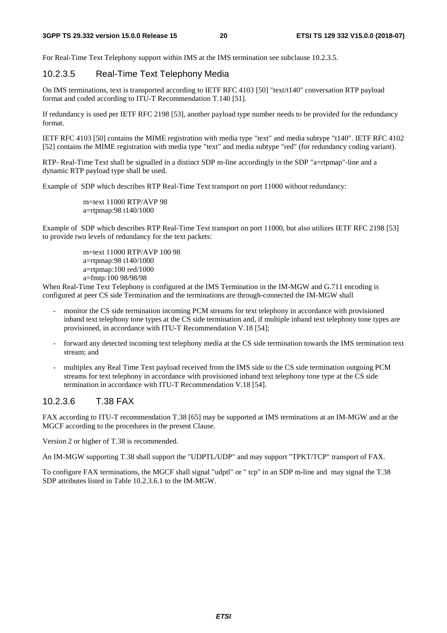For Real-Time Text Telephony support within IMS at the IMS termination see subclause 10.2.3.5.

#### 10.2.3.5 Real-Time Text Telephony Media

On IMS terminations, text is transported according to IETF RFC 4103 [50] "text/t140" conversation RTP payload format and coded according to ITU-T Recommendation T.140 [51].

If redundancy is used per IETF RFC 2198 [53], another payload type number needs to be provided for the redundancy format.

IETF RFC 4103 [50] contains the MIME registration with media type "text" and media subtype "t140". IETF RFC 4102 [52] contains the MIME registration with media type "text" and media subtype "red" (for redundancy coding variant).

RTP- Real-Time Text shall be signalled in a distinct SDP m-line accordingly in the SDP "a=rtpmap"-line and a dynamic RTP payload type shall be used.

Example of SDP which describes RTP Real-Time Text transport on port 11000 without redundancy:

m=text 11000 RTP/AVP 98 a=rtpmap:98 t140/1000

Example of SDP which describes RTP Real-Time Text transport on port 11000, but also utilizes IETF RFC 2198 [53] to provide two levels of redundancy for the text packets:

> m=text 11000 RTP/AVP 100 98 a=rtpmap:98 t140/1000 a=rtpmap:100 red/1000 a=fmtp:100 98/98/98

When Real-Time Text Telephony is configured at the IMS Termination in the IM-MGW and G.711 encoding is configured at peer CS side Termination and the terminations are through-connected the IM-MGW shall

- monitor the CS side termination incoming PCM streams for text telephony in accordance with provisioned inband text telephony tone types at the CS side termination and, if multiple inband text telephony tone types are provisioned, in accordance with ITU-T Recommendation V.18 [54];
- forward any detected incoming text telephony media at the CS side termination towards the IMS termination text stream; and
- multiplex any Real Time Text payload received from the IMS side to the CS side termination outgoing PCM streams for text telephony in accordance with provisioned inband text telephony tone type at the CS side termination in accordance with ITU-T Recommendation V.18 [54].

#### 10.2.3.6 T.38 FAX

FAX according to ITU-T recommendation T.38 [65] may be supported at IMS terminations at an IM-MGW and at the MGCF according to the procedures in the present Clause.

Version 2 or higher of T.38 is recommended.

An IM-MGW supporting T.38 shall support the "UDPTL/UDP" and may support "TPKT/TCP" transport of FAX.

To configure FAX terminations, the MGCF shall signal "udptl" or " tcp" in an SDP m-line and may signal the T.38 SDP attributes listed in Table 10.2.3.6.1 to the IM-MGW.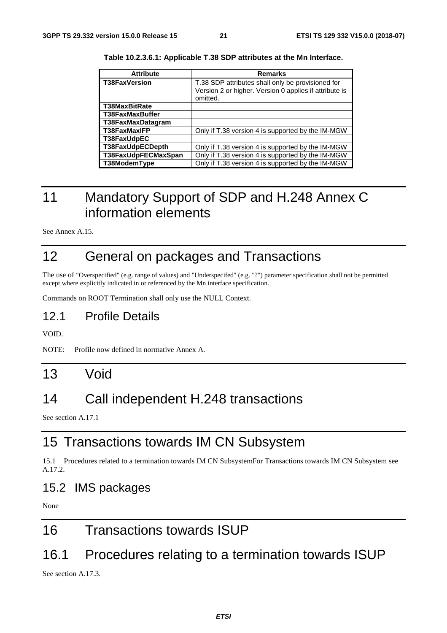| <b>Attribute</b>    | <b>Remarks</b>                                                                                                          |
|---------------------|-------------------------------------------------------------------------------------------------------------------------|
| T38FaxVersion       | T.38 SDP attributes shall only be provisioned for<br>Version 2 or higher. Version 0 applies if attribute is<br>omitted. |
| T38MaxBitRate       |                                                                                                                         |
| T38FaxMaxBuffer     |                                                                                                                         |
| T38FaxMaxDatagram   |                                                                                                                         |
| T38FaxMaxIFP        | Only if T.38 version 4 is supported by the IM-MGW                                                                       |
| T38FaxUdpEC         |                                                                                                                         |
| T38FaxUdpECDepth    | Only if T.38 version 4 is supported by the IM-MGW                                                                       |
| T38FaxUdpFECMaxSpan | Only if T.38 version 4 is supported by the IM-MGW                                                                       |
| T38ModemType        | Only if T.38 version 4 is supported by the IM-MGW                                                                       |

**Table 10.2.3.6.1: Applicable T.38 SDP attributes at the Mn Interface.** 

## 11 Mandatory Support of SDP and H.248 Annex C information elements

See Annex A.15.

## 12 General on packages and Transactions

The use of "Overspecified" (e.g. range of values) and "Underspecifed" (e.g. "?") parameter specification shall not be permitted except where explicitly indicated in or referenced by the Mn interface specification.

Commands on ROOT Termination shall only use the NULL Context.

### 12.1 Profile Details

VOID.

NOTE: Profile now defined in normative Annex A.

## 13 Void

## 14 Call independent H.248 transactions

See section A.17.1

## 15 Transactions towards IM CN Subsystem

15.1 Procedures related to a termination towards IM CN SubsystemFor Transactions towards IM CN Subsystem see A.17.2.

### 15.2 IMS packages

None

## 16 Transactions towards ISUP

## 16.1 Procedures relating to a termination towards ISUP

See section A.17.3.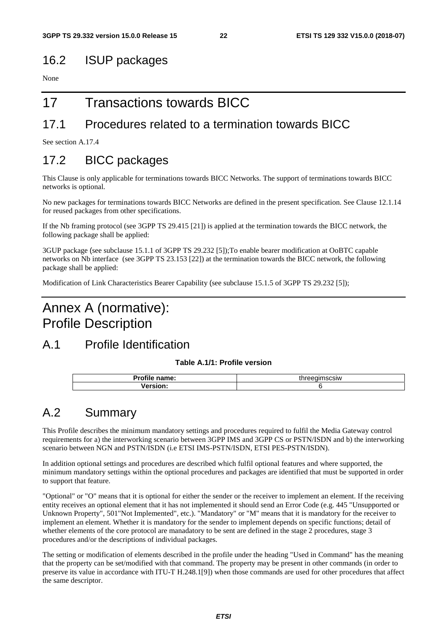### 16.2 ISUP packages

None

## 17 Transactions towards BICC

### 17.1 Procedures related to a termination towards BICC

See section A.17.4

## 17.2 BICC packages

This Clause is only applicable for terminations towards BICC Networks. The support of terminations towards BICC networks is optional.

No new packages for terminations towards BICC Networks are defined in the present specification. See Clause 12.1.14 for reused packages from other specifications.

If the Nb framing protocol (see 3GPP TS 29.415 [21]) is applied at the termination towards the BICC network, the following package shall be applied:

3GUP package (see subclause 15.1.1 of 3GPP TS 29.232 [5]);To enable bearer modification at OoBTC capable networks on Nb interface (see 3GPP TS 23.153 [22]) at the termination towards the BICC network, the following package shall be applied:

Modification of Link Characteristics Bearer Capability (see subclause 15.1.5 of 3GPP TS 29.232 [5]);

## Annex A (normative): Profile Description

## A.1 Profile Identification

#### **Table A.1/1: Profile version**

| $- - -$<br>we.<br>. . |  |
|-----------------------|--|
| _____                 |  |

## A.2 Summary

This Profile describes the minimum mandatory settings and procedures required to fulfil the Media Gateway control requirements for a) the interworking scenario between 3GPP IMS and 3GPP CS or PSTN/ISDN and b) the interworking scenario between NGN and PSTN/ISDN (i.e ETSI IMS-PSTN/ISDN, ETSI PES-PSTN/ISDN).

In addition optional settings and procedures are described which fulfil optional features and where supported, the minimum mandatory settings within the optional procedures and packages are identified that must be supported in order to support that feature.

"Optional" or "O" means that it is optional for either the sender or the receiver to implement an element. If the receiving entity receives an optional element that it has not implemented it should send an Error Code (e.g. 445 "Unsupported or Unknown Property", 501"Not Implemented", etc.). "Mandatory" or "M" means that it is mandatory for the receiver to implement an element. Whether it is mandatory for the sender to implement depends on specific functions; detail of whether elements of the core protocol are manadatory to be sent are defined in the stage 2 procedures, stage 3 procedures and/or the descriptions of individual packages.

The setting or modification of elements described in the profile under the heading "Used in Command" has the meaning that the property can be set/modified with that command. The property may be present in other commands (in order to preserve its value in accordance with ITU-T H.248.1[9]) when those commands are used for other procedures that affect the same descriptor.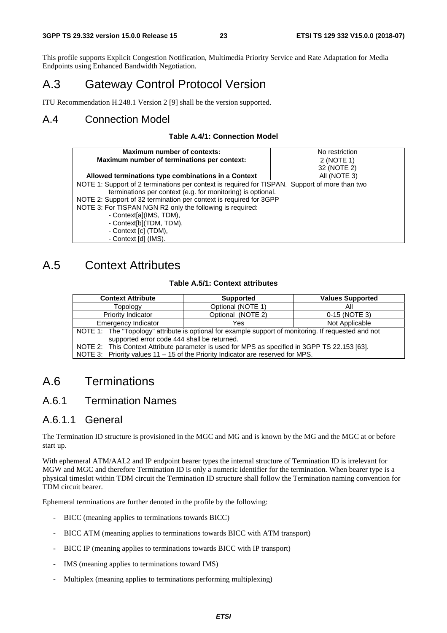This profile supports Explicit Congestion Notification, Multimedia Priority Service and Rate Adaptation for Media Endpoints using Enhanced Bandwidth Negotiation.

## A.3 Gateway Control Protocol Version

ITU Recommendation H.248.1 Version 2 [9] shall be the version supported.

### A.4 Connection Model

#### **Table A.4/1: Connection Model**

| <b>Maximum number of contexts:</b>                                                             | No restriction |  |
|------------------------------------------------------------------------------------------------|----------------|--|
| Maximum number of terminations per context:                                                    | 2 (NOTE 1)     |  |
|                                                                                                | 32 (NOTE 2)    |  |
| Allowed terminations type combinations in a Context                                            | All (NOTE 3)   |  |
| NOTE 1: Support of 2 terminations per context is required for TISPAN. Support of more than two |                |  |
| terminations per context (e.g. for monitoring) is optional.                                    |                |  |
| NOTE 2: Support of 32 termination per context is required for 3GPP                             |                |  |
| NOTE 3: For TISPAN NGN R2 only the following is required:                                      |                |  |
| - Context[a](IMS, TDM),                                                                        |                |  |
| - Context[b](TDM, TDM),                                                                        |                |  |
| - Context [c] (TDM),                                                                           |                |  |
| - Context [d] (IMS).                                                                           |                |  |

### A.5 Context Attributes

#### **Table A.5/1: Context attributes**

| <b>Context Attribute</b>                                                                                                                            | <b>Supported</b>      | <b>Values Supported</b> |  |
|-----------------------------------------------------------------------------------------------------------------------------------------------------|-----------------------|-------------------------|--|
| Topology                                                                                                                                            | Optional (NOTE 1)     | All                     |  |
| Priority Indicator                                                                                                                                  | Optional (NOTE 2)     | 0-15 (NOTE 3)           |  |
| Emergency Indicator                                                                                                                                 | Not Applicable<br>Yes |                         |  |
| NOTE 1: The "Topology" attribute is optional for example support of monitoring. If requested and not<br>supported error code 444 shall be returned. |                       |                         |  |
| NOTE 2: This Context Attribute parameter is used for MPS as specified in 3GPP TS 22.153 [63].                                                       |                       |                         |  |
| NOTE 3: Priority values 11 - 15 of the Priority Indicator are reserved for MPS.                                                                     |                       |                         |  |

### A.6 Terminations

### A.6.1 Termination Names

#### A.6.1.1 General

The Termination ID structure is provisioned in the MGC and MG and is known by the MG and the MGC at or before start up.

With ephemeral ATM/AAL2 and IP endpoint bearer types the internal structure of Termination ID is irrelevant for MGW and MGC and therefore Termination ID is only a numeric identifier for the termination. When bearer type is a physical timeslot within TDM circuit the Termination ID structure shall follow the Termination naming convention for TDM circuit bearer.

Ephemeral terminations are further denoted in the profile by the following:

- BICC (meaning applies to terminations towards BICC)
- BICC ATM (meaning applies to terminations towards BICC with ATM transport)
- BICC IP (meaning applies to terminations towards BICC with IP transport)
- IMS (meaning applies to terminations toward IMS)
- Multiplex (meaning applies to terminations performing multiplexing)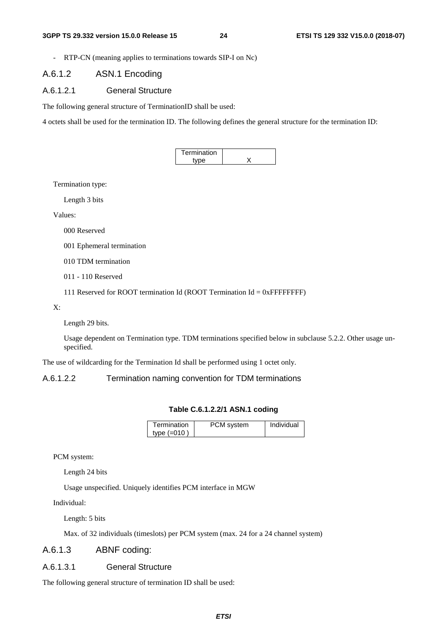- RTP-CN (meaning applies to terminations towards SIP-I on Nc)

#### A.6.1.2 ASN.1 Encoding

#### A.6.1.2.1 General Structure

The following general structure of TerminationID shall be used:

4 octets shall be used for the termination ID. The following defines the general structure for the termination ID:



Termination type:

Length 3 bits

#### Values:

000 Reserved

001 Ephemeral termination

010 TDM termination

011 - 110 Reserved

111 Reserved for ROOT termination Id (ROOT Termination Id = 0xFFFFFFFF)

X:

Length 29 bits.

Usage dependent on Termination type. TDM terminations specified below in subclause 5.2.2. Other usage unspecified.

The use of wildcarding for the Termination Id shall be performed using 1 octet only.

A.6.1.2.2 Termination naming convention for TDM terminations

|  |  |  |  | Table C.6.1.2.2/1 ASN.1 coding |
|--|--|--|--|--------------------------------|
|--|--|--|--|--------------------------------|

| Termination   | PCM system | Individual |
|---------------|------------|------------|
| type $(=010)$ |            |            |

PCM system:

Length 24 bits

Usage unspecified. Uniquely identifies PCM interface in MGW

Individual:

Length: 5 bits

Max. of 32 individuals (timeslots) per PCM system (max. 24 for a 24 channel system)

#### A.6.1.3 ABNF coding:

#### A.6.1.3.1 General Structure

The following general structure of termination ID shall be used: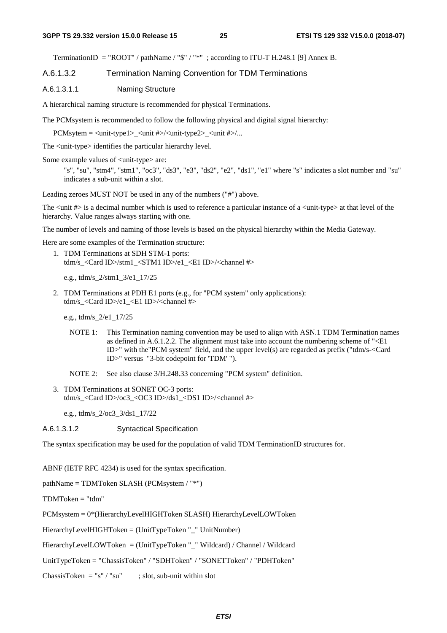TerminationID = "ROOT" / pathName / " $\frac{8}{7}$ " / "\*"; according to ITU-T H.248.1 [9] Annex B.

#### A.6.1.3.2 Termination Naming Convention for TDM Terminations

#### A.6.1.3.1.1 Naming Structure

A hierarchical naming structure is recommended for physical Terminations.

The PCMsystem is recommended to follow the following physical and digital signal hierarchy:

 $PCMsytem = \langle unit-type1 \rangle _{\langle unit # \rangle / \langle unit-type2 \rangle _{\langle}}$   $\langle unit # \rangle / \dots$ 

The <unit-type> identifies the particular hierarchy level.

Some example values of  $\langle$ unit-type $\rangle$  are:

 "s", "su", "stm4", "stm1", "oc3", "ds3", "e3", "ds2", "e2", "ds1", "e1" where "s" indicates a slot number and "su" indicates a sub-unit within a slot.

Leading zeroes MUST NOT be used in any of the numbers ("#") above.

The  $\alpha$ unit  $\#$  is a decimal number which is used to reference a particular instance of a  $\alpha$ unit-type $>$  at that level of the hierarchy. Value ranges always starting with one.

The number of levels and naming of those levels is based on the physical hierarchy within the Media Gateway.

Here are some examples of the Termination structure:

1. TDM Terminations at SDH STM-1 ports: tdm/s <Card ID>/stm1 <STM1 ID>/e1 <E1 ID>/<channel #>

e.g., tdm/s\_2/stm1\_3/e1\_17/25

2. TDM Terminations at PDH E1 ports (e.g., for "PCM system" only applications): tdm/s <Card ID>/e1 <E1 ID>/<channel #>

e.g., tdm/s\_2/e1\_17/25

- NOTE 1: This Termination naming convention may be used to align with ASN.1 TDM Termination names as defined in A.6.1.2.2. The alignment must take into account the numbering scheme of "<E1 ID>" with the"PCM system" field, and the upper level(s) are regarded as prefix ("tdm/s-<Card ID>" versus "3-bit codepoint for 'TDM' ").
- NOTE 2: See also clause 3/H.248.33 concerning "PCM system" definition.
- 3. TDM Terminations at SONET OC-3 ports: tdm/s\_<Card ID>/oc3\_<OC3 ID>/ds1\_<DS1 ID>/<channel #>

e.g., tdm/s\_2/oc3\_3/ds1\_17/22

A.6.1.3.1.2 Syntactical Specification

The syntax specification may be used for the population of valid TDM TerminationID structures for.

ABNF (IETF RFC 4234) is used for the syntax specification.

pathName = TDMToken SLASH (PCMsystem / "\*")

TDMToken = "tdm"

PCMsystem = 0\*(HierarchyLevelHIGHToken SLASH) HierarchyLevelLOWToken

HierarchyLevelHIGHToken = (UnitTypeToken "\_" UnitNumber)

HierarchyLevelLOWToken = (UnitTypeToken "\_" Wildcard) / Channel / Wildcard

UnitTypeToken = "ChassisToken" / "SDHToken" / "SONETToken" / "PDHToken"

ChassisToken = "s" / "su" ; slot, sub-unit within slot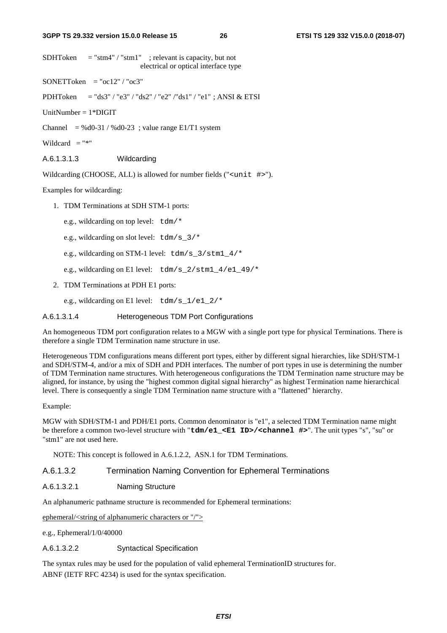#### **3GPP TS 29.332 version 15.0.0 Release 15 26 ETSI TS 129 332 V15.0.0 (2018-07)**

 $SDHToken = "stm4" / "stm1"$ ; relevant is capacity, but not electrical or optical interface type

 $SONETToken = "oc12" / "oc3"$ 

PDHToken = "ds3" / "e3" / "ds2" / "e2" /"ds1" / "e1" ; ANSI & ETSI

UnitNumber = 1\*DIGIT

Channel = %d0-31 / %d0-23; value range E1/T1 system

Wildcard  $=$  "\*"

A.6.1.3.1.3 Wildcarding

Wildcarding (CHOOSE, ALL) is allowed for number fields ("<unit #>").

Examples for wildcarding:

- 1. TDM Terminations at SDH STM-1 ports:
	- e.g., wildcarding on top level: tdm/\*
	- e.g., wildcarding on slot level:  $\tanh/s$  3/\*
	- e.g., wildcarding on STM-1 level:  $\tanh/s$  3/stm1  $4/*$
	- e.g., wildcarding on E1 level:  $\tanh/s$  2/stm1 4/e1 49/\*
- 2. TDM Terminations at PDH E1 ports:

e.g., wildcarding on E1 level:  $\tanh/s$  1/e1 2/\*

A.6.1.3.1.4 Heterogeneous TDM Port Configurations

An homogeneous TDM port configuration relates to a MGW with a single port type for physical Terminations. There is therefore a single TDM Termination name structure in use.

Heterogeneous TDM configurations means different port types, either by different signal hierarchies, like SDH/STM-1 and SDH/STM-4, and/or a mix of SDH and PDH interfaces. The number of port types in use is determining the number of TDM Termination name structures. With heterogeneous configurations the TDM Termination name structure may be aligned, for instance, by using the "highest common digital signal hierarchy" as highest Termination name hierarchical level. There is consequently a single TDM Termination name structure with a "flattened" hierarchy.

#### Example:

MGW with SDH/STM-1 and PDH/E1 ports. Common denominator is "e1", a selected TDM Termination name might be therefore a common two-level structure with "**tdm/e1\_<E1 ID>/<channel #>**". The unit types "s", "su" or "stm1" are not used here.

NOTE: This concept is followed in A.6.1.2.2, ASN.1 for TDM Terminations.

#### A.6.1.3.2 Termination Naming Convention for Ephemeral Terminations

#### A.6.1.3.2.1 Naming Structure

An alphanumeric pathname structure is recommended for Ephemeral terminations:

ephemeral/<string of alphanumeric characters or "/">

e.g., Ephemeral/1/0/40000

#### A.6.1.3.2.2 Syntactical Specification

The syntax rules may be used for the population of valid ephemeral TerminationID structures for. ABNF (IETF RFC 4234) is used for the syntax specification.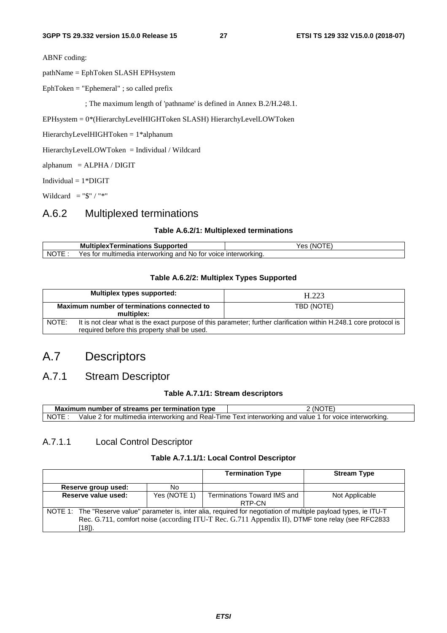ABNF coding:

pathName = EphToken SLASH EPHsystem

EphToken = "Ephemeral" ; so called prefix

; The maximum length of 'pathname' is defined in Annex B.2/H.248.1.

EPHsystem = 0\*(HierarchyLevelHIGHToken SLASH) HierarchyLevelLOWToken

HierarchyLevelHIGHToken = 1\*alphanum

HierarchyLevelLOWToken = Individual / Wildcard

alphanum = ALPHA / DIGIT

Individual = 1\*DIGIT

Wildcard = " $\mathbb{S}$ " / "\*"

### A.6.2 Multiplexed terminations

#### **Table A.6.2/1: Multiplexed terminations**

|                          | <b>Multiplex</b><br><b>Ferminations</b><br><b>Supported</b> | - INC<br>Y ≏ S<br>    |
|--------------------------|-------------------------------------------------------------|-----------------------|
| NOT<br><b>NTE</b><br>. . | ∟interworking and<br>Yes<br>multimedia.<br>No for<br>tor    | * voice interworking. |

#### **Table A.6.2/2: Multiplex Types Supported**

|                                                                                                                                                                             | Multiplex types supported:                                | H.223      |
|-----------------------------------------------------------------------------------------------------------------------------------------------------------------------------|-----------------------------------------------------------|------------|
|                                                                                                                                                                             | Maximum number of terminations connected to<br>multiplex: | TBD (NOTE) |
| It is not clear what is the exact purpose of this parameter; further clarification within H.248.1 core protocol is<br>NOTE:<br>required before this property shall be used. |                                                           |            |

### A.7 Descriptors

### A.7.1 Stream Descriptor

#### **Table A.7.1/1: Stream descriptors**

| Maximum number of streams per termination type |                                                        | (NC                                                                   |
|------------------------------------------------|--------------------------------------------------------|-----------------------------------------------------------------------|
| <b>NOTE</b>                                    | tor multimedia interworking and Real-Time. '<br>allue! | . Lext interworking and value $^{\circ}$<br>! for voice interworking. |

#### A.7.1.1 Local Control Descriptor

#### **Table A.7.1.1/1: Local Control Descriptor**

|                                                                                                                                                                                                                                    |              | <b>Termination Type</b>               | <b>Stream Type</b> |
|------------------------------------------------------------------------------------------------------------------------------------------------------------------------------------------------------------------------------------|--------------|---------------------------------------|--------------------|
| Reserve group used:                                                                                                                                                                                                                | No           |                                       |                    |
| Reserve value used:                                                                                                                                                                                                                | Yes (NOTE 1) | Terminations Toward IMS and<br>RTP-CN | Not Applicable     |
| NOTE 1: The "Reserve value" parameter is, inter alia, required for negotiation of multiple payload types, ie ITU-T<br>Rec. G.711, comfort noise (according ITU-T Rec. G.711 Appendix II), DTMF tone relay (see RFC2833<br>$(18)$ . |              |                                       |                    |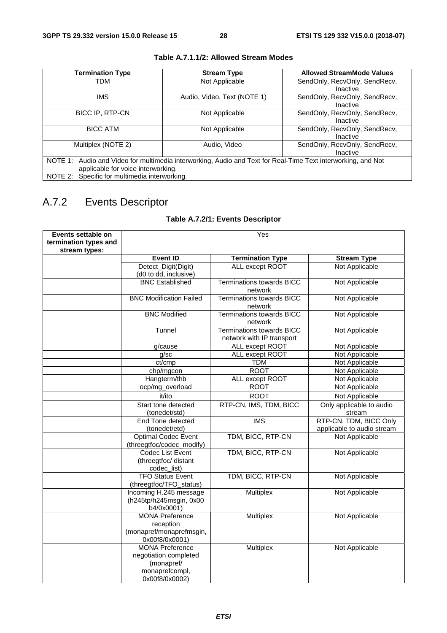| <b>Termination Type</b>                       | <b>Stream Type</b>                                                                                           | <b>Allowed StreamMode Values</b> |  |
|-----------------------------------------------|--------------------------------------------------------------------------------------------------------------|----------------------------------|--|
| TDM                                           | Not Applicable                                                                                               | SendOnly, RecvOnly, SendRecv,    |  |
|                                               |                                                                                                              | Inactive                         |  |
| <b>IMS</b>                                    | Audio, Video, Text (NOTE 1)                                                                                  | SendOnly, RecvOnly, SendRecv,    |  |
|                                               |                                                                                                              | Inactive                         |  |
| <b>BICC IP, RTP-CN</b>                        | Not Applicable                                                                                               | SendOnly, RecvOnly, SendRecv,    |  |
|                                               |                                                                                                              | Inactive                         |  |
| <b>BICC ATM</b>                               | Not Applicable                                                                                               | SendOnly, RecvOnly, SendRecv,    |  |
|                                               |                                                                                                              | Inactive                         |  |
| Multiplex (NOTE 2)                            | Audio, Video                                                                                                 | SendOnly, RecvOnly, SendRecv,    |  |
|                                               |                                                                                                              | Inactive                         |  |
|                                               | NOTE 1: Audio and Video for multimedia interworking, Audio and Text for Real-Time Text interworking, and Not |                                  |  |
| applicable for voice interworking.            |                                                                                                              |                                  |  |
| NOTE 2: Specific for multimedia interworking. |                                                                                                              |                                  |  |

#### **Table A.7.1.1/2: Allowed Stream Modes**

## A.7.2 Events Descriptor

#### **Table A.7.2/1: Events Descriptor**

| Events settable on    |                                | Yes                                         |                            |
|-----------------------|--------------------------------|---------------------------------------------|----------------------------|
| termination types and |                                |                                             |                            |
| stream types:         |                                |                                             |                            |
|                       | <b>Event ID</b>                | <b>Termination Type</b>                     | <b>Stream Type</b>         |
|                       | Detect_Digit(Digit)            | ALL except ROOT                             | Not Applicable             |
|                       | (d0 to dd, inclusive)          |                                             |                            |
|                       | <b>BNC Established</b>         | Terminations towards BICC                   | Not Applicable             |
|                       |                                | network                                     |                            |
|                       | <b>BNC Modification Failed</b> | <b>Terminations towards BICC</b>            | Not Applicable             |
|                       |                                | network                                     |                            |
|                       | <b>BNC Modified</b>            | <b>Terminations towards BICC</b><br>network | Not Applicable             |
|                       | Tunnel                         | <b>Terminations towards BICC</b>            | Not Applicable             |
|                       |                                | network with IP transport                   |                            |
|                       | g/cause                        | ALL except ROOT                             | Not Applicable             |
|                       | $q$ /sc                        | ALL except ROOT                             | Not Applicable             |
|                       | ct/cmp                         | <b>TDM</b>                                  | Not Applicable             |
|                       | chp/mgcon                      | <b>ROOT</b>                                 | Not Applicable             |
|                       | Hangterm/thb                   | ALL except ROOT                             | Not Applicable             |
|                       | ocp/mg_overload                | <b>ROOT</b>                                 | Not Applicable             |
|                       | it/ito                         | <b>ROOT</b>                                 | Not Applicable             |
|                       | Start tone detected            | RTP-CN, IMS, TDM, BICC                      | Only applicable to audio   |
|                       | (tonedet/std)                  |                                             | stream                     |
|                       | End Tone detected              | $\overline{\text{IMS}}$                     | RTP-CN, TDM, BICC Only     |
|                       | (tonedet/etd)                  |                                             | applicable to audio stream |
|                       | <b>Optimal Codec Event</b>     | TDM, BICC, RTP-CN                           | Not Applicable             |
|                       | (threegtfoc/codec_modify)      |                                             |                            |
|                       | Codec List Event               | TDM, BICC, RTP-CN                           | Not Applicable             |
|                       | (threegtfoc/ distant           |                                             |                            |
|                       | codec_list)                    |                                             |                            |
|                       | <b>TFO Status Event</b>        | TDM, BICC, RTP-CN                           | Not Applicable             |
|                       | (threegtfoc/TFO_status)        |                                             |                            |
|                       | Incoming H.245 message         | Multiplex                                   | Not Applicable             |
|                       | (h245tp/h245msgin, 0x00        |                                             |                            |
|                       | b4/0x0001)                     |                                             |                            |
|                       | <b>MONA Preference</b>         | Multiplex                                   | Not Applicable             |
|                       | reception                      |                                             |                            |
|                       | (monapref/monaprefmsgin,       |                                             |                            |
|                       | 0x00f8/0x0001)                 |                                             |                            |
|                       | <b>MONA Preference</b>         | Multiplex                                   | Not Applicable             |
|                       | negotiation completed          |                                             |                            |
|                       | (monapref/                     |                                             |                            |
|                       | monaprefcompl,                 |                                             |                            |
|                       | 0x00f8/0x0002)                 |                                             |                            |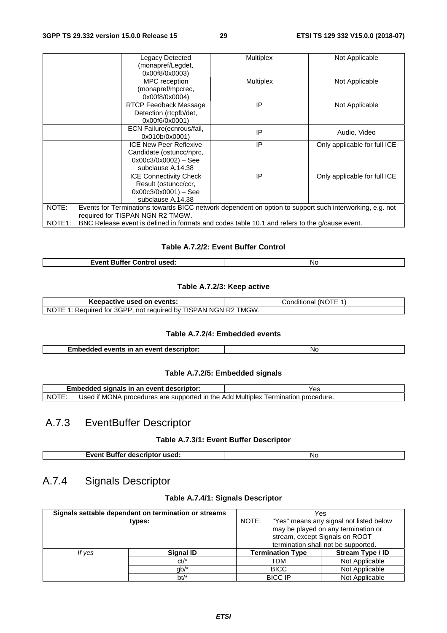|                     | Legacy Detected<br>(monapref/Legdet,                                                          | Multiplex        | Not Applicable                                                                                          |
|---------------------|-----------------------------------------------------------------------------------------------|------------------|---------------------------------------------------------------------------------------------------------|
|                     | 0x00f8/0x0003)                                                                                |                  |                                                                                                         |
|                     | MPC reception                                                                                 | <b>Multiplex</b> | Not Applicable                                                                                          |
|                     | (monapref/mpcrec,                                                                             |                  |                                                                                                         |
|                     | 0x00f8/0x0004)                                                                                |                  |                                                                                                         |
|                     | RTCP Feedback Message                                                                         | IP               | Not Applicable                                                                                          |
|                     | Detection (rtcpfb/det,                                                                        |                  |                                                                                                         |
|                     | 0x00f6/0x0001)                                                                                |                  |                                                                                                         |
|                     | ECN Failure(ecnrous/fail,                                                                     | IP               |                                                                                                         |
|                     | 0x010b/0x0001)                                                                                |                  | Audio, Video                                                                                            |
|                     | <b>ICE New Peer Reflexive</b>                                                                 | IP               | Only applicable for full ICE                                                                            |
|                     | Candidate (ostuncc/nprc,                                                                      |                  |                                                                                                         |
|                     | $0x00c3/0x0002$ ) – See                                                                       |                  |                                                                                                         |
|                     | subclause A.14.38                                                                             |                  |                                                                                                         |
|                     | <b>ICE Connectivity Check</b>                                                                 | IP               | Only applicable for full ICE                                                                            |
|                     | Result (ostuncc/ccr,                                                                          |                  |                                                                                                         |
|                     | $0x00c3/0x0001$ – See                                                                         |                  |                                                                                                         |
|                     | subclause A.14.38                                                                             |                  |                                                                                                         |
| NOTE:               |                                                                                               |                  | Events for Terminations towards BICC network dependent on option to support such interworking, e.g. not |
|                     | required for TISPAN NGN R2 TMGW.                                                              |                  |                                                                                                         |
| NOTE <sub>1</sub> : | BNC Release event is defined in formats and codes table 10.1 and refers to the g/cause event. |                  |                                                                                                         |

#### **Table A.7.2/2: Event Buffer Control**

**Event Buffer Control used:** No

#### **Table A.7.2/3: Keep active**

| Keepactive used on events:                                     | Conditional (NOTE 1) |
|----------------------------------------------------------------|----------------------|
| NOTE 1: Required for 3GPP, not required by TISPAN NGN R2 TMGW. |                      |

#### **Table A.7.2/4: Embedded events**

| Embedded events in an event descriptor: | NC |
|-----------------------------------------|----|
|-----------------------------------------|----|

#### **Table A.7.2/5: Embedded signals**

| Embedded signals in an event descriptor: |                                                                                   | Yes |  |
|------------------------------------------|-----------------------------------------------------------------------------------|-----|--|
| NOTE:                                    | Used if MONA procedures are supported in the Add Multiplex Termination procedure. |     |  |

### A.7.3 EventBuffer Descriptor

#### **Table A.7.3/1: Event Buffer Descriptor**

| Event Buffer descriptor used: | N. |
|-------------------------------|----|

## A.7.4 Signals Descriptor

#### **Table A.7.4/1: Signals Descriptor**

| Signals settable dependant on termination or streams<br>Yes |                  |                                                                                                                                                                  |                |                |
|-------------------------------------------------------------|------------------|------------------------------------------------------------------------------------------------------------------------------------------------------------------|----------------|----------------|
|                                                             | types:           | "Yes" means any signal not listed below<br>NOTE:<br>may be played on any termination or<br>stream, except Signals on ROOT<br>termination shall not be supported. |                |                |
| If yes                                                      | <b>Signal ID</b> | <b>Termination Type</b><br>Stream Type / ID                                                                                                                      |                |                |
|                                                             | $ct/*$           |                                                                                                                                                                  | TDM            | Not Applicable |
|                                                             | $qb$ /*          |                                                                                                                                                                  | <b>BICC</b>    | Not Applicable |
|                                                             | $bt/*$           |                                                                                                                                                                  | <b>BICC IP</b> | Not Applicable |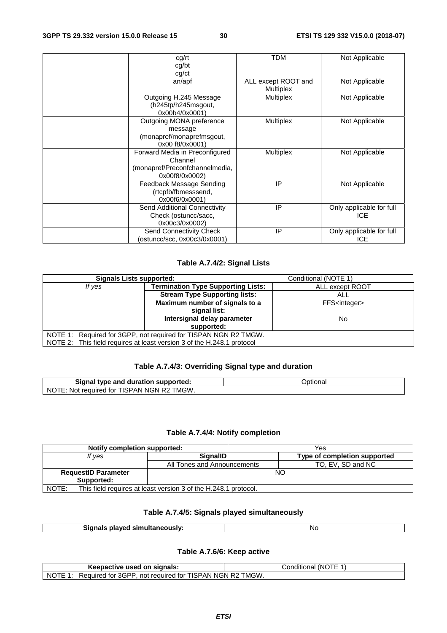| cg/rt                                                                                         | <b>TDM</b>                       | Not Applicable                         |
|-----------------------------------------------------------------------------------------------|----------------------------------|----------------------------------------|
| cg/bt<br>cg/ct                                                                                |                                  |                                        |
| an/apf                                                                                        | ALL except ROOT and<br>Multiplex | Not Applicable                         |
| Outgoing H.245 Message<br>(h245tp/h245msgout,<br>0x00b4/0x0001)                               | <b>Multiplex</b>                 | Not Applicable                         |
| Outgoing MONA preference<br>message<br>(monapref/monaprefmsgout,<br>0x00 f8/0x0001)           | <b>Multiplex</b>                 | Not Applicable                         |
| Forward Media in Preconfigured<br>Channel<br>(monapref/Preconfchannelmedia,<br>0x00f8/0x0002) | <b>Multiplex</b>                 | Not Applicable                         |
| Feedback Message Sending<br>(rtcpfb/fbmesssend,<br>0x00f6/0x0001)                             | IP                               | Not Applicable                         |
| Send Additional Connectivity<br>Check (ostuncc/sacc,<br>0x00c3/0x0002)                        | IP                               | Only applicable for full<br><b>ICE</b> |
| Send Connectivity Check<br>'ostuncc/scc, 0x00c3/0x0001)                                       | IP                               | Only applicable for full<br><b>ICE</b> |

#### **Table A.7.4/2: Signal Lists**

|        | <b>Signals Lists supported:</b> |                                                                 | Conditional (NOTE 1)                                                   |                         |
|--------|---------------------------------|-----------------------------------------------------------------|------------------------------------------------------------------------|-------------------------|
| If yes |                                 | <b>Termination Type Supporting Lists:</b>                       | ALL except ROOT                                                        |                         |
|        |                                 | <b>Stream Type Supporting lists:</b>                            | ALL                                                                    |                         |
|        |                                 | Maximum number of signals to a                                  |                                                                        | FFS <integer></integer> |
|        |                                 | signal list:                                                    |                                                                        |                         |
|        |                                 | Intersignal delay parameter                                     | No                                                                     |                         |
|        |                                 | supported:                                                      |                                                                        |                         |
|        |                                 | NOTE 1: Required for 3GPP, not required for TISPAN NGN R2 TMGW. |                                                                        |                         |
|        |                                 |                                                                 | NOTE 2: This field requires at least version 3 of the H.248.1 protocol |                         |

#### **Table A.7.4/3: Overriding Signal type and duration**

| Sianal<br>' type and duration supported:                                                     | Jptional |
|----------------------------------------------------------------------------------------------|----------|
| TMGW.<br>R <sub>2</sub><br>N0<br>NGN.<br>IISPANT<br>reauired<br>. Noti<br>tor<br><u> 기는:</u> |          |

#### **Table A.7.4/4: Notify completion**

| Notify completion supported: |                                                                 |  | Yes                          |
|------------------------------|-----------------------------------------------------------------|--|------------------------------|
| If yes                       | <b>SignallD</b>                                                 |  | Type of completion supported |
|                              | All Tones and Announcements                                     |  | TO, EV, SD and NC            |
| <b>RequestID Parameter</b>   | NΟ                                                              |  |                              |
| Supported:                   |                                                                 |  |                              |
| NOTE:                        | This field requires at least version 3 of the H.248.1 protocol. |  |                              |

#### **Table A.7.4/5: Signals played simultaneously**

| Siana<br>ouslv <sup>.</sup><br>----<br>.<br>sır<br>. | Nc |
|------------------------------------------------------|----|

#### **Table A.7.6/6: Keep active**

| Keepactive used on signals:                                           | Conditional /<br>. (NO |
|-----------------------------------------------------------------------|------------------------|
| <b>NOTE</b><br>Required for 3GPP.<br>. not required for TISPAN NGN R2 | TMGW.                  |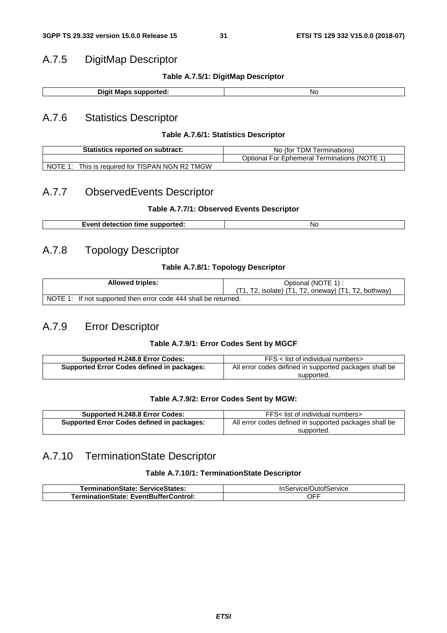### A.7.5 DigitMap Descriptor

|  | Table A.7.5/1: DigitMap Descriptor |
|--|------------------------------------|
|  |                                    |

| .)ir<br>.ait<br>. мат<br>ucu.<br>. | N. |
|------------------------------------|----|

### A.7.6 Statistics Descriptor

#### **Table A.7.6/1: Statistics Descriptor**

| Statistics reported on subtract:                   | No (for TDM Terminations)                    |
|----------------------------------------------------|----------------------------------------------|
|                                                    | Optional For Ephemeral Terminations (NOTE 1) |
| NOTE 1:<br>This is required for TISPAN NGN R2 TMGW |                                              |

### A.7.7 ObservedEvents Descriptor

#### **Table A.7.7/1: Observed Events Descriptor**

|  | Event detection time supported: | N0 |
|--|---------------------------------|----|
|--|---------------------------------|----|

### A.7.8 Topology Descriptor

 $\Box$ 

#### **Table A.7.8/1: Topology Descriptor**

| <b>Allowed triples:</b>                                         | Optional (NOTE 1) :                                        |
|-----------------------------------------------------------------|------------------------------------------------------------|
|                                                                 | $(T1, T2,$ isolate) $(T1, T2,$ oneway) $(T1, T2,$ bothway) |
| NOTE 1: If not supported then error code 444 shall be returned. |                                                            |

## A.7.9 Error Descriptor

#### **Table A.7.9/1: Error Codes Sent by MGCF**

| Supported H.248.8 Error Codes:                    | FFS < list of individual numbers>                      |
|---------------------------------------------------|--------------------------------------------------------|
| <b>Supported Error Codes defined in packages:</b> | All error codes defined in supported packages shall be |
|                                                   | supported.                                             |

#### **Table A.7.9/2: Error Codes Sent by MGW:**

| <b>Supported H.248.8 Error Codes:</b>             | FFS< list of individual numbers>                       |
|---------------------------------------------------|--------------------------------------------------------|
| <b>Supported Error Codes defined in packages:</b> | All error codes defined in supported packages shall be |
|                                                   | supported.                                             |

### A.7.10 TerminationState Descriptor

#### **Table A.7.10/1: TerminationState Descriptor**

| TerminationState: ServiceStates:      | InService/OutofService |
|---------------------------------------|------------------------|
| TerminationState: EventBufferControl: | JF۲                    |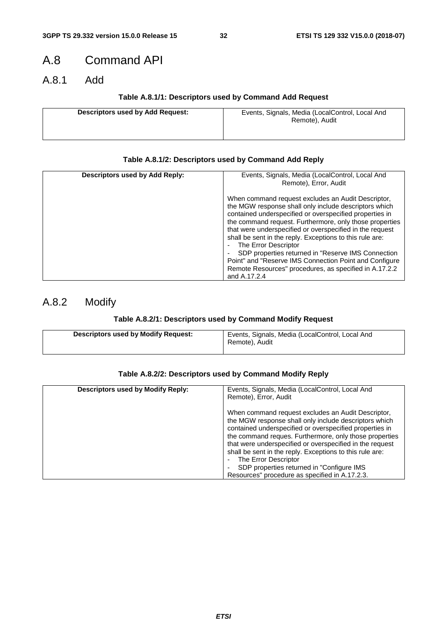## A.8 Command API

### A.8.1 Add

#### **Table A.8.1/1: Descriptors used by Command Add Request**

| <b>Descriptors used by Add Request:</b> | Events, Signals, Media (LocalControl, Local And<br>Remote), Audit |
|-----------------------------------------|-------------------------------------------------------------------|
|                                         |                                                                   |

#### **Table A.8.1/2: Descriptors used by Command Add Reply**

| Descriptors used by Add Reply: | Events, Signals, Media (LocalControl, Local And                                                             |
|--------------------------------|-------------------------------------------------------------------------------------------------------------|
|                                | Remote), Error, Audit                                                                                       |
|                                |                                                                                                             |
|                                | When command request excludes an Audit Descriptor,<br>the MGW response shall only include descriptors which |
|                                | contained underspecified or overspecified properties in                                                     |
|                                | the command request. Furthermore, only those properties                                                     |
|                                | that were underspecified or overspecified in the request                                                    |
|                                | shall be sent in the reply. Exceptions to this rule are:                                                    |
|                                | The Error Descriptor                                                                                        |
|                                | SDP properties returned in "Reserve IMS Connection"                                                         |
|                                | Point" and "Reserve IMS Connection Point and Configure                                                      |
|                                | Remote Resources" procedures, as specified in A.17.2.2                                                      |
|                                | and A.17.2.4                                                                                                |

### A.8.2 Modify

#### **Table A.8.2/1: Descriptors used by Command Modify Request**

| <b>Descriptors used by Modify Request:</b> | Events, Signals, Media (LocalControl, Local And |
|--------------------------------------------|-------------------------------------------------|
|                                            | Remote), Audit                                  |

#### **Table A.8.2/2: Descriptors used by Command Modify Reply**

| Descriptors used by Modify Reply: | Events, Signals, Media (LocalControl, Local And<br>Remote), Error, Audit                                                                                                                                                                                                                                                                                                                                                            |
|-----------------------------------|-------------------------------------------------------------------------------------------------------------------------------------------------------------------------------------------------------------------------------------------------------------------------------------------------------------------------------------------------------------------------------------------------------------------------------------|
|                                   | When command request excludes an Audit Descriptor,<br>the MGW response shall only include descriptors which<br>contained underspecified or overspecified properties in<br>the command reques. Furthermore, only those properties<br>that were underspecified or overspecified in the request<br>shall be sent in the reply. Exceptions to this rule are:<br>The Error Descriptor<br>SDP properties returned in "Configure IMS"<br>۰ |
|                                   | Resources" procedure as specified in A.17.2.3.                                                                                                                                                                                                                                                                                                                                                                                      |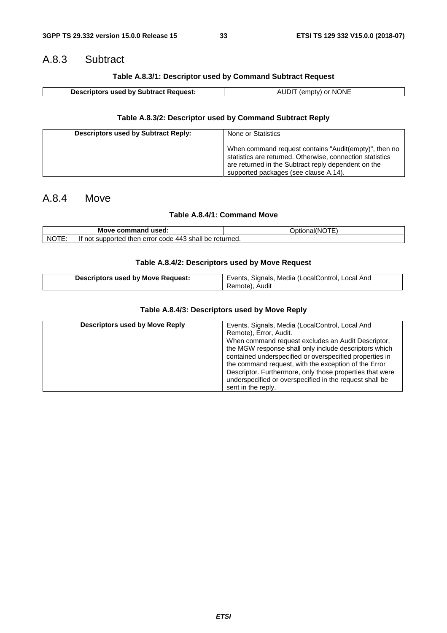### A.8.3 Subtract

#### **Table A.8.3/1: Descriptor used by Command Subtract Request**

| Descriptors used by Subtract Request: | <b>NONL</b><br>(empty)<br>or<br>л |
|---------------------------------------|-----------------------------------|

#### **Table A.8.3/2: Descriptor used by Command Subtract Reply**

| <b>Descriptors used by Subtract Reply:</b> | None or Statistics                                                                                                                                                                                                 |
|--------------------------------------------|--------------------------------------------------------------------------------------------------------------------------------------------------------------------------------------------------------------------|
|                                            | When command request contains "Audit(empty)", then no<br>statistics are returned. Otherwise, connection statistics<br>are returned in the Subtract reply dependent on the<br>supported packages (see clause A.14). |

### A.8.4 Move

#### **Table A.8.4/1: Command Move**

|       | ' used.<br>`ove command ∖                                                 | $\blacksquare$<br>(NC<br>1211 |
|-------|---------------------------------------------------------------------------|-------------------------------|
| NOTE. | shall be<br>443<br>code<br>error<br>not<br>returned.<br>ther<br>supported |                               |

#### **Table A.8.4/2: Descriptors used by Move Request**

| <b>Descriptors used by Move Request:</b> | Events, Signals, Media (LocalControl, Local And |
|------------------------------------------|-------------------------------------------------|
|                                          | Remote), Audit                                  |

#### **Table A.8.4/3: Descriptors used by Move Reply**

| Descriptors used by Move Reply | Events, Signals, Media (LocalControl, Local And          |
|--------------------------------|----------------------------------------------------------|
|                                | Remote), Error, Audit.                                   |
|                                | When command request excludes an Audit Descriptor.       |
|                                | the MGW response shall only include descriptors which    |
|                                | contained underspecified or overspecified properties in  |
|                                | the command request, with the exception of the Error     |
|                                | Descriptor. Furthermore, only those properties that were |
|                                | underspecified or overspecified in the request shall be  |
|                                | sent in the reply.                                       |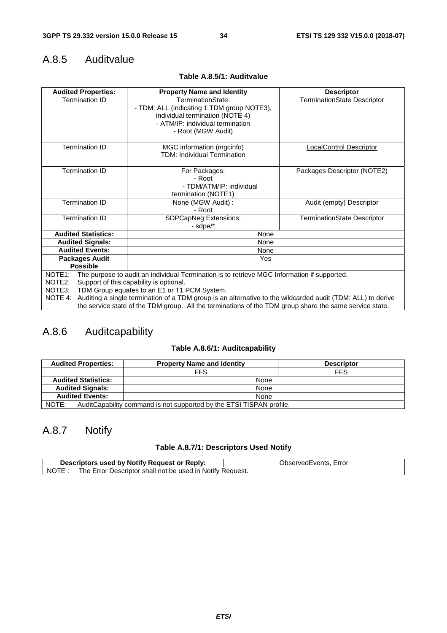### A.8.5 Auditvalue

| <b>Audited Properties:</b>               | <b>Property Name and Identity</b>                                                                                                                                                                                                                                                                                                                                                                                               | <b>Descriptor</b>                  |  |
|------------------------------------------|---------------------------------------------------------------------------------------------------------------------------------------------------------------------------------------------------------------------------------------------------------------------------------------------------------------------------------------------------------------------------------------------------------------------------------|------------------------------------|--|
| Termination ID                           | TerminationState:<br>- TDM: ALL (indicating 1 TDM group NOTE3),<br>individual termination (NOTE 4)<br>- ATM/IP: individual termination<br>- Root (MGW Audit)                                                                                                                                                                                                                                                                    | <b>TerminationState Descriptor</b> |  |
| Termination ID                           | MGC information (mgcinfo)<br><b>TDM: Individual Termination</b>                                                                                                                                                                                                                                                                                                                                                                 | LocalControl Descriptor            |  |
| <b>Termination ID</b>                    | For Packages:<br>- Root<br>- TDM/ATM/IP: individual<br>termination (NOTE1)                                                                                                                                                                                                                                                                                                                                                      | Packages Descriptor (NOTE2)        |  |
| <b>Termination ID</b>                    | None (MGW Audit) :<br>- Root                                                                                                                                                                                                                                                                                                                                                                                                    | Audit (empty) Descriptor           |  |
| <b>Termination ID</b>                    | SDPCapNeg Extensions:<br>- sdpe $/*$                                                                                                                                                                                                                                                                                                                                                                                            | <b>TerminationState Descriptor</b> |  |
| <b>Audited Statistics:</b>               | None                                                                                                                                                                                                                                                                                                                                                                                                                            |                                    |  |
| <b>Audited Signals:</b>                  | None                                                                                                                                                                                                                                                                                                                                                                                                                            |                                    |  |
| <b>Audited Events:</b>                   | None                                                                                                                                                                                                                                                                                                                                                                                                                            |                                    |  |
| <b>Packages Audit</b><br><b>Possible</b> | Yes                                                                                                                                                                                                                                                                                                                                                                                                                             |                                    |  |
| NOTE <sub>1</sub> :<br>NOTE2:            | The purpose to audit an individual Termination is to retrieve MGC Information if supported.<br>Support of this capability is optional.<br>NOTE3: TDM Group equates to an E1 or T1 PCM System.<br>NOTE 4: Auditing a single termination of a TDM group is an alternative to the wildcarded audit (TDM: ALL) to derive<br>the service state of the TDM group. All the terminations of the TDM group share the same service state. |                                    |  |

#### **Table A.8.5/1: Auditvalue**

### A.8.6 Auditcapability

#### **Table A.8.6/1: Auditcapability**

| <b>Audited Properties:</b>                                                    | <b>Property Name and Identity</b> | <b>Descriptor</b> |  |
|-------------------------------------------------------------------------------|-----------------------------------|-------------------|--|
|                                                                               | <b>FFS</b>                        | <b>FFS</b>        |  |
| <b>Audited Statistics:</b>                                                    | None                              |                   |  |
| <b>Audited Signals:</b>                                                       | None                              |                   |  |
| <b>Audited Events:</b>                                                        | None                              |                   |  |
| AuditCapability command is not supported by the ETSI TISPAN profile.<br>NOTE: |                                   |                   |  |

## A.8.7 Notify

#### **Table A.8.7/1: Descriptors Used Notify**

| Descriptors used by Notify Request or Reply:                             | ObservedEvents.<br>Error |
|--------------------------------------------------------------------------|--------------------------|
| The Error Descriptor shall not be used in Notify Request.<br><b>NOTE</b> |                          |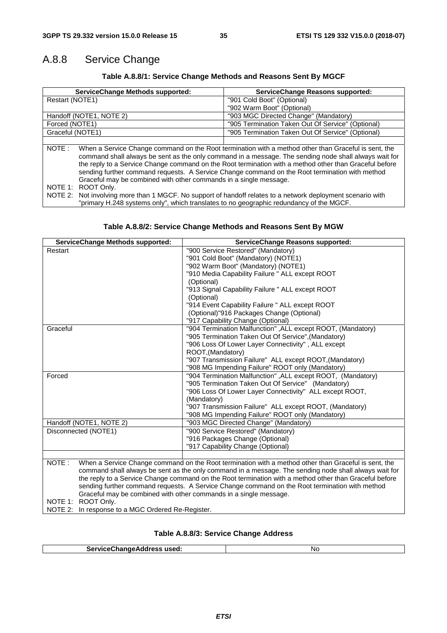### A.8.8 Service Change

#### **Table A.8.8/1: Service Change Methods and Reasons Sent By MGCF**

|                         | <b>ServiceChange Methods supported:</b>                                                                                                                                                                                                                                                                                                                                                                                                                                                        | <b>ServiceChange Reasons supported:</b>           |
|-------------------------|------------------------------------------------------------------------------------------------------------------------------------------------------------------------------------------------------------------------------------------------------------------------------------------------------------------------------------------------------------------------------------------------------------------------------------------------------------------------------------------------|---------------------------------------------------|
| Restart (NOTE1)         |                                                                                                                                                                                                                                                                                                                                                                                                                                                                                                | "901 Cold Boot" (Optional)                        |
|                         |                                                                                                                                                                                                                                                                                                                                                                                                                                                                                                | "902 Warm Boot" (Optional)                        |
| Handoff (NOTE1, NOTE 2) |                                                                                                                                                                                                                                                                                                                                                                                                                                                                                                | "903 MGC Directed Change" (Mandatory)             |
| Forced (NOTE1)          |                                                                                                                                                                                                                                                                                                                                                                                                                                                                                                | "905 Termination Taken Out Of Service" (Optional) |
| Graceful (NOTE1)        |                                                                                                                                                                                                                                                                                                                                                                                                                                                                                                | "905 Termination Taken Out Of Service" (Optional) |
|                         |                                                                                                                                                                                                                                                                                                                                                                                                                                                                                                |                                                   |
| NOTE:                   | When a Service Change command on the Root termination with a method other than Graceful is sent, the<br>command shall always be sent as the only command in a message. The sending node shall always wait for<br>the reply to a Service Change command on the Root termination with a method other than Graceful before<br>sending further command requests. A Service Change command on the Root termination with method<br>Graceful may be combined with other commands in a single message. |                                                   |
| NOTE 1:                 | ROOT Only.                                                                                                                                                                                                                                                                                                                                                                                                                                                                                     |                                                   |
|                         | NOTE 2: Not involving more than 1 MGCF. No support of handoff relates to a network deployment scenario with<br>"primary H.248 systems only", which translates to no geographic redundancy of the MGCF.                                                                                                                                                                                                                                                                                         |                                                   |

#### **Table A.8.8/2: Service Change Methods and Reasons Sent By MGW**

| <b>ServiceChange Methods supported:</b>                                                                                                                                                                  | <b>ServiceChange Reasons supported:</b>                     |
|----------------------------------------------------------------------------------------------------------------------------------------------------------------------------------------------------------|-------------------------------------------------------------|
| Restart                                                                                                                                                                                                  | "900 Service Restored" (Mandatory)                          |
|                                                                                                                                                                                                          | "901 Cold Boot" (Mandatory) (NOTE1)                         |
|                                                                                                                                                                                                          | "902 Warm Boot" (Mandatory) (NOTE1)                         |
|                                                                                                                                                                                                          | "910 Media Capability Failure " ALL except ROOT             |
|                                                                                                                                                                                                          | (Optional)                                                  |
|                                                                                                                                                                                                          | "913 Signal Capability Failure " ALL except ROOT            |
|                                                                                                                                                                                                          | (Optional)                                                  |
|                                                                                                                                                                                                          | "914 Event Capability Failure " ALL except ROOT             |
|                                                                                                                                                                                                          | (Optional)"916 Packages Change (Optional)                   |
|                                                                                                                                                                                                          | "917 Capability Change (Optional)                           |
| Graceful                                                                                                                                                                                                 | "904 Termination Malfunction", ALL except ROOT, (Mandatory) |
|                                                                                                                                                                                                          | "905 Termination Taken Out Of Service", (Mandatory)         |
|                                                                                                                                                                                                          | "906 Loss Of Lower Layer Connectivity", ALL except          |
|                                                                                                                                                                                                          | ROOT, (Mandatory)                                           |
|                                                                                                                                                                                                          | "907 Transmission Failure" ALL except ROOT, (Mandatory)     |
|                                                                                                                                                                                                          | "908 MG Impending Failure" ROOT only (Mandatory)            |
| Forced                                                                                                                                                                                                   | "904 Termination Malfunction", ALL except ROOT, (Mandatory) |
|                                                                                                                                                                                                          | "905 Termination Taken Out Of Service" (Mandatory)          |
|                                                                                                                                                                                                          | "906 Loss Of Lower Layer Connectivity" ALL except ROOT,     |
|                                                                                                                                                                                                          | (Mandatory)                                                 |
|                                                                                                                                                                                                          | "907 Transmission Failure" ALL except ROOT, (Mandatory)     |
|                                                                                                                                                                                                          | "908 MG Impending Failure" ROOT only (Mandatory)            |
| Handoff (NOTE1, NOTE 2)                                                                                                                                                                                  | "903 MGC Directed Change" (Mandatory)                       |
| Disconnected (NOTE1)                                                                                                                                                                                     | "900 Service Restored" (Mandatory)                          |
|                                                                                                                                                                                                          | "916 Packages Change (Optional)                             |
|                                                                                                                                                                                                          | "917 Capability Change (Optional)                           |
|                                                                                                                                                                                                          |                                                             |
| NOTE:<br>When a Service Change command on the Root termination with a method other than Graceful is sent, the                                                                                            |                                                             |
| command shall always be sent as the only command in a message. The sending node shall always wait for                                                                                                    |                                                             |
| the reply to a Service Change command on the Root termination with a method other than Graceful before<br>sending further command requests. A Service Change command on the Root termination with method |                                                             |
|                                                                                                                                                                                                          |                                                             |
| NOTE 1: ROOT Only.                                                                                                                                                                                       |                                                             |
| NOTE 2: In response to a MGC Ordered Re-Register.                                                                                                                                                        |                                                             |

#### **Table A.8.8/3: Service Change Address**

| . <del>.</del><br>ucod.<br>лие<br>. изси.<br>-<br>.<br>--- | NC |
|------------------------------------------------------------|----|
|                                                            |    |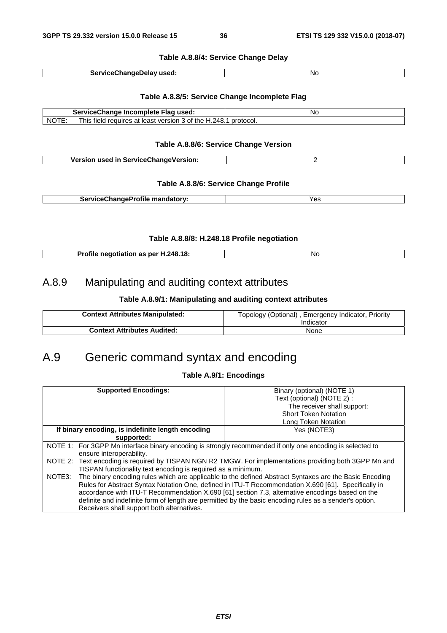#### **Table A.8.8/4: Service Change Delay**

| Ser∖<br>usea.<br>--- | Nr<br>้ |
|----------------------|---------|
|                      |         |

#### **Table A.8.8/5: Service Change Incomplete Flag**

|             | ServiceChange Incomplete Flag used:                                   | No        |
|-------------|-----------------------------------------------------------------------|-----------|
| <b>NOTE</b> | This .<br>t version 3 of the H.248.<br>l requires at least<br>i field | protocol. |

#### **Table A.8.8/6: Service Change Version**

| Version used in ServiceChangeVersion: |  |
|---------------------------------------|--|
|---------------------------------------|--|

#### **Table A.8.8/6: Service Change Profile**

| ServiceChangeProfile mandatory: | ັ |
|---------------------------------|---|

#### **Table A.8.8/8: H.248.18 Profile negotiation**

| e negotiation as per H.248.18:<br><b>Profile</b> | Nc |
|--------------------------------------------------|----|

### A.8.9 Manipulating and auditing context attributes

#### **Table A.8.9/1: Manipulating and auditing context attributes**

| <b>Context Attributes Manipulated:</b> | Topology (Optional), Emergency Indicator, Priority<br>Indicator |
|----------------------------------------|-----------------------------------------------------------------|
| <b>Context Attributes Audited:</b>     | None                                                            |

# A.9 Generic command syntax and encoding

### **Table A.9/1: Encodings**

|                                                                                                                  | <b>Supported Encodings:</b>                                                                               | Binary (optional) (NOTE 1)  |
|------------------------------------------------------------------------------------------------------------------|-----------------------------------------------------------------------------------------------------------|-----------------------------|
|                                                                                                                  |                                                                                                           | Text (optional) (NOTE 2) :  |
|                                                                                                                  |                                                                                                           | The receiver shall support: |
|                                                                                                                  |                                                                                                           | <b>Short Token Notation</b> |
|                                                                                                                  |                                                                                                           | Long Token Notation         |
|                                                                                                                  | If binary encoding, is indefinite length encoding                                                         | Yes (NOTE3)                 |
|                                                                                                                  | supported:                                                                                                |                             |
|                                                                                                                  | NOTE 1: For 3GPP Mn interface binary encoding is strongly recommended if only one encoding is selected to |                             |
|                                                                                                                  | ensure interoperability.                                                                                  |                             |
| NOTE 2: Text encoding is required by TISPAN NGN R2 TMGW. For implementations providing both 3GPP Mn and          |                                                                                                           |                             |
| TISPAN functionality text encoding is required as a minimum.                                                     |                                                                                                           |                             |
| The binary encoding rules which are applicable to the defined Abstract Syntaxes are the Basic Encoding<br>NOTE3: |                                                                                                           |                             |
| Rules for Abstract Syntax Notation One, defined in ITU-T Recommendation X.690 [61]. Specifically in              |                                                                                                           |                             |
| accordance with ITU-T Recommendation X.690 [61] section 7.3, alternative encodings based on the                  |                                                                                                           |                             |
|                                                                                                                  | definite and indefinite form of length are permitted by the basic encoding rules as a sender's option.    |                             |
|                                                                                                                  |                                                                                                           |                             |
|                                                                                                                  | Receivers shall support both alternatives.                                                                |                             |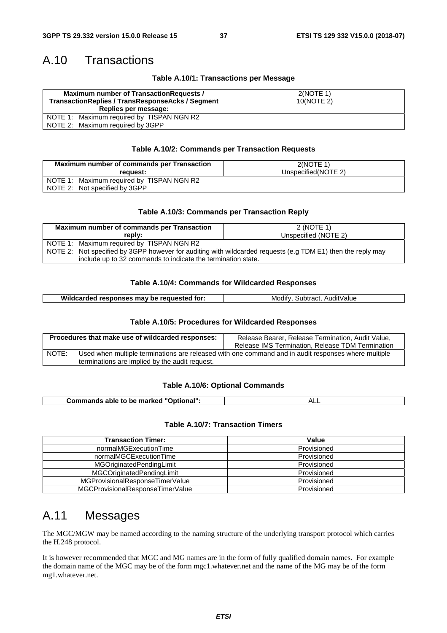# A.10 Transactions

#### **Table A.10/1: Transactions per Message**

| Maximum number of Transaction Requests /<br><b>TransactionReplies / TransResponseAcks / Segment</b><br>Replies per message: | 2(NOTE 1)<br>10(NOTE 2) |
|-----------------------------------------------------------------------------------------------------------------------------|-------------------------|
| NOTE 1: Maximum required by TISPAN NGN R2                                                                                   |                         |
| NOTE 2: Maximum required by 3GPP                                                                                            |                         |

#### **Table A.10/2: Commands per Transaction Requests**

| Maximum number of commands per Transaction | 2(NOTE 1)            |
|--------------------------------------------|----------------------|
| reauest:                                   | Unspecified (NOTE 2) |
| NOTE 1: Maximum required by TISPAN NGN R2  |                      |
| NOTE 2: Not specified by 3GPP              |                      |

#### **Table A.10/3: Commands per Transaction Reply**

|                                                                                                             | <b>Maximum number of commands per Transaction</b> | 2 (NOTE 1)           |
|-------------------------------------------------------------------------------------------------------------|---------------------------------------------------|----------------------|
|                                                                                                             | replv:                                            | Unspecified (NOTE 2) |
| NOTE 1: Maximum required by TISPAN NGN R2                                                                   |                                                   |                      |
| NOTE 2: Not specified by 3GPP however for auditing with wildcarded requests (e.g TDM E1) then the reply may |                                                   |                      |
| include up to 32 commands to indicate the termination state.                                                |                                                   |                      |

#### **Table A.10/4: Commands for Wildcarded Responses**

| Wildcarded responses may be requested for: | Modify, Subtract, AuditValue |
|--------------------------------------------|------------------------------|

#### **Table A.10/5: Procedures for Wildcarded Responses**

|       | Procedures that make use of wildcarded responses: | Release Bearer, Release Termination, Audit Value,<br>Release IMS Termination, Release TDM Termination |
|-------|---------------------------------------------------|-------------------------------------------------------------------------------------------------------|
| NOTE: | terminations are implied by the audit request.    | Used when multiple terminations are released with one command and in audit responses where multiple   |

#### **Table A.10/6: Optional Commands**

| Commands able to be marked "Optional": | AL∟ |
|----------------------------------------|-----|

#### **Table A.10/7: Transaction Timers**

| <b>Transaction Timer:</b>        | Value       |
|----------------------------------|-------------|
| normalMGExecutionTime            | Provisioned |
| normalMGCExecutionTime           | Provisioned |
| MGOriginatedPendingLimit         | Provisioned |
| MGCOriginatedPendingLimit        | Provisioned |
| MGProvisionalResponseTimerValue  | Provisioned |
| MGCProvisionalResponseTimerValue | Provisioned |

# A.11 Messages

The MGC/MGW may be named according to the naming structure of the underlying transport protocol which carries the H.248 protocol.

It is however recommended that MGC and MG names are in the form of fully qualified domain names. For example the domain name of the MGC may be of the form mgc1.whatever.net and the name of the MG may be of the form mg1.whatever.net.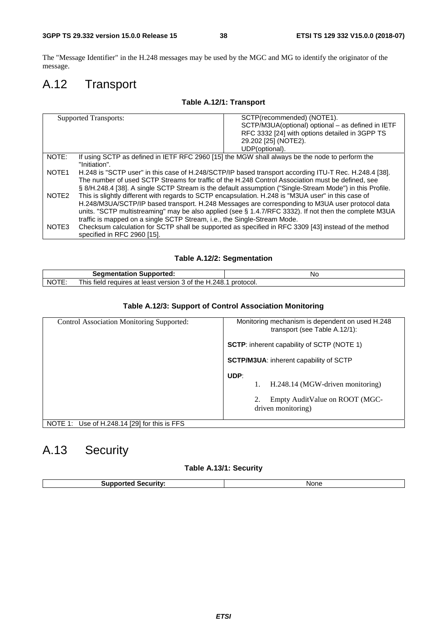The "Message Identifier" in the H.248 messages may be used by the MGC and MG to identify the originator of the message.

# A.12 Transport

#### **Table A.12/1: Transport**

|                   | SCTP(recommended) (NOTE1).<br><b>Supported Transports:</b>                                               |                                                   |  |
|-------------------|----------------------------------------------------------------------------------------------------------|---------------------------------------------------|--|
|                   |                                                                                                          | SCTP/M3UA(optional) optional - as defined in IETF |  |
|                   |                                                                                                          | RFC 3332 [24] with options detailed in 3GPP TS    |  |
|                   |                                                                                                          | 29.202 [25] (NOTE2).                              |  |
|                   |                                                                                                          | UDP(optional).                                    |  |
| NOTE:             | If using SCTP as defined in IETF RFC 2960 [15] the MGW shall always be the node to perform the           |                                                   |  |
|                   | "Initiation".                                                                                            |                                                   |  |
| NOTE <sub>1</sub> | H.248 is "SCTP user" in this case of H.248/SCTP/IP based transport according ITU-T Rec. H.248.4 [38].    |                                                   |  |
|                   | The number of used SCTP Streams for traffic of the H.248 Control Association must be defined, see        |                                                   |  |
|                   | § 8/H.248.4 [38]. A single SCTP Stream is the default assumption ("Single-Stream Mode") in this Profile. |                                                   |  |
| NOTE <sub>2</sub> | This is slightly different with regards to SCTP encapsulation. H.248 is "M3UA user" in this case of      |                                                   |  |
|                   | H.248/M3UA/SCTP/IP based transport. H.248 Messages are corresponding to M3UA user protocol data          |                                                   |  |
|                   | units. "SCTP multistreaming" may be also applied (see § 1.4.7/RFC 3332). If not then the complete M3UA   |                                                   |  |
|                   | traffic is mapped on a single SCTP Stream, i.e., the Single-Stream Mode.                                 |                                                   |  |
| NOTE3             | Checksum calculation for SCTP shall be supported as specified in RFC 3309 [43] instead of the method     |                                                   |  |
|                   | specified in RFC 2960 [15].                                                                              |                                                   |  |

**Table A.12/2: Segmentation** 

|            | ------<br>Supported:<br>.<br>nauon                                                       | ΝC        |
|------------|------------------------------------------------------------------------------------------|-----------|
| . NC.<br>- | 248.<br>the<br>his<br>requires at least<br>version<br>field<br>0t<br>ы<br>$\blacksquare$ | protocol. |

#### **Table A.12/3: Support of Control Association Monitoring**

| Control Association Monitoring Supported:    | Monitoring mechanism is dependent on used H.248<br>transport (see Table A.12/1): |  |  |
|----------------------------------------------|----------------------------------------------------------------------------------|--|--|
|                                              | <b>SCTP:</b> inherent capability of SCTP (NOTE 1)                                |  |  |
|                                              | <b>SCTP/M3UA:</b> inherent capability of SCTP                                    |  |  |
|                                              | UDP:                                                                             |  |  |
|                                              | H.248.14 (MGW-driven monitoring)                                                 |  |  |
|                                              | Empty AuditValue on ROOT (MGC-<br>driven monitoring)                             |  |  |
| NOTE 1: Use of H.248.14 [29] for this is FFS |                                                                                  |  |  |

# A.13 Security

#### **Table A.13/1: Security**

| $T$ unnort.<br>Security: | None<br>_____ |
|--------------------------|---------------|
|                          |               |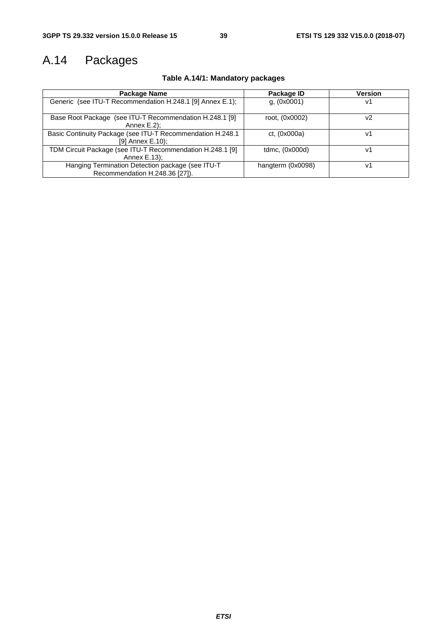# A.14 Packages

|  |  | Table A.14/1: Mandatory packages |  |
|--|--|----------------------------------|--|
|--|--|----------------------------------|--|

| Package Name                                                                       | Package ID        | Version        |
|------------------------------------------------------------------------------------|-------------------|----------------|
| Generic (see ITU-T Recommendation H.248.1 [9] Annex E.1);                          | g(0x0001)         | V <sup>1</sup> |
| Base Root Package (see ITU-T Recommendation H.248.1 [9]<br>Annex $E.2$ );          | root, (0x0002)    | v2             |
| Basic Continuity Package (see ITU-T Recommendation H.248.1<br>[9] Annex E.10);     | ct. (0x000a)      | V1             |
| TDM Circuit Package (see ITU-T Recommendation H.248.1 [9]<br>Annex E.13);          | tdmc, (0x000d)    | v1             |
| Hanging Termination Detection package (see ITU-T<br>Recommendation H.248.36 [27]). | hangterm (0x0098) | v1             |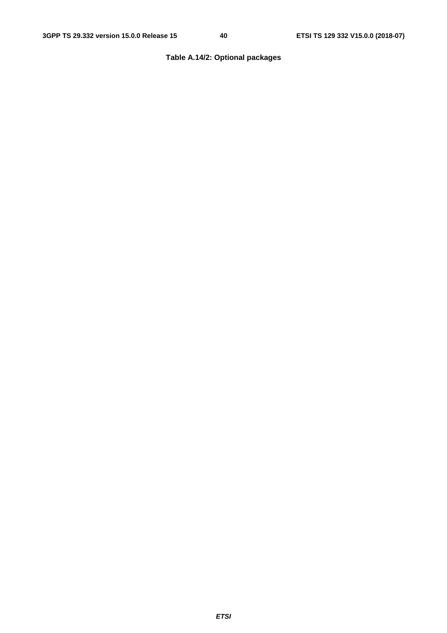### **Table A.14/2: Optional packages**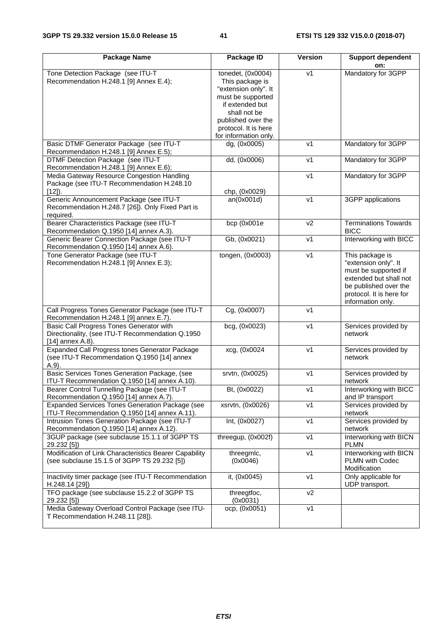| <b>Package Name</b>                                                                                              | Package ID                                                                                                                                                                                  | <b>Version</b> | <b>Support dependent</b><br>on:                                                                                                                                     |
|------------------------------------------------------------------------------------------------------------------|---------------------------------------------------------------------------------------------------------------------------------------------------------------------------------------------|----------------|---------------------------------------------------------------------------------------------------------------------------------------------------------------------|
| Tone Detection Package (see ITU-T<br>Recommendation H.248.1 [9] Annex E.4);                                      | tonedet, (0x0004)<br>This package is<br>"extension only". It<br>must be supported<br>if extended but<br>shall not be<br>published over the<br>protocol. It is here<br>for information only. | v1             | Mandatory for 3GPP                                                                                                                                                  |
| Basic DTMF Generator Package (see ITU-T<br>Recommendation H.248.1 [9] Annex E.5);                                | dg, (0x0005)                                                                                                                                                                                | v1             | Mandatory for 3GPP                                                                                                                                                  |
| DTMF Detection Package (see ITU-T<br>Recommendation H.248.1 [9] Annex E.6);                                      | dd, (0x0006)                                                                                                                                                                                | v1             | Mandatory for 3GPP                                                                                                                                                  |
| Media Gateway Resource Congestion Handling<br>Package (see ITU-T Recommendation H.248.10<br>$[12]$ ).            | chp, (0x0029)                                                                                                                                                                               | v1             | Mandatory for 3GPP                                                                                                                                                  |
| Generic Announcement Package (see ITU-T<br>Recommendation H.248.7 [26]). Only Fixed Part is<br>required.         | an(0x001d)                                                                                                                                                                                  | v1             | 3GPP applications                                                                                                                                                   |
| Bearer Characteristics Package (see ITU-T<br>Recommendation Q.1950 [14] annex A.3).                              | bcp (0x001e                                                                                                                                                                                 | v <sub>2</sub> | <b>Terminations Towards</b><br><b>BICC</b>                                                                                                                          |
| Generic Bearer Connection Package (see ITU-T<br>Recommendation Q.1950 [14] annex A.6).                           | Gb, (0x0021)                                                                                                                                                                                | v1             | Interworking with BICC                                                                                                                                              |
| Tone Generator Package (see ITU-T<br>Recommendation H.248.1 [9] Annex E.3);                                      | tongen, (0x0003)                                                                                                                                                                            | V <sub>1</sub> | This package is<br>"extension only". It<br>must be supported if<br>extended but shall not<br>be published over the<br>protocol. It is here for<br>information only. |
| Call Progress Tones Generator Package (see ITU-T<br>Recommendation H.248.1 [9] annex E.7).                       | Cg, (0x0007)                                                                                                                                                                                | V <sub>1</sub> |                                                                                                                                                                     |
| Basic Call Progress Tones Generator with<br>Directionality, (see ITU-T Recommendation Q.1950<br>[14] annex A.8). | bcg, (0x0023)                                                                                                                                                                               | v1             | Services provided by<br>network                                                                                                                                     |
| Expanded Call Progress tones Generator Package<br>(see ITU-T Recommendation Q.1950 [14] annex<br>$A.9$ ).        | xcg, (0x0024                                                                                                                                                                                | V <sub>1</sub> | Services provided by<br>network                                                                                                                                     |
| Basic Services Tones Generation Package, (see<br>ITU-T Recommendation Q.1950 [14] annex A.10).                   | srvtn, (0x0025)                                                                                                                                                                             | V <sub>1</sub> | Services provided by<br>network                                                                                                                                     |
| Bearer Control Tunnelling Package (see ITU-T<br>Recommendation Q.1950 [14] annex A.7).                           | Bt, (0x0022)                                                                                                                                                                                | ۷1             | Interworking with BICC<br>and IP transport                                                                                                                          |
| Expanded Services Tones Generation Package (see<br>ITU-T Recommendation Q.1950 [14] annex A.11).                 | xsrvtn, (0x0026)                                                                                                                                                                            | V <sub>1</sub> | Services provided by<br>network                                                                                                                                     |
| Intrusion Tones Generation Package (see ITU-T<br>Recommendation Q.1950 [14] annex A.12).                         | Int, (0x0027)                                                                                                                                                                               | V <sub>1</sub> | Services provided by<br>network                                                                                                                                     |
| 3GUP package (see subclause 15.1.1 of 3GPP TS<br>29.232 [5])                                                     | threegup, (0x002f)                                                                                                                                                                          | v1             | Interworking with BICN<br><b>PLMN</b>                                                                                                                               |
| Modification of Link Characteristics Bearer Capability<br>(see subclause 15.1.5 of 3GPP TS 29.232 [5])           | threegmlc,<br>(0x0046)                                                                                                                                                                      | V <sub>1</sub> | Interworking with BICN<br>PLMN with Codec<br>Modification                                                                                                           |
| Inactivity timer package (see ITU-T Recommendation<br>H.248.14 [29])                                             | it, (0x0045)                                                                                                                                                                                | V <sub>1</sub> | Only applicable for<br>UDP transport.                                                                                                                               |
| TFO package (see subclause 15.2.2 of 3GPP TS<br>29.232 [5])                                                      | threegtfoc,<br>(0x0031)                                                                                                                                                                     | v2             |                                                                                                                                                                     |
| Media Gateway Overload Control Package (see ITU-<br>T Recommendation H.248.11 [28]).                             | ocp, (0x0051)                                                                                                                                                                               | V <sub>1</sub> |                                                                                                                                                                     |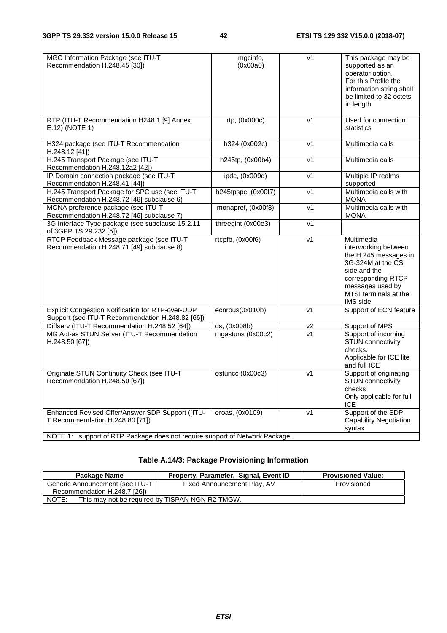| MGC Information Package (see ITU-T                                                                    | mgcinfo,            | V <sub>1</sub> | This package may be                                 |
|-------------------------------------------------------------------------------------------------------|---------------------|----------------|-----------------------------------------------------|
| Recommendation H.248.45 [30])                                                                         | (0x00a0)            |                | supported as an<br>operator option.                 |
|                                                                                                       |                     |                | For this Profile the<br>information string shall    |
|                                                                                                       |                     |                | be limited to 32 octets                             |
|                                                                                                       |                     |                | in length.                                          |
| RTP (ITU-T Recommendation H248.1 [9] Annex<br>E.12) (NOTE 1)                                          | rtp, (0x000c)       | V <sub>1</sub> | Used for connection<br>statistics                   |
| H324 package (see ITU-T Recommendation<br>$H.248.12$ [41])                                            | h324,(0x002c)       | V <sub>1</sub> | Multimedia calls                                    |
| H.245 Transport Package (see ITU-T<br>Recommendation H.248.12a2 [42])                                 | h245tp, (0x00b4)    | V <sub>1</sub> | Multimedia calls                                    |
| IP Domain connection package (see ITU-T<br>Recommendation H.248.41 [44])                              | ipdc, (0x009d)      | V <sub>1</sub> | Multiple IP realms<br>supported                     |
| H.245 Transport Package for SPC use (see ITU-T<br>Recommendation H.248.72 [46] subclause 6)           | h245tpspc, (0x00f7) | V <sub>1</sub> | Multimedia calls with<br><b>MONA</b>                |
| MONA preference package (see ITU-T<br>Recommendation H.248.72 [46] subclause 7)                       | monapref, (0x00f8)  | V <sub>1</sub> | Multimedia calls with<br><b>MONA</b>                |
| 3G Interface Type package (see subclause 15.2.11<br>of 3GPP TS 29.232 [5])                            | threegint (0x00e3)  | V <sub>1</sub> |                                                     |
| RTCP Feedback Message package (see ITU-T<br>Recommendation H.248.71 [49] subclause 8)                 | rtcpfb, (0x00f6)    | V <sub>1</sub> | Multimedia<br>interworking between                  |
|                                                                                                       |                     |                | the H.245 messages in<br>3G-324M at the CS          |
|                                                                                                       |                     |                | side and the                                        |
|                                                                                                       |                     |                | corresponding RTCP<br>messages used by              |
|                                                                                                       |                     |                | MTSI terminals at the<br>IMS side                   |
| Explicit Congestion Notification for RTP-over-UDP<br>Support (see ITU-T Recommendation H.248.82 [66]) | ecnrous(0x010b)     | v <sub>1</sub> | Support of ECN feature                              |
| Diffserv (ITU-T Recommendation H.248.52 [64])                                                         | ds, (0x008b)        | v <sub>2</sub> | Support of MPS                                      |
| MG Act-as STUN Server (ITU-T Recommendation<br>H.248.50 [67])                                         | mgastuns (0x00c2)   | v <sub>1</sub> | Support of incoming<br><b>STUN</b> connectivity     |
|                                                                                                       |                     |                | checks.<br>Applicable for ICE lite                  |
|                                                                                                       |                     |                | and full ICE                                        |
| Originate STUN Continuity Check (see ITU-T<br>Recommendation H.248.50 [67])                           | ostuncc (0x00c3)    | v <sub>1</sub> | Support of originating<br><b>STUN connectivity</b>  |
|                                                                                                       |                     |                | checks                                              |
|                                                                                                       |                     |                | Only applicable for full<br>ICE                     |
| Enhanced Revised Offer/Answer SDP Support ([ITU-<br>T Recommendation H.248.80 [71])                   | eroas, (0x0109)     | v1             | Support of the SDP<br><b>Capability Negotiation</b> |
|                                                                                                       |                     |                | syntax                                              |
| NOTE 1: support of RTP Package does not require support of Network Package.                           |                     |                |                                                     |

### **Table A.14/3: Package Provisioning Information**

| Package Name                    | Property, Parameter, Signal, Event ID           | <b>Provisioned Value:</b> |
|---------------------------------|-------------------------------------------------|---------------------------|
| Generic Announcement (see ITU-T | Fixed Announcement Play, AV                     | Provisioned               |
| Recommendation H.248.7 [26])    |                                                 |                           |
| NOTE:                           | This may not be required by TISPAN NGN R2 TMGW. |                           |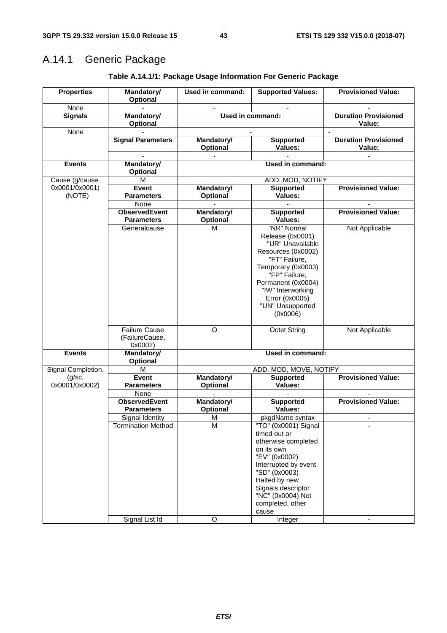# A.14.1 Generic Package

| <b>Properties</b>         | Mandatory/<br>Optional                            | Used in command:              | <b>Supported Values:</b>                                                                                                                                                                                                       | <b>Provisioned Value:</b>             |
|---------------------------|---------------------------------------------------|-------------------------------|--------------------------------------------------------------------------------------------------------------------------------------------------------------------------------------------------------------------------------|---------------------------------------|
| None                      |                                                   |                               |                                                                                                                                                                                                                                |                                       |
| <b>Signals</b>            | Mandatory/<br>Optional                            | Used in command:              |                                                                                                                                                                                                                                | <b>Duration Provisioned</b><br>Value: |
| None                      |                                                   |                               |                                                                                                                                                                                                                                | $\blacksquare$                        |
|                           | <b>Signal Parameters</b>                          | Mandatory/<br><b>Optional</b> | <b>Supported</b><br>Values:                                                                                                                                                                                                    | <b>Duration Provisioned</b><br>Value: |
|                           |                                                   |                               |                                                                                                                                                                                                                                |                                       |
| <b>Events</b>             | <b>Mandatory/</b><br>Optional                     |                               | Used in command:                                                                                                                                                                                                               |                                       |
| Cause (g/cause.           | М                                                 |                               | ADD, MOD, NOTIFY                                                                                                                                                                                                               |                                       |
| 0x0001/0x0001)<br>(NOTE)  | Event<br><b>Parameters</b>                        | Mandatory/<br><b>Optional</b> | <b>Supported</b><br>Values:                                                                                                                                                                                                    | <b>Provisioned Value:</b>             |
|                           | None                                              | $\blacksquare$                |                                                                                                                                                                                                                                |                                       |
|                           | <b>ObservedEvent</b><br><b>Parameters</b>         | Mandatory/<br>Optional        | <b>Supported</b><br>Values:                                                                                                                                                                                                    | <b>Provisioned Value:</b>             |
|                           | Generalcause                                      | M                             | "NR" Normal<br>Release (0x0001)<br>"UR" Unavailable<br>Resources (0x0002)<br>"FT" Failure,<br>Temporary (0x0003)<br>"FP" Failure,<br>Permanent (0x0004)<br>"IW" Interworking<br>Error (0x0005)<br>"UN" Unsupported<br>(0x0006) | Not Applicable                        |
|                           | <b>Failure Cause</b><br>(FailureCause,<br>0x0002) | O                             | <b>Octet String</b>                                                                                                                                                                                                            | Not Applicable                        |
| <b>Events</b>             | Mandatory/<br>Optional                            |                               | <b>Used in command:</b>                                                                                                                                                                                                        |                                       |
| Signal Completion.        | м                                                 |                               | ADD, MOD, MOVE, NOTIFY                                                                                                                                                                                                         |                                       |
| (g/sec,<br>0x0001/0x0002) | <b>Event</b><br><b>Parameters</b>                 | Mandatory/<br><b>Optional</b> | <b>Supported</b><br>Values:                                                                                                                                                                                                    | <b>Provisioned Value:</b>             |
|                           | None                                              | $\omega$                      | $\overline{a}$                                                                                                                                                                                                                 |                                       |
|                           | <b>ObservedEvent</b>                              | Mandatory/                    | <b>Supported</b>                                                                                                                                                                                                               | <b>Provisioned Value:</b>             |
|                           | <b>Parameters</b>                                 | Optional                      | Values:                                                                                                                                                                                                                        |                                       |
|                           | Signal Identity                                   | M                             | pkgdName syntax                                                                                                                                                                                                                | $\overline{\phantom{0}}$              |
|                           | <b>Termination Method</b>                         | M                             | "TO" (0x0001) Signal<br>timed out or<br>otherwise completed<br>on its own<br>"EV" (0x0002)<br>Interrupted by event<br>"SD" (0x0003)<br>Halted by new<br>Signals descriptor<br>"NC" (0x0004) Not<br>completed, other<br>cause   |                                       |
|                           | Signal List Id                                    | O                             | Integer                                                                                                                                                                                                                        | $\overline{\phantom{a}}$              |

### **Table A.14.1/1: Package Usage Information For Generic Package**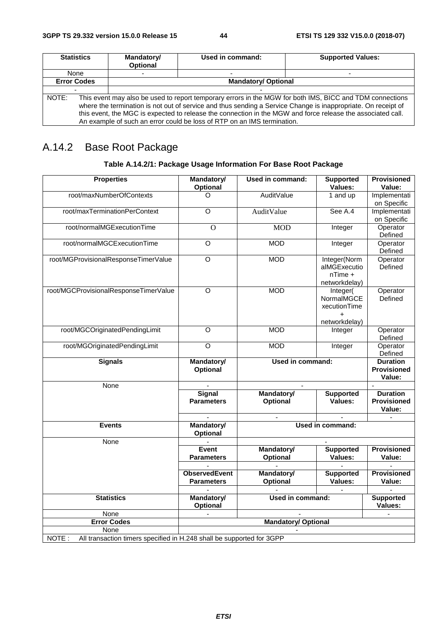| <b>Statistics</b>                                                                                           |                                                                                                               | Used in command:<br>Mandatory/<br><b>Optional</b> |                                                                         | <b>Supported Values:</b>                                                                                 |  |  |  |  |  |
|-------------------------------------------------------------------------------------------------------------|---------------------------------------------------------------------------------------------------------------|---------------------------------------------------|-------------------------------------------------------------------------|----------------------------------------------------------------------------------------------------------|--|--|--|--|--|
|                                                                                                             | None                                                                                                          |                                                   |                                                                         |                                                                                                          |  |  |  |  |  |
| <b>Error Codes</b>                                                                                          |                                                                                                               |                                                   | <b>Mandatory/ Optional</b>                                              |                                                                                                          |  |  |  |  |  |
|                                                                                                             |                                                                                                               |                                                   |                                                                         |                                                                                                          |  |  |  |  |  |
| NOTE:                                                                                                       |                                                                                                               |                                                   |                                                                         | This event may also be used to report temporary errors in the MGW for both IMS, BICC and TDM connections |  |  |  |  |  |
|                                                                                                             | where the termination is not out of service and thus sending a Service Change is inappropriate. On receipt of |                                                   |                                                                         |                                                                                                          |  |  |  |  |  |
| this event, the MGC is expected to release the connection in the MGW and force release the associated call. |                                                                                                               |                                                   |                                                                         |                                                                                                          |  |  |  |  |  |
|                                                                                                             |                                                                                                               |                                                   | An example of such an error could be loss of RTP on an IMS termination. |                                                                                                          |  |  |  |  |  |

# A.14.2 Base Root Package

### **Table A.14.2/1: Package Usage Information For Base Root Package**

| <b>Properties</b>                                                                      | <b>Mandatory/</b><br>Optional             | <b>Used in command:</b>              | <b>Supported</b><br>Values:                                          | <b>Provisioned</b><br>Value:                    |
|----------------------------------------------------------------------------------------|-------------------------------------------|--------------------------------------|----------------------------------------------------------------------|-------------------------------------------------|
| root/maxNumberOfContexts                                                               | $\Omega$                                  | AuditValue                           | 1 and up                                                             | Implementati<br>on Specific                     |
| root/maxTerminationPerContext                                                          | $\overline{O}$                            | AuditValue                           | See A.4                                                              |                                                 |
| root/normalMGExecutionTime                                                             | $\mathbf{O}$                              | <b>MOD</b>                           | Integer                                                              | on Specific<br>Operator<br>Defined              |
| root/normalMGCExecutionTime                                                            | $\overline{O}$                            | <b>MOD</b>                           | Integer                                                              | Operator<br>Defined                             |
| root/MGProvisionalResponseTimerValue                                                   | $\overline{O}$                            | <b>MOD</b>                           | Integer(Norm<br>alMGExecutio<br>$nTime +$<br>networkdelay)           | Operator<br>Defined                             |
| root/MGCProvisionalResponseTimerValue                                                  | O                                         | <b>MOD</b>                           | Integer(<br>NormalMGCE<br>xecutionTime<br>$\ddot{}$<br>networkdelay) | Operator<br>Defined                             |
| root/MGCOriginatedPendingLimit                                                         | $\overline{\circ}$                        | <b>MOD</b>                           | Integer                                                              | Operator<br>Defined                             |
| root/MGOriginatedPendingLimit                                                          | O                                         | <b>MOD</b>                           | Integer                                                              |                                                 |
|                                                                                        |                                           | Used in command:                     |                                                                      |                                                 |
| <b>Signals</b>                                                                         | Mandatory/<br><b>Optional</b>             |                                      |                                                                      | <b>Duration</b><br><b>Provisioned</b><br>Value: |
| None                                                                                   |                                           |                                      |                                                                      | $\sim$                                          |
|                                                                                        | <b>Signal</b><br><b>Parameters</b>        | <b>Mandatory/</b><br>Optional        | <b>Supported</b><br>Values:                                          | <b>Duration</b><br><b>Provisioned</b><br>Value: |
|                                                                                        |                                           | $\overline{\phantom{a}}$             |                                                                      |                                                 |
| <b>Events</b>                                                                          | <b>Mandatory/</b><br>Optional             |                                      | <b>Used in command:</b>                                              |                                                 |
| None                                                                                   |                                           |                                      |                                                                      |                                                 |
|                                                                                        | <b>Event</b><br><b>Parameters</b>         | <b>Mandatory/</b><br><b>Optional</b> | <b>Supported</b><br>Values:                                          | <b>Provisioned</b><br>Value:                    |
|                                                                                        |                                           |                                      |                                                                      |                                                 |
|                                                                                        | <b>ObservedEvent</b><br><b>Parameters</b> | <b>Mandatory/</b><br><b>Optional</b> | <b>Supported</b><br>Values:                                          | <b>Provisioned</b><br>Value:                    |
|                                                                                        |                                           |                                      |                                                                      |                                                 |
| <b>Statistics</b>                                                                      | <b>Mandatory/</b><br><b>Optional</b>      | Used in command:                     |                                                                      | <b>Supported</b><br>Values:                     |
| None                                                                                   |                                           |                                      |                                                                      |                                                 |
| <b>Error Codes</b>                                                                     |                                           | <b>Mandatory/ Optional</b>           |                                                                      |                                                 |
| None<br>All transaction timers specified in H.248 shall be supported for 3GPP<br>NOTE: |                                           |                                      |                                                                      |                                                 |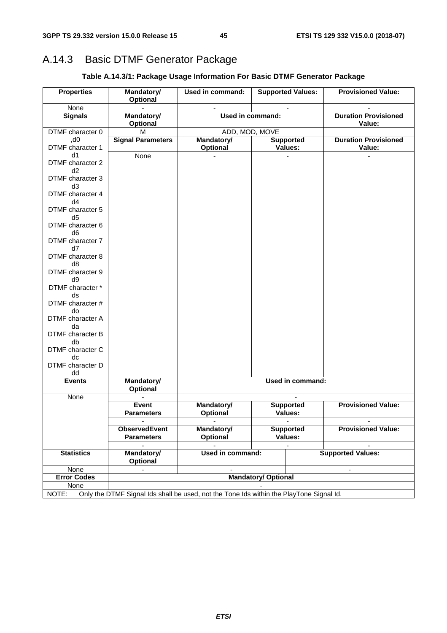# A.14.3 Basic DTMF Generator Package

|  |  | Table A.14.3/1: Package Usage Information For Basic DTMF Generator Package |  |  |  |
|--|--|----------------------------------------------------------------------------|--|--|--|
|  |  |                                                                            |  |  |  |

| <b>Properties</b>                  | Mandatory/<br>Optional                                                                  | Used in command:              | <b>Supported Values:</b>    |                  | <b>Provisioned Value:</b>   |
|------------------------------------|-----------------------------------------------------------------------------------------|-------------------------------|-----------------------------|------------------|-----------------------------|
| None                               |                                                                                         |                               |                             |                  |                             |
| <b>Signals</b>                     | Mandatory/                                                                              | <b>Used in command:</b>       |                             |                  | <b>Duration Provisioned</b> |
|                                    | Optional                                                                                |                               |                             |                  | Value:                      |
| DTMF character 0                   | M                                                                                       | ADD, MOD, MOVE                |                             |                  |                             |
| ,d0                                | <b>Signal Parameters</b>                                                                | Mandatory/                    | <b>Supported</b>            |                  | <b>Duration Provisioned</b> |
| DTMF character 1                   |                                                                                         | Optional                      | Values:                     |                  | Value:                      |
| d1                                 | None                                                                                    |                               |                             |                  |                             |
| DTMF character 2<br>d2             |                                                                                         |                               |                             |                  |                             |
| DTMF character 3<br>d3             |                                                                                         |                               |                             |                  |                             |
| DTMF character 4<br>d4             |                                                                                         |                               |                             |                  |                             |
| DTMF character 5<br>d5             |                                                                                         |                               |                             |                  |                             |
| DTMF character 6<br>d6             |                                                                                         |                               |                             |                  |                             |
| DTMF character 7<br>d7             |                                                                                         |                               |                             |                  |                             |
| DTMF character 8<br>d <sub>8</sub> |                                                                                         |                               |                             |                  |                             |
| DTMF character 9                   |                                                                                         |                               |                             |                  |                             |
| d9<br>DTMF character *             |                                                                                         |                               |                             |                  |                             |
| ds<br>DTMF character #             |                                                                                         |                               |                             |                  |                             |
| do<br>DTMF character A             |                                                                                         |                               |                             |                  |                             |
| da<br>DTMF character B             |                                                                                         |                               |                             |                  |                             |
| db<br>DTMF character C             |                                                                                         |                               |                             |                  |                             |
| dc                                 |                                                                                         |                               |                             |                  |                             |
| DTMF character D                   |                                                                                         |                               |                             |                  |                             |
| dd<br><b>Events</b>                | <b>Mandatory/</b>                                                                       |                               |                             | Used in command: |                             |
|                                    | <b>Optional</b>                                                                         |                               |                             |                  |                             |
| None                               |                                                                                         |                               |                             |                  |                             |
|                                    | <b>Event</b><br><b>Parameters</b>                                                       | <b>Mandatory/</b><br>Optional | <b>Supported</b><br>Values: |                  | <b>Provisioned Value:</b>   |
|                                    |                                                                                         |                               |                             |                  |                             |
|                                    | <b>ObservedEvent</b>                                                                    | Mandatory/                    | <b>Supported</b>            |                  | <b>Provisioned Value:</b>   |
|                                    | <b>Parameters</b>                                                                       | Optional                      | Values:                     |                  |                             |
| <b>Statistics</b>                  | Mandatory/                                                                              | <b>Used in command:</b>       |                             |                  | <b>Supported Values:</b>    |
|                                    | Optional                                                                                |                               |                             |                  |                             |
| None                               |                                                                                         |                               |                             |                  |                             |
| <b>Error Codes</b>                 |                                                                                         |                               | <b>Mandatory/ Optional</b>  |                  |                             |
| None                               |                                                                                         |                               |                             |                  |                             |
| NOTE:                              | Only the DTMF Signal Ids shall be used, not the Tone Ids within the PlayTone Signal Id. |                               |                             |                  |                             |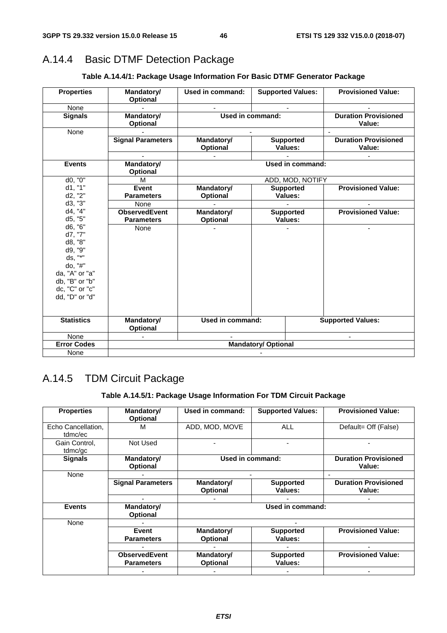### A.14.4 Basic DTMF Detection Package

#### **Properties | Mandatory/ Optional Used in command: Supported Values: Provisioned Value:** None | - | - - | - - | - - | - -**Signals Mandatory/ Optional**  Used in command: **Duration Provisioned Value:**  None - - - **Signal Parameters Mandatory/ Optional Supported Values: Duration Provisioned Value:**  - - - - **Events Mandatory/ Optional Used in command:** d0, "0" d1, "1"  $d2, "2"$ d3, "3" d4, "4" d5, "5" d6, "6" d7, "7" d8, "8" d9, "9" ds, "\*" do, "#" da, "A" or "a" db, "B" or "b" dc, "C" or "c" dd, "D" or "d" M ADD, MOD, NOTIFY **Event Parameters Mandatory/ Optional Supported Values: Provisioned Value:** None - - - **ObservedEvent Parameters Mandatory/ Optional Supported Values: Provisioned Value:** None - - - **Statistics Mandatory/ Optional Used in command: Supported Values:** None - - - **Error Codes Mandatory/ Optional** None and the set of the set of the set of the set of the set of the set of the set of the set of the set of th

#### **Table A.14.4/1: Package Usage Information For Basic DTMF Generator Package**

## A.14.5 TDM Circuit Package

#### **Table A.14.5/1: Package Usage Information For TDM Circuit Package**

| <b>Properties</b>  | Mandatory/               | Used in command: | <b>Supported Values:</b> | <b>Provisioned Value:</b>   |
|--------------------|--------------------------|------------------|--------------------------|-----------------------------|
|                    | <b>Optional</b>          |                  |                          |                             |
| Echo Cancellation, | м                        | ADD, MOD, MOVE   | ALL                      | Default= Off (False)        |
| tdmc/ec            |                          |                  |                          |                             |
| Gain Control,      | Not Used                 |                  |                          |                             |
| tdmc/gc            |                          |                  |                          |                             |
| <b>Signals</b>     | Mandatory/               | Used in command: |                          | <b>Duration Provisioned</b> |
|                    | <b>Optional</b>          |                  |                          | Value:                      |
| None               |                          |                  |                          |                             |
|                    | <b>Signal Parameters</b> | Mandatory/       | <b>Supported</b>         | <b>Duration Provisioned</b> |
|                    |                          | <b>Optional</b>  | Values:                  | Value:                      |
|                    |                          |                  |                          |                             |
| <b>Events</b>      | Mandatory/               |                  | Used in command:         |                             |
|                    | <b>Optional</b>          |                  |                          |                             |
| None               |                          |                  |                          |                             |
|                    | Event                    | Mandatory/       | <b>Supported</b>         | <b>Provisioned Value:</b>   |
|                    | <b>Parameters</b>        | <b>Optional</b>  | Values:                  |                             |
|                    |                          |                  |                          |                             |
|                    | <b>ObservedEvent</b>     | Mandatory/       | <b>Supported</b>         | <b>Provisioned Value:</b>   |
|                    | <b>Parameters</b>        | <b>Optional</b>  | Values:                  |                             |
|                    |                          |                  |                          |                             |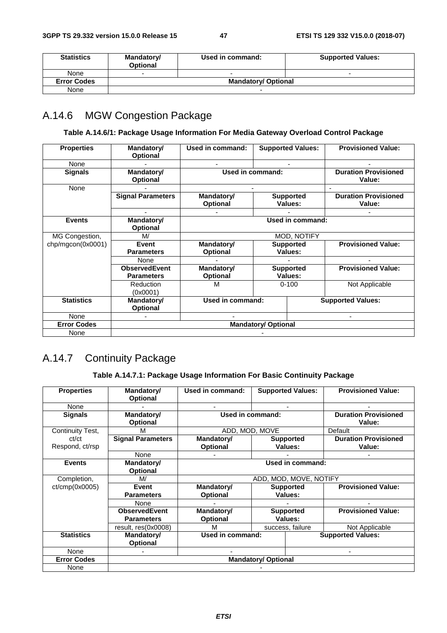| <b>Statistics</b>  | Mandatory/<br><b>Optional</b> | Used in command:           | <b>Supported Values:</b> |  |  |  |  |
|--------------------|-------------------------------|----------------------------|--------------------------|--|--|--|--|
| None               | $\overline{\phantom{a}}$      | -                          | -                        |  |  |  |  |
| <b>Error Codes</b> |                               | <b>Mandatory/ Optional</b> |                          |  |  |  |  |
| None               |                               |                            |                          |  |  |  |  |

# A.14.6 MGW Congestion Package

#### **Table A.14.6/1: Package Usage Information For Media Gateway Overload Control Package**

| <b>Properties</b>  | Mandatory/<br><b>Optional</b> | Used in command:                             |                            | <b>Supported Values:</b> | <b>Provisioned Value:</b>             |
|--------------------|-------------------------------|----------------------------------------------|----------------------------|--------------------------|---------------------------------------|
| None               |                               |                                              |                            |                          |                                       |
| <b>Signals</b>     | Mandatory/<br><b>Optional</b> | Used in command:                             |                            |                          | <b>Duration Provisioned</b><br>Value: |
| None               |                               |                                              |                            |                          |                                       |
|                    | <b>Signal Parameters</b>      | Mandatory/                                   |                            | <b>Supported</b>         | <b>Duration Provisioned</b>           |
|                    |                               | <b>Optional</b>                              |                            | Values:                  | Value:                                |
|                    |                               |                                              |                            |                          |                                       |
| <b>Events</b>      | Mandatory/                    |                                              |                            | Used in command:         |                                       |
|                    | <b>Optional</b>               |                                              |                            |                          |                                       |
| MG Congestion,     | M/                            |                                              |                            | MOD, NOTIFY              |                                       |
| chp/mgcon(0x0001)  | Event                         | Mandatory/                                   |                            | <b>Supported</b>         | <b>Provisioned Value:</b>             |
|                    | <b>Parameters</b>             | <b>Optional</b>                              | Values:                    |                          |                                       |
|                    | None                          |                                              |                            |                          |                                       |
|                    | <b>ObservedEvent</b>          | Mandatory/                                   |                            | <b>Supported</b>         | <b>Provisioned Value:</b>             |
|                    | <b>Parameters</b>             | <b>Optional</b>                              |                            | Values:                  |                                       |
|                    | Reduction                     | M                                            |                            | $0 - 100$                | Not Applicable                        |
|                    | (0x0001)                      |                                              |                            |                          |                                       |
| <b>Statistics</b>  | Mandatory/                    | Used in command:<br><b>Supported Values:</b> |                            |                          |                                       |
|                    | Optional                      |                                              |                            |                          |                                       |
| None               |                               |                                              |                            |                          |                                       |
| <b>Error Codes</b> |                               |                                              | <b>Mandatory/ Optional</b> |                          |                                       |
| None               |                               |                                              |                            |                          |                                       |

# A.14.7 Continuity Package

### **Table A.14.7.1: Package Usage Information For Basic Continuity Package**

| <b>Properties</b>        | Mandatory/<br><b>Optional</b>             | Used in command:              | <b>Supported Values:</b>    | <b>Provisioned Value:</b>             |  |  |  |                                       |
|--------------------------|-------------------------------------------|-------------------------------|-----------------------------|---------------------------------------|--|--|--|---------------------------------------|
| None                     |                                           |                               |                             |                                       |  |  |  |                                       |
| <b>Signals</b>           | Mandatory/<br><b>Optional</b>             | <b>Used in command:</b>       |                             |                                       |  |  |  | <b>Duration Provisioned</b><br>Value: |
| Continuity Test,         | M                                         |                               | ADD, MOD, MOVE              | Default                               |  |  |  |                                       |
| ct/ct<br>Respond, ct/rsp | <b>Signal Parameters</b>                  | Mandatory/<br><b>Optional</b> | <b>Supported</b><br>Values: | <b>Duration Provisioned</b><br>Value: |  |  |  |                                       |
|                          | None                                      |                               |                             |                                       |  |  |  |                                       |
| <b>Events</b>            | Mandatory/<br><b>Optional</b>             | <b>Used in command:</b>       |                             |                                       |  |  |  |                                       |
| Completion,              | M/                                        |                               | ADD, MOD, MOVE, NOTIFY      |                                       |  |  |  |                                       |
| ct/cmp(0x0005)           | Event<br><b>Parameters</b>                | Mandatory/<br><b>Optional</b> | <b>Supported</b><br>Values: | <b>Provisioned Value:</b>             |  |  |  |                                       |
|                          | None                                      |                               |                             |                                       |  |  |  |                                       |
|                          | <b>ObservedEvent</b><br><b>Parameters</b> | Mandatory/<br><b>Optional</b> | <b>Supported</b><br>Values: | <b>Provisioned Value:</b>             |  |  |  |                                       |
|                          | result, res(0x0008)                       | м                             | success, failure            | Not Applicable                        |  |  |  |                                       |
| <b>Statistics</b>        | Mandatory/<br><b>Optional</b>             | <b>Used in command:</b>       |                             | <b>Supported Values:</b>              |  |  |  |                                       |
| None                     |                                           |                               |                             |                                       |  |  |  |                                       |
| <b>Error Codes</b>       |                                           |                               | <b>Mandatory/ Optional</b>  |                                       |  |  |  |                                       |
| None                     |                                           |                               |                             |                                       |  |  |  |                                       |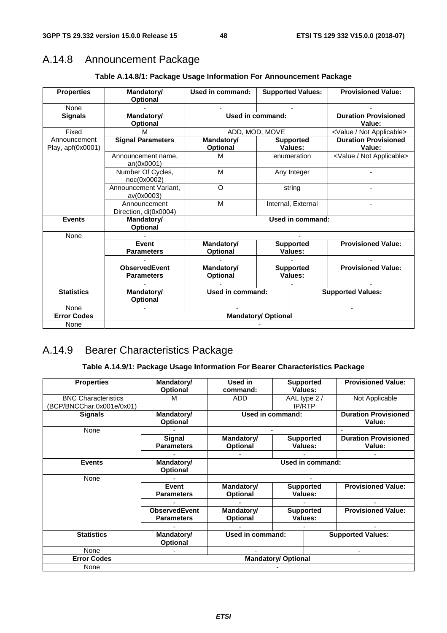# A.14.8 Announcement Package

| <b>Properties</b>                 | Mandatory/<br><b>Optional</b>             | Used in command:        |                             | <b>Supported Values:</b>    | <b>Provisioned Value:</b>             |
|-----------------------------------|-------------------------------------------|-------------------------|-----------------------------|-----------------------------|---------------------------------------|
| None                              |                                           |                         |                             |                             |                                       |
| <b>Signals</b>                    | <b>Mandatory/</b><br><b>Optional</b>      |                         | <b>Used in command:</b>     |                             | <b>Duration Provisioned</b><br>Value: |
| Fixed                             | M                                         |                         | ADD, MOD, MOVE              |                             | <value applicable="" not=""></value>  |
| Announcement<br>Play, apf(0x0001) | <b>Signal Parameters</b>                  | Mandatory/<br>Optional  | <b>Supported</b><br>Values: |                             | <b>Duration Provisioned</b><br>Value: |
|                                   | Announcement name,<br>an(0x0001)          | M                       |                             | enumeration                 | <value applicable="" not=""></value>  |
|                                   | Number Of Cycles,<br>noc(0x0002)          | M                       |                             | Any Integer                 |                                       |
|                                   | Announcement Variant,<br>av(0x0003)       | $\circ$                 | string                      |                             |                                       |
|                                   | Announcement<br>Direction, di(0x0004)     | M                       | Internal, External          |                             |                                       |
| <b>Events</b>                     | Mandatory/<br><b>Optional</b>             |                         |                             | <b>Used in command:</b>     |                                       |
| None                              |                                           |                         |                             |                             |                                       |
|                                   | Event<br><b>Parameters</b>                | Mandatory/<br>Optional  |                             | <b>Supported</b><br>Values: | <b>Provisioned Value:</b>             |
|                                   |                                           |                         |                             |                             |                                       |
|                                   | <b>ObservedEvent</b><br><b>Parameters</b> | Mandatory/<br>Optional  | <b>Supported</b><br>Values: |                             | <b>Provisioned Value:</b>             |
|                                   |                                           |                         |                             |                             |                                       |
| <b>Statistics</b>                 | Mandatory/<br>Optional                    | <b>Used in command:</b> | <b>Supported Values:</b>    |                             |                                       |
| None                              |                                           |                         |                             |                             |                                       |
| <b>Error Codes</b>                |                                           |                         | <b>Mandatory/ Optional</b>  |                             |                                       |
| None                              |                                           |                         |                             |                             |                                       |

### **Table A.14.8/1: Package Usage Information For Announcement Package**

# A.14.9 Bearer Characteristics Package

### **Table A.14.9/1: Package Usage Information For Bearer Characteristics Package**

| <b>Properties</b>          | Mandatory/                    | Used in                       | <b>Supported</b>            |  | <b>Provisioned Value:</b>             |
|----------------------------|-------------------------------|-------------------------------|-----------------------------|--|---------------------------------------|
| <b>BNC Characteristics</b> | <b>Optional</b><br>M          | command:<br><b>ADD</b>        | Values:<br>AAL type 2 /     |  | Not Applicable                        |
| (BCP/BNCChar,0x001e/0x01)  |                               |                               | <b>IP/RTP</b>               |  |                                       |
| <b>Signals</b>             | Mandatory/<br><b>Optional</b> |                               | Used in command:            |  | <b>Duration Provisioned</b><br>Value: |
| None                       |                               |                               |                             |  |                                       |
|                            | Signal<br><b>Parameters</b>   | Mandatory/<br><b>Optional</b> | <b>Supported</b><br>Values: |  | <b>Duration Provisioned</b><br>Value: |
|                            |                               |                               |                             |  |                                       |
| <b>Events</b>              | Mandatory/<br><b>Optional</b> |                               | <b>Used in command:</b>     |  |                                       |
| None                       |                               |                               |                             |  |                                       |
|                            | Event                         | Mandatory/                    | <b>Supported</b>            |  | <b>Provisioned Value:</b>             |
|                            | <b>Parameters</b>             | <b>Optional</b>               | Values:                     |  |                                       |
|                            |                               |                               |                             |  |                                       |
|                            | <b>ObservedEvent</b>          | Mandatory/                    | <b>Supported</b>            |  | <b>Provisioned Value:</b>             |
|                            | <b>Parameters</b>             | <b>Optional</b>               | Values:                     |  |                                       |
|                            |                               |                               |                             |  |                                       |
| <b>Statistics</b>          | Mandatory/<br><b>Optional</b> | Used in command:              |                             |  | <b>Supported Values:</b>              |
| None                       |                               |                               |                             |  |                                       |
| <b>Error Codes</b>         |                               |                               | <b>Mandatory/ Optional</b>  |  |                                       |
| None                       |                               |                               |                             |  |                                       |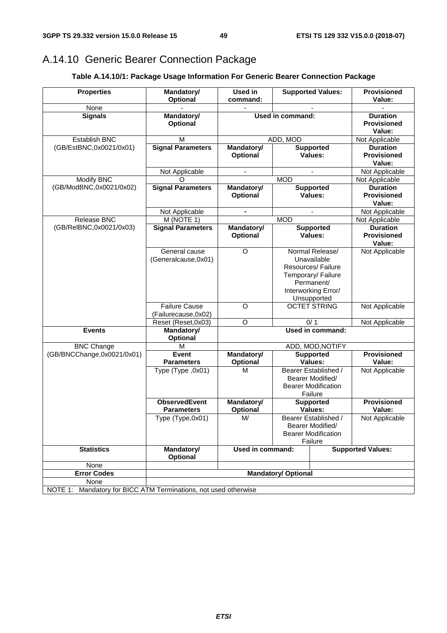# A.14.10 Generic Bearer Connection Package

### **Table A.14.10/1: Package Usage Information For Generic Bearer Connection Package**

| <b>Properties</b>          | Mandatory/<br>Optional                                  | <b>Used in</b><br>command:    |                                                                                   | <b>Supported Values:</b>                                                                                                       | <b>Provisioned</b><br>Value:                    |
|----------------------------|---------------------------------------------------------|-------------------------------|-----------------------------------------------------------------------------------|--------------------------------------------------------------------------------------------------------------------------------|-------------------------------------------------|
| None                       |                                                         |                               |                                                                                   |                                                                                                                                |                                                 |
| <b>Signals</b>             | <b>Mandatory/</b><br>Optional                           |                               | Used in command:                                                                  |                                                                                                                                | <b>Duration</b><br><b>Provisioned</b><br>Value: |
| Establish BNC              | м                                                       |                               | ADD, MOD                                                                          |                                                                                                                                | Not Applicable                                  |
| (GB/EstBNC,0x0021/0x01)    | <b>Signal Parameters</b>                                | Mandatory/<br>Optional        |                                                                                   | <b>Supported</b><br>Values:                                                                                                    | <b>Duration</b><br><b>Provisioned</b><br>Value: |
|                            | Not Applicable                                          | $\overline{\phantom{a}}$      |                                                                                   | $\overline{\phantom{a}}$                                                                                                       | Not Applicable                                  |
| <b>Modify BNC</b>          | O                                                       |                               | <b>MOD</b>                                                                        |                                                                                                                                | Not Applicable                                  |
| (GB/ModBNC,0x0021/0x02)    | <b>Signal Parameters</b>                                | Mandatory/<br><b>Optional</b> |                                                                                   | <b>Supported</b><br>Values:                                                                                                    | <b>Duration</b><br><b>Provisioned</b><br>Value: |
|                            | Not Applicable                                          | $\blacksquare$                |                                                                                   | $\overline{\phantom{a}}$                                                                                                       | Not Applicable                                  |
| <b>Release BNC</b>         | M (NOTE 1)                                              |                               | <b>MOD</b>                                                                        |                                                                                                                                | Not Applicable                                  |
| (GB/ReIBNC,0x0021/0x03)    | <b>Signal Parameters</b>                                | Mandatory/<br>Optional        |                                                                                   | <b>Supported</b><br>Values:                                                                                                    | <b>Duration</b><br><b>Provisioned</b><br>Value: |
|                            | General cause<br>(Generalcause, 0x01)                   | $\circ$                       |                                                                                   | Normal Release/<br>Unavailable<br>Resources/ Failure<br>Temporary/ Failure<br>Permanent/<br>Interworking Error/<br>Unsupported | Not Applicable                                  |
|                            | <b>Failure Cause</b><br>(Failurecause, 0x02)            | $\overline{O}$                |                                                                                   | <b>OCTET STRING</b>                                                                                                            | Not Applicable                                  |
|                            | Reset (Reset, 0x03)                                     | $\overline{O}$                | 0/1                                                                               |                                                                                                                                | Not Applicable                                  |
| <b>Events</b>              | Mandatory/<br>Optional                                  |                               |                                                                                   | <b>Used in command:</b>                                                                                                        |                                                 |
| <b>BNC Change</b>          | M                                                       |                               |                                                                                   | ADD, MOD, NOTIFY                                                                                                               |                                                 |
| (GB/BNCChange,0x0021/0x01) | <b>Event</b>                                            | Mandatory/                    |                                                                                   | <b>Supported</b>                                                                                                               | <b>Provisioned</b>                              |
|                            | <b>Parameters</b>                                       | Optional                      |                                                                                   | Values:                                                                                                                        | Value:                                          |
|                            | Type (Type, 0x01)                                       | М                             |                                                                                   | Bearer Established /<br>Bearer Modified/<br><b>Bearer Modification</b><br>Failure                                              | Not Applicable                                  |
|                            | <b>ObservedEvent</b><br><b>Parameters</b>               | Mandatory/<br>Optional        |                                                                                   | <b>Supported</b><br>Values:                                                                                                    | <b>Provisioned</b><br>Value:                    |
|                            | Type (Type, 0x01)                                       | M/                            | Bearer Established /<br>Bearer Modified/<br><b>Bearer Modification</b><br>Failure |                                                                                                                                | Not Applicable                                  |
| <b>Statistics</b>          | Mandatory/<br>Optional                                  | Used in command:              |                                                                                   |                                                                                                                                | <b>Supported Values:</b>                        |
| None                       |                                                         |                               |                                                                                   |                                                                                                                                |                                                 |
| <b>Error Codes</b>         |                                                         |                               | <b>Mandatory/ Optional</b>                                                        |                                                                                                                                |                                                 |
| None                       |                                                         |                               |                                                                                   |                                                                                                                                |                                                 |
| NOTE 1:                    | Mandatory for BICC ATM Terminations, not used otherwise |                               |                                                                                   |                                                                                                                                |                                                 |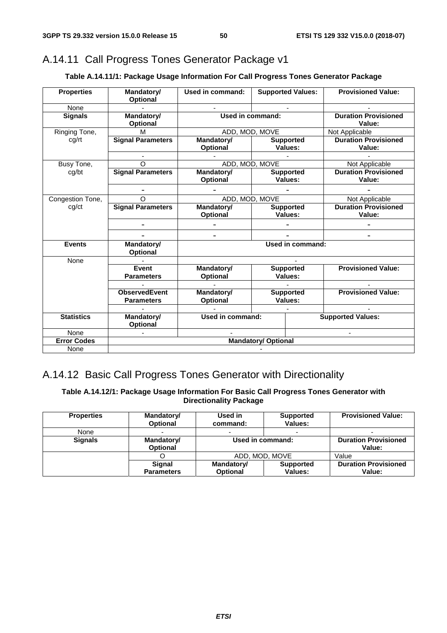# A.14.11 Call Progress Tones Generator Package v1

#### **Table A.14.11/1: Package Usage Information For Call Progress Tones Generator Package**

| <b>Properties</b>  | Mandatory/<br>Optional        | Used in command:              |                            | <b>Supported Values:</b>    | <b>Provisioned Value:</b>             |
|--------------------|-------------------------------|-------------------------------|----------------------------|-----------------------------|---------------------------------------|
| None               |                               |                               |                            |                             |                                       |
| <b>Signals</b>     | Mandatory/<br><b>Optional</b> | Used in command:              |                            |                             | <b>Duration Provisioned</b><br>Value: |
| Ringing Tone,      | м                             |                               | ADD, MOD, MOVE             |                             | Not Applicable                        |
| cg/rt              | <b>Signal Parameters</b>      | Mandatory/<br>Optional        |                            | <b>Supported</b><br>Values: | <b>Duration Provisioned</b><br>Value: |
|                    |                               |                               |                            |                             |                                       |
| Busy Tone,         | $\Omega$                      | ADD, MOD, MOVE                |                            |                             | Not Applicable                        |
| cg/bt              | <b>Signal Parameters</b>      | Mandatory/<br>Optional        |                            | <b>Supported</b><br>Values: | <b>Duration Provisioned</b><br>Value: |
|                    |                               |                               |                            |                             |                                       |
| Congestion Tone,   | $\Omega$                      |                               | ADD, MOD, MOVE             |                             | Not Applicable                        |
| cg/ct              | <b>Signal Parameters</b>      | Mandatory/<br><b>Optional</b> |                            | <b>Supported</b><br>Values: | <b>Duration Provisioned</b><br>Value: |
|                    |                               |                               |                            |                             |                                       |
|                    |                               |                               |                            |                             |                                       |
| <b>Events</b>      | Mandatory/<br>Optional        |                               |                            | Used in command:            |                                       |
| None               |                               |                               |                            |                             |                                       |
|                    | Event<br><b>Parameters</b>    | Mandatory/<br>Optional        |                            | <b>Supported</b><br>Values: | <b>Provisioned Value:</b>             |
|                    |                               |                               |                            |                             |                                       |
|                    | <b>ObservedEvent</b>          | <b>Mandatory/</b>             |                            | <b>Supported</b>            | <b>Provisioned Value:</b>             |
|                    | <b>Parameters</b>             | <b>Optional</b>               |                            | Values:                     |                                       |
|                    |                               |                               |                            |                             |                                       |
| <b>Statistics</b>  | Mandatory/<br>Optional        | Used in command:              |                            |                             | <b>Supported Values:</b>              |
| None               |                               |                               |                            |                             |                                       |
| <b>Error Codes</b> |                               |                               | <b>Mandatory/ Optional</b> |                             |                                       |
| None               |                               |                               |                            |                             |                                       |

### A.14.12 Basic Call Progress Tones Generator with Directionality

**Table A.14.12/1: Package Usage Information For Basic Call Progress Tones Generator with Directionality Package** 

| <b>Properties</b> | Mandatory/<br><b>Optional</b> | Used in<br>command:           | <b>Supported</b><br>Values: | <b>Provisioned Value:</b>             |
|-------------------|-------------------------------|-------------------------------|-----------------------------|---------------------------------------|
| None              |                               |                               |                             |                                       |
| <b>Signals</b>    | Mandatory/<br><b>Optional</b> | Used in command:              |                             | <b>Duration Provisioned</b><br>Value: |
|                   |                               | ADD, MOD, MOVE                |                             | Value                                 |
|                   | Signal<br><b>Parameters</b>   | Mandatory/<br><b>Optional</b> | <b>Supported</b><br>Values: | <b>Duration Provisioned</b><br>Value: |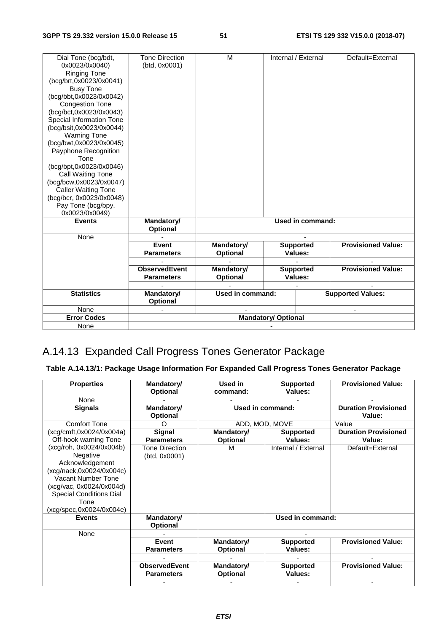| Dial Tone (bcg/bdt,        | Tone Direction       | M                |                            | Internal / External | Default=External          |
|----------------------------|----------------------|------------------|----------------------------|---------------------|---------------------------|
| 0x0023/0x0040)             | (btd, 0x0001)        |                  |                            |                     |                           |
| <b>Ringing Tone</b>        |                      |                  |                            |                     |                           |
| (bcg/brt,0x0023/0x0041)    |                      |                  |                            |                     |                           |
| <b>Busy Tone</b>           |                      |                  |                            |                     |                           |
| (bcg/bbt,0x0023/0x0042)    |                      |                  |                            |                     |                           |
| <b>Congestion Tone</b>     |                      |                  |                            |                     |                           |
| (bcg/bct,0x0023/0x0043)    |                      |                  |                            |                     |                           |
| Special Information Tone   |                      |                  |                            |                     |                           |
| (bcg/bsit,0x0023/0x0044)   |                      |                  |                            |                     |                           |
| <b>Warning Tone</b>        |                      |                  |                            |                     |                           |
| (bcg/bwt,0x0023/0x0045)    |                      |                  |                            |                     |                           |
| Payphone Recognition       |                      |                  |                            |                     |                           |
| Tone                       |                      |                  |                            |                     |                           |
| (bcg/bpt,0x0023/0x0046)    |                      |                  |                            |                     |                           |
| Call Waiting Tone          |                      |                  |                            |                     |                           |
| (bcg/bcw,0x0023/0x0047)    |                      |                  |                            |                     |                           |
| <b>Caller Waiting Tone</b> |                      |                  |                            |                     |                           |
| (bcg/bcr, 0x0023/0x0048)   |                      |                  |                            |                     |                           |
| Pay Tone (bcg/bpy,         |                      |                  |                            |                     |                           |
| 0x0023/0x0049)             |                      |                  |                            |                     |                           |
| <b>Events</b>              | Mandatory/           |                  |                            | Used in command:    |                           |
|                            | <b>Optional</b>      |                  |                            |                     |                           |
| None                       |                      |                  |                            |                     |                           |
|                            | Event                | Mandatory/       |                            | <b>Supported</b>    | <b>Provisioned Value:</b> |
|                            | <b>Parameters</b>    | <b>Optional</b>  | Values:                    |                     |                           |
|                            |                      |                  |                            |                     |                           |
|                            | <b>ObservedEvent</b> | Mandatory/       |                            | <b>Supported</b>    | <b>Provisioned Value:</b> |
|                            | <b>Parameters</b>    | <b>Optional</b>  |                            | Values:             |                           |
|                            |                      |                  |                            |                     |                           |
| <b>Statistics</b>          | Mandatory/           | Used in command: |                            |                     | <b>Supported Values:</b>  |
|                            | <b>Optional</b>      |                  |                            |                     |                           |
| None                       |                      |                  |                            |                     |                           |
| <b>Error Codes</b>         |                      |                  | <b>Mandatory/ Optional</b> |                     |                           |
| None                       |                      |                  |                            |                     |                           |

# A.14.13 Expanded Call Progress Tones Generator Package

**Table A.14.13/1: Package Usage Information For Expanded Call Progress Tones Generator Package** 

| <b>Properties</b>                                                                                                                                                                                           | Mandatory/<br><b>Optional</b>   | Used in<br><b>Supported</b><br>Values:<br>command: |                             | <b>Provisioned Value:</b>             |  |
|-------------------------------------------------------------------------------------------------------------------------------------------------------------------------------------------------------------|---------------------------------|----------------------------------------------------|-----------------------------|---------------------------------------|--|
| None                                                                                                                                                                                                        |                                 |                                                    |                             |                                       |  |
| <b>Signals</b>                                                                                                                                                                                              | Mandatory/<br><b>Optional</b>   |                                                    | Used in command:            |                                       |  |
| <b>Comfort Tone</b>                                                                                                                                                                                         | O                               | ADD, MOD, MOVE                                     |                             | Value                                 |  |
| (xcg/cmft,0x0024/0x004a)<br>Off-hook warning Tone                                                                                                                                                           | Signal<br><b>Parameters</b>     | Mandatory/<br><b>Optional</b>                      | <b>Supported</b><br>Values: | <b>Duration Provisioned</b><br>Value: |  |
| (xcg/roh, 0x0024/0x004b)<br>Negative<br>Acknowledgement<br>(xcg/nack,0x0024/0x004c)<br>Vacant Number Tone<br>(xcg/vac, 0x0024/0x004d)<br><b>Special Conditions Dial</b><br>Tone<br>(xcg/spec,0x0024/0x004e) | Tone Direction<br>(btd, 0x0001) | M                                                  | Internal / External         | Default=External                      |  |
| <b>Events</b>                                                                                                                                                                                               | Mandatory/<br><b>Optional</b>   | Used in command:                                   |                             |                                       |  |
| None                                                                                                                                                                                                        |                                 |                                                    |                             |                                       |  |
|                                                                                                                                                                                                             | Event<br><b>Parameters</b>      | Mandatory/<br><b>Optional</b>                      | <b>Supported</b><br>Values: | <b>Provisioned Value:</b>             |  |
|                                                                                                                                                                                                             |                                 |                                                    |                             |                                       |  |
|                                                                                                                                                                                                             | <b>ObservedEvent</b>            | Mandatory/                                         | <b>Supported</b>            | <b>Provisioned Value:</b>             |  |
|                                                                                                                                                                                                             | <b>Parameters</b>               | <b>Optional</b>                                    | Values:                     |                                       |  |
|                                                                                                                                                                                                             |                                 |                                                    |                             |                                       |  |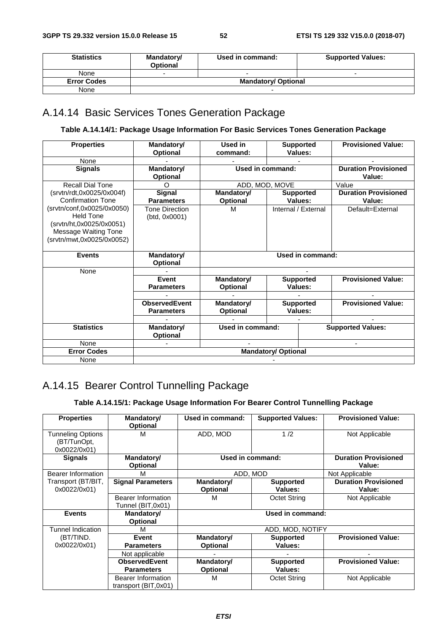| <b>Statistics</b>  | Mandatory/<br><b>Optional</b> | Used in command:           | <b>Supported Values:</b> |  |
|--------------------|-------------------------------|----------------------------|--------------------------|--|
| None               | -                             |                            |                          |  |
| <b>Error Codes</b> |                               | <b>Mandatory/ Optional</b> |                          |  |
| None               |                               | -                          |                          |  |

# A.14.14 Basic Services Tones Generation Package

#### **Table A.14.14/1: Package Usage Information For Basic Services Tones Generation Package**

| <b>Properties</b>                                                                                                                      | Mandatory/<br>Optional                    | Used in<br>command:           | <b>Supported</b><br>Values:           | <b>Provisioned Value:</b>   |
|----------------------------------------------------------------------------------------------------------------------------------------|-------------------------------------------|-------------------------------|---------------------------------------|-----------------------------|
| None                                                                                                                                   |                                           |                               |                                       |                             |
| <b>Signals</b>                                                                                                                         | Mandatory/<br>Optional                    | Used in command:              | <b>Duration Provisioned</b><br>Value: |                             |
| <b>Recall Dial Tone</b>                                                                                                                |                                           | ADD, MOD, MOVE                |                                       | Value                       |
| (srvtn/rdt,0x0025/0x004f)                                                                                                              | <b>Signal</b>                             | Mandatory/                    | <b>Supported</b>                      | <b>Duration Provisioned</b> |
| <b>Confirmation Tone</b>                                                                                                               | <b>Parameters</b>                         | Optional                      | Values:                               | Value:                      |
| (srvtn/conf,0x0025/0x0050)<br><b>Held Tone</b><br>(srvtn/ht,0x0025/0x0051)<br><b>Message Waiting Tone</b><br>(srvtn/mwt,0x0025/0x0052) | Tone Direction<br>(btd, 0x0001)           | м                             | Internal / External                   | Default=External            |
| <b>Events</b>                                                                                                                          | Mandatory/<br>Optional                    | Used in command:              |                                       |                             |
| None                                                                                                                                   |                                           |                               |                                       |                             |
|                                                                                                                                        | Event<br><b>Parameters</b>                | <b>Mandatory/</b><br>Optional | <b>Supported</b><br>Values:           | <b>Provisioned Value:</b>   |
|                                                                                                                                        |                                           |                               |                                       |                             |
|                                                                                                                                        | <b>ObservedEvent</b><br><b>Parameters</b> | Mandatory/<br><b>Optional</b> | <b>Supported</b><br>Values:           | <b>Provisioned Value:</b>   |
|                                                                                                                                        |                                           |                               |                                       |                             |
| <b>Statistics</b>                                                                                                                      | Mandatory/<br>Optional                    | Used in command:              |                                       | <b>Supported Values:</b>    |
| None                                                                                                                                   |                                           |                               |                                       |                             |
| <b>Error Codes</b>                                                                                                                     |                                           |                               | <b>Mandatory/ Optional</b>            |                             |
| None                                                                                                                                   |                                           |                               |                                       |                             |

# A.14.15 Bearer Control Tunnelling Package

#### **Table A.14.15/1: Package Usage Information For Bearer Control Tunnelling Package**

| <b>Properties</b>                                       | Mandatory/<br><b>Optional</b>              | Used in command:              | <b>Supported Values:</b>    | <b>Provisioned Value:</b>             |
|---------------------------------------------------------|--------------------------------------------|-------------------------------|-----------------------------|---------------------------------------|
| <b>Tunneling Options</b><br>(BT/TunOpt,<br>0x0022/0x01) | м                                          | ADD. MOD                      | 1/2                         | Not Applicable                        |
| <b>Signals</b>                                          | Mandatory/<br><b>Optional</b>              |                               | Used in command:            | <b>Duration Provisioned</b><br>Value: |
| Bearer Information                                      | м                                          |                               | ADD. MOD                    | Not Applicable                        |
| Transport (BT/BIT,<br>0x0022/0x01)                      | <b>Signal Parameters</b>                   | Mandatory/<br><b>Optional</b> | <b>Supported</b><br>Values: | <b>Duration Provisioned</b><br>Value: |
|                                                         | Bearer Information<br>Tunnel (BIT,0x01)    | M                             | <b>Octet String</b>         | Not Applicable                        |
| <b>Events</b>                                           | Mandatory/<br><b>Optional</b>              |                               | Used in command:            |                                       |
| <b>Tunnel Indication</b>                                | м                                          |                               | ADD, MOD, NOTIFY            |                                       |
| (BT/TIND.<br>0x0022/0x01)                               | Event<br><b>Parameters</b>                 | Mandatory/<br><b>Optional</b> | <b>Supported</b><br>Values: | <b>Provisioned Value:</b>             |
|                                                         | Not applicable                             |                               |                             |                                       |
|                                                         | <b>ObservedEvent</b><br><b>Parameters</b>  | Mandatory/<br><b>Optional</b> | <b>Supported</b><br>Values: | <b>Provisioned Value:</b>             |
|                                                         | Bearer Information<br>transport (BIT,0x01) | M                             | <b>Octet String</b>         | Not Applicable                        |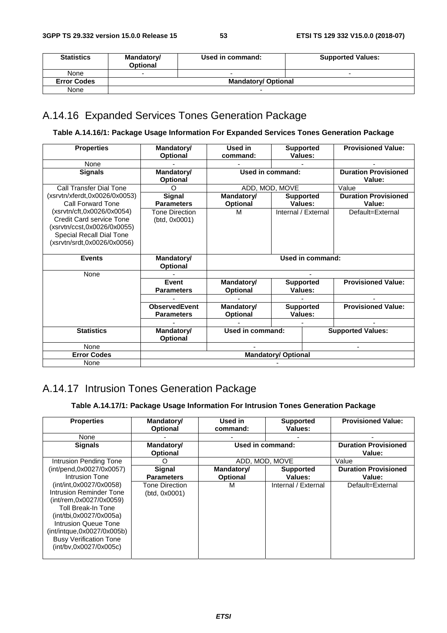| <b>Statistics</b>  | Mandatory/<br><b>Optional</b> | Used in command:           | <b>Supported Values:</b> |  |
|--------------------|-------------------------------|----------------------------|--------------------------|--|
| None               | $\overline{\phantom{0}}$      | -                          |                          |  |
| <b>Error Codes</b> |                               | <b>Mandatory/ Optional</b> |                          |  |
| None               |                               |                            |                          |  |

# A.14.16 Expanded Services Tones Generation Package

### **Table A.14.16/1: Package Usage Information For Expanded Services Tones Generation Package**

| <b>Properties</b>             | Mandatory/             | Used in                       | <b>Supported</b><br>Values: |                             | <b>Provisioned Value:</b>   |
|-------------------------------|------------------------|-------------------------------|-----------------------------|-----------------------------|-----------------------------|
|                               | <b>Optional</b>        | command:                      |                             |                             |                             |
| None                          |                        |                               |                             |                             |                             |
| <b>Signals</b>                | Mandatory/             | Used in command:              |                             | <b>Duration Provisioned</b> |                             |
|                               | <b>Optional</b>        |                               |                             |                             | Value:                      |
| Call Transfer Dial Tone       | $\Omega$               |                               | ADD, MOD, MOVE              |                             | Value                       |
| (xsrvtn/xferdt,0x0026/0x0053) | <b>Signal</b>          | Mandatory/                    | <b>Supported</b>            |                             | <b>Duration Provisioned</b> |
| Call Forward Tone             | <b>Parameters</b>      | <b>Optional</b>               | Values:                     |                             | Value:                      |
| (xsrvtn/cft,0x0026/0x0054)    | Tone Direction         | м                             | Internal / External         |                             | Default=External            |
| Credit Card service Tone      | (btd, 0x0001)          |                               |                             |                             |                             |
| (xsrvtn/ccst,0x0026/0x0055)   |                        |                               |                             |                             |                             |
| Special Recall Dial Tone      |                        |                               |                             |                             |                             |
| (xsrvtn/srdt,0x0026/0x0056)   |                        |                               |                             |                             |                             |
|                               |                        |                               |                             |                             |                             |
|                               |                        | Used in command:              |                             |                             |                             |
| <b>Events</b>                 |                        |                               |                             |                             |                             |
|                               | Mandatory/<br>Optional |                               |                             |                             |                             |
| None                          |                        |                               |                             |                             |                             |
|                               | Event                  |                               |                             |                             | <b>Provisioned Value:</b>   |
|                               | <b>Parameters</b>      | Mandatory/<br><b>Optional</b> | <b>Supported</b><br>Values: |                             |                             |
|                               |                        |                               |                             |                             |                             |
|                               | <b>ObservedEvent</b>   |                               | <b>Supported</b>            |                             | <b>Provisioned Value:</b>   |
|                               | <b>Parameters</b>      | Mandatory/<br><b>Optional</b> | Values:                     |                             |                             |
|                               |                        |                               |                             |                             |                             |
| <b>Statistics</b>             | Mandatory/             | Used in command:              |                             |                             | <b>Supported Values:</b>    |
|                               | <b>Optional</b>        |                               |                             |                             |                             |
| None                          |                        |                               |                             |                             |                             |
| <b>Error Codes</b>            |                        |                               | <b>Mandatory/ Optional</b>  |                             |                             |

# A.14.17 Intrusion Tones Generation Package

#### **Table A.14.17/1: Package Usage Information For Intrusion Tones Generation Package**

| <b>Properties</b>                                                                                                                                                                                                                                       | Mandatory/<br><b>Optional</b>      | Used in<br>command:           | <b>Supported</b><br>Values: | <b>Provisioned Value:</b>             |
|---------------------------------------------------------------------------------------------------------------------------------------------------------------------------------------------------------------------------------------------------------|------------------------------------|-------------------------------|-----------------------------|---------------------------------------|
| None                                                                                                                                                                                                                                                    |                                    |                               |                             |                                       |
| <b>Signals</b>                                                                                                                                                                                                                                          | Mandatory/<br><b>Optional</b>      |                               | Used in command:            | <b>Duration Provisioned</b><br>Value: |
| Intrusion Pending Tone                                                                                                                                                                                                                                  | O                                  | ADD, MOD, MOVE                |                             | Value                                 |
| (int/pend,0x0027/0x0057)<br>Intrusion Tone                                                                                                                                                                                                              | <b>Signal</b><br><b>Parameters</b> | Mandatory/<br><b>Optional</b> | <b>Supported</b><br>Values: | <b>Duration Provisioned</b><br>Value: |
| (int/int,0x0027/0x0058)<br>Intrusion Reminder Tone<br>(int/rem.0x0027/0x0059)<br>Toll Break-In Tone<br>(int/tbi,0x0027/0x005a)<br><b>Intrusion Queue Tone</b><br>(int/intque, 0x0027/0x005b)<br><b>Busy Verification Tone</b><br>(int/bv.0x0027/0x005c) | Tone Direction<br>(btd, 0x0001)    | М                             | Internal / External         | Default=External                      |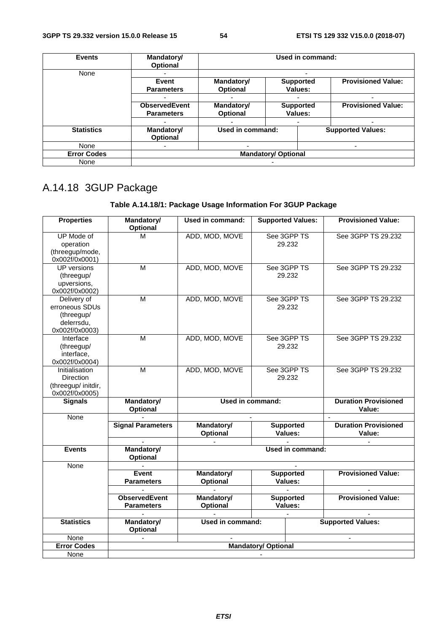| <b>Events</b>      | Mandatory/<br><b>Optional</b> | Used in command:              |                             |  |                           |
|--------------------|-------------------------------|-------------------------------|-----------------------------|--|---------------------------|
| None               |                               |                               |                             |  |                           |
|                    | Event<br><b>Parameters</b>    | Mandatory/<br><b>Optional</b> | <b>Supported</b><br>Values: |  | <b>Provisioned Value:</b> |
|                    |                               |                               |                             |  |                           |
|                    | <b>ObservedEvent</b>          | Mandatory/                    | <b>Supported</b>            |  | <b>Provisioned Value:</b> |
|                    | <b>Parameters</b>             | <b>Optional</b>               | Values:                     |  |                           |
|                    |                               |                               |                             |  |                           |
| <b>Statistics</b>  | Mandatory/<br><b>Optional</b> | Used in command:              |                             |  | <b>Supported Values:</b>  |
| None               |                               |                               |                             |  |                           |
| <b>Error Codes</b> |                               | <b>Mandatory/ Optional</b>    |                             |  |                           |
| None               |                               |                               |                             |  |                           |

# A.14.18 3GUP Package

### **Table A.14.18/1: Package Usage Information For 3GUP Package**

| <b>Properties</b>                                                           | Mandatory/<br><b>Optional</b>             | Used in command:                     |                            | <b>Supported Values:</b>    | <b>Provisioned Value:</b>             |
|-----------------------------------------------------------------------------|-------------------------------------------|--------------------------------------|----------------------------|-----------------------------|---------------------------------------|
| UP Mode of<br>operation<br>(threegup/mode,<br>0x002f/0x0001)                | M                                         | ADD, MOD, MOVE                       |                            | See 3GPP TS<br>29.232       | See 3GPP TS 29.232                    |
| <b>UP</b> versions<br>(threegup/<br>upversions,<br>0x002f/0x0002)           | M                                         | ADD, MOD, MOVE                       |                            | See 3GPP TS<br>29.232       | See 3GPP TS 29.232                    |
| Delivery of<br>erroneous SDUs<br>(threegup/<br>delerrsdu,<br>0x002f/0x0003) | М                                         | ADD, MOD, MOVE                       |                            | See 3GPP TS<br>29.232       | See 3GPP TS 29.232                    |
| Interface<br>(threegup/<br>interface,<br>0x002f/0x0004)                     | M                                         | ADD, MOD, MOVE                       |                            | See 3GPP TS<br>29.232       | See 3GPP TS 29.232                    |
| Initialisation<br>Direction<br>(threegup/ initdir,<br>0x002f/0x0005)        | M                                         | ADD, MOD, MOVE                       |                            | See 3GPP TS<br>29.232       | See 3GPP TS 29.232                    |
| <b>Signals</b>                                                              | <b>Mandatory/</b><br>Optional             |                                      | Used in command:           |                             | <b>Duration Provisioned</b><br>Value: |
| None                                                                        |                                           |                                      |                            |                             |                                       |
|                                                                             | <b>Signal Parameters</b>                  | Mandatory/<br>Optional               |                            | <b>Supported</b><br>Values: | <b>Duration Provisioned</b><br>Value: |
|                                                                             |                                           |                                      |                            |                             |                                       |
| <b>Events</b>                                                               | <b>Mandatory/</b><br><b>Optional</b>      |                                      |                            | <b>Used in command:</b>     |                                       |
| None                                                                        |                                           |                                      |                            |                             |                                       |
|                                                                             | <b>Event</b>                              | <b>Mandatory/</b>                    |                            | <b>Supported</b>            | <b>Provisioned Value:</b>             |
|                                                                             | <b>Parameters</b>                         | Optional                             |                            | <b>Values:</b>              |                                       |
|                                                                             |                                           |                                      |                            |                             |                                       |
|                                                                             | <b>ObservedEvent</b><br><b>Parameters</b> | <b>Mandatory/</b><br><b>Optional</b> |                            | <b>Supported</b><br>Values: | <b>Provisioned Value:</b>             |
|                                                                             |                                           |                                      |                            |                             |                                       |
| <b>Statistics</b>                                                           | Mandatory/<br><b>Optional</b>             | <b>Used in command:</b>              |                            |                             | <b>Supported Values:</b>              |
| None                                                                        |                                           |                                      |                            |                             | $\blacksquare$                        |
| <b>Error Codes</b><br>None                                                  |                                           |                                      | <b>Mandatory/ Optional</b> |                             |                                       |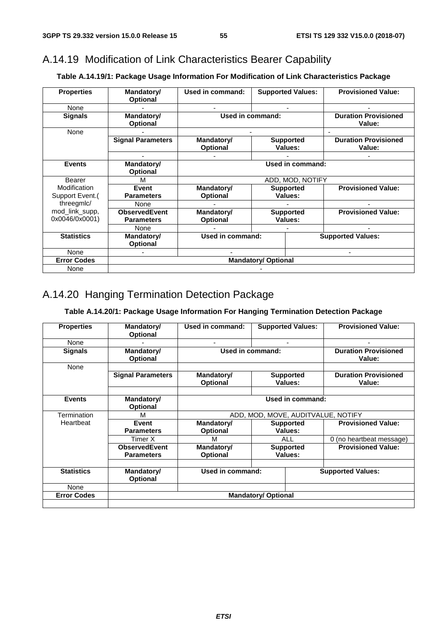# A.14.19 Modification of Link Characteristics Bearer Capability

|  | Table A.14.19/1: Package Usage Information For Modification of Link Characteristics Package |
|--|---------------------------------------------------------------------------------------------|
|--|---------------------------------------------------------------------------------------------|

| <b>Properties</b>  | Mandatory/<br><b>Optional</b> | Used in command:              | <b>Supported Values:</b>    | <b>Provisioned Value:</b>             |  |  |
|--------------------|-------------------------------|-------------------------------|-----------------------------|---------------------------------------|--|--|
| None               |                               |                               |                             |                                       |  |  |
| <b>Signals</b>     | Mandatory/<br><b>Optional</b> |                               | Used in command:            | <b>Duration Provisioned</b><br>Value: |  |  |
| None               |                               |                               |                             |                                       |  |  |
|                    | <b>Signal Parameters</b>      | Mandatory/<br><b>Optional</b> | <b>Supported</b><br>Values: | <b>Duration Provisioned</b><br>Value: |  |  |
|                    |                               |                               |                             |                                       |  |  |
| <b>Events</b>      | Mandatory/                    | Used in command:              |                             |                                       |  |  |
|                    | <b>Optional</b>               |                               |                             |                                       |  |  |
| Bearer             | М                             |                               | ADD, MOD, NOTIFY            |                                       |  |  |
| Modification       | Event                         | Mandatory/                    | <b>Supported</b>            | <b>Provisioned Value:</b>             |  |  |
| Support Event.(    | <b>Parameters</b>             | <b>Optional</b>               | Values:                     |                                       |  |  |
| threegmlc/         | None                          |                               |                             |                                       |  |  |
| mod_link_supp,     | <b>ObservedEvent</b>          | Mandatory/                    | <b>Supported</b>            | <b>Provisioned Value:</b>             |  |  |
| 0x0046/0x0001)     | <b>Parameters</b>             | <b>Optional</b>               | Values:                     |                                       |  |  |
|                    | None                          |                               |                             |                                       |  |  |
| <b>Statistics</b>  | Mandatory/<br><b>Optional</b> | <b>Used in command:</b>       |                             | <b>Supported Values:</b>              |  |  |
| None               |                               |                               |                             |                                       |  |  |
| <b>Error Codes</b> |                               | <b>Mandatory/ Optional</b>    |                             |                                       |  |  |
| None               |                               |                               |                             |                                       |  |  |

# A.14.20 Hanging Termination Detection Package

### **Table A.14.20/1: Package Usage Information For Hanging Termination Detection Package**

| <b>Properties</b>  | Mandatory/<br><b>Optional</b>             | Used in command:              | <b>Supported Values:</b>              | <b>Provisioned Value:</b>             |  |
|--------------------|-------------------------------------------|-------------------------------|---------------------------------------|---------------------------------------|--|
| None               |                                           |                               |                                       |                                       |  |
| <b>Signals</b>     | Mandatory/<br><b>Optional</b>             | Used in command:              | <b>Duration Provisioned</b><br>Value: |                                       |  |
| None               |                                           |                               |                                       |                                       |  |
|                    | <b>Signal Parameters</b>                  | Mandatory/<br>Optional        | <b>Supported</b><br>Values:           | <b>Duration Provisioned</b><br>Value: |  |
|                    |                                           |                               |                                       |                                       |  |
| <b>Events</b>      | Mandatory/<br><b>Optional</b>             | Used in command:              |                                       |                                       |  |
| Termination        | М                                         |                               | ADD, MOD, MOVE, AUDITVALUE, NOTIFY    |                                       |  |
| Heartbeat          | Event<br><b>Parameters</b>                | Mandatory/<br><b>Optional</b> | <b>Supported</b><br>Values:           | <b>Provisioned Value:</b>             |  |
|                    | Timer X                                   | М                             | ALL                                   | 0 (no heartbeat message)              |  |
|                    | <b>ObservedEvent</b><br><b>Parameters</b> | Mandatory/<br><b>Optional</b> | <b>Supported</b><br>Values:           | <b>Provisioned Value:</b>             |  |
| <b>Statistics</b>  | Mandatory/<br><b>Optional</b>             | Used in command:              |                                       | <b>Supported Values:</b>              |  |
| None               |                                           |                               |                                       |                                       |  |
| <b>Error Codes</b> |                                           | <b>Mandatory/ Optional</b>    |                                       |                                       |  |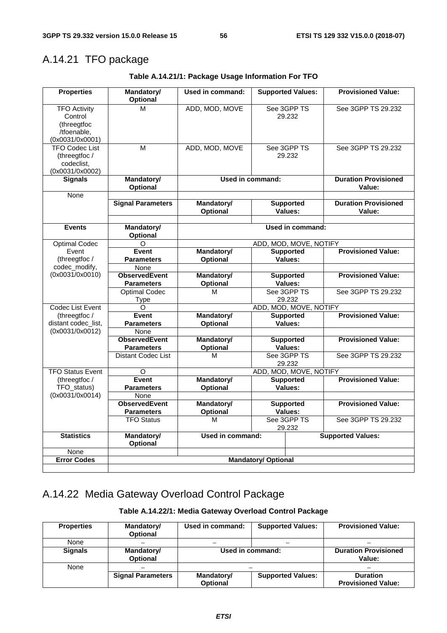# A.14.21 TFO package

| <b>Properties</b>                | <b>Mandatory/</b><br>Optional | Used in command:  |                             | <b>Supported Values:</b> | <b>Provisioned Value:</b>   |  |
|----------------------------------|-------------------------------|-------------------|-----------------------------|--------------------------|-----------------------------|--|
|                                  |                               |                   |                             |                          |                             |  |
| <b>TFO Activity</b>              | M                             | ADD, MOD, MOVE    |                             | See 3GPP TS              | See 3GPP TS 29.232          |  |
| Control                          |                               |                   |                             | 29.232                   |                             |  |
| (threegtfoc                      |                               |                   |                             |                          |                             |  |
| /tfoenable,                      |                               |                   |                             |                          |                             |  |
| (0x0031/0x0001)                  |                               |                   |                             |                          |                             |  |
| <b>TFO Codec List</b>            | M                             | ADD, MOD, MOVE    |                             | See 3GPP TS              | See 3GPP TS 29.232          |  |
| (threegtfoc /<br>codeclist,      |                               |                   |                             | 29.232                   |                             |  |
| (0x0031/0x0002)                  |                               |                   |                             |                          |                             |  |
| <b>Signals</b>                   | Mandatory/                    | Used in command:  |                             |                          | <b>Duration Provisioned</b> |  |
|                                  | Optional                      |                   |                             |                          | Value:                      |  |
| None                             |                               |                   |                             |                          |                             |  |
|                                  | <b>Signal Parameters</b>      | <b>Mandatory/</b> |                             | <b>Supported</b>         | <b>Duration Provisioned</b> |  |
|                                  |                               | <b>Optional</b>   |                             | Values:                  | Value:                      |  |
|                                  |                               |                   |                             |                          |                             |  |
| <b>Events</b>                    | Mandatory/                    | Used in command:  |                             |                          |                             |  |
|                                  | Optional                      |                   |                             |                          |                             |  |
| <b>Optimal Codec</b>             | $\Omega$                      |                   |                             | ADD, MOD, MOVE, NOTIFY   |                             |  |
| Event                            | Event                         | Mandatory/        |                             | <b>Supported</b>         | <b>Provisioned Value:</b>   |  |
| (threegtfoc /                    | <b>Parameters</b>             | <b>Optional</b>   | Values:                     |                          |                             |  |
| codec_modify,<br>(0x0031/0x0010) | None                          |                   |                             |                          |                             |  |
|                                  | <b>ObservedEvent</b>          | Mandatory/        | <b>Supported</b><br>Values: |                          | <b>Provisioned Value:</b>   |  |
|                                  | <b>Parameters</b>             | Optional          |                             |                          |                             |  |
|                                  | <b>Optimal Codec</b>          | М                 |                             | See 3GPP TS<br>29.232    | See 3GPP TS 29.232          |  |
| Codec List Event                 | Type<br>Ω                     |                   |                             | ADD, MOD, MOVE, NOTIFY   |                             |  |
| (threegtfoc /                    | <b>Event</b>                  | <b>Mandatory/</b> |                             | <b>Supported</b>         | <b>Provisioned Value:</b>   |  |
| distant codec_list,              | <b>Parameters</b>             | Optional          |                             | Values:                  |                             |  |
| (0x0031/0x0012)                  | None                          |                   |                             |                          |                             |  |
|                                  | <b>ObservedEvent</b>          | <b>Mandatory/</b> |                             | <b>Supported</b>         | <b>Provisioned Value:</b>   |  |
|                                  | <b>Parameters</b>             | <b>Optional</b>   |                             | Values:                  |                             |  |
|                                  | <b>Distant Codec List</b>     | М                 |                             | See 3GPP TS              | See 3GPP TS 29.232          |  |
|                                  |                               |                   |                             | 29.232                   |                             |  |
| <b>TFO Status Event</b>          | $\Omega$                      |                   |                             | ADD, MOD, MOVE, NOTIFY   |                             |  |
| (threegtfoc /                    | Event                         | <b>Mandatory/</b> |                             | <b>Supported</b>         | <b>Provisioned Value:</b>   |  |
| TFO_status)                      | <b>Parameters</b>             | <b>Optional</b>   |                             | Values:                  |                             |  |
| (0x0031/0x0014)                  | None                          |                   |                             |                          |                             |  |
|                                  | <b>ObservedEvent</b>          | <b>Mandatory/</b> |                             | <b>Supported</b>         | <b>Provisioned Value:</b>   |  |
|                                  | <b>Parameters</b>             | Optional          |                             | Values:                  |                             |  |
|                                  | <b>TFO Status</b>             | M                 |                             | See 3GPP TS<br>29.232    | See 3GPP TS 29.232          |  |
| <b>Statistics</b>                | Mandatory/                    | Used in command:  |                             |                          | <b>Supported Values:</b>    |  |
|                                  | Optional                      |                   |                             |                          |                             |  |
| None                             |                               |                   |                             |                          |                             |  |
| <b>Error Codes</b>               |                               |                   | <b>Mandatory/ Optional</b>  |                          |                             |  |
|                                  |                               |                   |                             |                          |                             |  |

# A.14.22 Media Gateway Overload Control Package

#### **Table A.14.22/1: Media Gateway Overload Control Package**

| <b>Properties</b> | Mandatory/<br>Optional        | Used in command:              | <b>Supported Values:</b> | <b>Provisioned Value:</b>                    |
|-------------------|-------------------------------|-------------------------------|--------------------------|----------------------------------------------|
| None              |                               |                               | $\overline{\phantom{0}}$ | -                                            |
| <b>Signals</b>    | Mandatory/<br><b>Optional</b> | Used in command:              |                          | <b>Duration Provisioned</b><br>Value:        |
| None              |                               |                               |                          |                                              |
|                   | <b>Signal Parameters</b>      | Mandatory/<br><b>Optional</b> | <b>Supported Values:</b> | <b>Duration</b><br><b>Provisioned Value:</b> |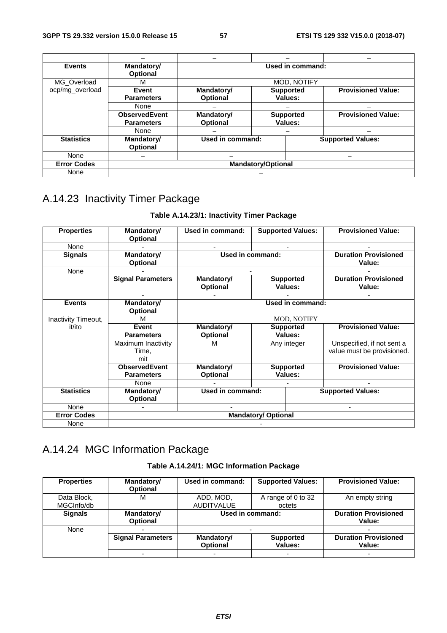| <b>Events</b>      | Mandatory/           | Used in command:          |                  |                           |  |  |
|--------------------|----------------------|---------------------------|------------------|---------------------------|--|--|
|                    | <b>Optional</b>      |                           |                  |                           |  |  |
| MG_Overload        | М                    |                           | MOD, NOTIFY      |                           |  |  |
| ocp/mg_overload    | Event                | Mandatory/                | <b>Supported</b> | <b>Provisioned Value:</b> |  |  |
|                    | <b>Parameters</b>    | <b>Optional</b>           | Values:          |                           |  |  |
|                    | None                 |                           |                  |                           |  |  |
|                    | <b>ObservedEvent</b> | Mandatory/                | <b>Supported</b> | <b>Provisioned Value:</b> |  |  |
|                    | <b>Parameters</b>    | <b>Optional</b>           | Values:          |                           |  |  |
|                    | None                 |                           |                  |                           |  |  |
| <b>Statistics</b>  | Mandatory/           | Used in command:          |                  | <b>Supported Values:</b>  |  |  |
|                    | <b>Optional</b>      |                           |                  |                           |  |  |
| None               |                      |                           |                  |                           |  |  |
| <b>Error Codes</b> |                      | <b>Mandatory/Optional</b> |                  |                           |  |  |
| None               |                      |                           |                  |                           |  |  |

# A.14.23 Inactivity Timer Package

### **Table A.14.23/1: Inactivity Timer Package**

| <b>Properties</b>   | Mandatory/<br><b>Optional</b>             | Used in command:              |                                                                                  | <b>Supported Values:</b>    | <b>Provisioned Value:</b>                                |  |
|---------------------|-------------------------------------------|-------------------------------|----------------------------------------------------------------------------------|-----------------------------|----------------------------------------------------------|--|
| None                |                                           |                               |                                                                                  |                             |                                                          |  |
| <b>Signals</b>      | Mandatory/<br>Optional                    |                               | Used in command:                                                                 |                             | <b>Duration Provisioned</b><br>Value:                    |  |
| None                |                                           |                               |                                                                                  |                             |                                                          |  |
|                     | <b>Signal Parameters</b>                  | Mandatory/<br><b>Optional</b> |                                                                                  | <b>Supported</b><br>Values: | <b>Duration Provisioned</b><br>Value:                    |  |
|                     |                                           |                               |                                                                                  |                             |                                                          |  |
| <b>Events</b>       | Mandatory/<br><b>Optional</b>             | Used in command:              |                                                                                  |                             |                                                          |  |
| Inactivity Timeout, | M                                         | <b>MOD, NOTIFY</b>            |                                                                                  |                             |                                                          |  |
| it/ito              | <b>Event</b><br><b>Parameters</b>         | Mandatory/<br><b>Optional</b> | <b>Supported</b><br>Values:<br>Any integer<br><b>Supported</b><br><b>Values:</b> |                             | <b>Provisioned Value:</b>                                |  |
|                     | Maximum Inactivity<br>Time,<br>mit        | м                             |                                                                                  |                             | Unspecified, if not sent a<br>value must be provisioned. |  |
|                     | <b>ObservedEvent</b><br><b>Parameters</b> | Mandatory/<br><b>Optional</b> |                                                                                  |                             | <b>Provisioned Value:</b>                                |  |
|                     | None                                      |                               |                                                                                  |                             |                                                          |  |
| <b>Statistics</b>   | Mandatory/<br><b>Optional</b>             |                               | <b>Used in command:</b><br><b>Supported Values:</b>                              |                             |                                                          |  |
| None                |                                           |                               |                                                                                  |                             |                                                          |  |
| <b>Error Codes</b>  | <b>Mandatory/ Optional</b>                |                               |                                                                                  |                             |                                                          |  |
| None                |                                           |                               |                                                                                  |                             |                                                          |  |

# A.14.24 MGC Information Package

### **Table A.14.24/1: MGC Information Package**

| <b>Properties</b>         | Mandatory/<br><b>Optional</b> | Used in command:               | <b>Supported Values:</b>     | <b>Provisioned Value:</b>             |
|---------------------------|-------------------------------|--------------------------------|------------------------------|---------------------------------------|
| Data Block,<br>MGCInfo/db | М                             | ADD, MOD,<br><b>AUDITVALUE</b> | A range of 0 to 32<br>octets | An empty string                       |
| <b>Signals</b>            | Mandatory/<br><b>Optional</b> | Used in command:               |                              | <b>Duration Provisioned</b><br>Value: |
| None                      |                               |                                |                              | -                                     |
|                           | <b>Signal Parameters</b>      | Mandatory/<br><b>Optional</b>  | <b>Supported</b><br>Values:  | <b>Duration Provisioned</b><br>Value: |
|                           |                               |                                | $\overline{\phantom{0}}$     | -                                     |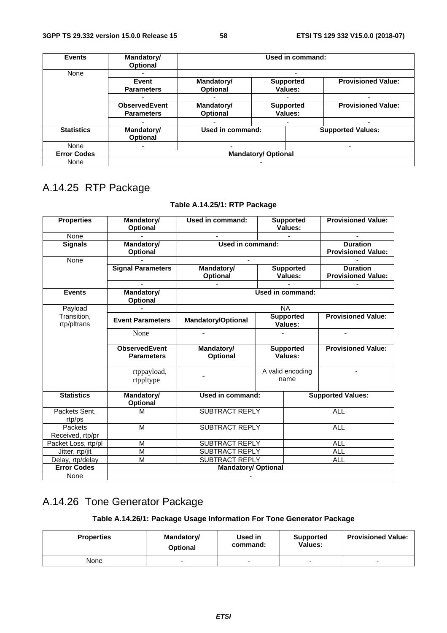| <b>Events</b>      | Mandatory/<br><b>Optional</b> |                                              | Used in command: |                           |  |
|--------------------|-------------------------------|----------------------------------------------|------------------|---------------------------|--|
| None               |                               |                                              |                  |                           |  |
|                    | Event                         | Mandatory/                                   | <b>Supported</b> | <b>Provisioned Value:</b> |  |
|                    | <b>Parameters</b>             | <b>Optional</b>                              | Values:          |                           |  |
|                    | -                             |                                              |                  |                           |  |
|                    | <b>ObservedEvent</b>          | Mandatory/                                   | <b>Supported</b> | <b>Provisioned Value:</b> |  |
|                    | <b>Parameters</b>             | <b>Optional</b>                              | Values:          |                           |  |
|                    | -                             |                                              |                  |                           |  |
| <b>Statistics</b>  | Mandatory/<br>Optional        | Used in command:<br><b>Supported Values:</b> |                  |                           |  |
| None               | $\overline{\phantom{0}}$      |                                              |                  |                           |  |
| <b>Error Codes</b> | <b>Mandatory/ Optional</b>    |                                              |                  |                           |  |
| None               |                               |                                              |                  |                           |  |

# A.14.25 RTP Package

#### **Table A.14.25/1: RTP Package**

| <b>Properties</b>           | Mandatory/<br>Optional                    | <b>Used in command:</b>       | <b>Supported</b><br>Values:                             |                  | <b>Provisioned Value:</b>                    |
|-----------------------------|-------------------------------------------|-------------------------------|---------------------------------------------------------|------------------|----------------------------------------------|
| None                        |                                           |                               |                                                         |                  |                                              |
| <b>Signals</b>              | <b>Mandatory/</b><br>Optional             | Used in command:              |                                                         |                  | <b>Duration</b><br><b>Provisioned Value:</b> |
| None                        |                                           |                               |                                                         |                  |                                              |
|                             | <b>Signal Parameters</b>                  | Mandatory/<br>Optional        | <b>Supported</b><br>Values:                             |                  | <b>Duration</b><br><b>Provisioned Value:</b> |
|                             |                                           |                               |                                                         |                  |                                              |
| <b>Events</b>               | <b>Mandatory/</b><br>Optional             |                               |                                                         | Used in command: |                                              |
| Payload                     |                                           |                               |                                                         | <b>NA</b>        |                                              |
| Transition,<br>rtp/pltrans  | <b>Event Parameters</b>                   | <b>Mandatory/Optional</b>     | <b>Supported</b><br>Values:                             |                  | <b>Provisioned Value:</b>                    |
|                             | None                                      |                               | <b>Supported</b><br>Values:<br>A valid encoding<br>name |                  |                                              |
|                             | <b>ObservedEvent</b><br><b>Parameters</b> | Mandatory/<br><b>Optional</b> |                                                         |                  | <b>Provisioned Value:</b>                    |
|                             | rtppayload,<br>rtppltype                  |                               |                                                         |                  |                                              |
| <b>Statistics</b>           | Mandatory/<br>Optional                    | Used in command:              |                                                         |                  | <b>Supported Values:</b>                     |
| Packets Sent,<br>rtp/ps     | M                                         | <b>SUBTRACT REPLY</b>         |                                                         |                  | <b>ALL</b>                                   |
| Packets<br>Received, rtp/pr | M                                         | SUBTRACT REPLY                |                                                         | <b>ALL</b>       |                                              |
| Packet Loss, rtp/pl         | M                                         | <b>SUBTRACT REPLY</b>         |                                                         |                  | <b>ALL</b>                                   |
| Jitter, rtp/jit             | M                                         | <b>SUBTRACT REPLY</b>         |                                                         |                  | <b>ALL</b>                                   |
| Delay, rtp/delay            | M                                         | <b>SUBTRACT REPLY</b>         |                                                         |                  | <b>ALL</b>                                   |
| <b>Error Codes</b>          |                                           | <b>Mandatory/ Optional</b>    |                                                         |                  |                                              |
| None                        |                                           |                               |                                                         |                  |                                              |

# A.14.26 Tone Generator Package

### **Table A.14.26/1: Package Usage Information For Tone Generator Package**

| <b>Properties</b> | Mandatory/<br><b>Optional</b> |   | <b>Supported</b><br>Values: | <b>Provisioned Value:</b> |
|-------------------|-------------------------------|---|-----------------------------|---------------------------|
| None              | -                             | - | -                           | -                         |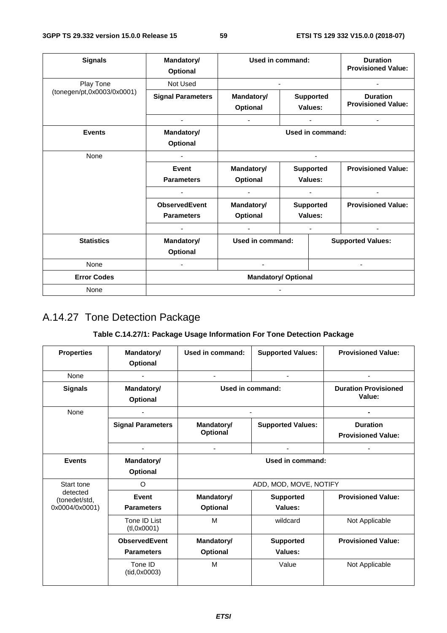| <b>Signals</b>             | Mandatory/<br><b>Optional</b>             | Used in command:       |                             |  |                                              |
|----------------------------|-------------------------------------------|------------------------|-----------------------------|--|----------------------------------------------|
| Play Tone                  | Not Used                                  |                        |                             |  |                                              |
| (tonegen/pt,0x0003/0x0001) | <b>Signal Parameters</b>                  | Mandatory/<br>Optional | <b>Supported</b><br>Values: |  | <b>Duration</b><br><b>Provisioned Value:</b> |
|                            |                                           | $\blacksquare$         |                             |  |                                              |
| <b>Events</b>              | Mandatory/<br><b>Optional</b>             | Used in command:       |                             |  |                                              |
| None                       |                                           |                        |                             |  |                                              |
|                            | <b>Event</b>                              | Mandatory/             | <b>Supported</b><br>Values: |  | <b>Provisioned Value:</b>                    |
|                            | <b>Parameters</b>                         | Optional               |                             |  |                                              |
|                            |                                           |                        |                             |  |                                              |
|                            | <b>ObservedEvent</b><br><b>Parameters</b> | Mandatory/<br>Optional | <b>Supported</b><br>Values: |  | <b>Provisioned Value:</b>                    |
|                            |                                           |                        |                             |  |                                              |
| <b>Statistics</b>          | Mandatory/<br>Optional                    |                        | <b>Used in command:</b>     |  | <b>Supported Values:</b>                     |
| None                       | ٠                                         |                        |                             |  |                                              |
| <b>Error Codes</b>         | <b>Mandatory/ Optional</b>                |                        |                             |  |                                              |
| None                       |                                           |                        |                             |  |                                              |

# A.14.27 Tone Detection Package

### **Table C.14.27/1: Package Usage Information For Tone Detection Package**

| <b>Properties</b>                           | Mandatory/<br>Optional                    | Used in command:              | <b>Supported Values:</b>    | <b>Provisioned Value:</b>                    |  |  |
|---------------------------------------------|-------------------------------------------|-------------------------------|-----------------------------|----------------------------------------------|--|--|
| None                                        |                                           | ٠                             | ٠                           |                                              |  |  |
| <b>Signals</b>                              | Mandatory/<br>Optional                    | Used in command:              |                             | <b>Duration Provisioned</b><br>Value:        |  |  |
| None                                        |                                           |                               |                             |                                              |  |  |
|                                             | <b>Signal Parameters</b>                  | Mandatory/<br>Optional        | <b>Supported Values:</b>    | <b>Duration</b><br><b>Provisioned Value:</b> |  |  |
|                                             |                                           |                               |                             |                                              |  |  |
| <b>Events</b>                               | Mandatory/<br>Optional                    | Used in command:              |                             |                                              |  |  |
| Start tone                                  | $\circ$                                   |                               | ADD, MOD, MOVE, NOTIFY      |                                              |  |  |
| detected<br>(tonedet/std,<br>0x0004/0x0001) | Event<br><b>Parameters</b>                | Mandatory/<br><b>Optional</b> | <b>Supported</b><br>Values: | <b>Provisioned Value:</b>                    |  |  |
|                                             | Tone ID List<br>(t1,0x0001)               | M                             | wildcard                    | Not Applicable                               |  |  |
|                                             | <b>ObservedEvent</b><br><b>Parameters</b> | Mandatory/<br>Optional        | <b>Supported</b><br>Values: | <b>Provisioned Value:</b>                    |  |  |
|                                             | Tone ID<br>(tid, 0x0003)                  | M                             | Value                       | Not Applicable                               |  |  |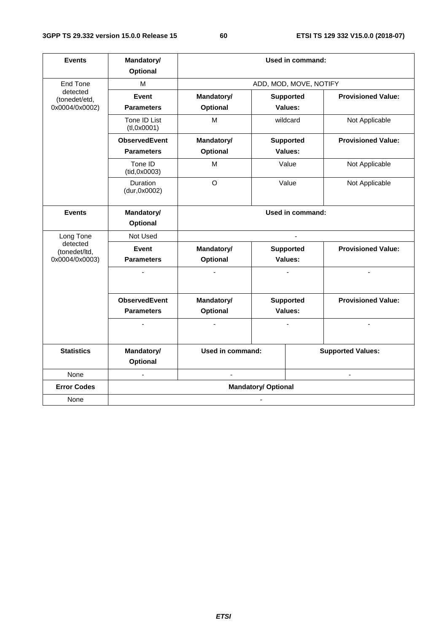| <b>Events</b>                               | Mandatory/<br><b>Optional</b>     | Used in command:                             |                            |                             |                           |
|---------------------------------------------|-----------------------------------|----------------------------------------------|----------------------------|-----------------------------|---------------------------|
| End Tone                                    | М                                 |                                              |                            | ADD, MOD, MOVE, NOTIFY      |                           |
| detected<br>(tonedet/etd,<br>0x0004/0x0002) | <b>Event</b><br><b>Parameters</b> | Mandatory/<br>Optional                       |                            | <b>Supported</b><br>Values: | <b>Provisioned Value:</b> |
|                                             | Tone ID List<br>(t1,0x0001)       | M                                            |                            | wildcard                    | Not Applicable            |
|                                             | <b>ObservedEvent</b>              | Mandatory/                                   |                            | <b>Supported</b>            | <b>Provisioned Value:</b> |
|                                             | <b>Parameters</b>                 | <b>Optional</b>                              |                            | Values:                     |                           |
|                                             | Tone ID<br>(tid,0x0003)           | M                                            |                            | Value                       | Not Applicable            |
|                                             | <b>Duration</b><br>(dur,0x0002)   | $\Omega$                                     |                            | Value                       | Not Applicable            |
| <b>Events</b>                               | Mandatory/<br>Optional            | Used in command:                             |                            |                             |                           |
| Long Tone                                   | Not Used                          |                                              |                            |                             |                           |
| detected<br>(tonedet/ltd,                   | Event                             | Mandatory/                                   |                            | <b>Supported</b>            | <b>Provisioned Value:</b> |
| 0x0004/0x0003)                              | <b>Parameters</b>                 | <b>Optional</b>                              |                            | Values:                     |                           |
|                                             |                                   |                                              |                            |                             | ä,                        |
|                                             | <b>ObservedEvent</b>              | Mandatory/                                   |                            | <b>Supported</b>            | <b>Provisioned Value:</b> |
|                                             | <b>Parameters</b>                 | Optional                                     |                            | Values:                     |                           |
|                                             | $\overline{\phantom{a}}$          |                                              |                            | $\overline{\phantom{a}}$    |                           |
| <b>Statistics</b>                           | Mandatory/<br><b>Optional</b>     | Used in command:<br><b>Supported Values:</b> |                            |                             |                           |
| None                                        | $\blacksquare$                    | ä,                                           |                            |                             | $\overline{\phantom{a}}$  |
| <b>Error Codes</b>                          |                                   |                                              | <b>Mandatory/ Optional</b> |                             |                           |
| None                                        |                                   |                                              |                            |                             |                           |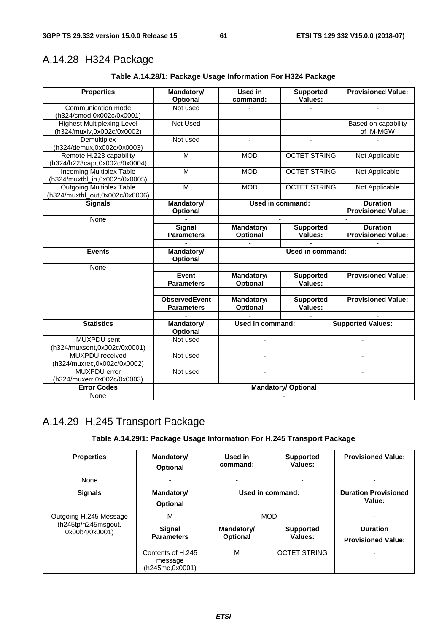# A.14.28 H324 Package

#### **Table A.14.28/1: Package Usage Information For H324 Package**

| <b>Properties</b>                                                  | Mandatory/<br>Optional | <b>Used in</b><br>command: |                            | <b>Supported</b><br>Values: | <b>Provisioned Value:</b> |
|--------------------------------------------------------------------|------------------------|----------------------------|----------------------------|-----------------------------|---------------------------|
| Communication mode                                                 | Not used               |                            |                            |                             |                           |
| (h324/cmod,0x002c/0x0001)                                          |                        |                            |                            |                             |                           |
| <b>Highest Multiplexing Level</b>                                  | <b>Not Used</b>        |                            |                            |                             | Based on capability       |
| (h324/muxlv,0x002c/0x0002)                                         |                        |                            |                            |                             | of IM-MGW                 |
| Demultiplex                                                        | Not used               |                            |                            |                             |                           |
| (h324/demux,0x002c/0x0003)                                         |                        |                            |                            |                             |                           |
| Remote H.223 capability                                            | M                      | <b>MOD</b>                 |                            | <b>OCTET STRING</b>         | Not Applicable            |
| (h324/h223capr,0x002c/0x0004)                                      |                        |                            |                            |                             |                           |
| <b>Incoming Multiplex Table</b>                                    | $\overline{M}$         | <b>MOD</b>                 |                            | <b>OCTET STRING</b>         | Not Applicable            |
| (h324/muxtbl_in,0x002c/0x0005)                                     |                        |                            |                            |                             |                           |
| <b>Outgoing Multiplex Table</b><br>(h324/muxtbl_out,0x002c/0x0006) | М                      | <b>MOD</b>                 |                            | <b>OCTET STRING</b>         | Not Applicable            |
| <b>Signals</b>                                                     | Mandatory/             |                            | Used in command:           |                             | <b>Duration</b>           |
|                                                                    | Optional               |                            |                            |                             | <b>Provisioned Value:</b> |
| None                                                               |                        |                            |                            |                             |                           |
|                                                                    | <b>Signal</b>          | <b>Mandatory/</b>          |                            | <b>Supported</b>            | <b>Duration</b>           |
|                                                                    | <b>Parameters</b>      | Optional                   |                            | Values:                     | <b>Provisioned Value:</b> |
|                                                                    |                        |                            |                            |                             |                           |
| <b>Events</b>                                                      | <b>Mandatory/</b>      |                            |                            | <b>Used in command:</b>     |                           |
|                                                                    | Optional               |                            |                            |                             |                           |
| None                                                               |                        |                            |                            |                             |                           |
|                                                                    | Event                  | Mandatory/                 |                            | <b>Supported</b>            | <b>Provisioned Value:</b> |
|                                                                    | <b>Parameters</b>      | Optional                   |                            | <b>Values:</b>              |                           |
|                                                                    |                        |                            |                            |                             |                           |
|                                                                    | <b>ObservedEvent</b>   | <b>Mandatory/</b>          |                            | <b>Supported</b>            | <b>Provisioned Value:</b> |
|                                                                    | <b>Parameters</b>      | Optional                   |                            | <b>Values:</b>              |                           |
| <b>Statistics</b>                                                  | <b>Mandatory/</b>      | <b>Used in command:</b>    |                            |                             | <b>Supported Values:</b>  |
|                                                                    | <b>Optional</b>        |                            |                            |                             |                           |
| <b>MUXPDU</b> sent                                                 | Not used               | $\blacksquare$             |                            |                             |                           |
| (h324/muxsent,0x002c/0x0001)                                       |                        |                            |                            |                             |                           |
| MUXPDU received                                                    | Not used               |                            |                            |                             |                           |
| (h324/muxrec,0x002c/0x0002)                                        |                        |                            |                            |                             |                           |
| MUXPDU error                                                       | Not used               |                            |                            |                             |                           |
| (h324/muxerr,0x002c/0x0003)                                        |                        |                            |                            |                             |                           |
| <b>Error Codes</b>                                                 |                        |                            | <b>Mandatory/ Optional</b> |                             |                           |
| None                                                               |                        |                            |                            |                             |                           |

# A.14.29 H.245 Transport Package

### **Table A.14.29/1: Package Usage Information For H.245 Transport Package**

| <b>Properties</b>                     | Mandatory/<br><b>Optional</b>                   | Used in<br>command:           | <b>Supported</b><br>Values: | <b>Provisioned Value:</b>                    |
|---------------------------------------|-------------------------------------------------|-------------------------------|-----------------------------|----------------------------------------------|
| None                                  |                                                 |                               |                             |                                              |
| <b>Signals</b>                        | Mandatory/<br><b>Optional</b>                   | Used in command:              |                             | <b>Duration Provisioned</b><br>Value:        |
| Outgoing H.245 Message                | M                                               | <b>MOD</b>                    |                             |                                              |
| (h245tp/h245msgout,<br>0x00b4/0x0001) | Signal<br><b>Parameters</b>                     | Mandatory/<br><b>Optional</b> | <b>Supported</b><br>Values: | <b>Duration</b><br><b>Provisioned Value:</b> |
|                                       | Contents of H.245<br>message<br>(h245mc,0x0001) | M                             | <b>OCTET STRING</b>         |                                              |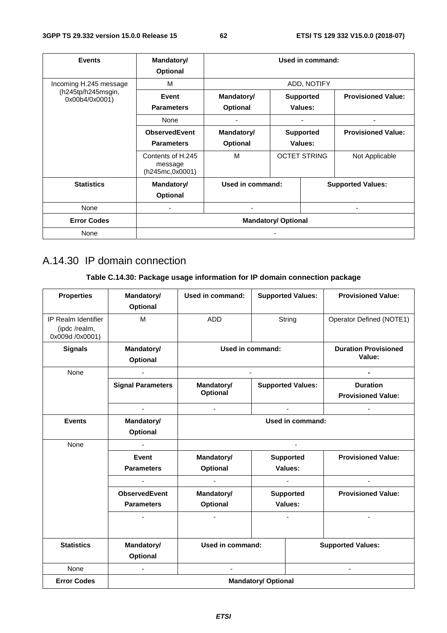| <b>Events</b>                        | Mandatory/<br>Optional                          | Used in command:              |                             |         |                           |  |
|--------------------------------------|-------------------------------------------------|-------------------------------|-----------------------------|---------|---------------------------|--|
| Incoming H.245 message               | M                                               | <b>ADD, NOTIFY</b>            |                             |         |                           |  |
| (h245tp/h245msgin,<br>0x00b4/0x0001) | Event                                           | Mandatory/                    | <b>Supported</b>            |         | <b>Provisioned Value:</b> |  |
|                                      | <b>Parameters</b>                               | <b>Optional</b>               |                             | Values: |                           |  |
|                                      | None                                            |                               |                             |         |                           |  |
|                                      | <b>ObservedEvent</b><br><b>Parameters</b>       | Mandatory/<br><b>Optional</b> | <b>Supported</b><br>Values: |         | <b>Provisioned Value:</b> |  |
|                                      | Contents of H.245<br>message<br>(h245mc,0x0001) | M                             | <b>OCTET STRING</b>         |         | Not Applicable            |  |
| <b>Statistics</b>                    | Mandatory/<br>Optional                          | Used in command:              |                             |         | <b>Supported Values:</b>  |  |
| None                                 |                                                 |                               |                             |         |                           |  |
| <b>Error Codes</b>                   | <b>Mandatory/ Optional</b>                      |                               |                             |         |                           |  |
| None                                 |                                                 |                               |                             |         |                           |  |

# A.14.30 IP domain connection

### **Table C.14.30: Package usage information for IP domain connection package**

| <b>Properties</b>                                      | Mandatory/<br><b>Optional</b>             | <b>Used in command:</b>       | <b>Supported Values:</b>              | <b>Provisioned Value:</b>                    |  |
|--------------------------------------------------------|-------------------------------------------|-------------------------------|---------------------------------------|----------------------------------------------|--|
| IP Realm Identifier<br>(ipdc/realm,<br>0x009d /0x0001) | M                                         | <b>ADD</b>                    | String                                | Operator Defined (NOTE1)                     |  |
| <b>Signals</b>                                         | Mandatory/<br><b>Optional</b>             | Used in command:              | <b>Duration Provisioned</b><br>Value: |                                              |  |
| None                                                   |                                           |                               |                                       |                                              |  |
|                                                        | <b>Signal Parameters</b>                  | Mandatory/<br><b>Optional</b> | <b>Supported Values:</b>              | <b>Duration</b><br><b>Provisioned Value:</b> |  |
|                                                        | $\blacksquare$                            | $\blacksquare$                | $\blacksquare$                        | $\blacksquare$                               |  |
| <b>Events</b>                                          | Mandatory/<br><b>Optional</b>             | Used in command:              |                                       |                                              |  |
| None                                                   | $\blacksquare$                            |                               |                                       |                                              |  |
|                                                        | Event<br><b>Parameters</b>                | Mandatory/<br>Optional        | <b>Supported</b><br>Values:           | <b>Provisioned Value:</b>                    |  |
|                                                        | $\blacksquare$                            | $\sim$                        | $\blacksquare$                        |                                              |  |
|                                                        | <b>ObservedEvent</b><br><b>Parameters</b> | Mandatory/<br>Optional        | <b>Supported</b><br>Values:           | <b>Provisioned Value:</b>                    |  |
|                                                        |                                           |                               |                                       |                                              |  |
| <b>Statistics</b>                                      | Mandatory/<br>Optional                    | Used in command:              |                                       | <b>Supported Values:</b>                     |  |
| None                                                   | $\blacksquare$                            |                               |                                       |                                              |  |
| <b>Error Codes</b>                                     | <b>Mandatory/ Optional</b>                |                               |                                       |                                              |  |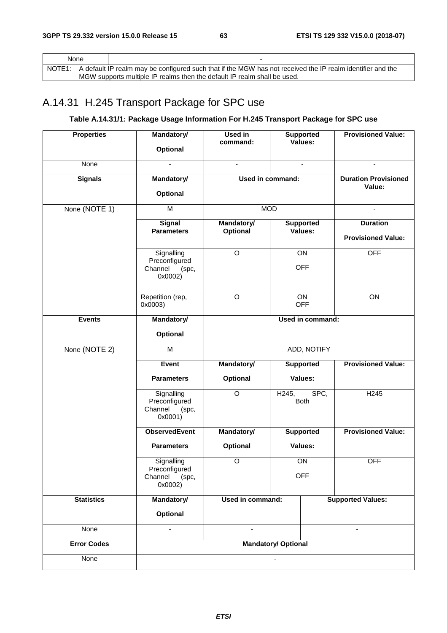|        | None |                                                                                                            |
|--------|------|------------------------------------------------------------------------------------------------------------|
| NOTE1: |      | A default IP realm may be configured such that if the MGW has not received the IP realm identifier and the |
|        |      | MGW supports multiple IP realms then the default IP realm shall be used.                                   |

# A.14.31 H.245 Transport Package for SPC use

### **Table A.14.31/1: Package Usage Information For H.245 Transport Package for SPC use**

| <b>Properties</b>  | <b>Mandatory/</b><br>Optional                              | <b>Used in</b><br>command:    |                    | <b>Supported</b><br>Values:           | <b>Provisioned Value:</b>                    |
|--------------------|------------------------------------------------------------|-------------------------------|--------------------|---------------------------------------|----------------------------------------------|
| None               |                                                            | $\blacksquare$                |                    |                                       |                                              |
| <b>Signals</b>     | <b>Mandatory/</b><br>Optional                              | Used in command:              |                    | <b>Duration Provisioned</b><br>Value: |                                              |
| None (NOTE 1)      | M                                                          |                               | <b>MOD</b>         |                                       |                                              |
|                    | <b>Signal</b><br><b>Parameters</b>                         | <b>Mandatory/</b><br>Optional |                    | <b>Supported</b><br>Values:           | <b>Duration</b><br><b>Provisioned Value:</b> |
|                    | Signalling<br>Preconfigured<br>Channel<br>(spc,<br>0x0002) | $\overline{O}$                |                    | $\overline{ON}$<br><b>OFF</b>         | <b>OFF</b>                                   |
|                    | Repetition (rep,<br>0x0003)                                | $\Omega$                      |                    | ON<br><b>OFF</b>                      | ON                                           |
| <b>Events</b>      | <b>Mandatory/</b>                                          | <b>Used in command:</b>       |                    |                                       |                                              |
|                    | Optional                                                   |                               |                    |                                       |                                              |
| None (NOTE 2)      | M                                                          | ADD, NOTIFY                   |                    |                                       |                                              |
|                    | Event                                                      | Mandatory/                    |                    | <b>Supported</b>                      | <b>Provisioned Value:</b>                    |
|                    | <b>Parameters</b>                                          | <b>Optional</b>               |                    | Values:                               |                                              |
|                    | Signalling<br>Preconfigured<br>Channel<br>(spc,<br>0x0001) | $\circ$                       | H <sub>245</sub> , | SPC,<br><b>Both</b>                   | H <sub>245</sub>                             |
|                    | <b>ObservedEvent</b>                                       | <b>Mandatory/</b>             |                    | <b>Supported</b>                      | <b>Provisioned Value:</b>                    |
|                    | <b>Parameters</b>                                          | <b>Optional</b>               |                    | Values:                               |                                              |
|                    | Signalling<br>Preconfigured<br>Channel<br>(spc,<br>0x0002) | $\circ$                       | ON<br><b>OFF</b>   |                                       | <b>OFF</b>                                   |
| <b>Statistics</b>  | <b>Mandatory/</b>                                          | Used in command:              |                    |                                       | <b>Supported Values:</b>                     |
|                    | Optional                                                   |                               |                    |                                       |                                              |
| None               |                                                            |                               |                    |                                       |                                              |
| <b>Error Codes</b> | <b>Mandatory/ Optional</b>                                 |                               |                    |                                       |                                              |
| None               |                                                            |                               |                    |                                       |                                              |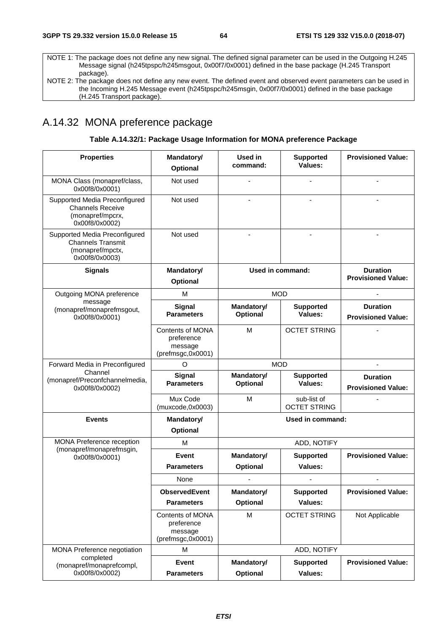NOTE 1: The package does not define any new signal. The defined signal parameter can be used in the Outgoing H.245 Message signal (h245tpspc/h245msgout, 0x00f7/0x0001) defined in the base package (H.245 Transport package).

NOTE 2: The package does not define any new event. The defined event and observed event parameters can be used in the Incoming H.245 Message event (h245tpspc/h245msgin, 0x00f7/0x0001) defined in the base package (H.245 Transport package).

# A.14.32 MONA preference package

#### **Table A.14.32/1: Package Usage Information for MONA preference Package**

| <b>Properties</b>                                                                               | Mandatory/<br>Optional                                                | Used in<br><b>Supported</b><br>Values:<br>command: |                                    | <b>Provisioned Value:</b>                    |
|-------------------------------------------------------------------------------------------------|-----------------------------------------------------------------------|----------------------------------------------------|------------------------------------|----------------------------------------------|
| MONA Class (monapref/class,<br>0x00f8/0x0001)                                                   | Not used                                                              |                                                    |                                    |                                              |
| Supported Media Preconfigured<br><b>Channels Receive</b><br>(monapref/mpcrx,<br>0x00f8/0x0002)  | Not used                                                              |                                                    |                                    |                                              |
| Supported Media Preconfigured<br><b>Channels Transmit</b><br>(monapref/mpctx,<br>0x00f8/0x0003) | Not used                                                              |                                                    |                                    |                                              |
| <b>Signals</b>                                                                                  | Mandatory/<br>Optional                                                |                                                    | Used in command:                   | <b>Duration</b><br><b>Provisioned Value:</b> |
| Outgoing MONA preference                                                                        | м                                                                     |                                                    | <b>MOD</b>                         |                                              |
| message<br>(monapref/monaprefmsgout,<br>0x00f8/0x0001)                                          | <b>Signal</b><br><b>Parameters</b>                                    | Mandatory/<br>Optional                             | <b>Supported</b><br>Values:        | <b>Duration</b><br><b>Provisioned Value:</b> |
|                                                                                                 | <b>Contents of MONA</b><br>preference<br>message<br>(prefmsgc,0x0001) | м                                                  | <b>OCTET STRING</b>                |                                              |
| Forward Media in Preconfigured                                                                  | O                                                                     | <b>MOD</b>                                         |                                    |                                              |
| Channel<br>(monapref/Preconfchannelmedia,<br>0x00f8/0x0002)                                     | Signal<br><b>Parameters</b>                                           | Mandatory/<br>Optional                             | <b>Supported</b><br>Values:        | <b>Duration</b><br><b>Provisioned Value:</b> |
|                                                                                                 | Mux Code<br>(muxcode,0x0003)                                          | м                                                  | sub-list of<br><b>OCTET STRING</b> |                                              |
| <b>Events</b>                                                                                   | Mandatory/<br>Optional                                                | Used in command:                                   |                                    |                                              |
| MONA Preference reception                                                                       | м                                                                     |                                                    | ADD, NOTIFY                        |                                              |
| (monapref/monaprefmsgin,<br>0x00f8/0x0001)                                                      | Event                                                                 | Mandatory/                                         | <b>Supported</b>                   | <b>Provisioned Value:</b>                    |
|                                                                                                 | <b>Parameters</b>                                                     | Optional                                           | Values:                            |                                              |
|                                                                                                 | None                                                                  |                                                    |                                    |                                              |
|                                                                                                 | <b>ObservedEvent</b>                                                  | Mandatory/                                         | <b>Supported</b>                   | <b>Provisioned Value:</b>                    |
|                                                                                                 | <b>Parameters</b>                                                     | <b>Optional</b>                                    | Values:                            |                                              |
|                                                                                                 | Contents of MONA<br>preference<br>message<br>(prefmsgc,0x0001)        | м                                                  | <b>OCTET STRING</b>                | Not Applicable                               |
| MONA Preference negotiation                                                                     | M                                                                     |                                                    | ADD, NOTIFY                        |                                              |
| completed<br>(monapref/monaprefcompl,<br>0x00f8/0x0002)                                         | Event<br><b>Parameters</b>                                            | Mandatory/<br><b>Optional</b>                      | <b>Supported</b><br>Values:        | <b>Provisioned Value:</b>                    |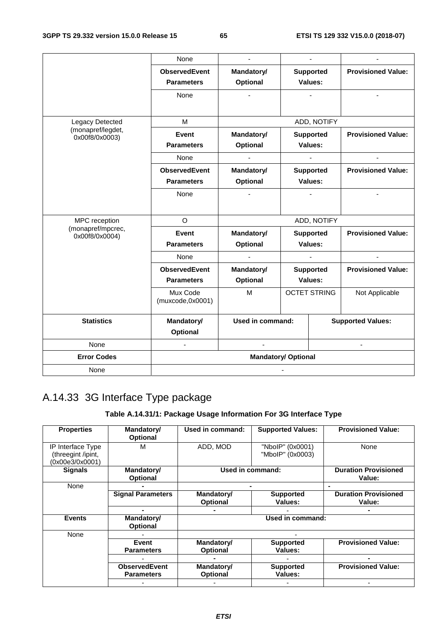|                                     | None                         |                  |  |                          |                           |  |
|-------------------------------------|------------------------------|------------------|--|--------------------------|---------------------------|--|
|                                     | <b>ObservedEvent</b>         | Mandatory/       |  | <b>Supported</b>         | <b>Provisioned Value:</b> |  |
|                                     | <b>Parameters</b>            | Optional         |  | Values:                  |                           |  |
|                                     | None                         |                  |  |                          |                           |  |
|                                     |                              |                  |  |                          |                           |  |
| Legacy Detected                     | M                            |                  |  | ADD, NOTIFY              |                           |  |
| (monapref/legdet,<br>0x00f8/0x0003) | Event                        | Mandatory/       |  | <b>Supported</b>         | <b>Provisioned Value:</b> |  |
|                                     | <b>Parameters</b>            | Optional         |  | Values:                  |                           |  |
|                                     | None                         |                  |  |                          | ä,                        |  |
|                                     | <b>ObservedEvent</b>         | Mandatory/       |  | <b>Supported</b>         | <b>Provisioned Value:</b> |  |
|                                     | <b>Parameters</b>            | <b>Optional</b>  |  | Values:                  |                           |  |
|                                     | None                         |                  |  |                          |                           |  |
|                                     |                              |                  |  |                          |                           |  |
| MPC reception                       | $\Omega$                     |                  |  | ADD, NOTIFY              |                           |  |
| (monapref/mpcrec,<br>0x00f8/0x0004) | Event                        | Mandatory/       |  | <b>Supported</b>         | <b>Provisioned Value:</b> |  |
|                                     | <b>Parameters</b>            | <b>Optional</b>  |  | Values:                  |                           |  |
|                                     | None                         |                  |  |                          |                           |  |
|                                     | <b>ObservedEvent</b>         | Mandatory/       |  | <b>Supported</b>         | <b>Provisioned Value:</b> |  |
|                                     | <b>Parameters</b>            | Optional         |  | Values:                  |                           |  |
|                                     | Mux Code<br>(muxcode,0x0001) | M                |  | <b>OCTET STRING</b>      | Not Applicable            |  |
| <b>Statistics</b>                   | Mandatory/                   | Used in command: |  | <b>Supported Values:</b> |                           |  |
|                                     | Optional                     |                  |  |                          |                           |  |
| None                                |                              | ä,               |  |                          |                           |  |
| <b>Error Codes</b>                  | <b>Mandatory/ Optional</b>   |                  |  |                          |                           |  |
|                                     |                              |                  |  |                          |                           |  |

# A.14.33 3G Interface Type package

### **Table A.14.31/1: Package Usage Information For 3G Interface Type**

| <b>Properties</b>                                          | Mandatory/<br>Optional                    | Used in command:              | <b>Supported Values:</b>             | <b>Provisioned Value:</b>             |  |
|------------------------------------------------------------|-------------------------------------------|-------------------------------|--------------------------------------|---------------------------------------|--|
| IP Interface Type<br>(threegint /ipint,<br>(0x00e3/0x0001) | М                                         | ADD, MOD                      | "NbolP" (0x0001)<br>"MboIP" (0x0003) | None                                  |  |
| <b>Signals</b>                                             | Mandatory/<br><b>Optional</b>             | Used in command:              |                                      | <b>Duration Provisioned</b><br>Value: |  |
| None                                                       |                                           |                               |                                      |                                       |  |
|                                                            | <b>Signal Parameters</b>                  | Mandatory/<br><b>Optional</b> | <b>Supported</b><br>Values:          | <b>Duration Provisioned</b><br>Value: |  |
|                                                            |                                           |                               |                                      |                                       |  |
| <b>Events</b>                                              | Mandatory/<br><b>Optional</b>             | Used in command:              |                                      |                                       |  |
| None                                                       |                                           |                               |                                      |                                       |  |
|                                                            | Event<br><b>Parameters</b>                | Mandatory/<br><b>Optional</b> | <b>Supported</b><br>Values:          | <b>Provisioned Value:</b>             |  |
|                                                            |                                           |                               |                                      |                                       |  |
|                                                            | <b>ObservedEvent</b><br><b>Parameters</b> | Mandatory/<br><b>Optional</b> | <b>Supported</b><br>Values:          | <b>Provisioned Value:</b>             |  |
|                                                            |                                           |                               |                                      |                                       |  |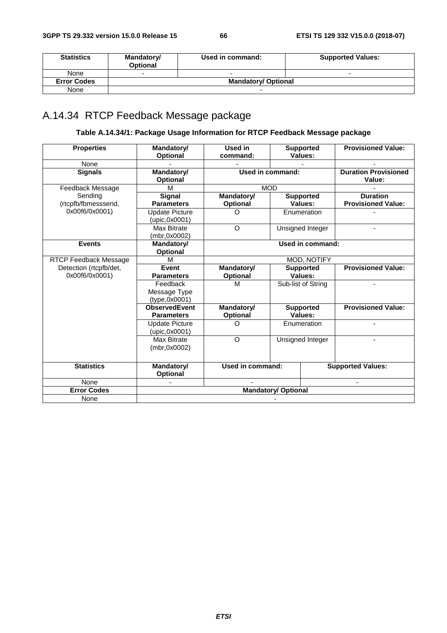| <b>Statistics</b>  | Mandatory/<br><b>Optional</b> | Used in command: | <b>Supported Values:</b> |  |  |
|--------------------|-------------------------------|------------------|--------------------------|--|--|
| None               | $\overline{\phantom{0}}$      | -                | -                        |  |  |
| <b>Error Codes</b> | <b>Mandatory/ Optional</b>    |                  |                          |  |  |
| None               |                               |                  |                          |  |  |

# A.14.34 RTCP Feedback Message package

### **Table A.14.34/1: Package Usage Information for RTCP Feedback Message package**

| <b>Properties</b>              | Mandatory/<br><b>Optional</b>             | Used in<br>command:           |                                            | <b>Supported</b><br>Values: | <b>Provisioned Value:</b>                    |  |
|--------------------------------|-------------------------------------------|-------------------------------|--------------------------------------------|-----------------------------|----------------------------------------------|--|
| None                           |                                           |                               |                                            |                             |                                              |  |
| <b>Signals</b>                 | Mandatory/<br><b>Optional</b>             | Used in command:              |                                            |                             | <b>Duration Provisioned</b><br>Value:        |  |
| Feedback Message               | м                                         |                               | <b>MOD</b>                                 |                             |                                              |  |
| Sending<br>(rtcpfb/fbmesssend, | <b>Signal</b><br><b>Parameters</b>        | Mandatory/<br>Optional        |                                            | <b>Supported</b><br>Values: | <b>Duration</b><br><b>Provisioned Value:</b> |  |
| 0x00f6/0x0001)                 | <b>Update Picture</b><br>(upic,0x0001)    | O                             |                                            | Enumeration                 |                                              |  |
|                                | <b>Max Bitrate</b><br>(mbr.0x0002)        | $\circ$                       |                                            | Unsigned Integer            |                                              |  |
| <b>Events</b>                  | Mandatory/<br>Optional                    | Used in command:              |                                            |                             |                                              |  |
| RTCP Feedback Message          | M                                         | MOD, NOTIFY                   |                                            |                             |                                              |  |
| Detection (rtcpfb/det,         | Event                                     | Mandatory/                    | <b>Supported</b>                           |                             | <b>Provisioned Value:</b>                    |  |
| 0x00f6/0x0001)                 | <b>Parameters</b>                         | <b>Optional</b>               | Values:                                    |                             |                                              |  |
|                                | Feedback                                  | М                             | Sub-list of String                         |                             |                                              |  |
|                                | Message Type<br>(type, 0x0001)            |                               | <b>Supported</b><br>Values:<br>Enumeration |                             |                                              |  |
|                                | <b>ObservedEvent</b><br><b>Parameters</b> | Mandatory/<br><b>Optional</b> |                                            |                             | <b>Provisioned Value:</b>                    |  |
|                                | <b>Update Picture</b><br>(upic,0x0001)    | Ω                             |                                            |                             |                                              |  |
|                                | Max Bitrate<br>(mbr,0x0002)               | $\Omega$                      |                                            | Unsigned Integer            |                                              |  |
| <b>Statistics</b>              | Mandatory/<br>Optional                    | Used in command:              |                                            | <b>Supported Values:</b>    |                                              |  |
| None                           |                                           |                               |                                            |                             |                                              |  |
| <b>Error Codes</b>             | <b>Mandatory/ Optional</b>                |                               |                                            |                             |                                              |  |
| None                           |                                           |                               |                                            |                             |                                              |  |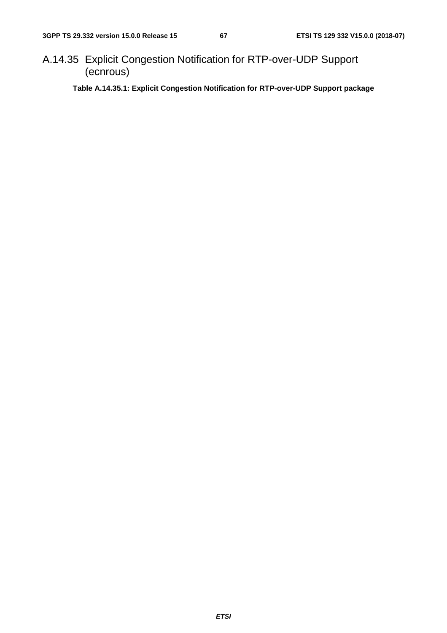A.14.35 Explicit Congestion Notification for RTP-over-UDP Support (ecnrous)

**Table A.14.35.1: Explicit Congestion Notification for RTP-over-UDP Support package**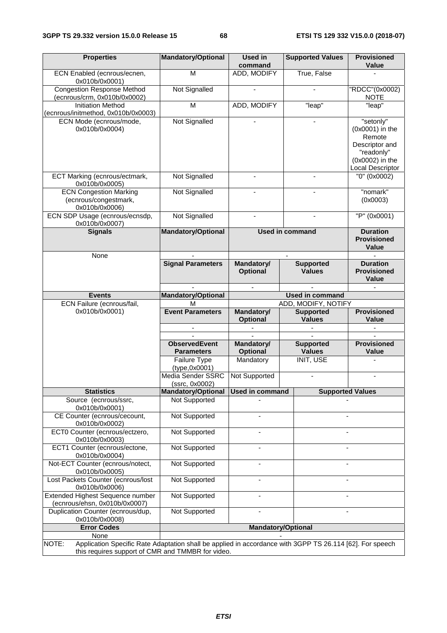| <b>Properties</b>                                                                                                                                                      | <b>Mandatory/Optional</b>                 | Used in<br>command                       | <b>Supported Values</b>           | <b>Provisioned</b><br>Value                                                                                   |  |
|------------------------------------------------------------------------------------------------------------------------------------------------------------------------|-------------------------------------------|------------------------------------------|-----------------------------------|---------------------------------------------------------------------------------------------------------------|--|
| ECN Enabled (ecnrous/ecnen,<br>0x010b/0x0001)                                                                                                                          | M                                         | ADD, MODIFY                              | True, False                       |                                                                                                               |  |
| <b>Congestion Response Method</b><br>(ecnrous/crm, 0x010b/0x0002)                                                                                                      | Not Signalled                             |                                          |                                   | "RDCC"(0x0002)<br><b>NOTE</b>                                                                                 |  |
| <b>Initiation Method</b><br>(ecnrous/initmethod, 0x010b/0x0003)                                                                                                        | ${\sf M}$                                 | "leap"<br>ADD, MODIFY                    |                                   | $\overline{\phantom{a}}$ "leap"                                                                               |  |
| ECN Mode (ecnrous/mode,<br>0x010b/0x0004)                                                                                                                              | Not Signalled                             |                                          | $\sim$                            | "setonly"<br>(0x0001) in the<br>Remote<br>Descriptor and<br>"readonly"<br>(0x0002) in the<br>Local Descriptor |  |
| ECT Marking (ecnrous/ectmark,<br>0x010b/0x0005)                                                                                                                        | Not Signalled                             |                                          |                                   | "0" (0x0002)                                                                                                  |  |
| <b>ECN Congestion Marking</b><br>(ecnrous/congestmark,<br>0x010b/0x0006)                                                                                               | Not Signalled                             |                                          |                                   | "nomark"<br>(0x0003)                                                                                          |  |
| ECN SDP Usage (ecnrous/ecnsdp,<br>0x010b/0x0007)                                                                                                                       | Not Signalled                             |                                          |                                   | "P" (0x0001)                                                                                                  |  |
| <b>Signals</b>                                                                                                                                                         | <b>Mandatory/Optional</b>                 | <b>Used in command</b>                   |                                   | <b>Duration</b><br><b>Provisioned</b><br><b>Value</b>                                                         |  |
| None                                                                                                                                                                   | <b>Signal Parameters</b>                  | <b>Mandatory/</b><br><b>Optional</b>     | <b>Supported</b><br><b>Values</b> | <b>Duration</b><br><b>Provisioned</b><br>Value                                                                |  |
| <b>Events</b>                                                                                                                                                          | <b>Mandatory/Optional</b>                 | $\blacksquare$<br><b>Used in command</b> |                                   |                                                                                                               |  |
| ECN Failure (ecnrous/fail,                                                                                                                                             | М                                         | ADD, MODIFY, NOTIFY                      |                                   |                                                                                                               |  |
| 0x010b/0x0001)                                                                                                                                                         | <b>Event Parameters</b>                   | <b>Mandatory/</b><br><b>Optional</b>     | <b>Supported</b><br><b>Values</b> | <b>Provisioned</b><br><b>Value</b>                                                                            |  |
|                                                                                                                                                                        | $\overline{\phantom{a}}$                  |                                          |                                   | $\qquad \qquad \blacksquare$                                                                                  |  |
|                                                                                                                                                                        | <b>ObservedEvent</b><br><b>Parameters</b> | Mandatory/<br><b>Optional</b>            | <b>Supported</b><br><b>Values</b> | <b>Provisioned</b><br>Value                                                                                   |  |
|                                                                                                                                                                        | Failure Type<br>(type,0x0001)             | Mandatory                                | INIT, USE                         |                                                                                                               |  |
|                                                                                                                                                                        | Media Sender SSRC<br>(ssrc, 0x0002)       | Not Supported                            |                                   |                                                                                                               |  |
| <b>Statistics</b>                                                                                                                                                      | <b>Mandatory/Optional</b>                 | Used in command                          |                                   | <b>Supported Values</b>                                                                                       |  |
| Source (ecnrous/ssrc,<br>0x010b/0x0001)                                                                                                                                | <b>Not Supported</b>                      |                                          |                                   |                                                                                                               |  |
| CE Counter (ecnrous/cecount,<br>0x010b/0x0002)                                                                                                                         | Not Supported                             |                                          |                                   |                                                                                                               |  |
| ECT0 Counter (ecnrous/ectzero,<br>0x010b/0x0003)                                                                                                                       | Not Supported                             |                                          |                                   |                                                                                                               |  |
| ECT1 Counter (ecnrous/ectone,<br>0x010b/0x0004)                                                                                                                        | Not Supported                             |                                          |                                   |                                                                                                               |  |
| Not-ECT Counter (ecnrous/notect,<br>0x010b/0x0005)                                                                                                                     | Not Supported                             | $\overline{\phantom{a}}$                 |                                   |                                                                                                               |  |
| Lost Packets Counter (ecnrous/lost<br>0x010b/0x0006)                                                                                                                   | Not Supported                             |                                          |                                   |                                                                                                               |  |
| Extended Highest Sequence number<br>(ecnrous/ehsn, 0x010b/0x0007)                                                                                                      | Not Supported                             |                                          |                                   |                                                                                                               |  |
| Duplication Counter (ecnrous/dup,<br>0x010b/0x0008)                                                                                                                    | Not Supported                             |                                          |                                   |                                                                                                               |  |
| <b>Error Codes</b>                                                                                                                                                     |                                           |                                          | <b>Mandatory/Optional</b>         |                                                                                                               |  |
| None                                                                                                                                                                   |                                           |                                          |                                   |                                                                                                               |  |
| NOTE:<br>Application Specific Rate Adaptation shall be applied in accordance with 3GPP TS 26.114 [62]. For speech<br>this requires support of CMR and TMMBR for video. |                                           |                                          |                                   |                                                                                                               |  |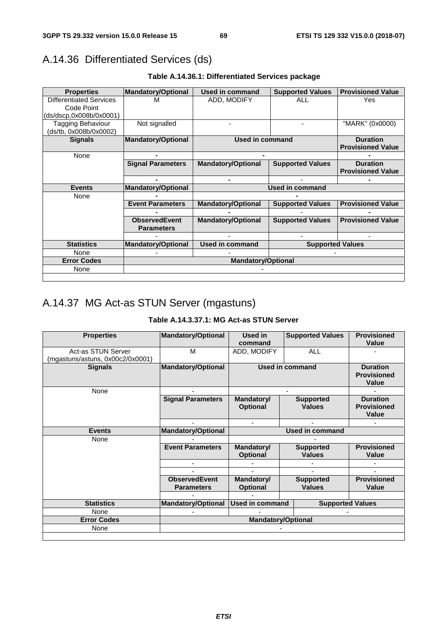# A.14.36 Differentiated Services (ds)

| <b>Properties</b>              | <b>Mandatory/Optional</b> | Used in command                                   | <b>Supported Values</b> | <b>Provisioned Value</b> |  |
|--------------------------------|---------------------------|---------------------------------------------------|-------------------------|--------------------------|--|
| <b>Differentiated Services</b> | м                         | ADD, MODIFY                                       | ALL                     | Yes                      |  |
| Code Point                     |                           |                                                   |                         |                          |  |
| (ds/dscp,0x008b/0x0001)        |                           |                                                   |                         |                          |  |
| <b>Tagging Behaviour</b>       | Not signalled             |                                                   |                         | "MARK" (0x0000)          |  |
| (ds/tb, 0x008b/0x0002)         |                           |                                                   |                         |                          |  |
| <b>Signals</b>                 | <b>Mandatory/Optional</b> | Used in command                                   | <b>Duration</b>         |                          |  |
|                                |                           |                                                   |                         | <b>Provisioned Value</b> |  |
| None                           |                           |                                                   |                         |                          |  |
|                                | <b>Signal Parameters</b>  | <b>Mandatory/Optional</b>                         | <b>Supported Values</b> | <b>Duration</b>          |  |
|                                |                           |                                                   |                         | <b>Provisioned Value</b> |  |
|                                |                           | $\blacksquare$                                    |                         |                          |  |
| <b>Events</b>                  | <b>Mandatory/Optional</b> | <b>Used in command</b>                            |                         |                          |  |
| None                           |                           |                                                   |                         |                          |  |
|                                | <b>Event Parameters</b>   | <b>Mandatory/Optional</b>                         | <b>Supported Values</b> | <b>Provisioned Value</b> |  |
|                                |                           |                                                   |                         |                          |  |
|                                | <b>ObservedEvent</b>      | <b>Mandatory/Optional</b>                         | <b>Supported Values</b> | <b>Provisioned Value</b> |  |
|                                | <b>Parameters</b>         |                                                   |                         |                          |  |
|                                |                           |                                                   |                         |                          |  |
| <b>Statistics</b>              | <b>Mandatory/Optional</b> | <b>Used in command</b><br><b>Supported Values</b> |                         |                          |  |
| None                           |                           |                                                   |                         |                          |  |
| <b>Error Codes</b>             | <b>Mandatory/Optional</b> |                                                   |                         |                          |  |
| None                           |                           |                                                   |                         |                          |  |

#### **Table A.14.36.1: Differentiated Services package**

# A.14.37 MG Act-as STUN Server (mgastuns)

### **Table A.14.3.37.1: MG Act-as STUN Server**

| <b>Properties</b>                                      | <b>Mandatory/Optional</b>                 | Used in<br>command                                | <b>Supported Values</b>           | <b>Provisioned</b><br>Value                    |
|--------------------------------------------------------|-------------------------------------------|---------------------------------------------------|-----------------------------------|------------------------------------------------|
| Act-as STUN Server<br>(mgastuns/astuns, 0x00c2/0x0001) | М                                         | ADD, MODIFY                                       | <b>ALL</b>                        |                                                |
| <b>Signals</b>                                         | <b>Mandatory/Optional</b>                 | <b>Used in command</b>                            |                                   | <b>Duration</b><br><b>Provisioned</b><br>Value |
| None                                                   |                                           |                                                   |                                   |                                                |
|                                                        | <b>Signal Parameters</b>                  | Mandatory/<br><b>Optional</b>                     | <b>Supported</b><br><b>Values</b> | <b>Duration</b><br><b>Provisioned</b><br>Value |
|                                                        |                                           |                                                   |                                   |                                                |
| <b>Events</b>                                          | <b>Mandatory/Optional</b>                 | <b>Used in command</b>                            |                                   |                                                |
| None                                                   |                                           |                                                   |                                   |                                                |
|                                                        | <b>Event Parameters</b>                   | Mandatory/<br><b>Optional</b>                     | <b>Supported</b><br><b>Values</b> | <b>Provisioned</b><br>Value                    |
|                                                        |                                           |                                                   |                                   |                                                |
|                                                        |                                           |                                                   |                                   |                                                |
|                                                        | <b>ObservedEvent</b><br><b>Parameters</b> | Mandatory/<br><b>Optional</b>                     | <b>Supported</b><br><b>Values</b> | <b>Provisioned</b><br>Value                    |
|                                                        |                                           |                                                   |                                   |                                                |
| <b>Statistics</b>                                      | <b>Mandatory/Optional</b>                 | <b>Used in command</b><br><b>Supported Values</b> |                                   |                                                |
| None                                                   |                                           |                                                   |                                   |                                                |
| <b>Error Codes</b>                                     | <b>Mandatory/Optional</b>                 |                                                   |                                   |                                                |
| None                                                   |                                           |                                                   |                                   |                                                |
|                                                        |                                           |                                                   |                                   |                                                |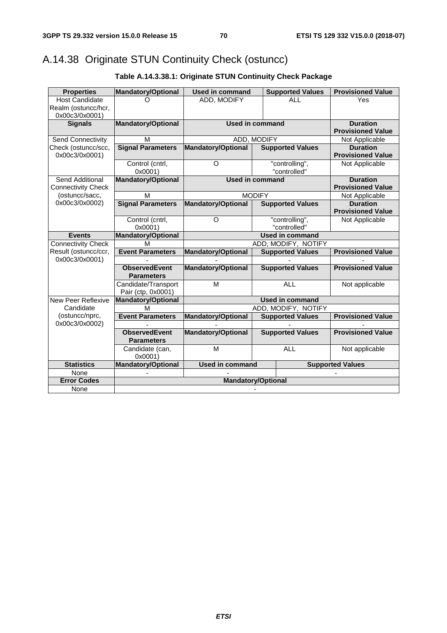# A.14.38 Originate STUN Continuity Check (ostuncc)

| <b>Properties</b>         | <b>Mandatory/Optional</b> | <b>Used in command</b>    |                         | <b>Supported Values</b> | <b>Provisioned Value</b> |
|---------------------------|---------------------------|---------------------------|-------------------------|-------------------------|--------------------------|
| <b>Host Candidate</b>     |                           | ADD, MODIFY               |                         | <b>ALL</b>              | Yes                      |
| Realm (ostuncc/hcr,       |                           |                           |                         |                         |                          |
| 0x00c3/0x0001)            |                           |                           |                         |                         |                          |
| <b>Signals</b>            | <b>Mandatory/Optional</b> | <b>Used in command</b>    |                         |                         | <b>Duration</b>          |
|                           |                           |                           |                         |                         | <b>Provisioned Value</b> |
| Send Connectivity         | М                         |                           | ADD, MODIFY             |                         | Not Applicable           |
| Check (ostuncc/scc,       | <b>Signal Parameters</b>  | <b>Mandatory/Optional</b> |                         | <b>Supported Values</b> | <b>Duration</b>          |
| 0x00c3/0x0001)            |                           |                           |                         |                         | <b>Provisioned Value</b> |
|                           | Control (cntrl,           | O                         |                         | "controlling",          | Not Applicable           |
|                           | 0x0001                    |                           |                         | "controlled"            |                          |
| Send Additional           | <b>Mandatory/Optional</b> | <b>Used in command</b>    |                         |                         | <b>Duration</b>          |
| <b>Connectivity Check</b> |                           |                           |                         |                         | <b>Provisioned Value</b> |
| (ostuncc/sacc,            | M                         |                           | <b>MODIFY</b>           |                         | Not Applicable           |
| 0x00c3/0x0002)            | <b>Signal Parameters</b>  | <b>Mandatory/Optional</b> |                         | <b>Supported Values</b> | <b>Duration</b>          |
|                           |                           |                           |                         |                         | <b>Provisioned Value</b> |
|                           | Control (cntrl,           | $\Omega$                  |                         | "controlling",          | Not Applicable           |
|                           | 0x0001                    |                           | "controlled"            |                         |                          |
| <b>Events</b>             | <b>Mandatory/Optional</b> | <b>Used in command</b>    |                         |                         |                          |
| <b>Connectivity Check</b> | M                         | ADD, MODIFY, NOTIFY       |                         |                         |                          |
| Result (ostuncc/ccr,      | <b>Event Parameters</b>   | <b>Mandatory/Optional</b> | <b>Supported Values</b> |                         | <b>Provisioned Value</b> |
| 0x00c3/0x0001)            |                           |                           |                         |                         |                          |
|                           | <b>ObservedEvent</b>      | <b>Mandatory/Optional</b> | <b>Supported Values</b> |                         | <b>Provisioned Value</b> |
|                           | <b>Parameters</b>         |                           |                         |                         |                          |
|                           | Candidate/Transport       | M                         | <b>ALL</b>              |                         | Not applicable           |
|                           | Pair (ctp, 0x0001)        |                           |                         |                         |                          |
| New Peer Reflexive        | <b>Mandatory/Optional</b> | <b>Used in command</b>    |                         |                         |                          |
| Candidate                 | M                         | ADD, MODIFY, NOTIFY       |                         |                         |                          |
| (ostuncc/nprc,            | <b>Event Parameters</b>   | <b>Mandatory/Optional</b> | <b>Supported Values</b> |                         | <b>Provisioned Value</b> |
| 0x00c3/0x0002)            |                           |                           |                         |                         |                          |
|                           | <b>ObservedEvent</b>      | <b>Mandatory/Optional</b> | <b>Supported Values</b> |                         | <b>Provisioned Value</b> |
|                           | <b>Parameters</b>         |                           |                         |                         |                          |
|                           | Candidate (can,           | M                         |                         | <b>ALL</b>              | Not applicable           |
|                           | 0x0001)                   |                           |                         |                         |                          |
| <b>Statistics</b>         | <b>Mandatory/Optional</b> | <b>Used in command</b>    | <b>Supported Values</b> |                         |                          |
| None                      |                           |                           |                         |                         |                          |
| <b>Error Codes</b>        | <b>Mandatory/Optional</b> |                           |                         |                         |                          |
| None                      |                           |                           |                         |                         |                          |

### **Table A.14.3.38.1: Originate STUN Continuity Check Package**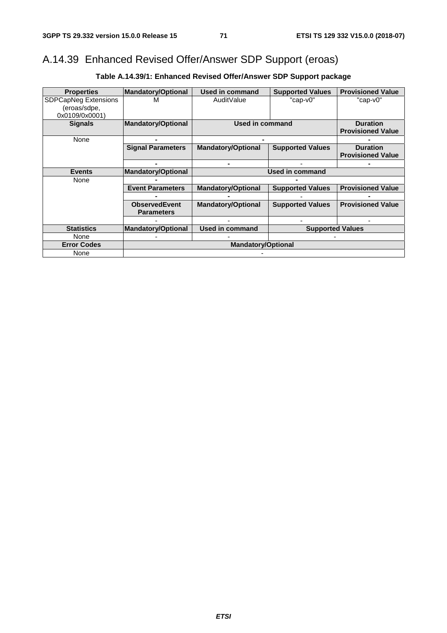# A.14.39 Enhanced Revised Offer/Answer SDP Support (eroas)

| <b>Properties</b>           | <b>Mandatory/Optional</b> | Used in command                            | <b>Supported Values</b> | <b>Provisioned Value</b> |  |
|-----------------------------|---------------------------|--------------------------------------------|-------------------------|--------------------------|--|
| <b>SDPCapNeg Extensions</b> | М                         | AuditValue                                 | "cap-v0"                | "cap-v0"                 |  |
| (eroas/sdpe,                |                           |                                            |                         |                          |  |
| 0x0109/0x0001)              |                           |                                            |                         |                          |  |
| <b>Signals</b>              | <b>Mandatory/Optional</b> | Used in command                            | <b>Duration</b>         |                          |  |
|                             |                           |                                            |                         | <b>Provisioned Value</b> |  |
| None                        |                           |                                            |                         |                          |  |
|                             | <b>Signal Parameters</b>  | <b>Mandatory/Optional</b>                  | <b>Supported Values</b> | <b>Duration</b>          |  |
|                             |                           |                                            |                         | <b>Provisioned Value</b> |  |
|                             |                           |                                            |                         |                          |  |
| <b>Events</b>               | <b>Mandatory/Optional</b> | <b>Used in command</b>                     |                         |                          |  |
| None                        |                           |                                            |                         |                          |  |
|                             | <b>Event Parameters</b>   | <b>Mandatory/Optional</b>                  | <b>Supported Values</b> | <b>Provisioned Value</b> |  |
|                             |                           |                                            |                         |                          |  |
|                             | <b>ObservedEvent</b>      | <b>Mandatory/Optional</b>                  | <b>Supported Values</b> | <b>Provisioned Value</b> |  |
|                             | <b>Parameters</b>         |                                            |                         |                          |  |
|                             |                           |                                            |                         |                          |  |
| <b>Statistics</b>           | <b>Mandatory/Optional</b> | Used in command<br><b>Supported Values</b> |                         |                          |  |
| None                        |                           |                                            |                         |                          |  |
| <b>Error Codes</b>          | <b>Mandatory/Optional</b> |                                            |                         |                          |  |
| None                        |                           |                                            |                         |                          |  |

**Table A.14.39/1: Enhanced Revised Offer/Answer SDP Support package**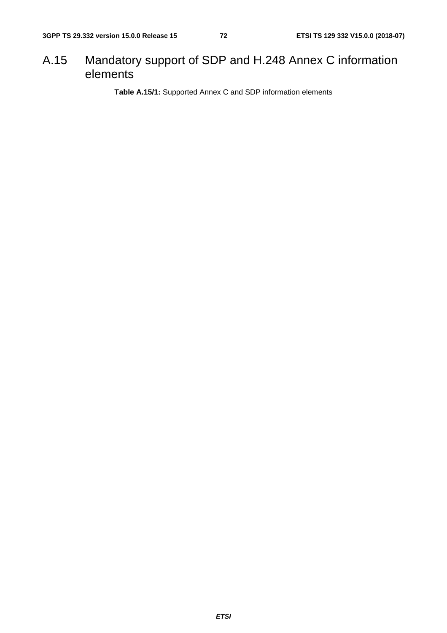# A.15 Mandatory support of SDP and H.248 Annex C information elements

**Table A.15/1:** Supported Annex C and SDP information elements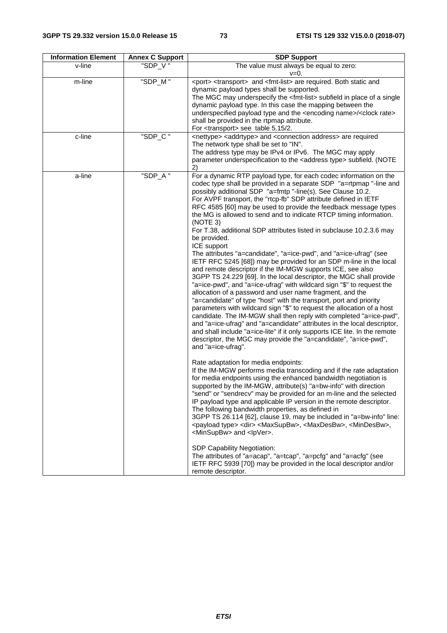| <b>Information Element</b> | <b>Annex C Support</b> | <b>SDP Support</b>                                                                                                                                                                                                                                                                                                                                                                                                                                                                                                                                                                                                                                                                                                                                                                                                                                                                                                                                                                                                                                                                                                                                                                                                                                                                                                                                                                                                                                                                                                                                                                                                                                                                                                                                                                                                                                                                                                                                                                                                                                                                                                                                                                                                                                                                                                                     |  |
|----------------------------|------------------------|----------------------------------------------------------------------------------------------------------------------------------------------------------------------------------------------------------------------------------------------------------------------------------------------------------------------------------------------------------------------------------------------------------------------------------------------------------------------------------------------------------------------------------------------------------------------------------------------------------------------------------------------------------------------------------------------------------------------------------------------------------------------------------------------------------------------------------------------------------------------------------------------------------------------------------------------------------------------------------------------------------------------------------------------------------------------------------------------------------------------------------------------------------------------------------------------------------------------------------------------------------------------------------------------------------------------------------------------------------------------------------------------------------------------------------------------------------------------------------------------------------------------------------------------------------------------------------------------------------------------------------------------------------------------------------------------------------------------------------------------------------------------------------------------------------------------------------------------------------------------------------------------------------------------------------------------------------------------------------------------------------------------------------------------------------------------------------------------------------------------------------------------------------------------------------------------------------------------------------------------------------------------------------------------------------------------------------------|--|
| v-line                     | "SDP V"                | The value must always be equal to zero:<br>v=0.                                                                                                                                                                                                                                                                                                                                                                                                                                                                                                                                                                                                                                                                                                                                                                                                                                                                                                                                                                                                                                                                                                                                                                                                                                                                                                                                                                                                                                                                                                                                                                                                                                                                                                                                                                                                                                                                                                                                                                                                                                                                                                                                                                                                                                                                                        |  |
| m-line                     | $"SDP_M"$              | <port> <transport> and <fmt-list> are required. Both static and<br/>dynamic payload types shall be supported.<br/>The MGC may underspecify the <fmt-list> subfield in place of a single<br/>dynamic payload type. In this case the mapping between the<br/>underspecified payload type and the <encoding name="">/<clock rate=""><br/>shall be provided in the rtpmap attribute.<br/>For <transport> see table 5.15/2.</transport></clock></encoding></fmt-list></fmt-list></transport></port>                                                                                                                                                                                                                                                                                                                                                                                                                                                                                                                                                                                                                                                                                                                                                                                                                                                                                                                                                                                                                                                                                                                                                                                                                                                                                                                                                                                                                                                                                                                                                                                                                                                                                                                                                                                                                                         |  |
| c-line                     | "SDP_C"                | <nettype> <addrtype> and <connection address=""> are required<br/>The network type shall be set to "IN".<br/>The address type may be IPv4 or IPv6. The MGC may apply<br/>parameter underspecification to the <address type=""> subfield. (NOTE<br/>2)</address></connection></addrtype></nettype>                                                                                                                                                                                                                                                                                                                                                                                                                                                                                                                                                                                                                                                                                                                                                                                                                                                                                                                                                                                                                                                                                                                                                                                                                                                                                                                                                                                                                                                                                                                                                                                                                                                                                                                                                                                                                                                                                                                                                                                                                                      |  |
| a-line                     | "SDP_A"                | For a dynamic RTP payload type, for each codec information on the<br>codec type shall be provided in a separate SDP "a=rtpmap "-line and<br>possibly additional SDP "a=fmtp "-line(s). See Clause 10.2.<br>For AVPF transport, the "rtcp-fb" SDP attribute defined in IETF<br>RFC 4585 [60] may be used to provide the feedback message types<br>the MG is allowed to send and to indicate RTCP timing information.<br>(NOTE 3)<br>For T.38, additional SDP attributes listed in subclause 10.2.3.6 may<br>be provided.<br>ICE support<br>The attributes "a=candidate", "a=ice-pwd", and "a=ice-ufrag" (see<br>IETF RFC 5245 [68]) may be provided for an SDP m-line in the local<br>and remote descriptor if the IM-MGW supports ICE, see also<br>3GPP TS 24.229 [69]. In the local descriptor, the MGC shall provide<br>"a=ice-pwd", and "a=ice-ufrag" with wildcard sign "\$" to request the<br>allocation of a password and user name fragment, and the<br>"a=candidate" of type "host" with the transport, port and priority<br>parameters with wildcard sign "\$" to request the allocation of a host<br>candidate. The IM-MGW shall then reply with completed "a=ice-pwd",<br>and "a=ice-ufrag" and "a=candidate" attributes in the local descriptor,<br>and shall include "a=ice-lite" if it only supports ICE lite. In the remote<br>descriptor, the MGC may provide the "a=candidate", "a=ice-pwd",<br>and "a=ice-ufrag".<br>Rate adaptation for media endpoints:<br>If the IM-MGW performs media transcoding and if the rate adaptation<br>for media endpoints using the enhanced bandwidth negotiation is<br>supported by the IM-MGW, attribute(s) "a=bw-info" with direction<br>"send" or "sendrecv" may be provided for an m-line and the selected<br>IP payload type and applicable IP version in the remote descriptor.<br>The following bandwidth properties, as defined in<br>3GPP TS 26.114 [62], clause 19, may be included in "a=bw-info" line:<br><payload type=""> <dir> <maxsupbw>, <maxdesbw>, <mindesbw>,<br/><minsupbw> and <lpver>.<br/>SDP Capability Negotiation:<br/>The attributes of "a=acap", "a=tcap", "a=pcfg" and "a=acfg" (see<br/>IETF RFC 5939 [70]) may be provided in the local descriptor and/or<br/>remote descriptor.</lpver></minsupbw></mindesbw></maxdesbw></maxsupbw></dir></payload> |  |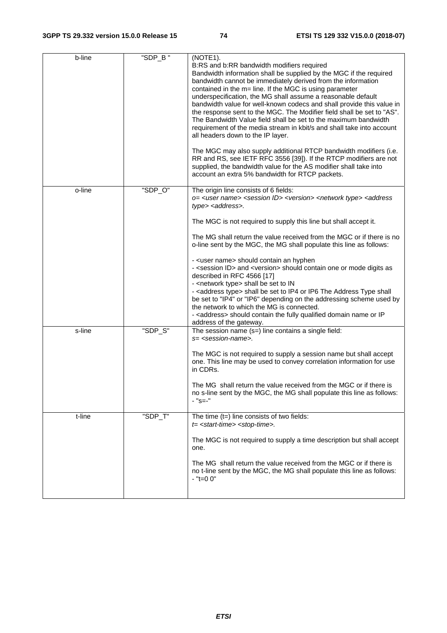| b-line | "SDP_B" | (NOTE1).<br>B:RS and b:RR bandwidth modifiers required<br>Bandwidth information shall be supplied by the MGC if the required<br>bandwidth cannot be immediately derived from the information<br>contained in the m= line. If the MGC is using parameter<br>underspecification, the MG shall assume a reasonable default<br>bandwidth value for well-known codecs and shall provide this value in<br>the response sent to the MGC. The Modifier field shall be set to "AS".<br>The Bandwidth Value field shall be set to the maximum bandwidth<br>requirement of the media stream in kbit/s and shall take into account<br>all headers down to the IP layer.<br>The MGC may also supply additional RTCP bandwidth modifiers (i.e.<br>RR and RS, see IETF RFC 3556 [39]). If the RTCP modifiers are not<br>supplied, the bandwidth value for the AS modifier shall take into<br>account an extra 5% bandwidth for RTCP packets.                                                  |
|--------|---------|--------------------------------------------------------------------------------------------------------------------------------------------------------------------------------------------------------------------------------------------------------------------------------------------------------------------------------------------------------------------------------------------------------------------------------------------------------------------------------------------------------------------------------------------------------------------------------------------------------------------------------------------------------------------------------------------------------------------------------------------------------------------------------------------------------------------------------------------------------------------------------------------------------------------------------------------------------------------------------|
| o-line | "SDP_O" | The origin line consists of 6 fields:<br>o= <user name=""> <session id=""> <version> <network type=""> <address<br>type&gt; <address>.<br/>The MGC is not required to supply this line but shall accept it.<br/>The MG shall return the value received from the MGC or if there is no<br/>o-line sent by the MGC, the MG shall populate this line as follows:<br/>- <user name=""> should contain an hyphen<br/>- <session id=""> and <version> should contain one or mode digits as<br/>described in RFC 4566 [17]<br/>- &lt; network type&gt; shall be set to IN<br/>- <address type=""> shall be set to IP4 or IP6 The Address Type shall<br/>be set to "IP4" or "IP6" depending on the addressing scheme used by<br/>the network to which the MG is connected.<br/>- <address> should contain the fully qualified domain name or IP<br/>address of the gateway.</address></address></version></session></user></address></address<br></network></version></session></user> |
| s-line | "SDP_S" | The session name (s=) line contains a single field:<br>s= <session-name>.<br/>The MGC is not required to supply a session name but shall accept<br/>one. This line may be used to convey correlation information for use<br/>in CDRs.<br/>The MG shall return the value received from the MGC or if there is<br/>no s-line sent by the MGC, the MG shall populate this line as follows:<br/>- "s=-"</session-name>                                                                                                                                                                                                                                                                                                                                                                                                                                                                                                                                                             |
| t-line | "SDP_T" | The time $(t=)$ line consists of two fields:<br>t= <start-time> <stop-time>.<br/>The MGC is not required to supply a time description but shall accept<br/>one.<br/>The MG shall return the value received from the MGC or if there is<br/>no t-line sent by the MGC, the MG shall populate this line as follows:<br/>- "t=0 0"</stop-time></start-time>                                                                                                                                                                                                                                                                                                                                                                                                                                                                                                                                                                                                                       |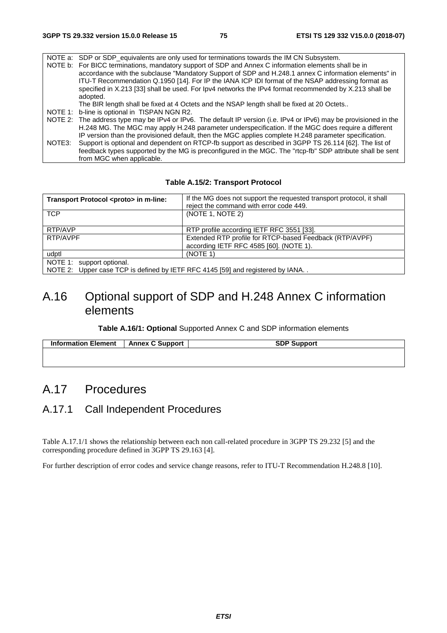| NOTE a: SDP or SDP equivalents are only used for terminations towards the IM CN Subsystem.                         |
|--------------------------------------------------------------------------------------------------------------------|
| NOTE b: For BICC terminations, mandatory support of SDP and Annex C information elements shall be in               |
| accordance with the subclause "Mandatory Support of SDP and H.248.1 annex C information elements" in               |
| ITU-T Recommendation Q.1950 [14]. For IP the IANA ICP IDI format of the NSAP addressing format as                  |
| specified in X.213 [33] shall be used. For lpv4 networks the IPv4 format recommended by X.213 shall be             |
| adopted.                                                                                                           |
| The BIR length shall be fixed at 4 Octets and the NSAP length shall be fixed at 20 Octets                          |
| NOTE 1: b-line is optional in TISPAN NGN R2.                                                                       |
| NOTE 2: The address type may be IPv4 or IPv6. The default IP version (i.e. IPv4 or IPv6) may be provisioned in the |
| H.248 MG. The MGC may apply H.248 parameter underspecification. If the MGC does require a different                |
| IP version than the provisioned default, then the MGC applies complete H.248 parameter specification.              |
| MOTEO. Current is entired and dependent on DTOD throughout as described in OODD TO OO 44.4 [CO]. The list of       |

NOTE3: Support is optional and dependent on RTCP-fb support as described in 3GPP TS 26.114 [62]. The list of feedback types supported by the MG is preconfigured in the MGC. The "rtcp-fb" SDP attribute shall be sent from MGC when applicable.

#### **Table A.15/2: Transport Protocol**

| Transport Protocol <proto> in m-line:</proto>                                  | If the MG does not support the requested transport protocol, it shall<br>reject the command with error code 449. |  |  |
|--------------------------------------------------------------------------------|------------------------------------------------------------------------------------------------------------------|--|--|
| <b>TCP</b>                                                                     | (NOTE 1, NOTE 2)                                                                                                 |  |  |
| RTP/AVP                                                                        | RTP profile according IETF RFC 3551 [33].                                                                        |  |  |
| RTP/AVPF                                                                       | Extended RTP profile for RTCP-based Feedback (RTP/AVPF)<br>according IETF RFC 4585 [60]. (NOTE 1).               |  |  |
| udptl                                                                          | (NOTE 1)                                                                                                         |  |  |
| NOTE 1: support optional.                                                      |                                                                                                                  |  |  |
| NOTE 2: Upper case TCP is defined by IETF RFC 4145 [59] and registered by IANA |                                                                                                                  |  |  |

# A.16 Optional support of SDP and H.248 Annex C information elements

#### **Table A.16/1: Optional** Supported Annex C and SDP information elements

| <b>Information Element</b> | <b>Annex C Support</b> | SDF<br><b>IDDOTt</b> |
|----------------------------|------------------------|----------------------|
|                            |                        |                      |

# A.17 Procedures

# A.17.1 Call Independent Procedures

Table A.17.1/1 shows the relationship between each non call-related procedure in 3GPP TS 29.232 [5] and the corresponding procedure defined in 3GPP TS 29.163 [4].

For further description of error codes and service change reasons, refer to ITU-T Recommendation H.248.8 [10].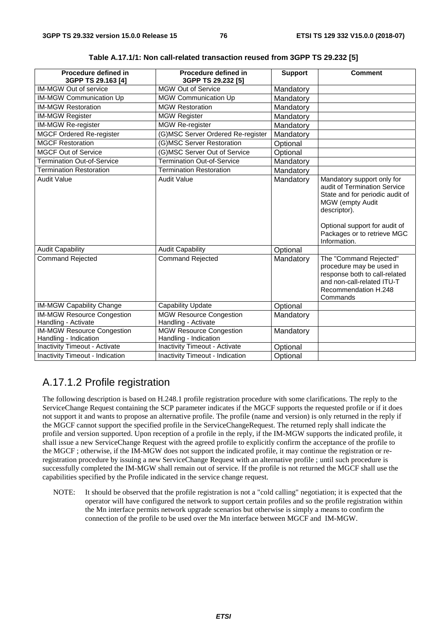| Procedure defined in                                       | Procedure defined in                                    | <b>Support</b> | <b>Comment</b>                                                                                                                                                                                                    |
|------------------------------------------------------------|---------------------------------------------------------|----------------|-------------------------------------------------------------------------------------------------------------------------------------------------------------------------------------------------------------------|
| 3GPP TS 29.163 [4]                                         | 3GPP TS 29.232 [5]                                      |                |                                                                                                                                                                                                                   |
| <b>IM-MGW Out of service</b>                               | MGW Out of Service                                      | Mandatory      |                                                                                                                                                                                                                   |
| <b>IM-MGW Communication Up</b>                             | MGW Communication Up                                    | Mandatory      |                                                                                                                                                                                                                   |
| <b>IM-MGW Restoration</b>                                  | <b>MGW Restoration</b>                                  | Mandatory      |                                                                                                                                                                                                                   |
| <b>IM-MGW Register</b>                                     | <b>MGW Register</b>                                     | Mandatory      |                                                                                                                                                                                                                   |
| IM-MGW Re-register                                         | MGW Re-register                                         | Mandatory      |                                                                                                                                                                                                                   |
| <b>MGCF Ordered Re-register</b>                            | (G)MSC Server Ordered Re-register                       | Mandatory      |                                                                                                                                                                                                                   |
| <b>MGCF Restoration</b>                                    | (G)MSC Server Restoration                               | Optional       |                                                                                                                                                                                                                   |
| <b>MGCF Out of Service</b>                                 | (G)MSC Server Out of Service                            | Optional       |                                                                                                                                                                                                                   |
| <b>Termination Out-of-Service</b>                          | <b>Termination Out-of-Service</b>                       | Mandatory      |                                                                                                                                                                                                                   |
| <b>Termination Restoration</b>                             | <b>Termination Restoration</b>                          | Mandatory      |                                                                                                                                                                                                                   |
| <b>Audit Value</b>                                         | <b>Audit Value</b>                                      | Mandatory      | Mandatory support only for<br>audit of Termination Service<br>State and for periodic audit of<br>MGW (empty Audit<br>descriptor).<br>Optional support for audit of<br>Packages or to retrieve MGC<br>Information. |
| <b>Audit Capability</b>                                    | <b>Audit Capability</b>                                 | Optional       |                                                                                                                                                                                                                   |
| Command Rejected                                           | Command Rejected                                        | Mandatory      | The "Command Rejected"<br>procedure may be used in<br>response both to call-related<br>and non-call-related ITU-T<br>Recommendation H.248<br>Commands                                                             |
| <b>IM-MGW Capability Change</b>                            | Capability Update                                       | Optional       |                                                                                                                                                                                                                   |
| <b>IM-MGW Resource Congestion</b><br>Handling - Activate   | <b>MGW Resource Congestion</b><br>Handling - Activate   | Mandatory      |                                                                                                                                                                                                                   |
| <b>IM-MGW Resource Congestion</b><br>Handling - Indication | <b>MGW Resource Congestion</b><br>Handling - Indication | Mandatory      |                                                                                                                                                                                                                   |
| <b>Inactivity Timeout - Activate</b>                       | <b>Inactivity Timeout - Activate</b>                    | Optional       |                                                                                                                                                                                                                   |
| Inactivity Timeout - Indication                            | Inactivity Timeout - Indication                         | Optional       |                                                                                                                                                                                                                   |

**Table A.17.1/1: Non call-related transaction reused from 3GPP TS 29.232 [5]** 

# A.17.1.2 Profile registration

The following description is based on H.248.1 profile registration procedure with some clarifications. The reply to the ServiceChange Request containing the SCP parameter indicates if the MGCF supports the requested profile or if it does not support it and wants to propose an alternative profile. The profile (name and version) is only returned in the reply if the MGCF cannot support the specified profile in the ServiceChangeRequest. The returned reply shall indicate the profile and version supported. Upon reception of a profile in the reply, if the IM-MGW supports the indicated profile, it shall issue a new ServiceChange Request with the agreed profile to explicitly confirm the acceptance of the profile to the MGCF ; otherwise, if the IM-MGW does not support the indicated profile, it may continue the registration or reregistration procedure by issuing a new ServiceChange Request with an alternative profile ; until such procedure is successfully completed the IM-MGW shall remain out of service. If the profile is not returned the MGCF shall use the capabilities specified by the Profile indicated in the service change request.

NOTE: It should be observed that the profile registration is not a "cold calling" negotiation; it is expected that the operator will have configured the network to support certain profiles and so the profile registration within the Mn interface permits network upgrade scenarios but otherwise is simply a means to confirm the connection of the profile to be used over the Mn interface between MGCF and IM-MGW.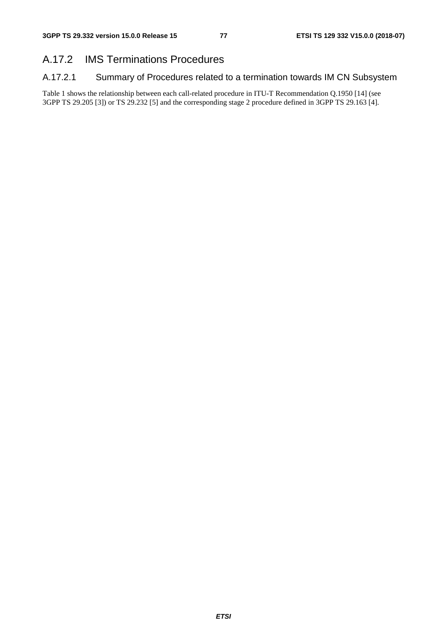# A.17.2 IMS Terminations Procedures

# A.17.2.1 Summary of Procedures related to a termination towards IM CN Subsystem

Table 1 shows the relationship between each call-related procedure in ITU-T Recommendation Q.1950 [14] (see 3GPP TS 29.205 [3]) or TS 29.232 [5] and the corresponding stage 2 procedure defined in 3GPP TS 29.163 [4].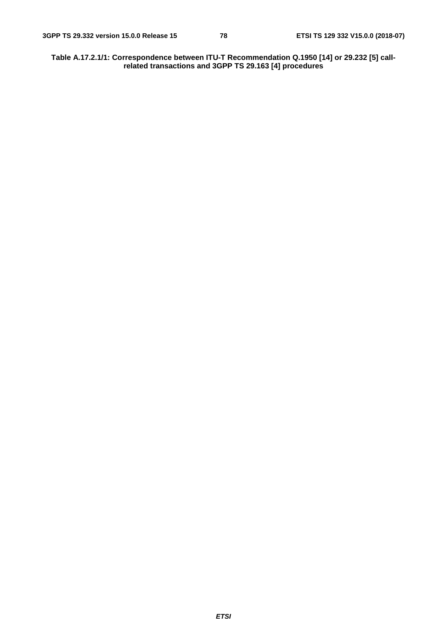**Table A.17.2.1/1: Correspondence between ITU-T Recommendation Q.1950 [14] or 29.232 [5] callrelated transactions and 3GPP TS 29.163 [4] procedures**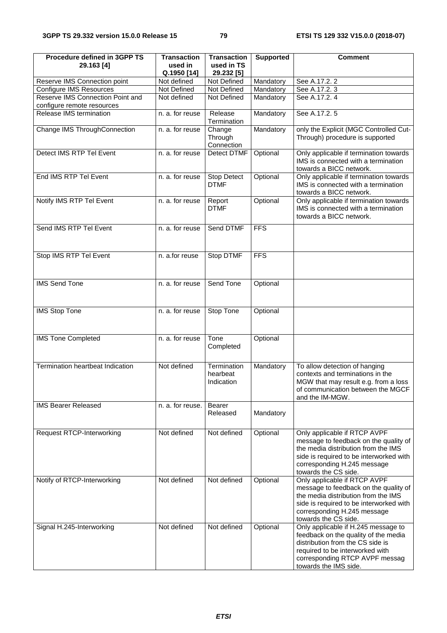| Procedure defined in 3GPP TS<br>29.163 [4]                     | <b>Transaction</b><br>used in<br>Q.1950 [14] | <b>Transaction</b><br>used in TS<br>29.232 [5] | <b>Supported</b> | <b>Comment</b>                                                                                                                                                                                                 |
|----------------------------------------------------------------|----------------------------------------------|------------------------------------------------|------------------|----------------------------------------------------------------------------------------------------------------------------------------------------------------------------------------------------------------|
| Reserve IMS Connection point                                   | Not defined                                  | Not Defined                                    | Mandatory        | See A.17.2.2                                                                                                                                                                                                   |
| <b>Configure IMS Resources</b>                                 | <b>Not Defined</b>                           | Not Defined                                    | Mandatory        | See A.17.2.3                                                                                                                                                                                                   |
| Reserve IMS Connection Point and<br>configure remote resources | Not defined                                  | Not Defined                                    | Mandatory        | See A.17.2.4                                                                                                                                                                                                   |
| Release IMS termination                                        | n. a. for reuse                              | Release<br>Termination                         | Mandatory        | See A.17.2. 5                                                                                                                                                                                                  |
| Change IMS ThroughConnection                                   | n. a. for reuse                              | Change<br>Through<br>Connection                | Mandatory        | only the Explicit (MGC Controlled Cut-<br>Through) procedure is supported                                                                                                                                      |
| Detect IMS RTP Tel Event                                       | $n. a.$ for reuse                            | Detect DTMF                                    | Optional         | Only applicable if termination towards<br>IMS is connected with a termination<br>towards a BICC network.                                                                                                       |
| End IMS RTP Tel Event                                          | n. a. for reuse                              | Stop Detect<br><b>DTMF</b>                     | Optional         | Only applicable if termination towards<br>IMS is connected with a termination<br>towards a BICC network.                                                                                                       |
| Notify IMS RTP Tel Event                                       | n. a. for reuse                              | Report<br><b>DTMF</b>                          | Optional         | Only applicable if termination towards<br>IMS is connected with a termination<br>towards a BICC network.                                                                                                       |
| Send IMS RTP Tel Event                                         | n. a. for reuse                              | Send DTMF                                      | <b>FFS</b>       |                                                                                                                                                                                                                |
| Stop IMS RTP Tel Event                                         | n. a.for reuse                               | Stop DTMF                                      | <b>FFS</b>       |                                                                                                                                                                                                                |
| <b>IMS Send Tone</b>                                           | n. a. for reuse                              | Send Tone                                      | Optional         |                                                                                                                                                                                                                |
| <b>IMS Stop Tone</b>                                           | n. a. for reuse                              | Stop Tone                                      | Optional         |                                                                                                                                                                                                                |
| <b>IMS Tone Completed</b>                                      | n. a. for reuse                              | Tone<br>Completed                              | Optional         |                                                                                                                                                                                                                |
| Termination heartbeat Indication                               | Not defined                                  | Termination<br>hearbeat<br>Indication          | Mandatory        | To allow detection of hanging<br>contexts and terminations in the<br>MGW that may result e.g. from a loss<br>of communication between the MGCF<br>and the IM-MGW.                                              |
| <b>IMS Bearer Released</b>                                     | n. a. for reuse.                             | <b>Bearer</b><br>Released                      | Mandatory        |                                                                                                                                                                                                                |
| <b>Request RTCP-Interworking</b>                               | Not defined                                  | Not defined                                    | Optional         | Only applicable if RTCP AVPF<br>message to feedback on the quality of<br>the media distribution from the IMS<br>side is required to be interworked with<br>corresponding H.245 message<br>towards the CS side. |
| Notify of RTCP-Interworking                                    | Not defined                                  | Not defined                                    | Optional         | Only applicable if RTCP AVPF<br>message to feedback on the quality of<br>the media distribution from the IMS<br>side is required to be interworked with<br>corresponding H.245 message<br>towards the CS side. |
| Signal H.245-Interworking                                      | Not defined                                  | Not defined                                    | Optional         | Only applicable if H.245 message to<br>feedback on the quality of the media<br>distribution from the CS side is<br>required to be interworked with<br>corresponding RTCP AVPF messag<br>towards the IMS side.  |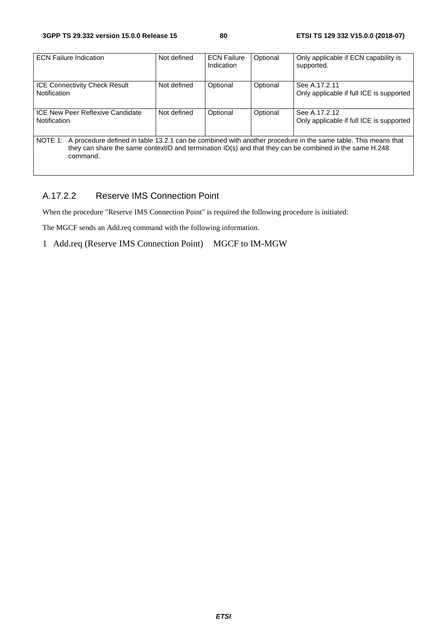| <b>ECN Failure Indication</b>                                                                                                                                                                                                                   | Not defined | <b>ECN Failure</b><br>Indication | Optional | Only applicable if ECN capability is<br>supported.        |
|-------------------------------------------------------------------------------------------------------------------------------------------------------------------------------------------------------------------------------------------------|-------------|----------------------------------|----------|-----------------------------------------------------------|
| <b>ICE Connectivity Check Result</b><br>Notification                                                                                                                                                                                            | Not defined | Optional                         | Optional | See A.17.2.11<br>Only applicable if full ICE is supported |
| <b>ICE New Peer Reflexive Candidate</b><br><b>Notification</b>                                                                                                                                                                                  | Not defined | Optional                         | Optional | See A.17.2.12<br>Only applicable if full ICE is supported |
| A procedure defined in table 13.2.1 can be combined with another procedure in the same table. This means that<br>NOTE 1:<br>they can share the same contextID and termination ID(s) and that they can be combined in the same H.248<br>command. |             |                                  |          |                                                           |

# A.17.2.2 Reserve IMS Connection Point

When the procedure "Reserve IMS Connection Point" is required the following procedure is initiated:

The MGCF sends an Add.req command with the following information.

1 Add.req (Reserve IMS Connection Point) MGCF to IM-MGW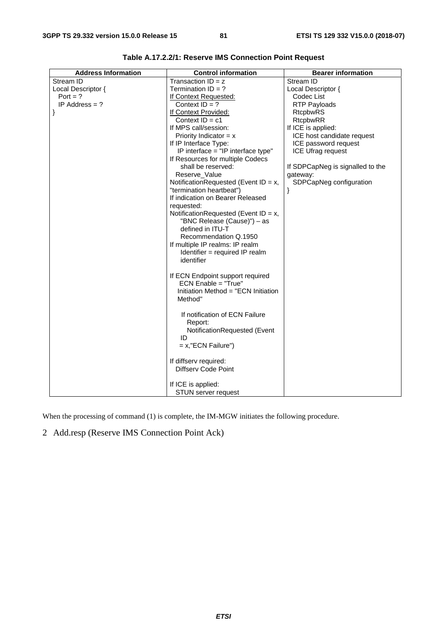| <b>Address Information</b> | <b>Control information</b>               | <b>Bearer information</b>        |
|----------------------------|------------------------------------------|----------------------------------|
| Stream ID                  | Transaction $ID = z$                     | Stream ID                        |
| Local Descriptor {         | Termination $ID = ?$                     | Local Descriptor {               |
| Port = $?$                 | If Context Requested:                    | Codec List                       |
| IP Address $= ?$           | Context $ID = ?$                         | <b>RTP Payloads</b>              |
|                            | If Context Provided:                     | <b>RtcpbwRS</b>                  |
|                            | Context $ID = c1$                        | <b>RtcpbwRR</b>                  |
|                            | If MPS call/session:                     | If ICE is applied:               |
|                            | Priority Indicator = $x$                 | ICE host candidate request       |
|                            | If IP Interface Type:                    | ICE password request             |
|                            | IP interface = "IP interface type"       | <b>ICE Ufrag request</b>         |
|                            | If Resources for multiple Codecs         |                                  |
|                            | shall be reserved:                       | If SDPCapNeg is signalled to the |
|                            | Reserve_Value                            | qateway:                         |
|                            | NotificationRequested (Event ID = $x$ ,  | SDPCapNeg configuration          |
|                            | "termination heartbeat")                 | }                                |
|                            | If indication on Bearer Released         |                                  |
|                            | requested:                               |                                  |
|                            | Notification Requested (Event $ID = x$ , |                                  |
|                            | "BNC Release (Cause)") - as              |                                  |
|                            | defined in ITU-T                         |                                  |
|                            | Recommendation Q.1950                    |                                  |
|                            | If multiple IP realms: IP realm          |                                  |
|                            | Identifier = required IP realm           |                                  |
|                            | identifier                               |                                  |
|                            |                                          |                                  |
|                            | If ECN Endpoint support required         |                                  |
|                            | ECN Enable = "True"                      |                                  |
|                            | Initiation Method = "ECN Initiation      |                                  |
|                            | Method"                                  |                                  |
|                            |                                          |                                  |
|                            | If notification of ECN Failure           |                                  |
|                            | Report:                                  |                                  |
|                            | NotificationRequested (Event             |                                  |
|                            | ID                                       |                                  |
|                            | $= x$ , "ECN Failure")                   |                                  |
|                            |                                          |                                  |
|                            | If diffserv required:                    |                                  |
|                            | Diffserv Code Point                      |                                  |
|                            |                                          |                                  |
|                            | If ICE is applied:                       |                                  |
|                            | <b>STUN server request</b>               |                                  |

**Table A.17.2.2/1: Reserve IMS Connection Point Request** 

When the processing of command (1) is complete, the IM-MGW initiates the following procedure.

2 Add.resp (Reserve IMS Connection Point Ack)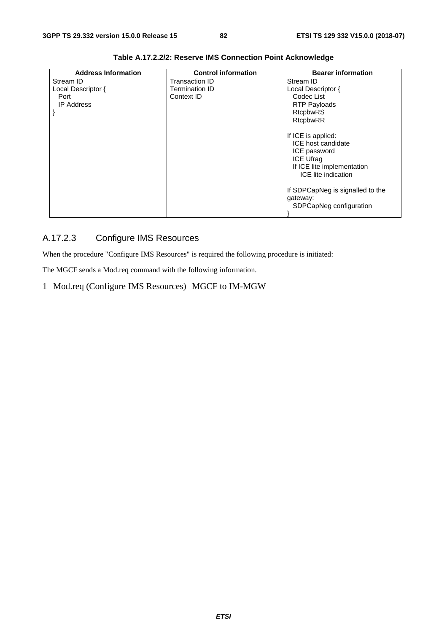| <b>Address Information</b> | <b>Control information</b> | <b>Bearer information</b>        |
|----------------------------|----------------------------|----------------------------------|
| Stream ID                  | Transaction ID             | Stream ID                        |
| Local Descriptor {         | <b>Termination ID</b>      | Local Descriptor {               |
| Port                       | Context ID                 | Codec List                       |
| <b>IP Address</b>          |                            | <b>RTP Payloads</b>              |
|                            |                            | <b>RtcpbwRS</b>                  |
|                            |                            | <b>RtcpbwRR</b>                  |
|                            |                            |                                  |
|                            |                            | If ICE is applied:               |
|                            |                            | ICE host candidate               |
|                            |                            | ICE password                     |
|                            |                            | <b>ICE Ufrag</b>                 |
|                            |                            | If ICE lite implementation       |
|                            |                            | ICE lite indication              |
|                            |                            |                                  |
|                            |                            | If SDPCapNeg is signalled to the |
|                            |                            | gateway:                         |
|                            |                            | SDPCapNeg configuration          |
|                            |                            |                                  |

**Table A.17.2.2/2: Reserve IMS Connection Point Acknowledge** 

# A.17.2.3 Configure IMS Resources

When the procedure "Configure IMS Resources" is required the following procedure is initiated:

The MGCF sends a Mod.req command with the following information.

### 1 Mod.req (Configure IMS Resources) MGCF to IM-MGW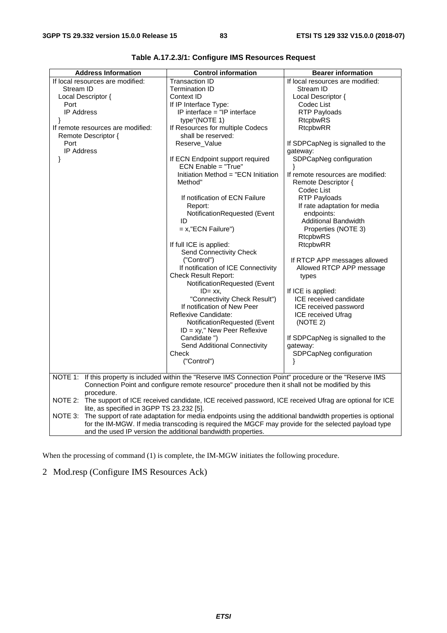| <b>Address Information</b>        | <b>Control information</b>                                                                                                                         | <b>Bearer information</b>         |  |  |  |
|-----------------------------------|----------------------------------------------------------------------------------------------------------------------------------------------------|-----------------------------------|--|--|--|
| If local resources are modified:  | <b>Transaction ID</b>                                                                                                                              | If local resources are modified:  |  |  |  |
| Stream ID                         | <b>Termination ID</b>                                                                                                                              | Stream ID                         |  |  |  |
| Local Descriptor {                | Context ID                                                                                                                                         | Local Descriptor {                |  |  |  |
| Port                              | If IP Interface Type:                                                                                                                              | Codec List                        |  |  |  |
| <b>IP Address</b>                 | IP interface = "IP interface                                                                                                                       | <b>RTP Payloads</b>               |  |  |  |
| ł                                 | type"(NOTE 1)                                                                                                                                      | <b>RtcpbwRS</b>                   |  |  |  |
| If remote resources are modified: | If Resources for multiple Codecs                                                                                                                   | <b>RtcpbwRR</b>                   |  |  |  |
| Remote Descriptor {               | shall be reserved:                                                                                                                                 |                                   |  |  |  |
| Port                              | Reserve_Value                                                                                                                                      | If SDPCapNeg is signalled to the  |  |  |  |
| <b>IP Address</b>                 |                                                                                                                                                    | gateway:                          |  |  |  |
| ł                                 | If ECN Endpoint support required                                                                                                                   | SDPCapNeg configuration           |  |  |  |
|                                   | ECN Enable = "True"                                                                                                                                |                                   |  |  |  |
|                                   | Initiation Method = "ECN Initiation                                                                                                                | If remote resources are modified: |  |  |  |
|                                   | Method"                                                                                                                                            | Remote Descriptor {               |  |  |  |
|                                   |                                                                                                                                                    | Codec List                        |  |  |  |
|                                   | If notification of ECN Failure                                                                                                                     | <b>RTP Payloads</b>               |  |  |  |
|                                   | Report:                                                                                                                                            | If rate adaptation for media      |  |  |  |
|                                   | NotificationRequested (Event                                                                                                                       | endpoints:                        |  |  |  |
|                                   | ID                                                                                                                                                 | <b>Additional Bandwidth</b>       |  |  |  |
|                                   | $= x$ , "ECN Failure")                                                                                                                             | Properties (NOTE 3)               |  |  |  |
|                                   |                                                                                                                                                    | <b>RtcpbwRS</b>                   |  |  |  |
|                                   | If full ICE is applied:                                                                                                                            | <b>RtcpbwRR</b>                   |  |  |  |
|                                   | Send Connectivity Check                                                                                                                            |                                   |  |  |  |
|                                   | ("Control")                                                                                                                                        | If RTCP APP messages allowed      |  |  |  |
|                                   | If notification of ICE Connectivity                                                                                                                | Allowed RTCP APP message          |  |  |  |
|                                   | <b>Check Result Report:</b>                                                                                                                        | types                             |  |  |  |
|                                   | NotificationRequested (Event                                                                                                                       |                                   |  |  |  |
|                                   | $ID = xx$ .                                                                                                                                        | If ICE is applied:                |  |  |  |
|                                   | "Connectivity Check Result")                                                                                                                       | ICE received candidate            |  |  |  |
|                                   | If notification of New Peer                                                                                                                        | ICE received password             |  |  |  |
|                                   | Reflexive Candidate:                                                                                                                               | <b>ICE received Ufrag</b>         |  |  |  |
|                                   | NotificationRequested (Event                                                                                                                       | (NOTE 2)                          |  |  |  |
|                                   | $ID = xy$ ," New Peer Reflexive                                                                                                                    |                                   |  |  |  |
|                                   | Candidate")                                                                                                                                        | If SDPCapNeg is signalled to the  |  |  |  |
|                                   | Send Additional Connectivity                                                                                                                       | gateway:                          |  |  |  |
|                                   | Check                                                                                                                                              | SDPCapNeg configuration           |  |  |  |
|                                   | ("Control")                                                                                                                                        | ļ                                 |  |  |  |
|                                   |                                                                                                                                                    |                                   |  |  |  |
|                                   | NOTE 1: If this property is included within the "Reserve IMS Connection Point" procedure or the "Reserve IMS                                       |                                   |  |  |  |
|                                   | Connection Point and configure remote resource" procedure then it shall not be modified by this                                                    |                                   |  |  |  |
| procedure.                        |                                                                                                                                                    |                                   |  |  |  |
| NOTE 2:                           |                                                                                                                                                    |                                   |  |  |  |
|                                   | The support of ICE received candidate, ICE received password, ICE received Ufrag are optional for ICE<br>lite, as specified in 3GPP TS 23.232 [5]. |                                   |  |  |  |
| NOTE 3:                           | The support of rate adaptation for media endpoints using the additional bandwidth properties is optional                                           |                                   |  |  |  |
|                                   | for the IM-MGW. If media transcoding is required the MGCF may provide for the selected payload type                                                |                                   |  |  |  |

**Table A.17.2.3/1: Configure IMS Resources Request** 

When the processing of command (1) is complete, the IM-MGW initiates the following procedure.

and the used IP version the additional bandwidth properties.

# 2 Mod.resp (Configure IMS Resources Ack)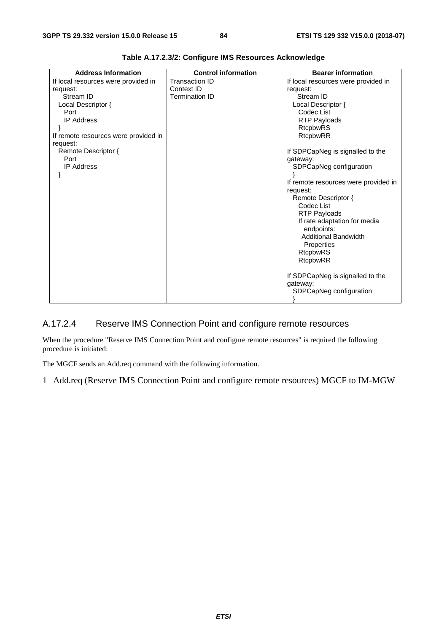| <b>Address Information</b>           | <b>Control information</b> | <b>Bearer information</b>            |
|--------------------------------------|----------------------------|--------------------------------------|
| If local resources were provided in  | <b>Transaction ID</b>      | If local resources were provided in  |
| request:                             | Context ID                 | request:                             |
| Stream ID                            | <b>Termination ID</b>      | Stream ID                            |
| Local Descriptor {                   |                            | Local Descriptor {                   |
| Port                                 |                            | Codec List                           |
| <b>IP Address</b>                    |                            | <b>RTP Payloads</b>                  |
|                                      |                            | <b>RtcpbwRS</b>                      |
| If remote resources were provided in |                            | <b>RtcpbwRR</b>                      |
| request:                             |                            |                                      |
| Remote Descriptor {                  |                            | If SDPCapNeg is signalled to the     |
| Port                                 |                            | gateway:                             |
| <b>IP Address</b>                    |                            | SDPCapNeg configuration              |
|                                      |                            |                                      |
|                                      |                            | If remote resources were provided in |
|                                      |                            | request:                             |
|                                      |                            | Remote Descriptor {                  |
|                                      |                            | Codec List                           |
|                                      |                            | <b>RTP Payloads</b>                  |
|                                      |                            | If rate adaptation for media         |
|                                      |                            | endpoints:                           |
|                                      |                            | <b>Additional Bandwidth</b>          |
|                                      |                            | Properties                           |
|                                      |                            | <b>RtcpbwRS</b>                      |
|                                      |                            | RtcpbwRR                             |
|                                      |                            |                                      |
|                                      |                            | If SDPCapNeg is signalled to the     |
|                                      |                            | gateway:                             |
|                                      |                            | SDPCapNeg configuration              |
|                                      |                            |                                      |

**Table A.17.2.3/2: Configure IMS Resources Acknowledge** 

### A.17.2.4 Reserve IMS Connection Point and configure remote resources

When the procedure "Reserve IMS Connection Point and configure remote resources" is required the following procedure is initiated:

The MGCF sends an Add.req command with the following information.

1 Add.req (Reserve IMS Connection Point and configure remote resources) MGCF to IM-MGW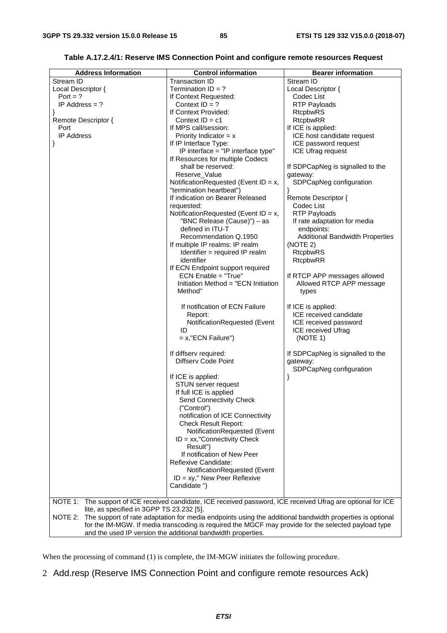| <b>Address Information</b>                                                                                                                                 | <b>Control information</b>                                                                                                                                                                                      | <b>Bearer information</b>              |  |
|------------------------------------------------------------------------------------------------------------------------------------------------------------|-----------------------------------------------------------------------------------------------------------------------------------------------------------------------------------------------------------------|----------------------------------------|--|
| Stream ID                                                                                                                                                  | <b>Transaction ID</b>                                                                                                                                                                                           | Stream ID                              |  |
| Local Descriptor {                                                                                                                                         | Termination $ID = ?$                                                                                                                                                                                            | Local Descriptor {                     |  |
| Port = $?$                                                                                                                                                 | If Context Requested:                                                                                                                                                                                           | Codec List                             |  |
| IP Address $= ?$                                                                                                                                           | Context $ID = ?$                                                                                                                                                                                                | <b>RTP Payloads</b>                    |  |
| ł                                                                                                                                                          | If Context Provided:                                                                                                                                                                                            | <b>RtcpbwRS</b>                        |  |
| Remote Descriptor {                                                                                                                                        | Context $ID = c1$                                                                                                                                                                                               | <b>RtcpbwRR</b>                        |  |
| Port                                                                                                                                                       | If MPS call/session:                                                                                                                                                                                            | If ICE is applied:                     |  |
| <b>IP Address</b>                                                                                                                                          | Priority Indicator = $x$                                                                                                                                                                                        | ICE host candidate request             |  |
| }                                                                                                                                                          | If IP Interface Type:                                                                                                                                                                                           | ICE password request                   |  |
|                                                                                                                                                            | IP interface = "IP interface type"                                                                                                                                                                              | ICE Ufrag request                      |  |
|                                                                                                                                                            | If Resources for multiple Codecs                                                                                                                                                                                |                                        |  |
|                                                                                                                                                            | shall be reserved:                                                                                                                                                                                              | If SDPCapNeg is signalled to the       |  |
|                                                                                                                                                            | Reserve_Value                                                                                                                                                                                                   | gateway:                               |  |
|                                                                                                                                                            | NotificationRequested (Event ID = $x$ ,                                                                                                                                                                         | SDPCapNeg configuration                |  |
|                                                                                                                                                            | "termination heartbeat")                                                                                                                                                                                        |                                        |  |
|                                                                                                                                                            | If indication on Bearer Released                                                                                                                                                                                | Remote Descriptor {                    |  |
|                                                                                                                                                            | requested:                                                                                                                                                                                                      | Codec List                             |  |
|                                                                                                                                                            | NotificationRequested (Event ID = $x$ ,                                                                                                                                                                         | <b>RTP Payloads</b>                    |  |
|                                                                                                                                                            | "BNC Release (Cause)") - as                                                                                                                                                                                     | If rate adaptation for media           |  |
|                                                                                                                                                            | defined in ITU-T                                                                                                                                                                                                | endpoints:                             |  |
|                                                                                                                                                            | Recommendation Q.1950                                                                                                                                                                                           | <b>Additional Bandwidth Properties</b> |  |
|                                                                                                                                                            | If multiple IP realms: IP realm                                                                                                                                                                                 | (NOTE 2)                               |  |
|                                                                                                                                                            | Identifier = required IP realm                                                                                                                                                                                  | <b>RtcpbwRS</b>                        |  |
|                                                                                                                                                            | identifier                                                                                                                                                                                                      | <b>RtcpbwRR</b>                        |  |
|                                                                                                                                                            | If ECN Endpoint support required                                                                                                                                                                                |                                        |  |
|                                                                                                                                                            | ECN Enable = "True"                                                                                                                                                                                             | If RTCP APP messages allowed           |  |
|                                                                                                                                                            | Initiation Method = "ECN Initiation                                                                                                                                                                             | Allowed RTCP APP message               |  |
|                                                                                                                                                            | Method"                                                                                                                                                                                                         | types                                  |  |
|                                                                                                                                                            | If notification of ECN Failure                                                                                                                                                                                  | If ICE is applied:                     |  |
|                                                                                                                                                            | Report:                                                                                                                                                                                                         | ICE received candidate                 |  |
|                                                                                                                                                            | NotificationRequested (Event                                                                                                                                                                                    | ICE received password                  |  |
|                                                                                                                                                            | ID                                                                                                                                                                                                              | ICE received Ufrag                     |  |
|                                                                                                                                                            | $= x$ , "ECN Failure")                                                                                                                                                                                          | (NOTE 1)                               |  |
|                                                                                                                                                            |                                                                                                                                                                                                                 |                                        |  |
|                                                                                                                                                            | If diffserv required:                                                                                                                                                                                           | If SDPCapNeg is signalled to the       |  |
|                                                                                                                                                            | Diffsery Code Point                                                                                                                                                                                             | gateway:                               |  |
|                                                                                                                                                            |                                                                                                                                                                                                                 | SDPCapNeg configuration                |  |
|                                                                                                                                                            | If ICE is applied:                                                                                                                                                                                              |                                        |  |
|                                                                                                                                                            | STUN server request                                                                                                                                                                                             |                                        |  |
|                                                                                                                                                            | If full ICE is applied                                                                                                                                                                                          |                                        |  |
|                                                                                                                                                            | Send Connectivity Check                                                                                                                                                                                         |                                        |  |
|                                                                                                                                                            | ("Control")                                                                                                                                                                                                     |                                        |  |
|                                                                                                                                                            | notification of ICE Connectivity                                                                                                                                                                                |                                        |  |
|                                                                                                                                                            | <b>Check Result Report:</b>                                                                                                                                                                                     |                                        |  |
|                                                                                                                                                            | NotificationRequested (Event                                                                                                                                                                                    |                                        |  |
|                                                                                                                                                            | $ID = xx$ , "Connectivity Check                                                                                                                                                                                 |                                        |  |
|                                                                                                                                                            | Result")                                                                                                                                                                                                        |                                        |  |
|                                                                                                                                                            | If notification of New Peer                                                                                                                                                                                     |                                        |  |
|                                                                                                                                                            | Reflexive Candidate:                                                                                                                                                                                            |                                        |  |
|                                                                                                                                                            | NotificationRequested (Event                                                                                                                                                                                    |                                        |  |
|                                                                                                                                                            | $ID = xy$ ," New Peer Reflexive                                                                                                                                                                                 |                                        |  |
|                                                                                                                                                            | Candidate")                                                                                                                                                                                                     |                                        |  |
|                                                                                                                                                            |                                                                                                                                                                                                                 |                                        |  |
| NOTE 1: The support of ICE received candidate, ICE received password, ICE received Ufrag are optional for ICE<br>lite, as specified in 3GPP TS 23.232 [5]. |                                                                                                                                                                                                                 |                                        |  |
| NOTE 2:                                                                                                                                                    |                                                                                                                                                                                                                 |                                        |  |
|                                                                                                                                                            | The support of rate adaptation for media endpoints using the additional bandwidth properties is optional<br>for the IM-MGW. If media transcoding is required the MGCF may provide for the selected payload type |                                        |  |

**Table A.17.2.4/1: Reserve IMS Connection Point and configure remote resources Request** 

When the processing of command (1) is complete, the IM-MGW initiates the following procedure.

and the used IP version the additional bandwidth properties.

2 Add.resp (Reserve IMS Connection Point and configure remote resources Ack)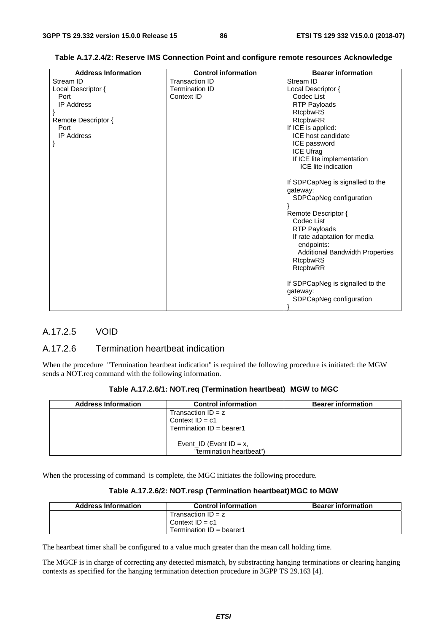| <b>Address Information</b> | <b>Control information</b> | <b>Bearer information</b>              |
|----------------------------|----------------------------|----------------------------------------|
| Stream ID                  | <b>Transaction ID</b>      | Stream ID                              |
| Local Descriptor {         | <b>Termination ID</b>      | Local Descriptor {                     |
| Port                       | Context ID                 | Codec List                             |
| <b>IP Address</b>          |                            | <b>RTP Payloads</b>                    |
|                            |                            | <b>RtcpbwRS</b>                        |
| Remote Descriptor {        |                            | <b>RtcpbwRR</b>                        |
| Port                       |                            | If ICE is applied:                     |
| <b>IP Address</b>          |                            | ICE host candidate                     |
|                            |                            | ICE password                           |
|                            |                            | <b>ICE Ufrag</b>                       |
|                            |                            | If ICE lite implementation             |
|                            |                            | <b>ICE</b> lite indication             |
|                            |                            |                                        |
|                            |                            | If SDPCapNeg is signalled to the       |
|                            |                            | gateway:                               |
|                            |                            | SDPCapNeg configuration                |
|                            |                            | Remote Descriptor {                    |
|                            |                            | Codec List                             |
|                            |                            | RTP Payloads                           |
|                            |                            | If rate adaptation for media           |
|                            |                            | endpoints:                             |
|                            |                            | <b>Additional Bandwidth Properties</b> |
|                            |                            | <b>RtcpbwRS</b>                        |
|                            |                            | RtcpbwRR                               |
|                            |                            |                                        |
|                            |                            | If SDPCapNeg is signalled to the       |
|                            |                            | gateway:                               |
|                            |                            | SDPCapNeg configuration                |
|                            |                            |                                        |

**Table A.17.2.4/2: Reserve IMS Connection Point and configure remote resources Acknowledge** 

# A.17.2.5 VOID

#### A.17.2.6 Termination heartbeat indication

When the procedure "Termination heartbeat indication" is required the following procedure is initiated: the MGW sends a NOT.req command with the following information.

| <b>Address Information</b> | <b>Control information</b> | <b>Bearer information</b> |
|----------------------------|----------------------------|---------------------------|
|                            | Transaction $ID = z$       |                           |
|                            | Context $ID = c1$          |                           |
|                            | Termination $ID = bearer1$ |                           |
|                            |                            |                           |
|                            | Event_ID (Event $ID = x$ , |                           |
|                            | "termination heartbeat")   |                           |

**Table A.17.2.6/1: NOT.req (Termination heartbeat) MGW to MGC** 

When the processing of command is complete, the MGC initiates the following procedure.

| <b>Address Information</b> | <b>Control information</b> | <b>Bearer information</b> |
|----------------------------|----------------------------|---------------------------|
|                            | Transaction $ID = z$       |                           |
|                            | Context $ID = c1$          |                           |
|                            | Termination $ID = bearer1$ |                           |

The heartbeat timer shall be configured to a value much greater than the mean call holding time.

The MGCF is in charge of correcting any detected mismatch, by substracting hanging terminations or clearing hanging contexts as specified for the hanging termination detection procedure in 3GPP TS 29.163 [4].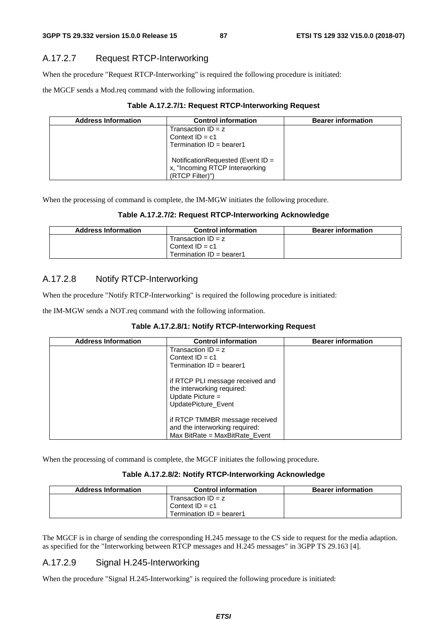# A.17.2.7 Request RTCP-Interworking

When the procedure "Request RTCP-Interworking" is required the following procedure is initiated:

the MGCF sends a Mod.req command with the following information.

#### **Table A.17.2.7/1: Request RTCP-Interworking Request**

| <b>Address Information</b> | <b>Control information</b>                                                              | <b>Bearer information</b> |
|----------------------------|-----------------------------------------------------------------------------------------|---------------------------|
|                            | Transaction $ID = z$<br>Context $ID = c1$                                               |                           |
|                            | Termination $ID = bearer1$                                                              |                           |
|                            | Notification Requested (Event ID =<br>x, "Incoming RTCP Interworking<br>(RTCP Filter)") |                           |

When the processing of command is complete, the IM-MGW initiates the following procedure.

| Table A.17.2.7/2: Request RTCP-Interworking Acknowledge |
|---------------------------------------------------------|
|---------------------------------------------------------|

| <b>Address Information</b> | <b>Control information</b> | <b>Bearer information</b> |
|----------------------------|----------------------------|---------------------------|
|                            | Transaction $ID = z$       |                           |
|                            | Context $ID = c1$          |                           |
|                            | Termination $ID = bearer1$ |                           |

# A.17.2.8 Notify RTCP-Interworking

When the procedure "Notify RTCP-Interworking" is required the following procedure is initiated:

the IM-MGW sends a NOT.req command with the following information.

| <b>Address Information</b> | <b>Control information</b>                                                                                  | <b>Bearer information</b> |
|----------------------------|-------------------------------------------------------------------------------------------------------------|---------------------------|
|                            | Transaction $ID = z$                                                                                        |                           |
|                            | Context $ID = c1$                                                                                           |                           |
|                            | Termination $ID = bearer1$                                                                                  |                           |
|                            | if RTCP PLI message received and<br>the interworking required:<br>Update Picture $=$<br>UpdatePicture_Event |                           |
|                            | if RTCP TMMBR message received                                                                              |                           |
|                            | and the interworking required:                                                                              |                           |
|                            | Max BitRate = $MaxBitRate$ Event                                                                            |                           |

When the processing of command is complete, the MGCF initiates the following procedure.

#### **Table A.17.2.8/2: Notify RTCP-Interworking Acknowledge**

| <b>Address Information</b> | <b>Control information</b> | <b>Bearer information</b> |
|----------------------------|----------------------------|---------------------------|
|                            | Transaction $ID = z$       |                           |
|                            | Context $ID = c1$          |                           |
|                            | Termination $ID = bearer1$ |                           |

The MGCF is in charge of sending the corresponding H.245 message to the CS side to request for the media adaption. as specified for the "Interworking between RTCP messages and H.245 messages" in 3GPP TS 29.163 [4].

# A.17.2.9 Signal H.245-Interworking

When the procedure "Signal H.245-Interworking" is required the following procedure is initiated: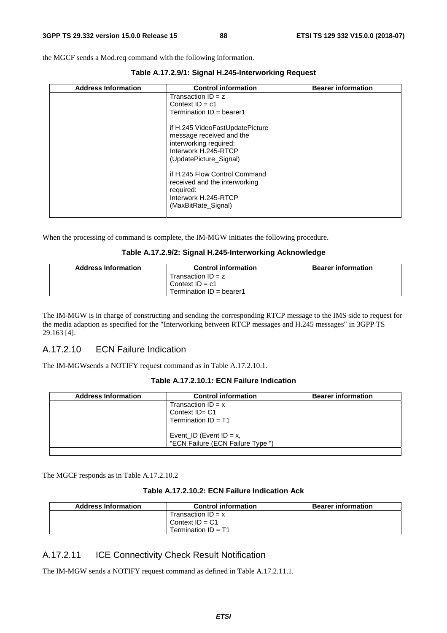the MGCF sends a Mod.req command with the following information.

**Table A.17.2.9/1: Signal H.245-Interworking Request** 

| <b>Address Information</b> | <b>Control information</b>                                                                                                              | <b>Bearer information</b> |
|----------------------------|-----------------------------------------------------------------------------------------------------------------------------------------|---------------------------|
|                            | Transaction $ID = z$<br>Context $ID = c1$<br>Termination $ID = bearer1$                                                                 |                           |
|                            | if H.245 VideoFastUpdatePicture<br>message received and the<br>interworking required:<br>Interwork H.245-RTCP<br>(UpdatePicture_Signal) |                           |
|                            | if H.245 Flow Control Command<br>received and the interworking<br>required:<br>Interwork H.245-RTCP<br>(MaxBitRate_Signal)              |                           |

When the processing of command is complete, the IM-MGW initiates the following procedure.

#### **Table A.17.2.9/2: Signal H.245-Interworking Acknowledge**

| <b>Address Information</b> | <b>Control information</b> | <b>Bearer information</b> |
|----------------------------|----------------------------|---------------------------|
|                            | Transaction $ID = z$       |                           |
|                            | Context $ID = c1$          |                           |
|                            | Termination $ID = bearer1$ |                           |

The IM-MGW is in charge of constructing and sending the corresponding RTCP message to the IMS side to request for the media adaption as specified for the "Interworking between RTCP messages and H.245 messages" in 3GPP TS 29.163 [4].

# A.17.2.10 ECN Failure Indication

The IM-MGWsends a NOTIFY request command as in Table A.17.2.10.1.

#### **Table A.17.2.10.1: ECN Failure Indication**

| <b>Address Information</b> | <b>Control information</b>                                     | <b>Bearer information</b> |
|----------------------------|----------------------------------------------------------------|---------------------------|
|                            | Transaction $ID = x$                                           |                           |
|                            | Context ID= C1                                                 |                           |
|                            | Termination $ID = T1$                                          |                           |
|                            | Event_ID (Event $ID = x$ ,<br>"ECN Failure (ECN Failure Type") |                           |
|                            |                                                                |                           |

The MGCF responds as in Table A.17.2.10.2

#### **Table A.17.2.10.2: ECN Failure Indication Ack**

| <b>Address Information</b> | <b>Control information</b> | <b>Bearer information</b> |
|----------------------------|----------------------------|---------------------------|
|                            | Transaction $ID = x$       |                           |
|                            | Context $ID = C1$          |                           |
|                            | Termination $ID = T1$      |                           |

# A.17.2.11 ICE Connectivity Check Result Notification

The IM-MGW sends a NOTIFY request command as defined in Table A.17.2.11.1.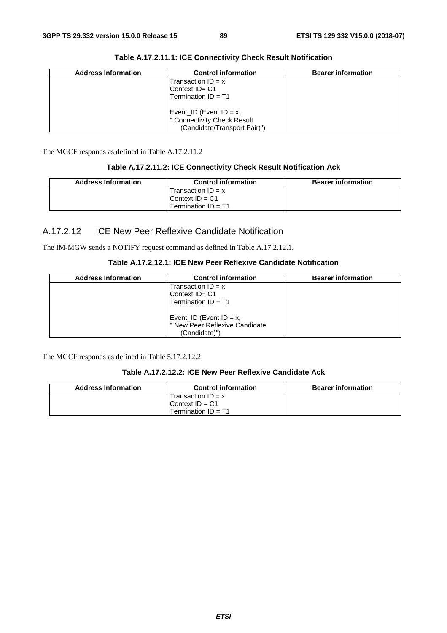**Address Information Control information Bearer information** Transaction  $ID = x$ Context ID= C1 Termination ID = T1 Event ID (Event ID =  $x$ , " Connectivity Check Result (Candidate/Transport Pair)")

**Table A.17.2.11.1: ICE Connectivity Check Result Notification** 

The MGCF responds as defined in Table A.17.2.11.2

#### **Table A.17.2.11.2: ICE Connectivity Check Result Notification Ack**

| <b>Address Information</b> | <b>Control information</b> | <b>Bearer information</b> |
|----------------------------|----------------------------|---------------------------|
|                            | Transaction $ID = x$       |                           |
|                            | Context $ID = C1$          |                           |
|                            | Termination $ID = T1$      |                           |

# A.17.2.12 ICE New Peer Reflexive Candidate Notification

The IM-MGW sends a NOTIFY request command as defined in Table A.17.2.12.1.

#### **Table A.17.2.12.1: ICE New Peer Reflexive Candidate Notification**

| <b>Address Information</b> | <b>Control information</b>                                                    | <b>Bearer information</b> |
|----------------------------|-------------------------------------------------------------------------------|---------------------------|
|                            | Transaction $ID = x$<br>Context ID= C1<br>Termination $ID = T1$               |                           |
|                            | Event ID (Event ID = $x$ ,<br>" New Peer Reflexive Candidate<br>(Candidate)") |                           |

The MGCF responds as defined in Table 5.17.2.12.2

### **Table A.17.2.12.2: ICE New Peer Reflexive Candidate Ack**

| <b>Address Information</b> | <b>Control information</b> | <b>Bearer information</b> |
|----------------------------|----------------------------|---------------------------|
|                            | Transaction $ID = x$       |                           |
|                            | Context $ID = C1$          |                           |
|                            | Termination $ID = T1$      |                           |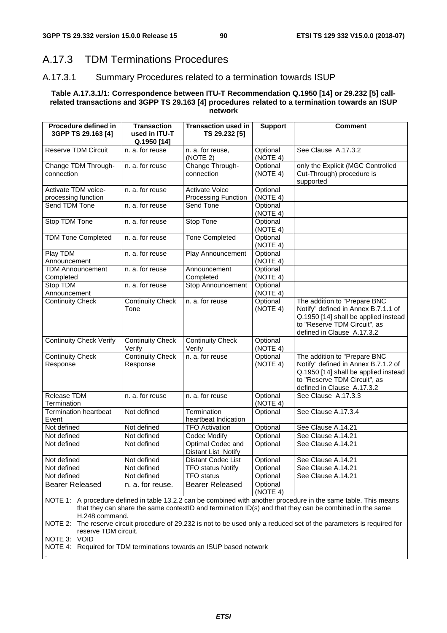# A.17.3 TDM Terminations Procedures

# A.17.3.1 Summary Procedures related to a termination towards ISUP

#### **Table A.17.3.1/1: Correspondence between ITU-T Recommendation Q.1950 [14] or 29.232 [5] callrelated transactions and 3GPP TS 29.163 [4] procedures related to a termination towards an ISUP network**

| Procedure defined in<br>3GPP TS 29.163 [4]                        | <b>Transaction</b><br>used in ITU-T<br>Q.1950 [14] | <b>Transaction used in</b><br>TS 29.232 [5]         | <b>Support</b>       | <b>Comment</b>                                                                                                                                                                                                                                                                                                                               |
|-------------------------------------------------------------------|----------------------------------------------------|-----------------------------------------------------|----------------------|----------------------------------------------------------------------------------------------------------------------------------------------------------------------------------------------------------------------------------------------------------------------------------------------------------------------------------------------|
| <b>Reserve TDM Circuit</b>                                        | n. a. for reuse                                    | n. a. for reuse,<br>(NOTE 2)                        | Optional<br>(NOTE 4) | See Clause A.17.3.2                                                                                                                                                                                                                                                                                                                          |
| Change TDM Through-<br>connection                                 | n. a. for reuse                                    | Change Through-<br>connection                       | Optional<br>(NOTE 4) | only the Explicit (MGC Controlled<br>Cut-Through) procedure is<br>supported                                                                                                                                                                                                                                                                  |
| Activate TDM voice-<br>processing function                        | n. a. for reuse                                    | <b>Activate Voice</b><br><b>Processing Function</b> | Optional<br>(NOTE 4) |                                                                                                                                                                                                                                                                                                                                              |
| Send TDM Tone                                                     | n. a. for reuse                                    | Send Tone                                           | Optional<br>(NOTE 4) |                                                                                                                                                                                                                                                                                                                                              |
| Stop TDM Tone                                                     | n. a. for reuse                                    | Stop Tone                                           | Optional<br>(NOTE 4) |                                                                                                                                                                                                                                                                                                                                              |
| <b>TDM Tone Completed</b>                                         | n. a. for reuse                                    | <b>Tone Completed</b>                               | Optional<br>(NOTE 4) |                                                                                                                                                                                                                                                                                                                                              |
| Play TDM<br>Announcement                                          | n. a. for reuse                                    | Play Announcement                                   | Optional<br>(NOTE 4) |                                                                                                                                                                                                                                                                                                                                              |
| <b>TDM Announcement</b><br>Completed                              | n. a. for reuse                                    | Announcement<br>Completed                           | Optional<br>(NOTE 4) |                                                                                                                                                                                                                                                                                                                                              |
| <b>Stop TDM</b><br>Announcement                                   | n. a. for reuse                                    | Stop Announcement                                   | Optional<br>(NOTE 4) |                                                                                                                                                                                                                                                                                                                                              |
| <b>Continuity Check</b>                                           | <b>Continuity Check</b><br>Tone                    | n. a. for reuse                                     | Optional<br>(NOTE 4) | The addition to "Prepare BNC<br>Notify" defined in Annex B.7.1.1 of<br>Q.1950 [14] shall be applied instead<br>to "Reserve TDM Circuit", as<br>defined in Clause A.17.3.2                                                                                                                                                                    |
| <b>Continuity Check Verify</b>                                    | <b>Continuity Check</b><br>Verify                  | <b>Continuity Check</b><br>Verify                   | Optional<br>(NOTE 4) |                                                                                                                                                                                                                                                                                                                                              |
| <b>Continuity Check</b><br>Response                               | <b>Continuity Check</b><br>Response                | n. a. for reuse                                     | Optional<br>(NOTE 4) | The addition to "Prepare BNC<br>Notify" defined in Annex B.7.1.2 of<br>Q.1950 [14] shall be applied instead<br>to "Reserve TDM Circuit", as<br>defined in Clause A.17.3.2                                                                                                                                                                    |
| Release TDM<br>Termination                                        | n. a. for reuse                                    | n. a. for reuse                                     | Optional<br>(NOTE 4) | See Clause A.17.3.3                                                                                                                                                                                                                                                                                                                          |
| <b>Termination heartbeat</b><br>Event                             | Not defined                                        | Termination<br>heartbeat Indication                 | Optional             | See Clause A.17.3.4                                                                                                                                                                                                                                                                                                                          |
| Not defined                                                       | Not defined                                        | <b>TFO Activation</b>                               | Optional             | See Clause A.14.21                                                                                                                                                                                                                                                                                                                           |
| Not defined                                                       | Not defined                                        | Codec Modify                                        | Optional             | See Clause A.14.21                                                                                                                                                                                                                                                                                                                           |
| Not defined                                                       | Not defined                                        | Optimal Codec and<br>Distant List_Notify            | Optional             | See Clause A.14.21                                                                                                                                                                                                                                                                                                                           |
| Not defined                                                       | Not defined                                        | Distant Codec List                                  | Optional             | See Clause A.14.21                                                                                                                                                                                                                                                                                                                           |
| Not defined                                                       | Not defined                                        | <b>TFO status Notify</b>                            | Optional             | See Clause A.14.21                                                                                                                                                                                                                                                                                                                           |
| Not defined                                                       | Not defined                                        | <b>TFO</b> status                                   | Optional             | See Clause A.14.21                                                                                                                                                                                                                                                                                                                           |
| <b>Bearer Released</b>                                            | n. a. for reuse.                                   | <b>Bearer Released</b>                              | Optional<br>(NOTE 4) |                                                                                                                                                                                                                                                                                                                                              |
| H.248 command.<br>NOTE 2:<br>reserve TDM circuit.<br>NOTE 3: VOID |                                                    |                                                     |                      | NOTE 1: A procedure defined in table 13.2.2 can be combined with another procedure in the same table. This means<br>that they can share the same contextID and termination ID(s) and that they can be combined in the same<br>The reserve circuit procedure of 29.232 is not to be used only a reduced set of the parameters is required for |

NOTE 4: Required for TDM terminations towards an ISUP based network

.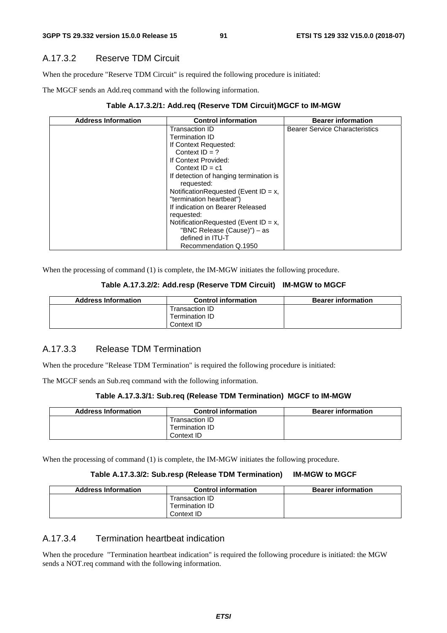# A.17.3.2 Reserve TDM Circuit

When the procedure "Reserve TDM Circuit" is required the following procedure is initiated:

The MGCF sends an Add.req command with the following information.

# **Table A.17.3.2/1: Add.req (Reserve TDM Circuit) MGCF to IM-MGW**

| <b>Address Information</b> | <b>Control information</b>               | <b>Bearer information</b>             |
|----------------------------|------------------------------------------|---------------------------------------|
|                            | Transaction ID                           | <b>Bearer Service Characteristics</b> |
|                            | Termination ID                           |                                       |
|                            | If Context Requested:                    |                                       |
|                            | Context $ID = ?$                         |                                       |
|                            | If Context Provided:                     |                                       |
|                            | Context $ID = c1$                        |                                       |
|                            | If detection of hanging termination is   |                                       |
|                            | requested:                               |                                       |
|                            | Notification Requested (Event $ID = x$ , |                                       |
|                            | "termination heartbeat")                 |                                       |
|                            | If indication on Bearer Released         |                                       |
|                            | requested:                               |                                       |
|                            | Notification Requested (Event $ID = x$ , |                                       |
|                            | "BNC Release (Cause)") – as              |                                       |
|                            | defined in ITU-T                         |                                       |
|                            | Recommendation Q.1950                    |                                       |

When the processing of command (1) is complete, the IM-MGW initiates the following procedure.

# **Table A.17.3.2/2: Add.resp (Reserve TDM Circuit) IM-MGW to MGCF**

| <b>Address Information</b> | <b>Control information</b> | <b>Bearer information</b> |
|----------------------------|----------------------------|---------------------------|
|                            | Transaction ID             |                           |
|                            | Termination ID             |                           |
|                            | Context ID                 |                           |

# A.17.3.3 Release TDM Termination

When the procedure "Release TDM Termination" is required the following procedure is initiated:

The MGCF sends an Sub.req command with the following information.

# **Table A.17.3.3/1: Sub.req (Release TDM Termination) MGCF to IM-MGW**

| <b>Address Information</b> | <b>Control information</b> | <b>Bearer information</b> |
|----------------------------|----------------------------|---------------------------|
|                            | Transaction ID             |                           |
|                            | Termination ID             |                           |
|                            | Context ID                 |                           |

When the processing of command (1) is complete, the IM-MGW initiates the following procedure.

# **Table A.17.3.3/2: Sub.resp (Release TDM Termination) IM-MGW to MGCF**

| <b>Address Information</b> | <b>Control information</b> | <b>Bearer information</b> |
|----------------------------|----------------------------|---------------------------|
|                            | Transaction ID             |                           |
|                            | Termination ID             |                           |
|                            | Context ID                 |                           |

# A.17.3.4 Termination heartbeat indication

When the procedure "Termination heartbeat indication" is required the following procedure is initiated: the MGW sends a NOT.req command with the following information.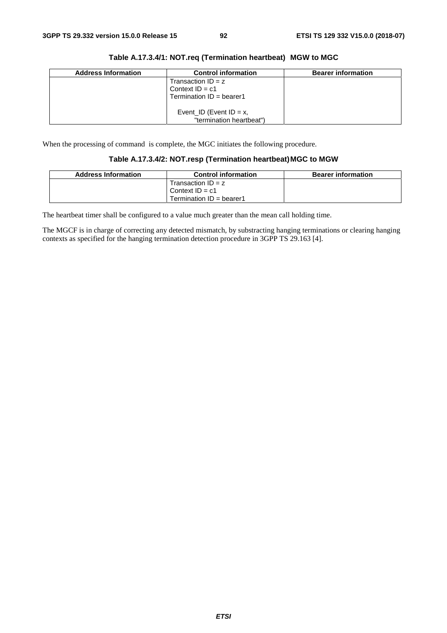**Address Information Control information Bearer information**  $Transaction$  ID = z Context  $ID = c1$ Termination ID = bearer1 Event ID (Event ID =  $x$ , "termination heartbeat")

**Table A.17.3.4/1: NOT.req (Termination heartbeat) MGW to MGC** 

When the processing of command is complete, the MGC initiates the following procedure.

#### **Table A.17.3.4/2: NOT.resp (Termination heartbeat) MGC to MGW**

| <b>Address Information</b> | <b>Control information</b>                      | <b>Bearer information</b> |
|----------------------------|-------------------------------------------------|---------------------------|
|                            | Transaction $ID = z$                            |                           |
|                            | Context $ID = c1$<br>Termination $ID = bearer1$ |                           |

The heartbeat timer shall be configured to a value much greater than the mean call holding time.

The MGCF is in charge of correcting any detected mismatch, by substracting hanging terminations or clearing hanging contexts as specified for the hanging termination detection procedure in 3GPP TS 29.163 [4].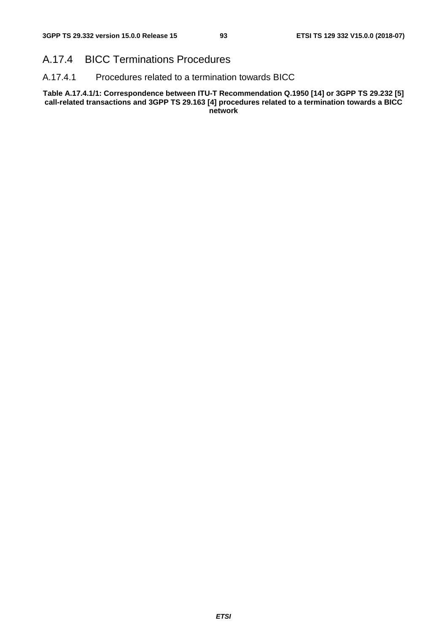# A.17.4 BICC Terminations Procedures

A.17.4.1 Procedures related to a termination towards BICC

**Table A.17.4.1/1: Correspondence between ITU-T Recommendation Q.1950 [14] or 3GPP TS 29.232 [5] call-related transactions and 3GPP TS 29.163 [4] procedures related to a termination towards a BICC network**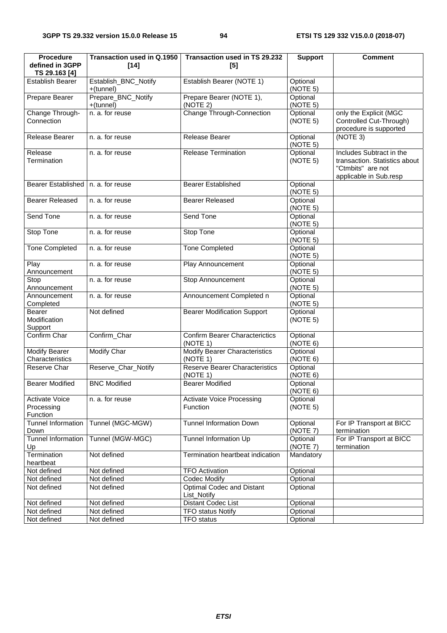| <b>Procedure</b><br>defined in 3GPP<br>TS 29.163 [4] | Transaction used in Q.1950<br>$[14]$ | Transaction used in TS 29.232<br>[5]              | <b>Support</b>       | <b>Comment</b>                                                                                           |
|------------------------------------------------------|--------------------------------------|---------------------------------------------------|----------------------|----------------------------------------------------------------------------------------------------------|
| <b>Establish Bearer</b>                              | Establish_BNC_Notify<br>+(tunnel)    | Establish Bearer (NOTE 1)                         | Optional<br>(NOTE 5) |                                                                                                          |
| Prepare Bearer                                       | Prepare_BNC_Notify<br>+(tunnel)      | Prepare Bearer (NOTE 1),<br>(NOTE 2)              | Optional<br>(NOTE 5) |                                                                                                          |
| Change Through-<br>Connection                        | n. a. for reuse                      | <b>Change Through-Connection</b>                  | Optional<br>(NOTE 5) | only the Explicit (MGC<br>Controlled Cut-Through)<br>procedure is supported                              |
| Release Bearer                                       | n. a. for reuse                      | Release Bearer                                    | Optional<br>(NOTE 5) | (NOTE 3)                                                                                                 |
| Release<br>Termination                               | n. a. for reuse                      | <b>Release Termination</b>                        | Optional<br>(NOTE 5) | Includes Subtract in the<br>transaction. Statistics about<br>"Ctmbits" are not<br>applicable in Sub.resp |
| Bearer Established   n. a. for reuse                 |                                      | <b>Bearer Established</b>                         | Optional<br>(NOTE 5) |                                                                                                          |
| <b>Bearer Released</b>                               | n. a. for reuse                      | <b>Bearer Released</b>                            | Optional<br>(NOTE 5) |                                                                                                          |
| Send Tone                                            | n. a. for reuse                      | Send Tone                                         | Optional<br>(NOTE 5) |                                                                                                          |
| Stop Tone                                            | n. a. for reuse                      | Stop Tone                                         | Optional<br>(NOTE 5) |                                                                                                          |
| <b>Tone Completed</b>                                | n. a. for reuse                      | <b>Tone Completed</b>                             | Optional<br>(NOTE 5) |                                                                                                          |
| Play<br>Announcement                                 | n. a. for reuse                      | Play Announcement                                 | Optional<br>(NOTE 5) |                                                                                                          |
| Stop<br>Announcement                                 | n. a. for reuse                      | Stop Announcement                                 | Optional<br>(NOTE 5) |                                                                                                          |
| Announcement<br>Completed                            | n. a. for reuse                      | Announcement Completed n                          | Optional<br>(NOTE 5) |                                                                                                          |
| Bearer<br>Modification<br>Support                    | Not defined                          | <b>Bearer Modification Support</b>                | Optional<br>(NOTE 5) |                                                                                                          |
| Confirm Char                                         | Confirm_Char                         | <b>Confirm Bearer Characterictics</b><br>(NOTE 1) | Optional<br>(NOTE 6) |                                                                                                          |
| <b>Modify Bearer</b><br>Characteristics              | Modify Char                          | <b>Modify Bearer Characteristics</b><br>(NOTE 1)  | Optional<br>(NOTE 6) |                                                                                                          |
| Reserve Char                                         | Reserve Char Notify                  | <b>Reserve Bearer Characteristics</b><br>(NOTE 1) | Optional<br>(NOTE 6) |                                                                                                          |
| <b>Bearer Modified</b>                               | <b>BNC Modified</b>                  | <b>Bearer Modified</b>                            | Optional<br>(NOTE 6) |                                                                                                          |
| Activate Voice<br>Processing<br>Function             | n. a. for reuse                      | <b>Activate Voice Processing</b><br>Function      | Optional<br>(NOTE 5) |                                                                                                          |
| <b>Tunnel Information</b><br>Down                    | Tunnel (MGC-MGW)                     | <b>Tunnel Information Down</b>                    | Optional<br>(NOTE 7) | For IP Transport at BICC<br>termination                                                                  |
| <b>Tunnel Information</b><br>Up                      | Tunnel (MGW-MGC)                     | Tunnel Information Up                             | Optional<br>(NOTE 7) | For IP Transport at BICC<br>termination                                                                  |
| Termination<br>heartbeat                             | Not defined                          | Termination heartbeat indication                  | Mandatory            |                                                                                                          |
| Not defined                                          | Not defined                          | <b>TFO Activation</b>                             | Optional             |                                                                                                          |
| Not defined                                          | Not defined                          | Codec Modify                                      | Optional             |                                                                                                          |
| Not defined                                          | Not defined                          | <b>Optimal Codec and Distant</b><br>List_Notify   | Optional             |                                                                                                          |
| Not defined                                          | Not defined                          | Distant Codec List                                | Optional             |                                                                                                          |
| Not defined                                          | Not defined                          | <b>TFO status Notify</b>                          | Optional             |                                                                                                          |
| Not defined                                          | Not defined                          | <b>TFO</b> status                                 | Optional             |                                                                                                          |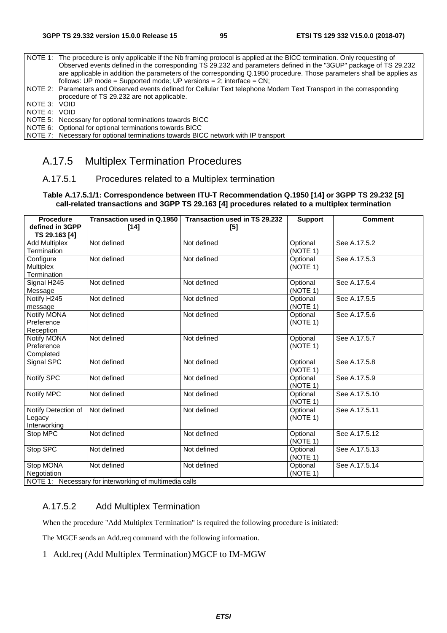|                | NOTE 1: The procedure is only applicable if the Nb framing protocol is applied at the BICC termination. Only requesting of |
|----------------|----------------------------------------------------------------------------------------------------------------------------|
|                | Observed events defined in the corresponding TS 29.232 and parameters defined in the "3GUP" package of TS 29.232           |
|                | are applicable in addition the parameters of the corresponding Q.1950 procedure. Those parameters shall be applies as      |
|                | follows: UP mode = Supported mode: UP versions = 2; interface = $CN$ ;                                                     |
|                | NOTE 2: Parameters and Observed events defined for Cellular Text telephone Modem Text Transport in the corresponding       |
|                | procedure of TS 29.232 are not applicable.                                                                                 |
| I NOTE 3: VOID |                                                                                                                            |
| I NOTE 4: VOID |                                                                                                                            |
|                | NOTE 5: Necessary for optional terminations towards BICC                                                                   |
|                | NOTE 6: Optional for optional terminations towards BICC                                                                    |
|                | NOTE 7: Necessary for optional terminations towards BICC network with IP transport                                         |

# A.17.5 Multiplex Termination Procedures

# A.17.5.1 Procedures related to a Multiplex termination

#### **Table A.17.5.1/1: Correspondence between ITU-T Recommendation Q.1950 [14] or 3GPP TS 29.232 [5] call-related transactions and 3GPP TS 29.163 [4] procedures related to a multiplex termination**

| <b>Procedure</b><br>defined in 3GPP<br>TS 29.163 [4] | Transaction used in Q.1950<br>$[14]$                   | Transaction used in TS 29.232<br>[5] | <b>Support</b>       | <b>Comment</b> |
|------------------------------------------------------|--------------------------------------------------------|--------------------------------------|----------------------|----------------|
| <b>Add Multiplex</b><br>Termination                  | Not defined                                            | Not defined                          | Optional<br>(NOTE 1) | See A.17.5.2   |
| Configure<br>Multiplex<br>Termination                | Not defined                                            | Not defined                          | Optional<br>(NOTE 1) | See A.17.5.3   |
| Signal H245<br>Message                               | Not defined                                            | Not defined                          | Optional<br>(NOTE 1) | See A.17.5.4   |
| Notify H245<br>message                               | Not defined                                            | Not defined                          | Optional<br>(NOTE 1) | See A.17.5.5   |
| Notify MONA<br>Preference<br>Reception               | Not defined                                            | Not defined                          | Optional<br>(NOTE 1) | See A.17.5.6   |
| Notify MONA<br>Preference<br>Completed               | Not defined                                            | Not defined                          | Optional<br>(NOTE 1) | See A.17.5.7   |
| Signal SPC                                           | Not defined                                            | Not defined                          | Optional<br>(NOTE 1) | See A.17.5.8   |
| Notify SPC                                           | Not defined                                            | Not defined                          | Optional<br>(NOTE 1) | See A.17.5.9   |
| Notify MPC                                           | Not defined                                            | Not defined                          | Optional<br>(NOTE 1) | See A.17.5.10  |
| Notify Detection of<br>Legacy<br>Interworking        | Not defined                                            | Not defined                          | Optional<br>(NOTE 1) | See A.17.5.11  |
| Stop MPC                                             | Not defined                                            | Not defined                          | Optional<br>(NOTE 1) | See A.17.5.12  |
| Stop SPC                                             | Not defined                                            | Not defined                          | Optional<br>(NOTE 1) | See A.17.5.13  |
| Stop MONA<br>Negotiation                             | Not defined                                            | Not defined                          | Optional<br>(NOTE 1) | See A.17.5.14  |
|                                                      | NOTE 1: Necessary for interworking of multimedia calls |                                      |                      |                |

# A.17.5.2 Add Multiplex Termination

When the procedure "Add Multiplex Termination" is required the following procedure is initiated:

The MGCF sends an Add.req command with the following information.

#### 1 Add.req (Add Multiplex Termination) MGCF to IM-MGW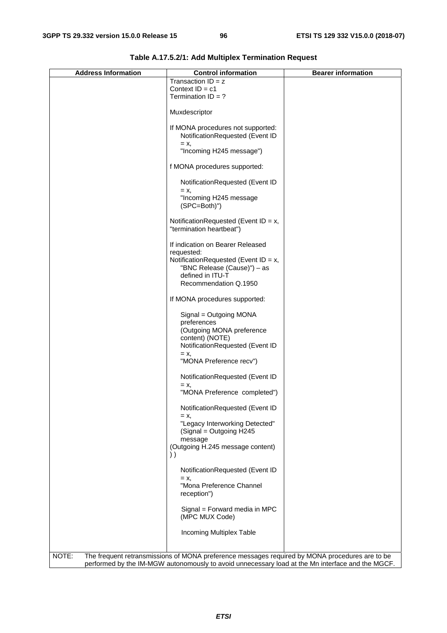| <b>Address Information</b> | <b>Control information</b>                                                                                                                                                                         | <b>Bearer information</b> |
|----------------------------|----------------------------------------------------------------------------------------------------------------------------------------------------------------------------------------------------|---------------------------|
|                            | Transaction $ID = z$<br>Context $ID = c1$<br>Termination $ID = ?$                                                                                                                                  |                           |
|                            | Muxdescriptor                                                                                                                                                                                      |                           |
|                            | If MONA procedures not supported:<br>NotificationRequested (Event ID<br>$= X,$<br>"Incoming H245 message")                                                                                         |                           |
|                            | f MONA procedures supported:                                                                                                                                                                       |                           |
|                            | NotificationRequested (Event ID<br>$= X,$                                                                                                                                                          |                           |
|                            | "Incoming H245 message<br>(SPC=Both)")                                                                                                                                                             |                           |
|                            | NotificationRequested (Event ID = $x$ ,<br>"termination heartbeat")                                                                                                                                |                           |
|                            | If indication on Bearer Released<br>requested:                                                                                                                                                     |                           |
|                            | NotificationRequested (Event ID = $x$ ,<br>"BNC Release (Cause)") - as<br>defined in ITU-T<br>Recommendation Q.1950                                                                                |                           |
|                            | If MONA procedures supported:                                                                                                                                                                      |                           |
|                            | Signal = Outgoing MONA<br>preferences<br>(Outgoing MONA preference<br>content) (NOTE)<br>NotificationRequested (Event ID<br>$= X,$<br>"MONA Preference recv")                                      |                           |
|                            | NotificationRequested (Event ID<br>$= X,$<br>"MONA Preference completed")                                                                                                                          |                           |
|                            | NotificationRequested (Event ID<br>$= X,$<br>"Legacy Interworking Detected"<br>(Signal = Outgoing H245<br>message<br>(Outgoing H.245 message content)<br>$)$ )                                     |                           |
|                            | NotificationRequested (Event ID<br>$= X,$<br>"Mona Preference Channel<br>reception")                                                                                                               |                           |
|                            | Signal = Forward media in MPC<br>(MPC MUX Code)                                                                                                                                                    |                           |
|                            | Incoming Multiplex Table                                                                                                                                                                           |                           |
| NOTE:                      | The frequent retransmissions of MONA preference messages required by MONA procedures are to be<br>performed by the IM-MGW autonomously to avoid unnecessary load at the Mn interface and the MGCF. |                           |

**Table A.17.5.2/1: Add Multiplex Termination Request**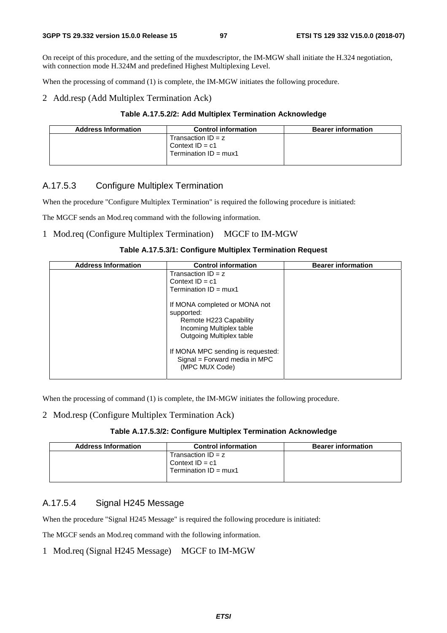On receipt of this procedure, and the setting of the muxdescriptor, the IM-MGW shall initiate the H.324 negotiation, with connection mode H.324M and predefined Highest Multiplexing Level.

When the processing of command (1) is complete, the IM-MGW initiates the following procedure.

#### 2 Add.resp (Add Multiplex Termination Ack)

#### **Table A.17.5.2/2: Add Multiplex Termination Acknowledge**

| <b>Address Information</b> | <b>Control information</b>     | <b>Bearer information</b> |
|----------------------------|--------------------------------|---------------------------|
|                            | Transaction $ID = z$           |                           |
|                            | Context $ID = c1$              |                           |
|                            | Termination $ID = \text{mux1}$ |                           |
|                            |                                |                           |

#### A.17.5.3 Configure Multiplex Termination

When the procedure "Configure Multiplex Termination" is required the following procedure is initiated:

The MGCF sends an Mod.req command with the following information.

#### 1 Mod.req (Configure Multiplex Termination) MGCF to IM-MGW

#### **Table A.17.5.3/1: Configure Multiplex Termination Request**

| <b>Address Information</b> | <b>Control information</b>                      | <b>Bearer information</b> |
|----------------------------|-------------------------------------------------|---------------------------|
|                            | Transaction $ID = z$                            |                           |
|                            | Context $ID = c1$                               |                           |
|                            | Termination $ID = \text{mux1}$                  |                           |
|                            | If MONA completed or MONA not                   |                           |
|                            | supported:                                      |                           |
|                            | Remote H223 Capability                          |                           |
|                            | Incoming Multiplex table                        |                           |
|                            | <b>Outgoing Multiplex table</b>                 |                           |
|                            | If MONA MPC sending is requested:               |                           |
|                            | Signal = Forward media in MPC<br>(MPC MUX Code) |                           |

When the processing of command (1) is complete, the IM-MGW initiates the following procedure.

#### 2 Mod.resp (Configure Multiplex Termination Ack)

#### **Table A.17.5.3/2: Configure Multiplex Termination Acknowledge**

| <b>Address Information</b> | <b>Control information</b>                                                  | <b>Bearer information</b> |
|----------------------------|-----------------------------------------------------------------------------|---------------------------|
|                            | Transaction $ID = z$<br>Context $ID = c1$<br>Termination $ID = \text{mux1}$ |                           |

# A.17.5.4 Signal H245 Message

When the procedure "Signal H245 Message" is required the following procedure is initiated:

The MGCF sends an Mod.req command with the following information.

#### 1 Mod.req (Signal H245 Message) MGCF to IM-MGW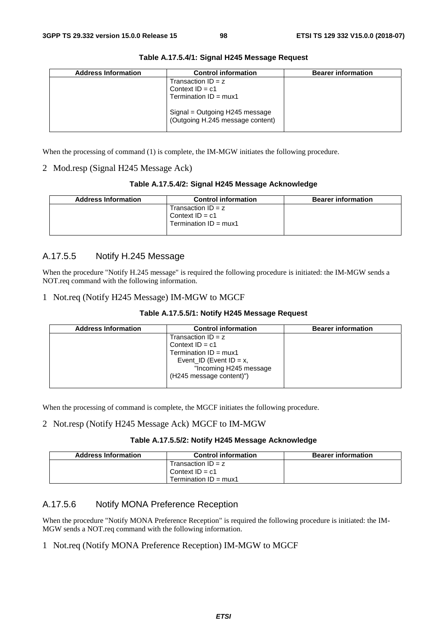| <b>Address Information</b> | <b>Control information</b>                                                  | <b>Bearer information</b> |
|----------------------------|-----------------------------------------------------------------------------|---------------------------|
|                            | Transaction $ID = z$<br>Context $ID = c1$<br>Termination $ID = \text{mux1}$ |                           |
|                            | Signal = Outgoing H245 message<br>(Outgoing H.245 message content)          |                           |

**Table A.17.5.4/1: Signal H245 Message Request** 

When the processing of command (1) is complete, the IM-MGW initiates the following procedure.

#### 2 Mod.resp (Signal H245 Message Ack)

#### **Table A.17.5.4/2: Signal H245 Message Acknowledge**

| <b>Address Information</b> | <b>Control information</b>     | <b>Bearer information</b> |
|----------------------------|--------------------------------|---------------------------|
|                            | Transaction $ID = z$           |                           |
|                            | Context $ID = c1$              |                           |
|                            | Termination $ID = \text{mux1}$ |                           |
|                            |                                |                           |

### A.17.5.5 Notify H.245 Message

When the procedure "Notify H.245 message" is required the following procedure is initiated: the IM-MGW sends a NOT.req command with the following information.

#### 1 Not.req (Notify H245 Message) IM-MGW to MGCF

|  | Table A.17.5.5/1: Notify H245 Message Request |
|--|-----------------------------------------------|
|--|-----------------------------------------------|

| <b>Address Information</b> | <b>Control information</b>     | <b>Bearer information</b> |
|----------------------------|--------------------------------|---------------------------|
|                            | Transaction $ID = z$           |                           |
|                            | Context $ID = c1$              |                           |
|                            | Termination $ID = \text{mux1}$ |                           |
|                            | Event_ID (Event $ID = x$ ,     |                           |
|                            | "Incoming H245 message         |                           |
|                            | (H245 message content)")       |                           |
|                            |                                |                           |

When the processing of command is complete, the MGCF initiates the following procedure.

#### 2 Not.resp (Notify H245 Message Ack) MGCF to IM-MGW

#### **Table A.17.5.5/2: Notify H245 Message Acknowledge**

| <b>Address Information</b> | <b>Control information</b>     | <b>Bearer information</b> |
|----------------------------|--------------------------------|---------------------------|
|                            | Transaction $ID = z$           |                           |
|                            | Context $ID = c1$              |                           |
|                            | Termination $ID = \text{mux1}$ |                           |

# A.17.5.6 Notify MONA Preference Reception

When the procedure "Notify MONA Preference Reception" is required the following procedure is initiated: the IM-MGW sends a NOT.req command with the following information.

#### 1 Not.req (Notify MONA Preference Reception) IM-MGW to MGCF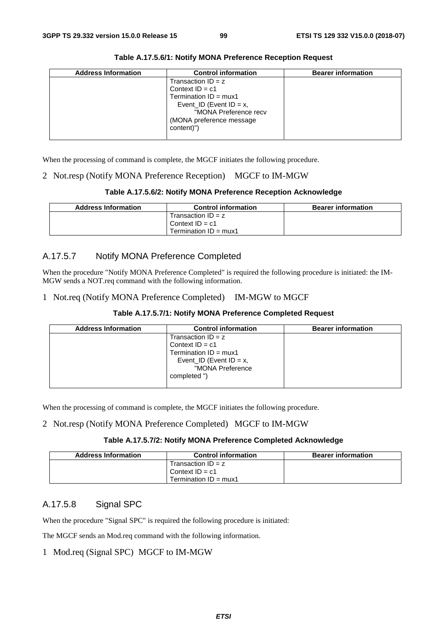| <b>Address Information</b> | <b>Control information</b>                                                                                                                                                   | <b>Bearer information</b> |
|----------------------------|------------------------------------------------------------------------------------------------------------------------------------------------------------------------------|---------------------------|
|                            | Transaction $ID = z$<br>Context $ID = c1$<br>Termination $ID = \text{mux1}$<br>Event ID (Event ID = $x$ ,<br>"MONA Preference recv<br>(MONA preference message<br>content)") |                           |

**Table A.17.5.6/1: Notify MONA Preference Reception Request** 

When the processing of command is complete, the MGCF initiates the following procedure.

#### 2 Not.resp (Notify MONA Preference Reception) MGCF to IM-MGW

|  | Table A.17.5.6/2: Notify MONA Preference Reception Acknowledge |
|--|----------------------------------------------------------------|
|  |                                                                |

| <b>Address Information</b> | <b>Control information</b>     | <b>Bearer information</b> |
|----------------------------|--------------------------------|---------------------------|
|                            | Transaction $ID = z$           |                           |
|                            | Context $ID = c1$              |                           |
|                            | Termination $ID = \text{mux1}$ |                           |

# A.17.5.7 Notify MONA Preference Completed

When the procedure "Notify MONA Preference Completed" is required the following procedure is initiated: the IM-MGW sends a NOT.req command with the following information.

#### 1 Not.req (Notify MONA Preference Completed) IM-MGW to MGCF

| <b>Address Information</b> | <b>Control information</b>                                   | <b>Bearer information</b> |
|----------------------------|--------------------------------------------------------------|---------------------------|
|                            | Transaction $ID = z$<br>Context $ID = c1$                    |                           |
|                            | Termination $ID = \text{mux1}$<br>Event_ID (Event $ID = x$ , |                           |
|                            | "MONA Preference<br>completed")                              |                           |

When the processing of command is complete, the MGCF initiates the following procedure.

2 Not.resp (Notify MONA Preference Completed) MGCF to IM-MGW

#### **Table A.17.5.7/2: Notify MONA Preference Completed Acknowledge**

| <b>Address Information</b> | <b>Control information</b>     | <b>Bearer information</b> |
|----------------------------|--------------------------------|---------------------------|
|                            | Transaction $ID = z$           |                           |
|                            | Context $ID = c1$              |                           |
|                            | Termination $ID = \text{mux1}$ |                           |

# A.17.5.8 Signal SPC

When the procedure "Signal SPC" is required the following procedure is initiated:

The MGCF sends an Mod.req command with the following information.

#### 1 Mod.req (Signal SPC) MGCF to IM-MGW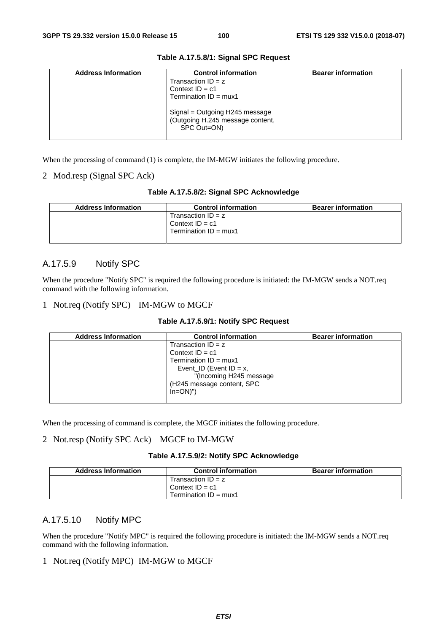| <b>Address Information</b> | <b>Control information</b>                                                        | <b>Bearer information</b> |
|----------------------------|-----------------------------------------------------------------------------------|---------------------------|
|                            | Transaction $ID = z$<br>Context $ID = c1$<br>Termination $ID = \text{mux1}$       |                           |
|                            | Signal = Outgoing H245 message<br>(Outgoing H.245 message content,<br>SPC Out=ON) |                           |

**Table A.17.5.8/1: Signal SPC Request** 

When the processing of command (1) is complete, the IM-MGW initiates the following procedure.

#### 2 Mod.resp (Signal SPC Ack)

| Table A.17.5.8/2: Signal SPC Acknowledge |  |  |
|------------------------------------------|--|--|
|------------------------------------------|--|--|

| <b>Address Information</b> | <b>Control information</b>                                                  | <b>Bearer information</b> |
|----------------------------|-----------------------------------------------------------------------------|---------------------------|
|                            | Transaction $ID = z$<br>Context $ID = c1$<br>Termination $ID = \text{mux1}$ |                           |

# A.17.5.9 Notify SPC

When the procedure "Notify SPC" is required the following procedure is initiated: the IM-MGW sends a NOT.req command with the following information.

#### 1 Not.req (Notify SPC) IM-MGW to MGCF

#### **Table A.17.5.9/1: Notify SPC Request**

| <b>Address Information</b> | <b>Control information</b>     | <b>Bearer information</b> |
|----------------------------|--------------------------------|---------------------------|
|                            | Transaction $ID = z$           |                           |
|                            | Context $ID = c1$              |                           |
|                            | Termination $ID = \text{mux1}$ |                           |
|                            | Event_ID (Event $ID = x$ ,     |                           |
|                            | "(Incoming H245 message        |                           |
|                            | (H245 message content, SPC     |                           |
|                            | $In=ON$ ")                     |                           |
|                            |                                |                           |

When the processing of command is complete, the MGCF initiates the following procedure.

#### 2 Not.resp (Notify SPC Ack) MGCF to IM-MGW

#### **Table A.17.5.9/2: Notify SPC Acknowledge**

| <b>Address Information</b> | <b>Control information</b>     | <b>Bearer information</b> |
|----------------------------|--------------------------------|---------------------------|
|                            | Transaction $ID = z$           |                           |
|                            | Context $ID = c1$              |                           |
|                            | Termination $ID = \text{mux1}$ |                           |

# A.17.5.10 Notify MPC

When the procedure "Notify MPC" is required the following procedure is initiated: the IM-MGW sends a NOT.req command with the following information.

#### 1 Not.req (Notify MPC) IM-MGW to MGCF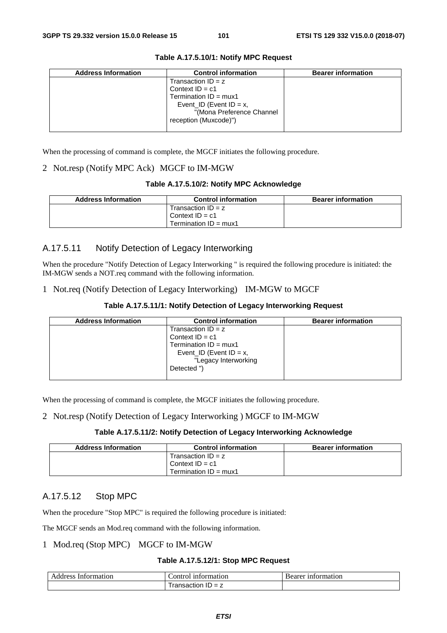| <b>Address Information</b> | <b>Control information</b>                                                                                                                                      | <b>Bearer information</b> |
|----------------------------|-----------------------------------------------------------------------------------------------------------------------------------------------------------------|---------------------------|
|                            | Transaction $ID = z$<br>Context $ID = c1$<br>Termination $ID = \text{mux1}$<br>Event_ID (Event $ID = x$ ,<br>"(Mona Preference Channel<br>reception (Muxcode)") |                           |

**Table A.17.5.10/1: Notify MPC Request** 

When the processing of command is complete, the MGCF initiates the following procedure.

# 2 Not.resp (Notify MPC Ack) MGCF to IM-MGW

#### **Table A.17.5.10/2: Notify MPC Acknowledge**

| <b>Address Information</b> | <b>Control information</b>     | <b>Bearer information</b> |
|----------------------------|--------------------------------|---------------------------|
|                            | Transaction $ID = z$           |                           |
|                            | Context $ID = c1$              |                           |
|                            | Termination $ID = \text{mux1}$ |                           |

### A.17.5.11 Notify Detection of Legacy Interworking

When the procedure "Notify Detection of Legacy Interworking " is required the following procedure is initiated: the IM-MGW sends a NOT.req command with the following information.

1 Not.req (Notify Detection of Legacy Interworking) IM-MGW to MGCF

| Table A.17.5.11/1: Notify Detection of Legacy Interworking Request |
|--------------------------------------------------------------------|
|                                                                    |

| <b>Address Information</b> | <b>Control information</b>                                                                                                                      | <b>Bearer information</b> |
|----------------------------|-------------------------------------------------------------------------------------------------------------------------------------------------|---------------------------|
|                            | Transaction $ID = z$<br>Context $ID = c1$<br>Termination $ID = \text{mux1}$<br>Event_ID (Event $ID = x$ ,<br>"Legacy Interworking<br>Detected") |                           |

When the processing of command is complete, the MGCF initiates the following procedure.

#### 2 Not.resp (Notify Detection of Legacy Interworking ) MGCF to IM-MGW

#### **Table A.17.5.11/2: Notify Detection of Legacy Interworking Acknowledge**

| <b>Address Information</b> | <b>Control information</b>     | <b>Bearer information</b> |
|----------------------------|--------------------------------|---------------------------|
|                            | Transaction $ID = z$           |                           |
|                            | Context $ID = c1$              |                           |
|                            | Termination $ID = \text{mux1}$ |                           |

# A.17.5.12 Stop MPC

When the procedure "Stop MPC" is required the following procedure is initiated:

The MGCF sends an Mod.req command with the following information.

### 1 Mod.req (Stop MPC) MGCF to IM-MGW

#### **Table A.17.5.12/1: Stop MPC Request**

|     |    | - ---- |
|-----|----|--------|
| ног | אר | м      |
| ъ.  | .  | ни     |
|     |    |        |
|     |    | .      |
|     |    |        |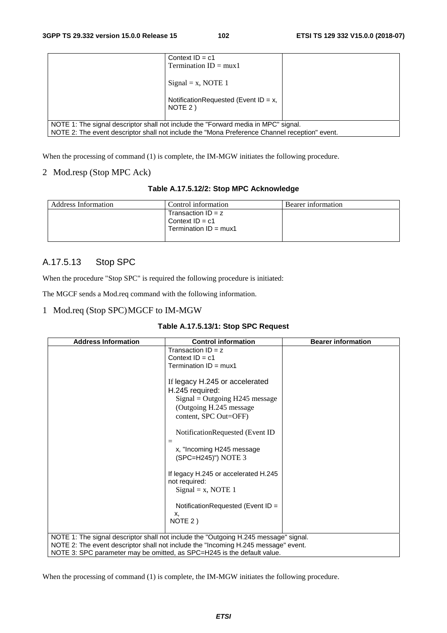|                                                                                                                                                                                     | Context $ID = c1$<br>Termination $ID = \text{mux1}$ |  |
|-------------------------------------------------------------------------------------------------------------------------------------------------------------------------------------|-----------------------------------------------------|--|
|                                                                                                                                                                                     | $Signal = x$ , NOTE 1                               |  |
|                                                                                                                                                                                     | Notification Requested (Event $ID = x$ ,<br>NOTE 2) |  |
| NOTE 1: The signal descriptor shall not include the "Forward media in MPC" signal.<br>NOTE 2: The event descriptor shall not include the "Mona Preference Channel reception" event. |                                                     |  |

When the processing of command (1) is complete, the IM-MGW initiates the following procedure.

# 2 Mod.resp (Stop MPC Ack)

|  |  |  | Table A.17.5.12/2: Stop MPC Acknowledge |
|--|--|--|-----------------------------------------|
|--|--|--|-----------------------------------------|

| Address Information | Control information                                                         | Bearer information |
|---------------------|-----------------------------------------------------------------------------|--------------------|
|                     | Transaction $ID = z$<br>Context $ID = c1$<br>Termination $ID = \text{mux1}$ |                    |

# A.17.5.13 Stop SPC

When the procedure "Stop SPC" is required the following procedure is initiated:

The MGCF sends a Mod.req command with the following information.

### 1 Mod.req (Stop SPC) MGCF to IM-MGW

#### **Table A.17.5.13/1: Stop SPC Request**

| <b>Address Information</b> | <b>Control information</b>                                                                                                                                                                                                                            | <b>Bearer information</b> |
|----------------------------|-------------------------------------------------------------------------------------------------------------------------------------------------------------------------------------------------------------------------------------------------------|---------------------------|
|                            | Transaction $ID = z$                                                                                                                                                                                                                                  |                           |
|                            | Context $ID = c1$                                                                                                                                                                                                                                     |                           |
|                            | Termination $ID = \text{mux1}$                                                                                                                                                                                                                        |                           |
|                            | If legacy H.245 or accelerated<br>H.245 required:<br>$Signal = Outgoing H245$ message<br>(Outgoing H.245 message<br>content, SPC Out=OFF)                                                                                                             |                           |
|                            | NotificationRequested (Event ID)                                                                                                                                                                                                                      |                           |
|                            | x, "Incoming H245 message<br>(SPC=H245)") NOTE 3                                                                                                                                                                                                      |                           |
|                            | If legacy H.245 or accelerated H.245<br>not required:<br>$Signal = x$ , NOTE 1                                                                                                                                                                        |                           |
|                            | Notification Requested (Event ID =<br>Х,<br>NOTE 2)                                                                                                                                                                                                   |                           |
|                            | NOTE 1: The signal descriptor shall not include the "Outgoing H.245 message" signal.<br>NOTE 2: The event descriptor shall not include the "Incoming H.245 message" event.<br>NOTE 3: SPC parameter may be omitted, as SPC=H245 is the default value. |                           |

When the processing of command (1) is complete, the IM-MGW initiates the following procedure.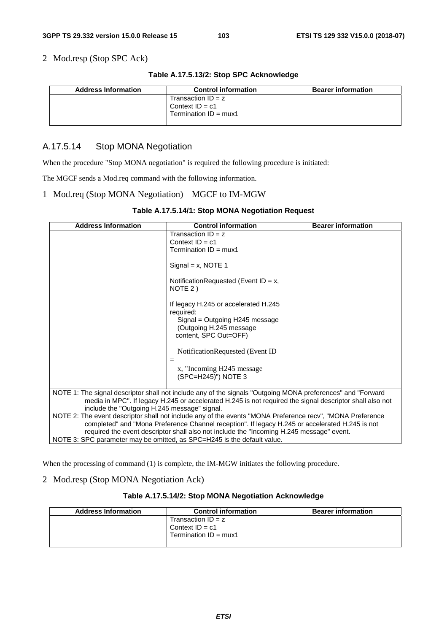2 Mod.resp (Stop SPC Ack)

|  |  |  | Table A.17.5.13/2: Stop SPC Acknowledge |
|--|--|--|-----------------------------------------|
|--|--|--|-----------------------------------------|

| <b>Address Information</b> | <b>Control information</b>     | <b>Bearer information</b> |
|----------------------------|--------------------------------|---------------------------|
|                            | Transaction $ID = z$           |                           |
|                            | Context $ID = c1$              |                           |
|                            | Termination $ID = \text{mux1}$ |                           |
|                            |                                |                           |

### A.17.5.14 Stop MONA Negotiation

When the procedure "Stop MONA negotiation" is required the following procedure is initiated:

The MGCF sends a Mod.req command with the following information.

### 1 Mod.req (Stop MONA Negotiation) MGCF to IM-MGW

#### **Table A.17.5.14/1: Stop MONA Negotiation Request**

| <b>Address Information</b>                                                                                                                                                                                   | <b>Control information</b>                                              | <b>Bearer information</b> |
|--------------------------------------------------------------------------------------------------------------------------------------------------------------------------------------------------------------|-------------------------------------------------------------------------|---------------------------|
|                                                                                                                                                                                                              | Transaction $ID = z$                                                    |                           |
|                                                                                                                                                                                                              | Context $ID = c1$                                                       |                           |
|                                                                                                                                                                                                              | Termination $ID = \text{mux1}$                                          |                           |
|                                                                                                                                                                                                              |                                                                         |                           |
|                                                                                                                                                                                                              | Signal = $x$ , NOTE 1                                                   |                           |
|                                                                                                                                                                                                              |                                                                         |                           |
|                                                                                                                                                                                                              | Notification Requested (Event $ID = x$ ,                                |                           |
|                                                                                                                                                                                                              | NOTE 2)                                                                 |                           |
|                                                                                                                                                                                                              | If legacy H.245 or accelerated H.245                                    |                           |
|                                                                                                                                                                                                              | required:                                                               |                           |
|                                                                                                                                                                                                              | Signal = Outgoing H245 message                                          |                           |
|                                                                                                                                                                                                              | (Outgoing H.245 message                                                 |                           |
|                                                                                                                                                                                                              | content, SPC Out=OFF)                                                   |                           |
|                                                                                                                                                                                                              |                                                                         |                           |
|                                                                                                                                                                                                              | NotificationRequested (Event ID)                                        |                           |
|                                                                                                                                                                                                              |                                                                         |                           |
|                                                                                                                                                                                                              | x, "Incoming H245 message"                                              |                           |
|                                                                                                                                                                                                              | (SPC=H245)") NOTE 3                                                     |                           |
|                                                                                                                                                                                                              |                                                                         |                           |
| NOTE 1: The signal descriptor shall not include any of the signals "Outgoing MONA preferences" and "Forward                                                                                                  |                                                                         |                           |
| media in MPC". If legacy H.245 or accelerated H.245 is not required the signal descriptor shall also not                                                                                                     |                                                                         |                           |
| include the "Outgoing H.245 message" signal.                                                                                                                                                                 |                                                                         |                           |
| NOTE 2: The event descriptor shall not include any of the events "MONA Preference recv", "MONA Preference<br>completed" and "Mona Preference Channel reception". If legacy H.245 or accelerated H.245 is not |                                                                         |                           |
| required the event descriptor shall also not include the "Incoming H.245 message" event.                                                                                                                     |                                                                         |                           |
|                                                                                                                                                                                                              | NOTE 3: SPC parameter may be omitted, as SPC=H245 is the default value. |                           |

When the processing of command (1) is complete, the IM-MGW initiates the following procedure.

#### 2 Mod.resp (Stop MONA Negotiation Ack)

#### **Table A.17.5.14/2: Stop MONA Negotiation Acknowledge**

| <b>Address Information</b> | <b>Control information</b>     | <b>Bearer information</b> |  |  |
|----------------------------|--------------------------------|---------------------------|--|--|
|                            | Transaction $ID = z$           |                           |  |  |
|                            | Context $ID = c1$              |                           |  |  |
|                            | Termination $ID = \text{mux1}$ |                           |  |  |
|                            |                                |                           |  |  |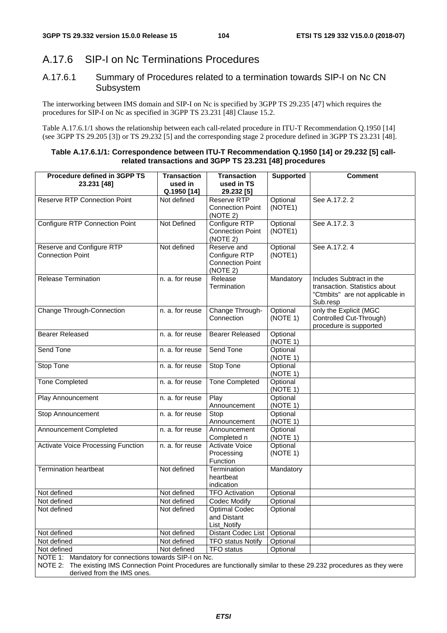# A.17.6 SIP-I on Nc Terminations Procedures

# A.17.6.1 Summary of Procedures related to a termination towards SIP-I on Nc CN Subsystem

The interworking between IMS domain and SIP-I on Nc is specified by 3GPP TS 29.235 [47] which requires the procedures for SIP-I on Nc as specified in 3GPP TS 23.231 [48] Clause 15.2.

Table A.17.6.1/1 shows the relationship between each call-related procedure in ITU-T Recommendation Q.1950 [14] (see 3GPP TS 29.205 [3]) or TS 29.232 [5] and the corresponding stage 2 procedure defined in 3GPP TS 23.231 [48].

#### **Table A.17.6.1/1: Correspondence between ITU-T Recommendation Q.1950 [14] or 29.232 [5] callrelated transactions and 3GPP TS 23.231 [48] procedures**

| Procedure defined in 3GPP TS<br>23.231 [48]                                                                                                                                     | <b>Transaction</b><br>used in | <b>Transaction</b><br>used in TS                                    | <b>Supported</b>     | <b>Comment</b>                                                                                           |  |
|---------------------------------------------------------------------------------------------------------------------------------------------------------------------------------|-------------------------------|---------------------------------------------------------------------|----------------------|----------------------------------------------------------------------------------------------------------|--|
|                                                                                                                                                                                 | Q.1950 [14]                   | 29.232 [5]                                                          |                      |                                                                                                          |  |
| <b>Reserve RTP Connection Point</b>                                                                                                                                             | Not defined                   | <b>Reserve RTP</b><br><b>Connection Point</b><br>(NOTE 2)           | Optional<br>(NOTE1)  | See A.17.2.2                                                                                             |  |
| <b>Configure RTP Connection Point</b>                                                                                                                                           | Not Defined                   | Configure RTP<br><b>Connection Point</b><br>(NOTE 2)                | Optional<br>(NOTE1)  | See A.17.2.3                                                                                             |  |
| Reserve and Configure RTP<br><b>Connection Point</b>                                                                                                                            | Not defined                   | Reserve and<br>Configure RTP<br><b>Connection Point</b><br>(NOTE 2) | Optional<br>(NOTE1)  | See A.17.2.4                                                                                             |  |
| <b>Release Termination</b>                                                                                                                                                      | n. a. for reuse               | Release<br>Termination                                              | Mandatory            | Includes Subtract in the<br>transaction. Statistics about<br>"Ctmbits" are not applicable in<br>Sub.resp |  |
| Change Through-Connection                                                                                                                                                       | n. a. for reuse               | Change Through-<br>Connection                                       | Optional<br>(NOTE 1) | only the Explicit (MGC<br>Controlled Cut-Through)<br>procedure is supported                              |  |
| <b>Bearer Released</b>                                                                                                                                                          | n. a. for reuse               | <b>Bearer Released</b>                                              | Optional<br>(NOTE 1) |                                                                                                          |  |
| Send Tone                                                                                                                                                                       | n. a. for reuse               | Send Tone                                                           | Optional<br>(NOTE 1) |                                                                                                          |  |
| Stop Tone                                                                                                                                                                       | n. a. for reuse               | Stop Tone                                                           | Optional<br>(NOTE 1) |                                                                                                          |  |
| <b>Tone Completed</b>                                                                                                                                                           | n. a. for reuse               | <b>Tone Completed</b>                                               | Optional<br>(NOTE 1) |                                                                                                          |  |
| Play Announcement                                                                                                                                                               | n. a. for reuse               | Play<br>Announcement                                                | Optional<br>(NOTE 1) |                                                                                                          |  |
| Stop Announcement                                                                                                                                                               | n. a. for reuse               | Stop<br>Announcement                                                | Optional<br>(NOTE 1) |                                                                                                          |  |
| Announcement Completed                                                                                                                                                          | n. a. for reuse               | Announcement<br>Completed n                                         | Optional<br>(NOTE 1) |                                                                                                          |  |
| Activate Voice Processing Function                                                                                                                                              | n. a. for reuse               | <b>Activate Voice</b><br>Processing<br>Function                     | Optional<br>(NOTE 1) |                                                                                                          |  |
| <b>Termination heartbeat</b>                                                                                                                                                    | Not defined                   | Termination<br>heartbeat<br>indication                              | Mandatory            |                                                                                                          |  |
| Not defined                                                                                                                                                                     | Not defined                   | <b>TFO Activation</b>                                               | Optional             |                                                                                                          |  |
| Not defined                                                                                                                                                                     | Not defined                   | Codec Modify                                                        | Optional             |                                                                                                          |  |
| Not defined                                                                                                                                                                     | Not defined                   | <b>Optimal Codec</b><br>and Distant<br>List_Notify                  | Optional             |                                                                                                          |  |
| Not defined                                                                                                                                                                     | Not defined                   | Distant Codec List                                                  | Optional             |                                                                                                          |  |
| Not defined                                                                                                                                                                     | Not defined                   | <b>TFO status Notify</b>                                            | Optional             |                                                                                                          |  |
| Not defined                                                                                                                                                                     | Not defined                   | <b>TFO</b> status                                                   | Optional             |                                                                                                          |  |
| NOTE 1: Mandatory for connections towards SIP-I on Nc.<br>NOTE 2: The existing IMS Connection Point Procedures are functionally similar to these 29.232 procedures as they were |                               |                                                                     |                      |                                                                                                          |  |

derived from the IMS ones.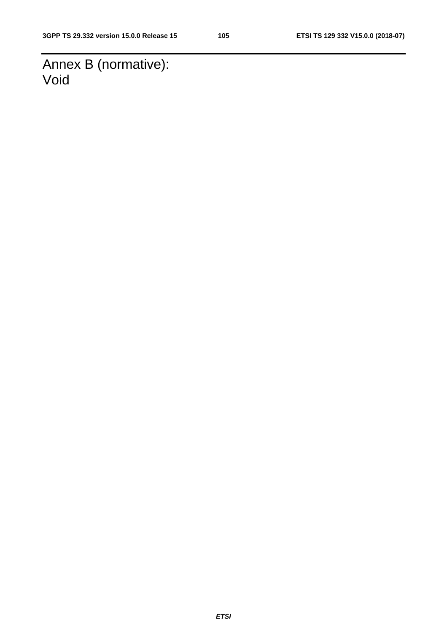Annex B (normative): Void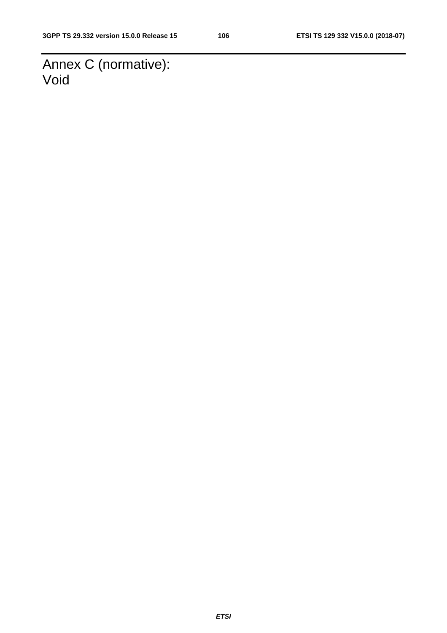Annex C (normative): Void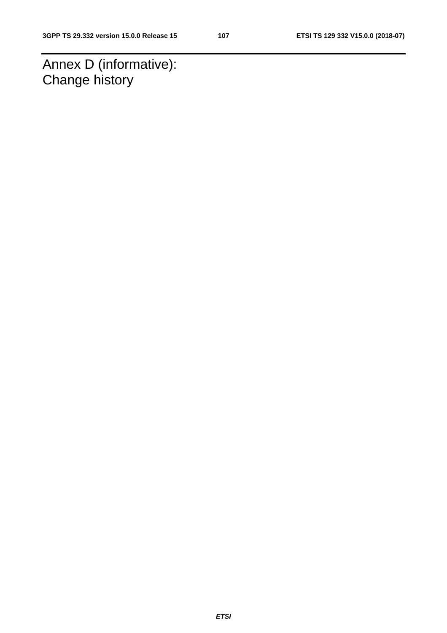Annex D (informative): Change history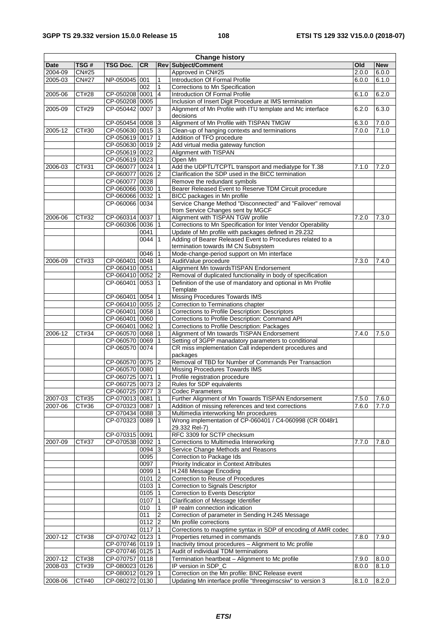| <b>Change history</b> |                    |                  |                       |                 |                                                                |       |            |
|-----------------------|--------------------|------------------|-----------------------|-----------------|----------------------------------------------------------------|-------|------------|
| Date                  | TSG#               | TSG Doc.         | <b>CR</b>             |                 | Rev Subject/Comment                                            | Old   | <b>New</b> |
| 2004-09               | <b>CN#25</b>       |                  |                       |                 | Approved in CN#25                                              | 2.0.0 | 6.0.0      |
| 2005-03               | <b>CN#27</b>       | NP-050045 001    |                       | $\mathbf{1}$    | Introduction Of Formal Profile                                 | 6.0.0 | 6.1.0      |
|                       |                    |                  | 002                   | $\mathbf{1}$    | Corrections to Mn Specification                                |       |            |
| 2005-06               | CT#28              | CP-050208 0001   |                       | $\overline{4}$  | Introduction Of Formal Profile                                 | 6.1.0 | 6.2.0      |
|                       |                    | CP-050208 0005   |                       |                 | Inclusion of Insert Digit Procedure at IMS termination         |       |            |
| 2005-09               | CT#29              | CP-050442 0007 3 |                       |                 | Alignment of Mn Profile with ITU template and Mc interface     | 6.2.0 | 6.3.0      |
|                       |                    |                  |                       |                 | decisions                                                      |       |            |
|                       |                    | CP-050454 0008 3 |                       |                 | Alignment of Mn Profile with TISPAN TMGW                       | 6.3.0 | 7.0.0      |
| 2005-12               | CT#30              | CP-050630 0015 3 |                       |                 | Clean-up of hanging contexts and terminations                  | 7.0.0 | 7.1.0      |
|                       |                    | CP-050619 0017   |                       | $\vert$ 1       | Addition of TFO procedure                                      |       |            |
|                       |                    | CP-050630 0019 2 |                       |                 | Add virtual media gateway function                             |       |            |
|                       |                    | CP-050619 0022   |                       |                 | Alignment with TISPAN                                          |       |            |
|                       |                    | CP-050619 0023   |                       |                 | Open Mn                                                        |       |            |
| 2006-03               | CT#31              | CP-060077 0024 1 |                       |                 | Add the UDPTL/TCPTL transport and mediatype for T.38           | 7.1.0 | 7.2.0      |
|                       |                    | CP-060077 0026 2 |                       |                 | Clarification the SDP used in the BICC termination             |       |            |
|                       |                    | CP-060077 0028   |                       |                 | Remove the redundant symbols                                   |       |            |
|                       |                    | CP-060066 0030 1 |                       |                 | Bearer Released Event to Reserve TDM Circuit procedure         |       |            |
|                       |                    | CP-060066 0032   |                       |                 | BICC packages in Mn profile                                    |       |            |
|                       |                    | CP-060066 0034   |                       |                 | Service Change Method "Disconnected" and "Failover" removal    |       |            |
|                       |                    |                  |                       |                 | from Service Changes sent by MGCF                              |       |            |
| 2006-06               | $\overline{CT#32}$ | CP-060314 0037 1 |                       |                 | Alignment with TISPAN TGW profile                              | 7.2.0 | 7.3.0      |
|                       |                    | CP-060306 0036 1 |                       |                 | Corrections to Mn Specification for Inter Vendor Operability   |       |            |
|                       |                    |                  | 0041                  |                 | Update of Mn profile with packages defined in 29.232           |       |            |
|                       |                    |                  | $0044$   1            |                 | Adding of Bearer Released Event to Procedures related to a     |       |            |
|                       |                    |                  |                       |                 | termination towards IM CN Subsystem                            |       |            |
|                       |                    |                  | 0046   1              |                 | Mode-change-period support on Mn interface                     |       |            |
| 2006-09               | CT#33              | CP-060401 0048 1 |                       |                 | AuditValue procedure                                           | 7.3.0 | 7.4.0      |
|                       |                    | CP-060410 0051   |                       |                 | Alignment Mn towardsTISPAN Endorsement                         |       |            |
|                       |                    | CP-060410 0052 2 |                       |                 | Removal of duplicated functionality in body of specification   |       |            |
|                       |                    | CP-060401 0053 1 |                       |                 | Definition of the use of mandatory and optional in Mn Profile  |       |            |
|                       |                    |                  |                       |                 | Template                                                       |       |            |
|                       |                    | CP-060401 0054 1 |                       |                 | Missing Procedures Towards IMS                                 |       |            |
|                       |                    | CP-060410 0055 2 |                       |                 | Correction to Terminations chapter                             |       |            |
|                       |                    | CP-060401 0058   |                       | $\mathsf{I}$    | Corrections to Profile Description: Descriptors                |       |            |
|                       |                    | CP-060401 0060   |                       |                 | Corrections to Profile Description: Command API                |       |            |
|                       |                    | CP-060401 0062 1 |                       |                 | Corrections to Profile Description: Packages                   |       |            |
| 2006-12               | CT#34              | CP-060570 0068 1 |                       |                 | Alignment of Mn towards TISPAN Endorsement                     | 7.4.0 | 7.5.0      |
|                       |                    | CP-060570 0069 1 |                       |                 | Setting of 3GPP manadatory parameters to conditional           |       |            |
|                       |                    | CP-060570 0074   |                       |                 | CR miss implementation Call independent procedures and         |       |            |
|                       |                    |                  |                       |                 | packages                                                       |       |            |
|                       |                    | CP-060570 0075 2 |                       |                 | Removal of TBD for Number of Commands Per Transaction          |       |            |
|                       |                    | CP-060570 0080   |                       |                 | <b>Missing Procedures Towards IMS</b>                          |       |            |
|                       |                    | CP-060725 0071   |                       | $\vert$ 1       | Profile registration procedure                                 |       |            |
|                       |                    | CP-060725 0073 2 |                       |                 | Rules for SDP equivalents                                      |       |            |
|                       |                    | CP-060725 0077 3 |                       |                 | Codec Parameters                                               |       |            |
| 2007-03               | CT#35              | CP-070013 0081 1 |                       |                 | Further Alignment of Mn Towards TISPAN Endorsement             | 7.5.0 | 7.6.0      |
| 2007-06               | CT#36              | CP-070323 0087   |                       | $\overline{11}$ | Addition of missing references and text corrections            | 7.6.0 | 7.7.0      |
|                       |                    | CP-070434 0088 3 |                       |                 | Multimedia interworking Mn procedures                          |       |            |
|                       |                    | CP-070323 0089   |                       | $\vert$ 1       | Wrong implementation of CP-060401 / C4-060998 (CR 0048r1       |       |            |
|                       |                    |                  |                       |                 | 29.332 Rel-7)                                                  |       |            |
|                       |                    | CP-070315 0091   |                       |                 | RFC 3309 for SCTP checksum                                     |       |            |
| 2007-09               | CT#37              | CP-070538 0092   |                       | $\vert$ 1       | Corrections to Multimedia Interworking                         | 7.7.0 | 7.8.0      |
|                       |                    |                  | $0094$ 3              |                 | Service Change Methods and Reasons                             |       |            |
|                       |                    |                  | 0095                  |                 | Correction to Package Ids                                      |       |            |
|                       |                    |                  | 0097                  |                 | Priority Indicator in Context Attributes                       |       |            |
|                       |                    |                  | 0099 1                |                 | H.248 Message Encoding                                         |       |            |
|                       |                    |                  | 0101                  | 2               | Correction to Reuse of Procedures                              |       |            |
|                       |                    |                  | $0103$   1            |                 | Correction to Signals Descriptor                               |       |            |
|                       |                    |                  | $\overline{0105}$   1 |                 | Correction to Events Descriptor                                |       |            |
|                       |                    |                  | 0107                  | $\overline{11}$ | Clarification of Message Identifier                            |       |            |
|                       |                    |                  | 010                   | $\mathbf{1}$    | IP realm connection indication                                 |       |            |
|                       |                    |                  | 011                   | 2               | Correction of parameter in Sending H.245 Message               |       |            |
|                       |                    |                  | 0112                  | 2               | Mn profile corrections                                         |       |            |
|                       |                    |                  | 0117                  | $\overline{11}$ | Corrections to maxptime syntax in SDP of encoding of AMR codec |       |            |
| 2007-12               | CT#38              | CP-070742 0123 1 |                       |                 | Properties returned in commands                                | 7.8.0 | 7.9.0      |
|                       |                    | CP-070746 0119 1 |                       |                 | Inactivity timout procedures - Alignment to Mc profile         |       |            |
|                       |                    | CP-070746 0125 1 |                       |                 | Audit of individual TDM terminations                           |       |            |
| 2007-12               | CT#38              | CP-070757 0118   |                       |                 | Termination heartbeat - Alignment to Mc profile                | 7.9.0 | 8.0.0      |
| 2008-03               | CT#39              | CP-080023 0126   |                       |                 | IP version in SDP_C                                            | 8.0.0 | 8.1.0      |
|                       |                    | CP-080012 0129 1 |                       |                 | Correction on the Mn profile: BNC Release event                |       |            |
| 2008-06               | CT#40              | CP-080272 0130   |                       |                 | Updating Mn interface profile "threegimscsiw" to version 3     | 8.1.0 | 8.2.0      |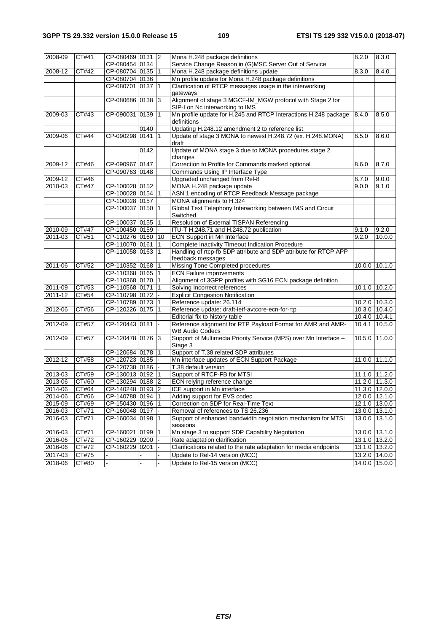| 2008-09     | CT#41 | CP-080469 0131 2  |      |                 | Mona H.248 package definitions                                                        | 8.2.0         | 8.3.0                      |
|-------------|-------|-------------------|------|-----------------|---------------------------------------------------------------------------------------|---------------|----------------------------|
|             |       | CP-080454 0134    |      |                 | Service Change Reason in (G)MSC Server Out of Service                                 |               |                            |
| $2008 - 12$ | CT#42 | CP-080704 0135 1  |      |                 | Mona H.248 package definitions update                                                 | 8.3.0         | 8.4.0                      |
|             |       | CP-080704 0136    |      |                 | Mn profile update for Mona H.248 package definitions                                  |               |                            |
|             |       | CP-080701 0137 1  |      |                 | Clarification of RTCP messages usage in the interworking                              |               |                            |
|             |       |                   |      |                 | gateways                                                                              |               |                            |
|             |       | CP-080686 0138 3  |      |                 | Alignment of stage 3 MGCF-IM_MGW protocol with Stage 2 for                            |               |                            |
|             |       |                   |      |                 | SIP-I on Nc interworking to IMS                                                       |               |                            |
| 2009-03     | CT#43 | CP-090031 0139    |      | $\vert$ 1       | Mn profile update for H.245 and RTCP Interactions H.248 package                       | 8.4.0         | 8.5.0                      |
|             |       |                   |      |                 | definitions                                                                           |               |                            |
|             |       |                   | 0140 |                 | Updating H.248.12 amendment 2 to reference list                                       |               |                            |
| 2009-06     | CT#44 | CP-090298 0141 1  |      |                 | Update of stage 3 MONA to newest H.248.72 (ex. H.248.MONA)                            | 8.5.0         | 8.6.0                      |
|             |       |                   |      |                 | draft                                                                                 |               |                            |
|             |       |                   | 0142 |                 | Update of MONA stage 3 due to MONA procedures stage 2                                 |               |                            |
|             |       |                   |      |                 | changes                                                                               |               |                            |
| 2009-12     | CT#46 | CP-090967 0147    |      |                 | Correction to Profile for Commands marked optional                                    | 8.6.0         | 8.7.0                      |
|             |       | CP-090763 0148    |      |                 | Commands Using IP Interface Type                                                      |               |                            |
| 2009-12     | CT#46 |                   |      |                 | Upgraded unchanged from Rel-8                                                         | 8.7.0         | 9.0.0                      |
| 2010-03     | CT#47 | CP-100028 0152    |      |                 | MONA H.248 package update                                                             | 9.0.0         | 9.1.0                      |
|             |       | CP-100028 0154 1  |      |                 | ASN.1 encoding of RTCP Feedback Message package                                       |               |                            |
|             |       | CP-100028 0157    |      |                 | MONA alignments to H.324                                                              |               |                            |
|             |       | CP-100037 0150 1  |      |                 | Global Text Telephony Interworking between IMS and Circuit                            |               |                            |
|             |       |                   |      |                 | Switched                                                                              |               |                            |
|             |       | CP-100037 0155 1  |      |                 | Resolution of External TISPAN Referencing                                             |               |                            |
| 2010-09     | CT#47 | CP-100450 0159    |      |                 | ITU-T H.248.71 and H.248.72 publication                                               | 9.1.0         | 9.2.0                      |
| 2011-03     | CT#51 | CP-110276 0160 10 |      |                 | ECN Support in Mn Interface                                                           | 9.2.0         | 10.0.0                     |
|             |       | CP-110070 0161    |      |                 | Complete Inactivity Timeout Indication Procedure                                      |               |                            |
|             |       | CP-110058 0163 1  |      |                 | Handling of rtcp-fb SDP attribute and SDP attribute for RTCP APP                      |               |                            |
|             |       |                   |      |                 | feedback messages                                                                     |               |                            |
| 2011-06     | CT#52 | CP-110352 0168 1  |      |                 | Missing Tone Completed procedures                                                     | 10.0.0 10.1.0 |                            |
|             |       | CP-110368 0165 1  |      |                 | <b>ECN Failure improvements</b>                                                       |               |                            |
|             |       | CP-110368 0170    |      | $\vert$ 1       | Alignment of 3GPP profiles with SG16 ECN package definition                           |               |                            |
| 2011-09     | CT#53 | CP-110568 0171    |      | $\overline{11}$ | Solving Incorrect references                                                          | 10.1.0 10.2.0 |                            |
| 2011-12     | CT#54 | CP-110798 0172    |      |                 | <b>Explicit Congestion Notification</b>                                               |               |                            |
|             |       | CP-110789 0173 1  |      |                 | Reference update: 26.114                                                              |               | 10.2.0 10.3.0              |
| 2012-06     | CT#56 | CP-120226 0175 1  |      |                 | Reference update: draft-ietf-avtcore-ecn-for-rtp                                      |               | 10.3.0 10.4.0              |
|             |       |                   |      |                 | Editorial fix to history table                                                        |               | 10.4.0 10.4.1              |
| 2012-09     | CT#57 | CP-120443 0181    |      |                 | Reference alignment for RTP Payload Format for AMR and AMR-<br><b>WB Audio Codecs</b> | 10.4.1 10.5.0 |                            |
| 2012-09     | CT#57 | CP-120478 0176 3  |      |                 | Support of Multimedia Priority Service (MPS) over Mn Interface -                      | 10.5.0 11.0.0 |                            |
|             |       |                   |      |                 | Stage 3                                                                               |               |                            |
|             |       | CP-120684 0178 1  |      |                 | Support of T.38 related SDP attributes                                                |               |                            |
| 2012-12     | CT#58 | CP-120723 0185    |      |                 | Mn interface updates of ECN Support Package                                           |               | 11.0.0 11.1.0              |
|             |       | CP-120738 0186    |      |                 | T.38 default version                                                                  |               |                            |
| 2013-03     | CT#59 | CP-130013 0192 1  |      |                 | Support of RTCP-FB for MTSI                                                           |               | 11.1.0 11.2.0              |
| 2013-06     | CT#60 | CP-130294 0188 2  |      |                 | <b>ECN</b> relying reference change                                                   |               | 11.2.0 11.3.0              |
| 2014-06     | CT#64 | CP-140248 0193 2  |      |                 | ICE support in Mn interface                                                           |               | 11.3.0 12.0.0              |
| 2014-06     | CT#66 | CP-140788 0194 1  |      |                 | Adding support for EVS codec                                                          |               | 12.0.0 12.1.0              |
| 2015-09     | CT#69 | CP-150430 0196 1  |      |                 | Correction on SDP for Real-Time Text                                                  |               | $\overline{12.1.0}$ 13.0.0 |
| 2016-03     | CT#71 | CP-160048 0197    |      |                 | Removal of references to TS 26.236                                                    |               | 13.0.0   13.1.0            |
| 2016-03     | CT#71 | CP-160034 0198 1  |      |                 | Support of enhanced bandwidth negotiation mechanism for MTSI                          |               | 13.0.0 13.1.0              |
|             |       |                   |      |                 | sessions                                                                              |               |                            |
| 2016-03     | CT#71 | CP-160021 0199    |      | 1               | Mn stage 3 to support SDP Capability Negotiation                                      | 13.0.0 13.1.0 |                            |
| 2016-06     | CT#72 | CP-160229 0200    |      |                 | Rate adaptation clarification                                                         |               | $\overline{13.1.0}$ 13.2.0 |
| 2016-06     | CT#72 | CP-160229 0201    |      |                 | Clarifications related to the rate adaptation for media endpoints                     |               | 13.1.0 13.2.0              |
| 2017-03     | CT#75 | ä,                |      |                 | Update to Rel-14 version (MCC)                                                        |               | 13.2.0 14.0.0              |
| 2018-06     | CT#80 | $\blacksquare$    |      |                 | Update to Rel-15 version (MCC)                                                        |               | $\overline{14.0.0}$ 15.0.0 |